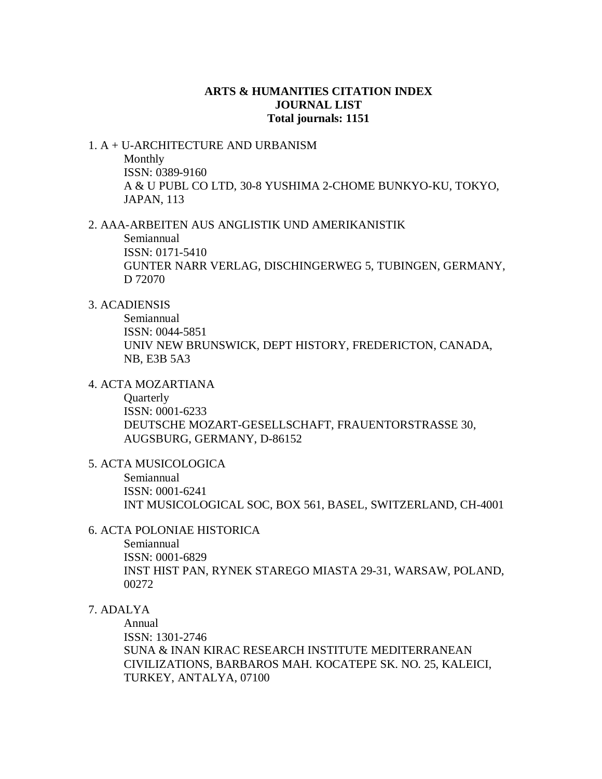## **ARTS & HUMANITIES CITATION INDEX JOURNAL LIST Total journals: 1151**

# 1. A + U-ARCHITECTURE AND URBANISM Monthly ISSN: 0389-9160 A & U PUBL CO LTD, 30-8 YUSHIMA 2-CHOME BUNKYO-KU, TOKYO,

JAPAN, 113

### 2. AAA-ARBEITEN AUS ANGLISTIK UND AMERIKANISTIK

Semiannual ISSN: 0171-5410 GUNTER NARR VERLAG, DISCHINGERWEG 5, TUBINGEN, GERMANY, D 72070

## 3. ACADIENSIS

Semiannual ISSN: 0044-5851 UNIV NEW BRUNSWICK, DEPT HISTORY, FREDERICTON, CANADA, NB, E3B 5A3

# 4. ACTA MOZARTIANA

**Quarterly** ISSN: 0001-6233 DEUTSCHE MOZART-GESELLSCHAFT, FRAUENTORSTRASSE 30, AUGSBURG, GERMANY, D-86152

5. ACTA MUSICOLOGICA

Semiannual ISSN: 0001-6241 INT MUSICOLOGICAL SOC, BOX 561, BASEL, SWITZERLAND, CH-4001

### 6. ACTA POLONIAE HISTORICA

Semiannual ISSN: 0001-6829 INST HIST PAN, RYNEK STAREGO MIASTA 29-31, WARSAW, POLAND, 00272

# 7. ADALYA

Annual ISSN: 1301-2746 SUNA & INAN KIRAC RESEARCH INSTITUTE MEDITERRANEAN CIVILIZATIONS, BARBAROS MAH. KOCATEPE SK. NO. 25, KALEICI, TURKEY, ANTALYA, 07100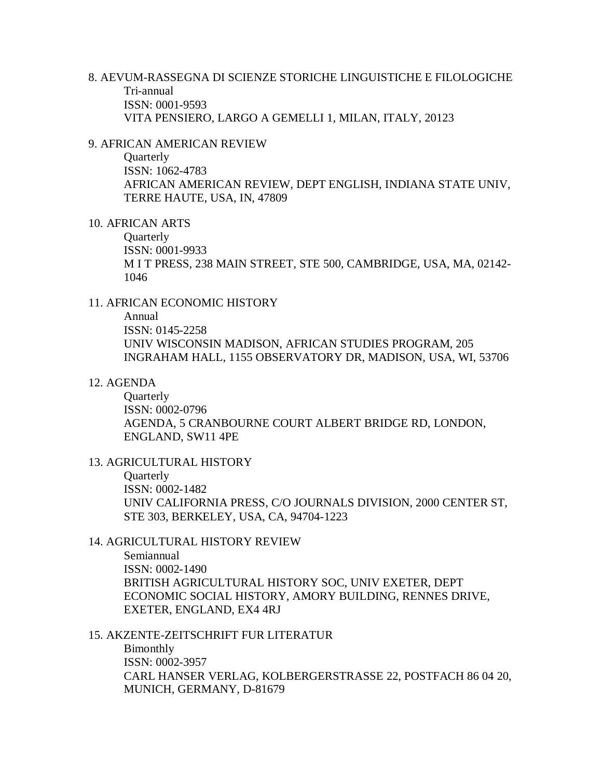8. AEVUM-RASSEGNA DI SCIENZE STORICHE LINGUISTICHE E FILOLOGICHE Tri-annual ISSN: 0001-9593 VITA PENSIERO, LARGO A GEMELLI 1, MILAN, ITALY, 20123

#### 9. AFRICAN AMERICAN REVIEW

**Quarterly** ISSN: 1062-4783 AFRICAN AMERICAN REVIEW, DEPT ENGLISH, INDIANA STATE UNIV, TERRE HAUTE, USA, IN, 47809

# 10. AFRICAN ARTS

**Ouarterly** ISSN: 0001-9933 M I T PRESS, 238 MAIN STREET, STE 500, CAMBRIDGE, USA, MA, 02142- 1046

### 11. AFRICAN ECONOMIC HISTORY

Annual ISSN: 0145-2258 UNIV WISCONSIN MADISON, AFRICAN STUDIES PROGRAM, 205 INGRAHAM HALL, 1155 OBSERVATORY DR, MADISON, USA, WI, 53706

### 12. AGENDA

**Ouarterly** ISSN: 0002-0796 AGENDA, 5 CRANBOURNE COURT ALBERT BRIDGE RD, LONDON, ENGLAND, SW11 4PE

## 13. AGRICULTURAL HISTORY **Quarterly** ISSN: 0002-1482 UNIV CALIFORNIA PRESS, C/O JOURNALS DIVISION, 2000 CENTER ST, STE 303, BERKELEY, USA, CA, 94704-1223

## 14. AGRICULTURAL HISTORY REVIEW

Semiannual ISSN: 0002-1490 BRITISH AGRICULTURAL HISTORY SOC, UNIV EXETER, DEPT ECONOMIC SOCIAL HISTORY, AMORY BUILDING, RENNES DRIVE, EXETER, ENGLAND, EX4 4RJ

### 15. AKZENTE-ZEITSCHRIFT FUR LITERATUR

Bimonthly ISSN: 0002-3957 CARL HANSER VERLAG, KOLBERGERSTRASSE 22, POSTFACH 86 04 20, MUNICH, GERMANY, D-81679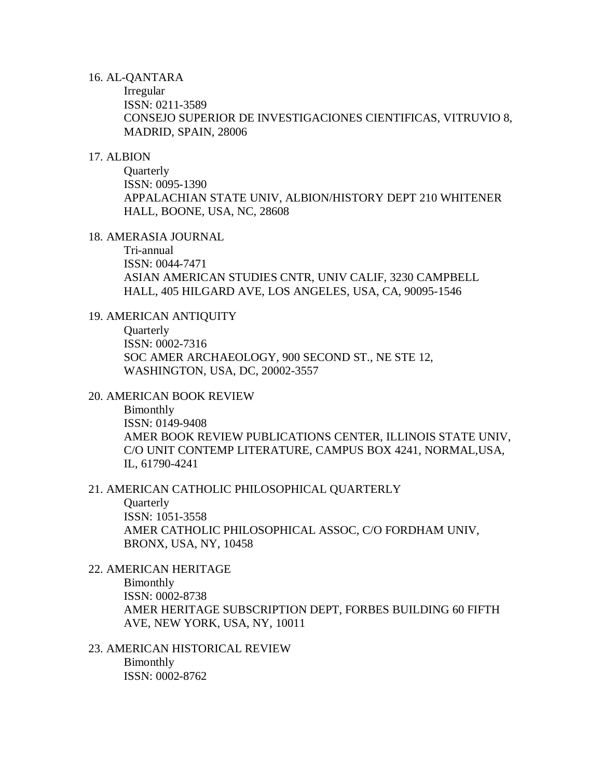#### 16. AL-QANTARA

Irregular ISSN: 0211-3589 CONSEJO SUPERIOR DE INVESTIGACIONES CIENTIFICAS, VITRUVIO 8, MADRID, SPAIN, 28006

#### 17. ALBION

**Quarterly** ISSN: 0095-1390 APPALACHIAN STATE UNIV, ALBION/HISTORY DEPT 210 WHITENER HALL, BOONE, USA, NC, 28608

#### 18. AMERASIA JOURNAL

Tri-annual ISSN: 0044-7471 ASIAN AMERICAN STUDIES CNTR, UNIV CALIF, 3230 CAMPBELL HALL, 405 HILGARD AVE, LOS ANGELES, USA, CA, 90095-1546

#### 19. AMERICAN ANTIQUITY

**Quarterly** ISSN: 0002-7316 SOC AMER ARCHAEOLOGY, 900 SECOND ST., NE STE 12, WASHINGTON, USA, DC, 20002-3557

### 20. AMERICAN BOOK REVIEW

Bimonthly ISSN: 0149-9408 AMER BOOK REVIEW PUBLICATIONS CENTER, ILLINOIS STATE UNIV, C/O UNIT CONTEMP LITERATURE, CAMPUS BOX 4241, NORMAL,USA, IL, 61790-4241

#### 21. AMERICAN CATHOLIC PHILOSOPHICAL QUARTERLY

**Quarterly** ISSN: 1051-3558 AMER CATHOLIC PHILOSOPHICAL ASSOC, C/O FORDHAM UNIV, BRONX, USA, NY, 10458

# 22. AMERICAN HERITAGE

Bimonthly ISSN: 0002-8738 AMER HERITAGE SUBSCRIPTION DEPT, FORBES BUILDING 60 FIFTH AVE, NEW YORK, USA, NY, 10011

### 23. AMERICAN HISTORICAL REVIEW Bimonthly ISSN: 0002-8762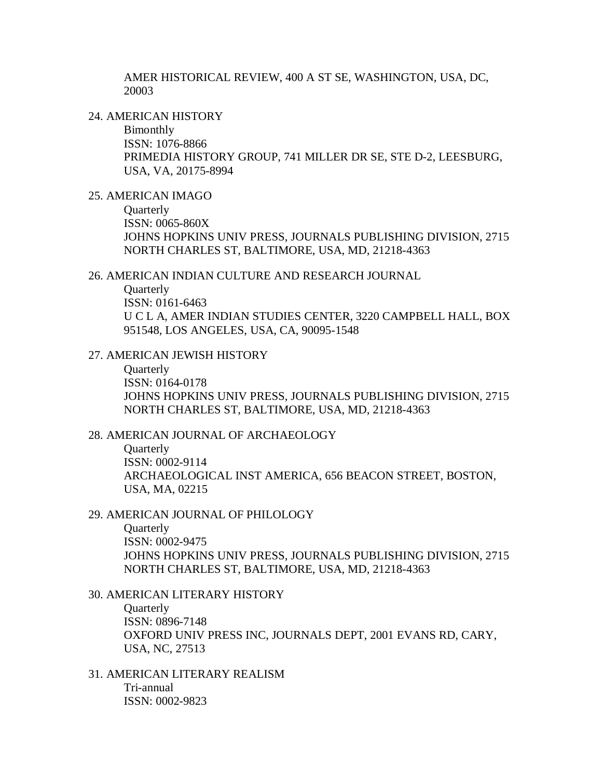AMER HISTORICAL REVIEW, 400 A ST SE, WASHINGTON, USA, DC, 20003

24. AMERICAN HISTORY

Bimonthly ISSN: 1076-8866 PRIMEDIA HISTORY GROUP, 741 MILLER DR SE, STE D-2, LEESBURG, USA, VA, 20175-8994

### 25. AMERICAN IMAGO

**Quarterly** ISSN: 0065-860X JOHNS HOPKINS UNIV PRESS, JOURNALS PUBLISHING DIVISION, 2715 NORTH CHARLES ST, BALTIMORE, USA, MD, 21218-4363

### 26. AMERICAN INDIAN CULTURE AND RESEARCH JOURNAL

**Ouarterly** ISSN: 0161-6463 U C L A, AMER INDIAN STUDIES CENTER, 3220 CAMPBELL HALL, BOX 951548, LOS ANGELES, USA, CA, 90095-1548

### 27. AMERICAN JEWISH HISTORY

**Ouarterly** ISSN: 0164-0178 JOHNS HOPKINS UNIV PRESS, JOURNALS PUBLISHING DIVISION, 2715 NORTH CHARLES ST, BALTIMORE, USA, MD, 21218-4363

#### 28. AMERICAN JOURNAL OF ARCHAEOLOGY

**Ouarterly** ISSN: 0002-9114 ARCHAEOLOGICAL INST AMERICA, 656 BEACON STREET, BOSTON, USA, MA, 02215

#### 29. AMERICAN JOURNAL OF PHILOLOGY

**Quarterly** 

ISSN: 0002-9475 JOHNS HOPKINS UNIV PRESS, JOURNALS PUBLISHING DIVISION, 2715 NORTH CHARLES ST, BALTIMORE, USA, MD, 21218-4363

#### 30. AMERICAN LITERARY HISTORY

**Ouarterly** ISSN: 0896-7148 OXFORD UNIV PRESS INC, JOURNALS DEPT, 2001 EVANS RD, CARY, USA, NC, 27513

31. AMERICAN LITERARY REALISM Tri-annual ISSN: 0002-9823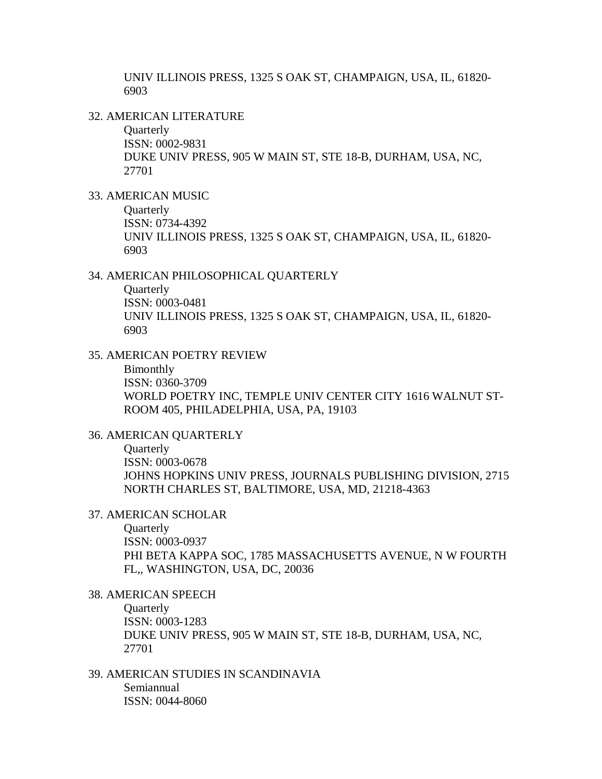UNIV ILLINOIS PRESS, 1325 S OAK ST, CHAMPAIGN, USA, IL, 61820- 6903

#### 32. AMERICAN LITERATURE

**Quarterly** ISSN: 0002-9831 DUKE UNIV PRESS, 905 W MAIN ST, STE 18-B, DURHAM, USA, NC, 27701

### 33. AMERICAN MUSIC

**Quarterly** ISSN: 0734-4392 UNIV ILLINOIS PRESS, 1325 S OAK ST, CHAMPAIGN, USA, IL, 61820- 6903

#### 34. AMERICAN PHILOSOPHICAL QUARTERLY

**Ouarterly** ISSN: 0003-0481 UNIV ILLINOIS PRESS, 1325 S OAK ST, CHAMPAIGN, USA, IL, 61820- 6903

#### 35. AMERICAN POETRY REVIEW

#### Bimonthly

ISSN: 0360-3709 WORLD POETRY INC, TEMPLE UNIV CENTER CITY 1616 WALNUT ST-ROOM 405, PHILADELPHIA, USA, PA, 19103

### 36. AMERICAN QUARTERLY

**Ouarterly** ISSN: 0003-0678 JOHNS HOPKINS UNIV PRESS, JOURNALS PUBLISHING DIVISION, 2715 NORTH CHARLES ST, BALTIMORE, USA, MD, 21218-4363

#### 37. AMERICAN SCHOLAR

**Quarterly** ISSN: 0003-0937 PHI BETA KAPPA SOC, 1785 MASSACHUSETTS AVENUE, N W FOURTH FL,, WASHINGTON, USA, DC, 20036

#### 38. AMERICAN SPEECH

**Ouarterly** ISSN: 0003-1283 DUKE UNIV PRESS, 905 W MAIN ST, STE 18-B, DURHAM, USA, NC, 27701

# 39. AMERICAN STUDIES IN SCANDINAVIA

Semiannual ISSN: 0044-8060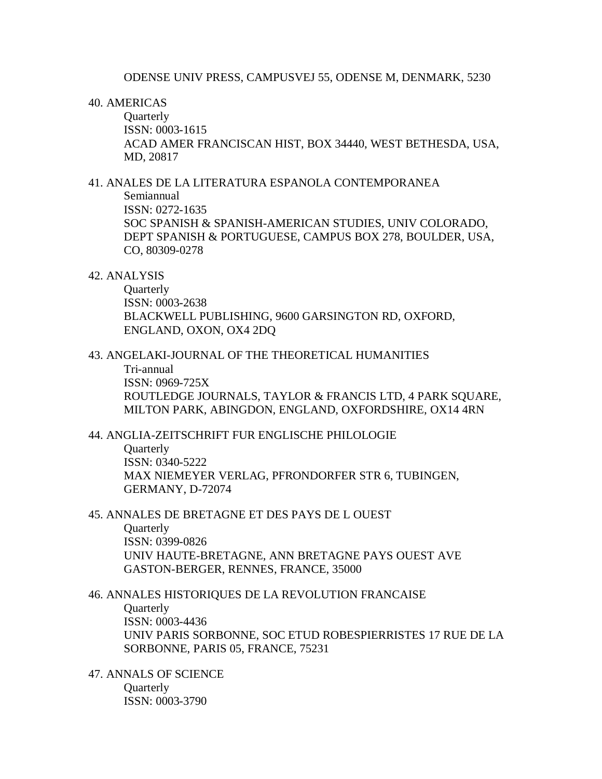### 40. AMERICAS

**Ouarterly** ISSN: 0003-1615 ACAD AMER FRANCISCAN HIST, BOX 34440, WEST BETHESDA, USA, MD, 20817

### 41. ANALES DE LA LITERATURA ESPANOLA CONTEMPORANEA

Semiannual ISSN: 0272-1635 SOC SPANISH & SPANISH-AMERICAN STUDIES, UNIV COLORADO, DEPT SPANISH & PORTUGUESE, CAMPUS BOX 278, BOULDER, USA, CO, 80309-0278

### 42. ANALYSIS

**Ouarterly** ISSN: 0003-2638 BLACKWELL PUBLISHING, 9600 GARSINGTON RD, OXFORD, ENGLAND, OXON, OX4 2DQ

# 43. ANGELAKI-JOURNAL OF THE THEORETICAL HUMANITIES

Tri-annual

ISSN: 0969-725X

ROUTLEDGE JOURNALS, TAYLOR & FRANCIS LTD, 4 PARK SOUARE, MILTON PARK, ABINGDON, ENGLAND, OXFORDSHIRE, OX14 4RN

#### 44. ANGLIA-ZEITSCHRIFT FUR ENGLISCHE PHILOLOGIE

**Ouarterly** ISSN: 0340-5222 MAX NIEMEYER VERLAG, PFRONDORFER STR 6, TUBINGEN, GERMANY, D-72074

# 45. ANNALES DE BRETAGNE ET DES PAYS DE L OUEST

**Ouarterly** ISSN: 0399-0826 UNIV HAUTE-BRETAGNE, ANN BRETAGNE PAYS OUEST AVE GASTON-BERGER, RENNES, FRANCE, 35000

# 46. ANNALES HISTORIQUES DE LA REVOLUTION FRANCAISE **Ouarterly** ISSN: 0003-4436 UNIV PARIS SORBONNE, SOC ETUD ROBESPIERRISTES 17 RUE DE LA

SORBONNE, PARIS 05, FRANCE, 75231

47. ANNALS OF SCIENCE **Ouarterly** ISSN: 0003-3790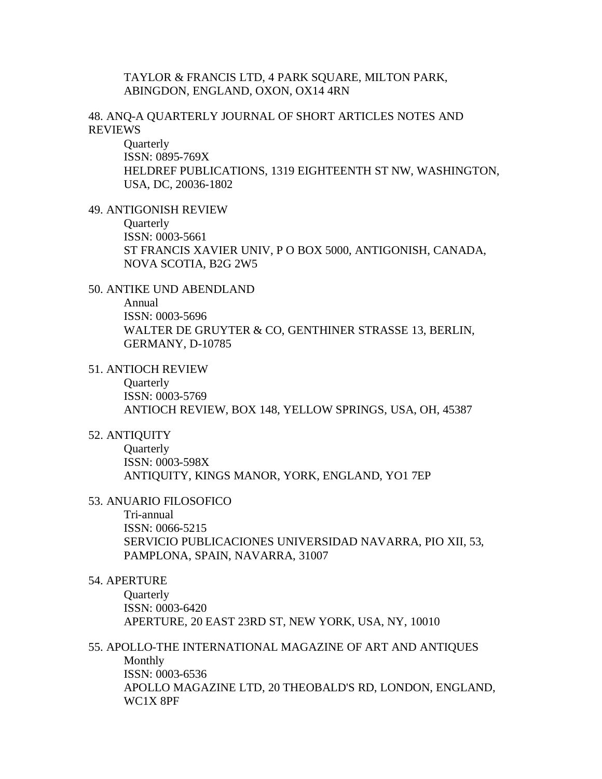### TAYLOR & FRANCIS LTD, 4 PARK SQUARE, MILTON PARK, ABINGDON, ENGLAND, OXON, OX14 4RN

### 48. ANQ-A QUARTERLY JOURNAL OF SHORT ARTICLES NOTES AND REVIEWS

**Quarterly** ISSN: 0895-769X HELDREF PUBLICATIONS, 1319 EIGHTEENTH ST NW, WASHINGTON, USA, DC, 20036-1802

#### 49. ANTIGONISH REVIEW

**Ouarterly** 

ISSN: 0003-5661 ST FRANCIS XAVIER UNIV, P O BOX 5000, ANTIGONISH, CANADA, NOVA SCOTIA, B2G 2W5

### 50. ANTIKE UND ABENDLAND

Annual

ISSN: 0003-5696 WALTER DE GRUYTER & CO, GENTHINER STRASSE 13, BERLIN, GERMANY, D-10785

51. ANTIOCH REVIEW

**Quarterly** ISSN: 0003-5769 ANTIOCH REVIEW, BOX 148, YELLOW SPRINGS, USA, OH, 45387

### 52. ANTIQUITY

**Ouarterly** ISSN: 0003-598X ANTIQUITY, KINGS MANOR, YORK, ENGLAND, YO1 7EP

#### 53. ANUARIO FILOSOFICO

Tri-annual ISSN: 0066-5215 SERVICIO PUBLICACIONES UNIVERSIDAD NAVARRA, PIO XII, 53, PAMPLONA, SPAIN, NAVARRA, 31007

### 54. APERTURE

**Quarterly** ISSN: 0003-6420 APERTURE, 20 EAST 23RD ST, NEW YORK, USA, NY, 10010

### 55. APOLLO-THE INTERNATIONAL MAGAZINE OF ART AND ANTIQUES

Monthly ISSN: 0003-6536 APOLLO MAGAZINE LTD, 20 THEOBALD'S RD, LONDON, ENGLAND, WC1X 8PF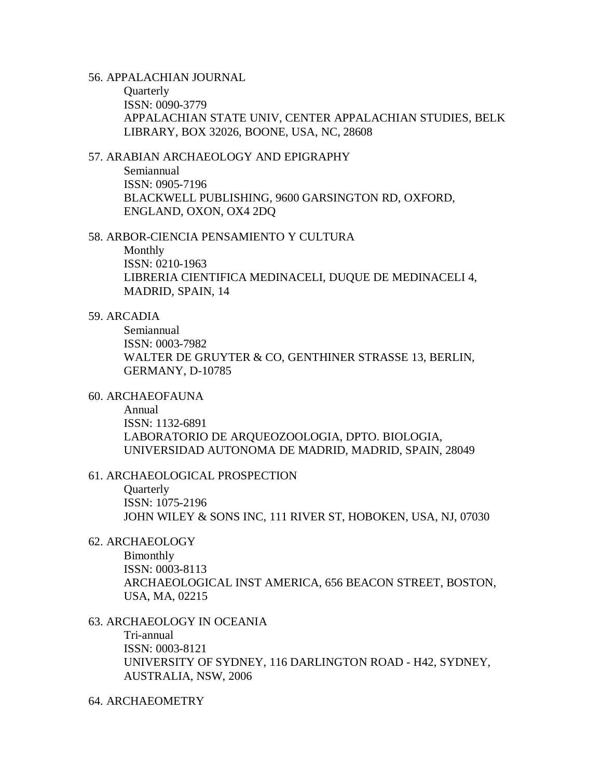#### 56. APPALACHIAN JOURNAL

**Quarterly** ISSN: 0090-3779 APPALACHIAN STATE UNIV, CENTER APPALACHIAN STUDIES, BELK LIBRARY, BOX 32026, BOONE, USA, NC, 28608

### 57. ARABIAN ARCHAEOLOGY AND EPIGRAPHY

Semiannual ISSN: 0905-7196 BLACKWELL PUBLISHING, 9600 GARSINGTON RD, OXFORD, ENGLAND, OXON, OX4 2DQ

#### 58. ARBOR-CIENCIA PENSAMIENTO Y CULTURA

Monthly ISSN: 0210-1963 LIBRERIA CIENTIFICA MEDINACELI, DUQUE DE MEDINACELI 4, MADRID, SPAIN, 14

#### 59. ARCADIA

Semiannual ISSN: 0003-7982 WALTER DE GRUYTER & CO, GENTHINER STRASSE 13, BERLIN, GERMANY, D-10785

## 60. ARCHAEOFAUNA

Annual ISSN: 1132-6891 LABORATORIO DE ARQUEOZOOLOGIA, DPTO. BIOLOGIA, UNIVERSIDAD AUTONOMA DE MADRID, MADRID, SPAIN, 28049

#### 61. ARCHAEOLOGICAL PROSPECTION

**Quarterly** ISSN: 1075-2196 JOHN WILEY & SONS INC, 111 RIVER ST, HOBOKEN, USA, NJ, 07030

#### 62. ARCHAEOLOGY

Bimonthly ISSN: 0003-8113 ARCHAEOLOGICAL INST AMERICA, 656 BEACON STREET, BOSTON, USA, MA, 02215

#### 63. ARCHAEOLOGY IN OCEANIA

Tri-annual ISSN: 0003-8121 UNIVERSITY OF SYDNEY, 116 DARLINGTON ROAD - H42, SYDNEY, AUSTRALIA, NSW, 2006

#### 64. ARCHAEOMETRY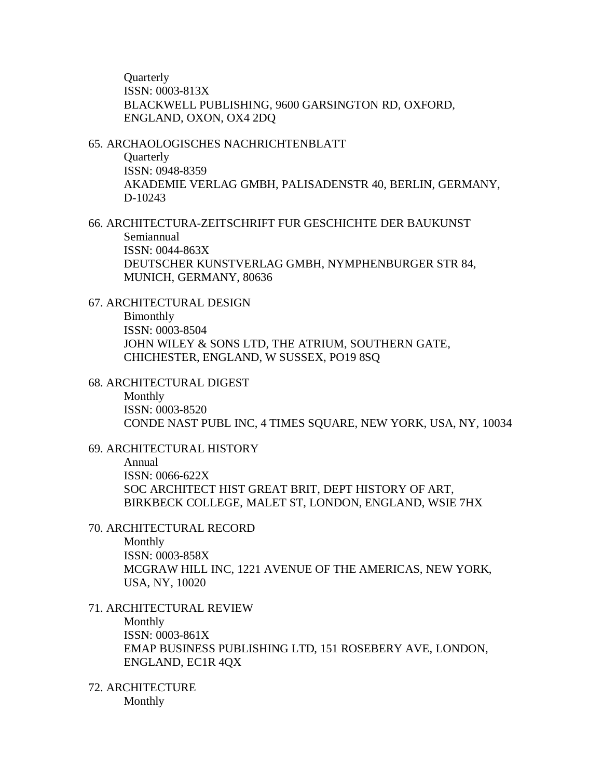**Ouarterly** ISSN: 0003-813X BLACKWELL PUBLISHING, 9600 GARSINGTON RD, OXFORD, ENGLAND, OXON, OX4 2DQ

### 65. ARCHAOLOGISCHES NACHRICHTENBLATT **Quarterly**

ISSN: 0948-8359 AKADEMIE VERLAG GMBH, PALISADENSTR 40, BERLIN, GERMANY, D-10243

66. ARCHITECTURA-ZEITSCHRIFT FUR GESCHICHTE DER BAUKUNST Semiannual ISSN: 0044-863X DEUTSCHER KUNSTVERLAG GMBH, NYMPHENBURGER STR 84, MUNICH, GERMANY, 80636

### 67. ARCHITECTURAL DESIGN

Bimonthly ISSN: 0003-8504 JOHN WILEY & SONS LTD, THE ATRIUM, SOUTHERN GATE, CHICHESTER, ENGLAND, W SUSSEX, PO19 8SQ

#### 68. ARCHITECTURAL DIGEST

Monthly ISSN: 0003-8520 CONDE NAST PUBL INC, 4 TIMES SQUARE, NEW YORK, USA, NY, 10034

#### 69. ARCHITECTURAL HISTORY

Annual ISSN: 0066-622X SOC ARCHITECT HIST GREAT BRIT, DEPT HISTORY OF ART, BIRKBECK COLLEGE, MALET ST, LONDON, ENGLAND, WSIE 7HX

#### 70. ARCHITECTURAL RECORD

Monthly ISSN: 0003-858X MCGRAW HILL INC, 1221 AVENUE OF THE AMERICAS, NEW YORK, USA, NY, 10020

## 71. ARCHITECTURAL REVIEW Monthly ISSN: 0003-861X EMAP BUSINESS PUBLISHING LTD, 151 ROSEBERY AVE, LONDON, ENGLAND, EC1R 4QX

72. ARCHITECTURE Monthly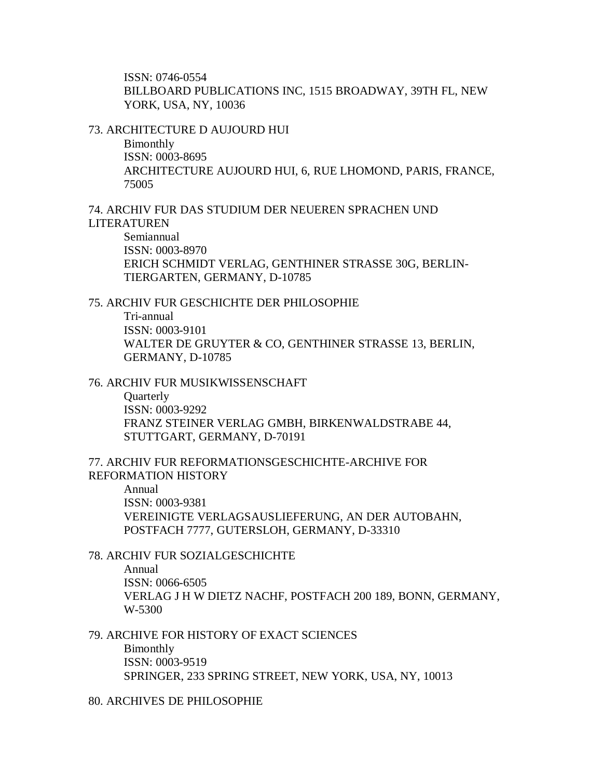ISSN: 0746-0554 BILLBOARD PUBLICATIONS INC, 1515 BROADWAY, 39TH FL, NEW YORK, USA, NY, 10036

#### 73. ARCHITECTURE D AUJOURD HUI

Bimonthly

ISSN: 0003-8695 ARCHITECTURE AUJOURD HUI, 6, RUE LHOMOND, PARIS, FRANCE, 75005

### 74. ARCHIV FUR DAS STUDIUM DER NEUEREN SPRACHEN UND LITERATUREN

Semiannual ISSN: 0003-8970 ERICH SCHMIDT VERLAG, GENTHINER STRASSE 30G, BERLIN-TIERGARTEN, GERMANY, D-10785

### 75. ARCHIV FUR GESCHICHTE DER PHILOSOPHIE

Tri-annual ISSN: 0003-9101 WALTER DE GRUYTER & CO, GENTHINER STRASSE 13, BERLIN, GERMANY, D-10785

#### 76. ARCHIV FUR MUSIKWISSENSCHAFT

**Ouarterly** ISSN: 0003-9292 FRANZ STEINER VERLAG GMBH, BIRKENWALDSTRABE 44, STUTTGART, GERMANY, D-70191

### 77. ARCHIV FUR REFORMATIONSGESCHICHTE-ARCHIVE FOR REFORMATION HISTORY

Annual ISSN: 0003-9381 VEREINIGTE VERLAGSAUSLIEFERUNG, AN DER AUTOBAHN, POSTFACH 7777, GUTERSLOH, GERMANY, D-33310

#### 78. ARCHIV FUR SOZIALGESCHICHTE

Annual ISSN: 0066-6505 VERLAG J H W DIETZ NACHF, POSTFACH 200 189, BONN, GERMANY, W-5300

### 79. ARCHIVE FOR HISTORY OF EXACT SCIENCES

Bimonthly ISSN: 0003-9519 SPRINGER, 233 SPRING STREET, NEW YORK, USA, NY, 10013

80. ARCHIVES DE PHILOSOPHIE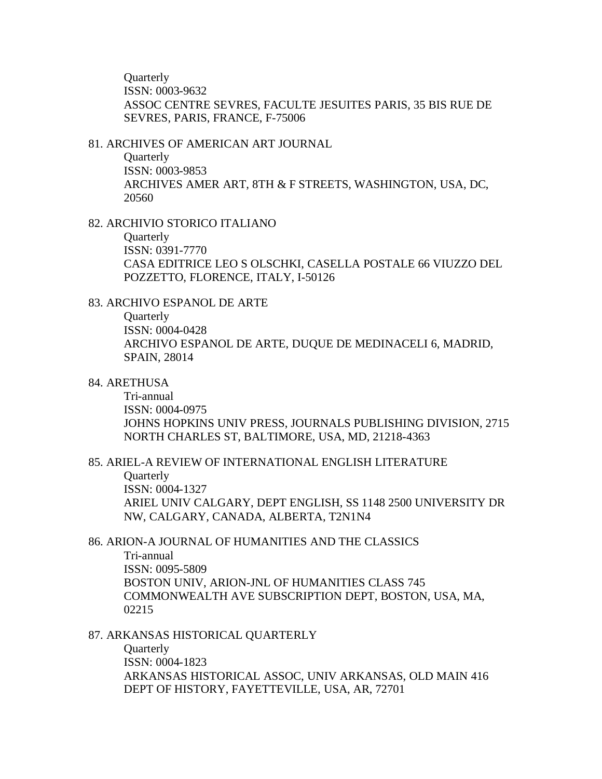**Ouarterly** ISSN: 0003-9632 ASSOC CENTRE SEVRES, FACULTE JESUITES PARIS, 35 BIS RUE DE SEVRES, PARIS, FRANCE, F-75006

#### 81. ARCHIVES OF AMERICAN ART JOURNAL

**Quarterly** ISSN: 0003-9853 ARCHIVES AMER ART, 8TH & F STREETS, WASHINGTON, USA, DC, 20560

### 82. ARCHIVIO STORICO ITALIANO

**Ouarterly** 

ISSN: 0391-7770 CASA EDITRICE LEO S OLSCHKI, CASELLA POSTALE 66 VIUZZO DEL POZZETTO, FLORENCE, ITALY, I-50126

### 83. ARCHIVO ESPANOL DE ARTE

**Quarterly** ISSN: 0004-0428 ARCHIVO ESPANOL DE ARTE, DUQUE DE MEDINACELI 6, MADRID, SPAIN, 28014

#### 84. ARETHUSA

Tri-annual ISSN: 0004-0975 JOHNS HOPKINS UNIV PRESS, JOURNALS PUBLISHING DIVISION, 2715 NORTH CHARLES ST, BALTIMORE, USA, MD, 21218-4363

### 85. ARIEL-A REVIEW OF INTERNATIONAL ENGLISH LITERATURE **Quarterly** ISSN: 0004-1327 ARIEL UNIV CALGARY, DEPT ENGLISH, SS 1148 2500 UNIVERSITY DR NW, CALGARY, CANADA, ALBERTA, T2N1N4

### 86. ARION-A JOURNAL OF HUMANITIES AND THE CLASSICS Tri-annual ISSN: 0095-5809 BOSTON UNIV, ARION-JNL OF HUMANITIES CLASS 745 COMMONWEALTH AVE SUBSCRIPTION DEPT, BOSTON, USA, MA, 02215

### 87. ARKANSAS HISTORICAL QUARTERLY

**Quarterly** ISSN: 0004-1823 ARKANSAS HISTORICAL ASSOC, UNIV ARKANSAS, OLD MAIN 416 DEPT OF HISTORY, FAYETTEVILLE, USA, AR, 72701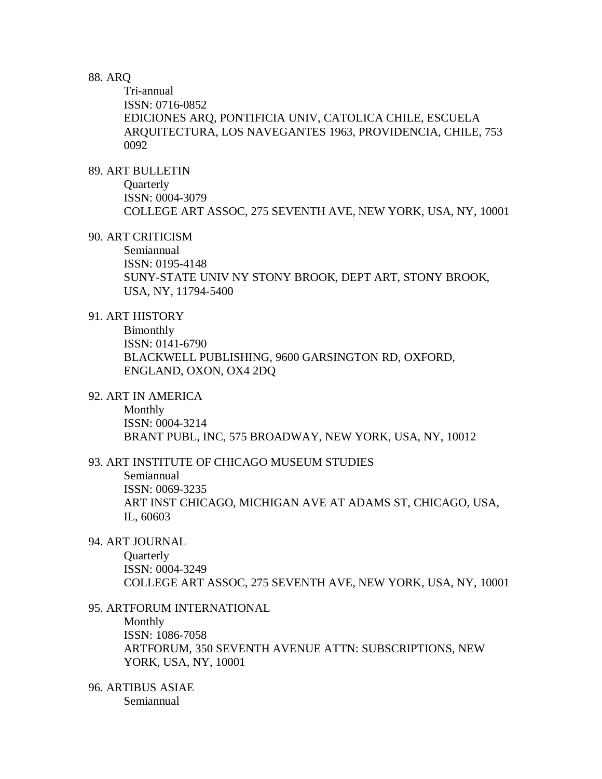### 88. ARQ

Tri-annual ISSN: 0716-0852 EDICIONES ARQ, PONTIFICIA UNIV, CATOLICA CHILE, ESCUELA ARQUITECTURA, LOS NAVEGANTES 1963, PROVIDENCIA, CHILE, 753 0092

### 89. ART BULLETIN

**Quarterly** ISSN: 0004-3079 COLLEGE ART ASSOC, 275 SEVENTH AVE, NEW YORK, USA, NY, 10001

#### 90. ART CRITICISM

Semiannual ISSN: 0195-4148 SUNY-STATE UNIV NY STONY BROOK, DEPT ART, STONY BROOK, USA, NY, 11794-5400

### 91. ART HISTORY

Bimonthly ISSN: 0141-6790 BLACKWELL PUBLISHING, 9600 GARSINGTON RD, OXFORD, ENGLAND, OXON, OX4 2DQ

### 92. ART IN AMERICA

Monthly ISSN: 0004-3214 BRANT PUBL, INC, 575 BROADWAY, NEW YORK, USA, NY, 10012

#### 93. ART INSTITUTE OF CHICAGO MUSEUM STUDIES

Semiannual ISSN: 0069-3235 ART INST CHICAGO, MICHIGAN AVE AT ADAMS ST, CHICAGO, USA, IL, 60603

### 94. ART JOURNAL

**Ouarterly** ISSN: 0004-3249 COLLEGE ART ASSOC, 275 SEVENTH AVE, NEW YORK, USA, NY, 10001

#### 95. ARTFORUM INTERNATIONAL

Monthly ISSN: 1086-7058 ARTFORUM, 350 SEVENTH AVENUE ATTN: SUBSCRIPTIONS, NEW YORK, USA, NY, 10001

#### 96. ARTIBUS ASIAE Semiannual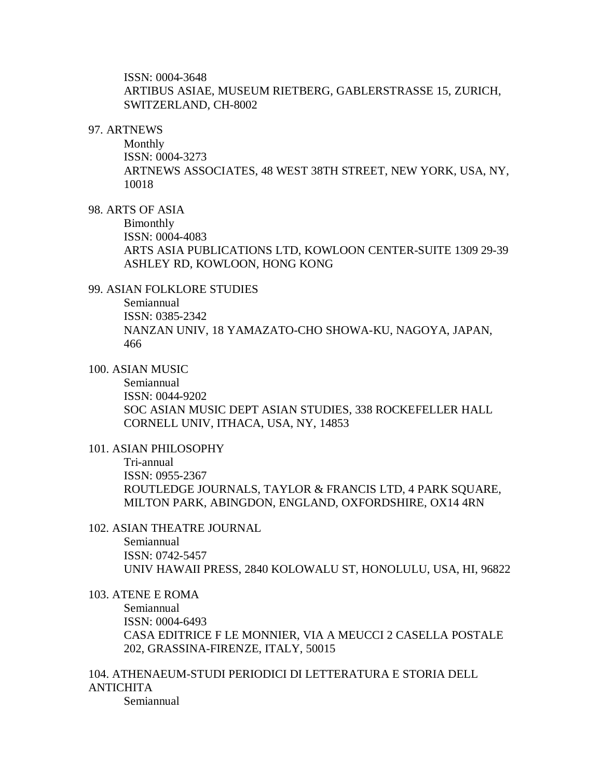ISSN: 0004-3648 ARTIBUS ASIAE, MUSEUM RIETBERG, GABLERSTRASSE 15, ZURICH, SWITZERLAND, CH-8002

#### 97. ARTNEWS

Monthly ISSN: 0004-3273 ARTNEWS ASSOCIATES, 48 WEST 38TH STREET, NEW YORK, USA, NY, 10018

#### 98. ARTS OF ASIA

Bimonthly ISSN: 0004-4083 ARTS ASIA PUBLICATIONS LTD, KOWLOON CENTER-SUITE 1309 29-39 ASHLEY RD, KOWLOON, HONG KONG

#### 99. ASIAN FOLKLORE STUDIES

Semiannual

ISSN: 0385-2342 NANZAN UNIV, 18 YAMAZATO-CHO SHOWA-KU, NAGOYA, JAPAN, 466

### 100. ASIAN MUSIC

Semiannual ISSN: 0044-9202 SOC ASIAN MUSIC DEPT ASIAN STUDIES, 338 ROCKEFELLER HALL CORNELL UNIV, ITHACA, USA, NY, 14853

#### 101. ASIAN PHILOSOPHY

Tri-annual ISSN: 0955-2367 ROUTLEDGE JOURNALS, TAYLOR & FRANCIS LTD, 4 PARK SQUARE, MILTON PARK, ABINGDON, ENGLAND, OXFORDSHIRE, OX14 4RN

#### 102. ASIAN THEATRE JOURNAL

Semiannual ISSN: 0742-5457 UNIV HAWAII PRESS, 2840 KOLOWALU ST, HONOLULU, USA, HI, 96822

#### 103. ATENE E ROMA

Semiannual ISSN: 0004-6493 CASA EDITRICE F LE MONNIER, VIA A MEUCCI 2 CASELLA POSTALE 202, GRASSINA-FIRENZE, ITALY, 50015

104. ATHENAEUM-STUDI PERIODICI DI LETTERATURA E STORIA DELL ANTICHITA

Semiannual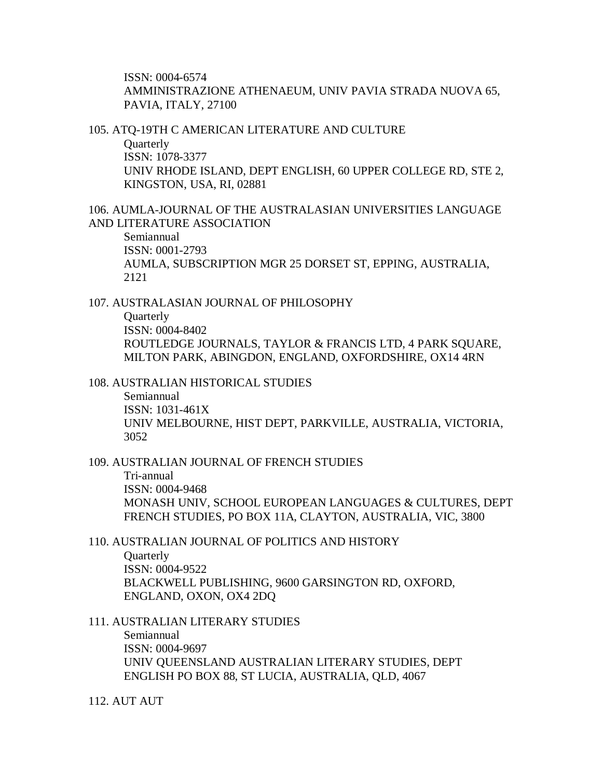ISSN: 0004-6574 AMMINISTRAZIONE ATHENAEUM, UNIV PAVIA STRADA NUOVA 65, PAVIA, ITALY, 27100

105. ATQ-19TH C AMERICAN LITERATURE AND CULTURE

**Ouarterly** ISSN: 1078-3377 UNIV RHODE ISLAND, DEPT ENGLISH, 60 UPPER COLLEGE RD, STE 2, KINGSTON, USA, RI, 02881

106. AUMLA-JOURNAL OF THE AUSTRALASIAN UNIVERSITIES LANGUAGE AND LITERATURE ASSOCIATION

Semiannual ISSN: 0001-2793 AUMLA, SUBSCRIPTION MGR 25 DORSET ST, EPPING, AUSTRALIA, 2121

107. AUSTRALASIAN JOURNAL OF PHILOSOPHY **Quarterly** ISSN: 0004-8402 ROUTLEDGE JOURNALS, TAYLOR & FRANCIS LTD, 4 PARK SQUARE, MILTON PARK, ABINGDON, ENGLAND, OXFORDSHIRE, OX14 4RN

108. AUSTRALIAN HISTORICAL STUDIES

Semiannual ISSN: 1031-461X UNIV MELBOURNE, HIST DEPT, PARKVILLE, AUSTRALIA, VICTORIA, 3052

109. AUSTRALIAN JOURNAL OF FRENCH STUDIES Tri-annual ISSN: 0004-9468 MONASH UNIV, SCHOOL EUROPEAN LANGUAGES & CULTURES, DEPT FRENCH STUDIES, PO BOX 11A, CLAYTON, AUSTRALIA, VIC, 3800

- 110. AUSTRALIAN JOURNAL OF POLITICS AND HISTORY **Ouarterly** ISSN: 0004-9522 BLACKWELL PUBLISHING, 9600 GARSINGTON RD, OXFORD, ENGLAND, OXON, OX4 2DQ
- 111. AUSTRALIAN LITERARY STUDIES Semiannual ISSN: 0004-9697 UNIV QUEENSLAND AUSTRALIAN LITERARY STUDIES, DEPT ENGLISH PO BOX 88, ST LUCIA, AUSTRALIA, QLD, 4067

112. AUT AUT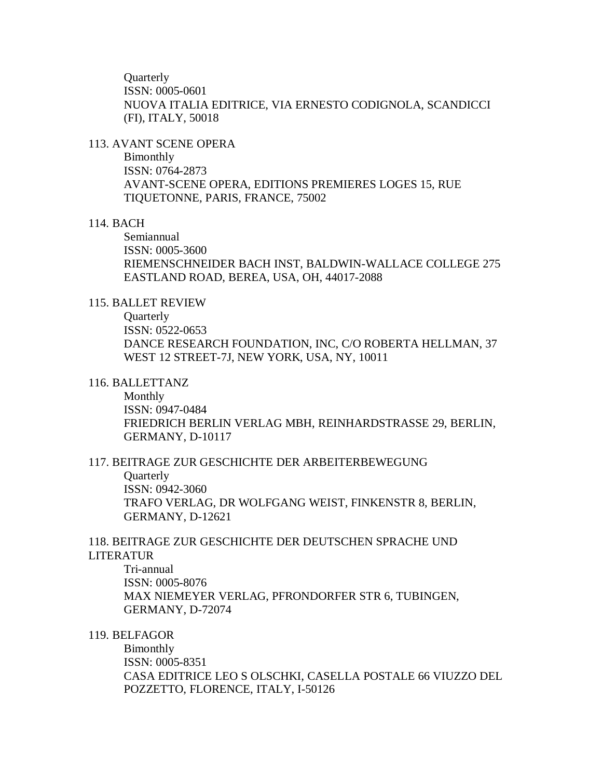**Ouarterly** ISSN: 0005-0601 NUOVA ITALIA EDITRICE, VIA ERNESTO CODIGNOLA, SCANDICCI (FI), ITALY, 50018

#### 113. AVANT SCENE OPERA

Bimonthly ISSN: 0764-2873 AVANT-SCENE OPERA, EDITIONS PREMIERES LOGES 15, RUE TIQUETONNE, PARIS, FRANCE, 75002

### 114. BACH

Semiannual ISSN: 0005-3600 RIEMENSCHNEIDER BACH INST, BALDWIN-WALLACE COLLEGE 275 EASTLAND ROAD, BEREA, USA, OH, 44017-2088

### 115. BALLET REVIEW

**Quarterly** ISSN: 0522-0653 DANCE RESEARCH FOUNDATION, INC, C/O ROBERTA HELLMAN, 37 WEST 12 STREET-7J, NEW YORK, USA, NY, 10011

#### 116. BALLETTANZ

Monthly ISSN: 0947-0484 FRIEDRICH BERLIN VERLAG MBH, REINHARDSTRASSE 29, BERLIN, GERMANY, D-10117

### 117. BEITRAGE ZUR GESCHICHTE DER ARBEITERBEWEGUNG **Quarterly** ISSN: 0942-3060 TRAFO VERLAG, DR WOLFGANG WEIST, FINKENSTR 8, BERLIN, GERMANY, D-12621

## 118. BEITRAGE ZUR GESCHICHTE DER DEUTSCHEN SPRACHE UND LITERATUR

Tri-annual ISSN: 0005-8076 MAX NIEMEYER VERLAG, PFRONDORFER STR 6, TUBINGEN, GERMANY, D-72074

### 119. BELFAGOR

Bimonthly ISSN: 0005-8351 CASA EDITRICE LEO S OLSCHKI, CASELLA POSTALE 66 VIUZZO DEL POZZETTO, FLORENCE, ITALY, I-50126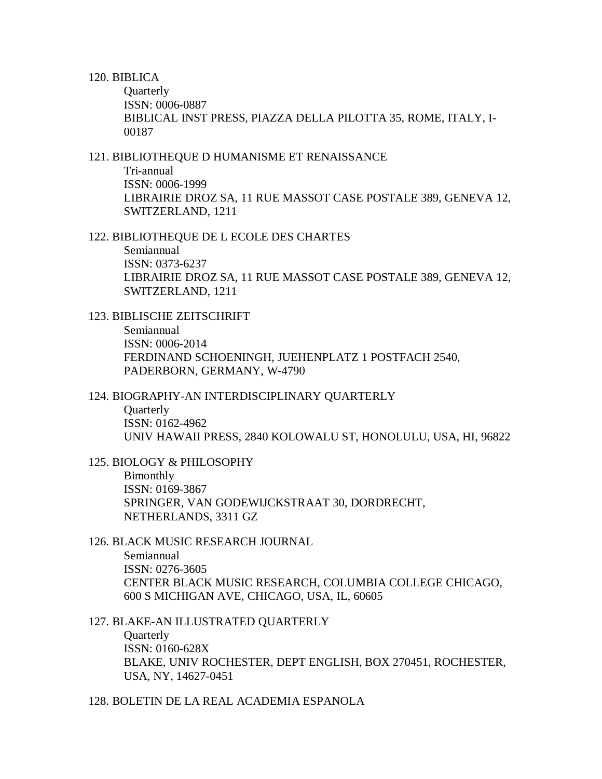#### 120. BIBLICA

**Quarterly** ISSN: 0006-0887 BIBLICAL INST PRESS, PIAZZA DELLA PILOTTA 35, ROME, ITALY, I-00187

### 121. BIBLIOTHEQUE D HUMANISME ET RENAISSANCE

Tri-annual ISSN: 0006-1999 LIBRAIRIE DROZ SA, 11 RUE MASSOT CASE POSTALE 389, GENEVA 12, SWITZERLAND, 1211

122. BIBLIOTHEQUE DE L ECOLE DES CHARTES Semiannual ISSN: 0373-6237 LIBRAIRIE DROZ SA, 11 RUE MASSOT CASE POSTALE 389, GENEVA 12, SWITZERLAND, 1211

123. BIBLISCHE ZEITSCHRIFT

Semiannual ISSN: 0006-2014 FERDINAND SCHOENINGH, JUEHENPLATZ 1 POSTFACH 2540, PADERBORN, GERMANY, W-4790

#### 124. BIOGRAPHY-AN INTERDISCIPLINARY QUARTERLY

**Quarterly** ISSN: 0162-4962 UNIV HAWAII PRESS, 2840 KOLOWALU ST, HONOLULU, USA, HI, 96822

125. BIOLOGY & PHILOSOPHY Bimonthly ISSN: 0169-3867 SPRINGER, VAN GODEWIJCKSTRAAT 30, DORDRECHT, NETHERLANDS, 3311 GZ

- 126. BLACK MUSIC RESEARCH JOURNAL Semiannual ISSN: 0276-3605 CENTER BLACK MUSIC RESEARCH, COLUMBIA COLLEGE CHICAGO, 600 S MICHIGAN AVE, CHICAGO, USA, IL, 60605
- 127. BLAKE-AN ILLUSTRATED QUARTERLY **Quarterly** ISSN: 0160-628X BLAKE, UNIV ROCHESTER, DEPT ENGLISH, BOX 270451, ROCHESTER, USA, NY, 14627-0451

128. BOLETIN DE LA REAL ACADEMIA ESPANOLA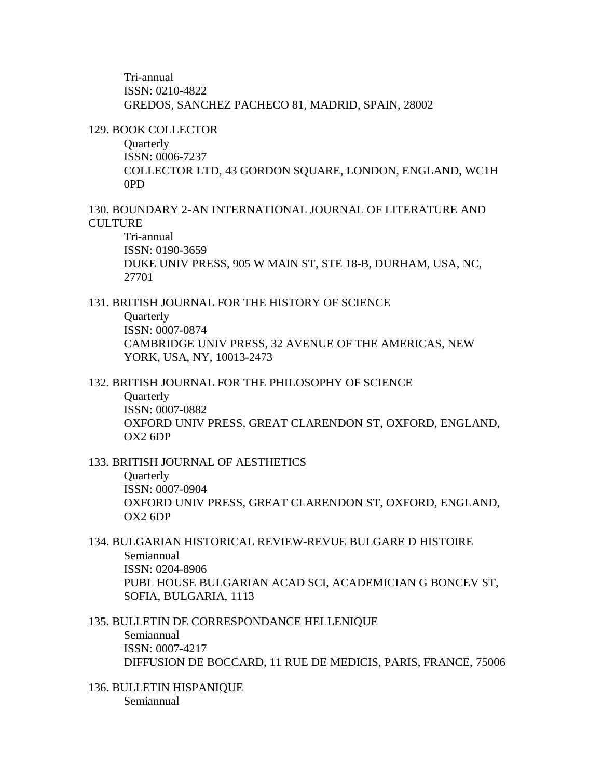Tri-annual ISSN: 0210-4822 GREDOS, SANCHEZ PACHECO 81, MADRID, SPAIN, 28002

129. BOOK COLLECTOR

**Quarterly** ISSN: 0006-7237 COLLECTOR LTD, 43 GORDON SQUARE, LONDON, ENGLAND, WC1H 0PD

130. BOUNDARY 2-AN INTERNATIONAL JOURNAL OF LITERATURE AND **CULTURE** 

Tri-annual ISSN: 0190-3659 DUKE UNIV PRESS, 905 W MAIN ST, STE 18-B, DURHAM, USA, NC, 27701

131. BRITISH JOURNAL FOR THE HISTORY OF SCIENCE **Quarterly** ISSN: 0007-0874 CAMBRIDGE UNIV PRESS, 32 AVENUE OF THE AMERICAS, NEW YORK, USA, NY, 10013-2473

132. BRITISH JOURNAL FOR THE PHILOSOPHY OF SCIENCE

**Ouarterly** ISSN: 0007-0882 OXFORD UNIV PRESS, GREAT CLARENDON ST, OXFORD, ENGLAND, OX2 6DP

133. BRITISH JOURNAL OF AESTHETICS **Quarterly** ISSN: 0007-0904 OXFORD UNIV PRESS, GREAT CLARENDON ST, OXFORD, ENGLAND, OX2 6DP

- 134. BULGARIAN HISTORICAL REVIEW-REVUE BULGARE D HISTOIRE Semiannual ISSN: 0204-8906 PUBL HOUSE BULGARIAN ACAD SCI, ACADEMICIAN G BONCEV ST, SOFIA, BULGARIA, 1113
- 135. BULLETIN DE CORRESPONDANCE HELLENIQUE Semiannual ISSN: 0007-4217 DIFFUSION DE BOCCARD, 11 RUE DE MEDICIS, PARIS, FRANCE, 75006
- 136. BULLETIN HISPANIQUE Semiannual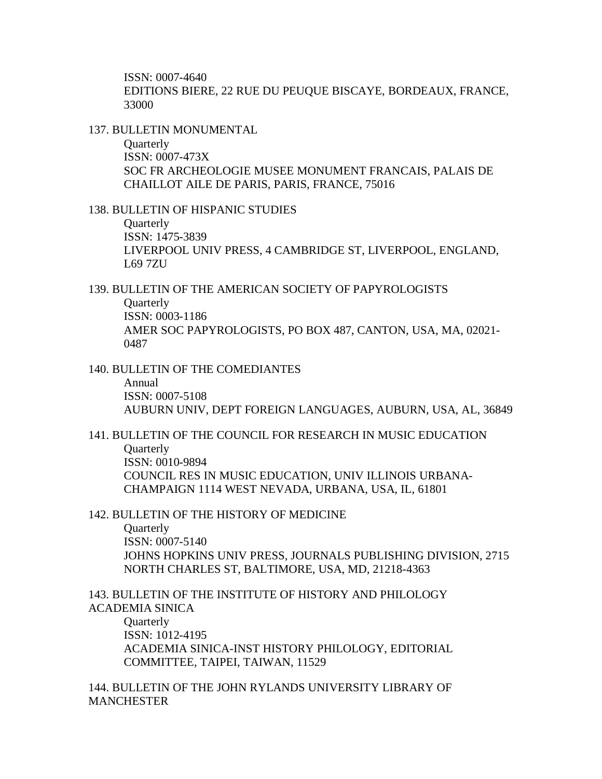ISSN: 0007-4640 EDITIONS BIERE, 22 RUE DU PEUQUE BISCAYE, BORDEAUX, FRANCE, 33000

137. BULLETIN MONUMENTAL

**Ouarterly** ISSN: 0007-473X SOC FR ARCHEOLOGIE MUSEE MONUMENT FRANCAIS, PALAIS DE CHAILLOT AILE DE PARIS, PARIS, FRANCE, 75016

138. BULLETIN OF HISPANIC STUDIES **Ouarterly** ISSN: 1475-3839 LIVERPOOL UNIV PRESS, 4 CAMBRIDGE ST, LIVERPOOL, ENGLAND, L69 7ZU

139. BULLETIN OF THE AMERICAN SOCIETY OF PAPYROLOGISTS **Quarterly** ISSN: 0003-1186 AMER SOC PAPYROLOGISTS, PO BOX 487, CANTON, USA, MA, 02021- 0487

140. BULLETIN OF THE COMEDIANTES Annual ISSN: 0007-5108 AUBURN UNIV, DEPT FOREIGN LANGUAGES, AUBURN, USA, AL, 36849

141. BULLETIN OF THE COUNCIL FOR RESEARCH IN MUSIC EDUCATION **Ouarterly** ISSN: 0010-9894 COUNCIL RES IN MUSIC EDUCATION, UNIV ILLINOIS URBANA-CHAMPAIGN 1114 WEST NEVADA, URBANA, USA, IL, 61801

142. BULLETIN OF THE HISTORY OF MEDICINE

**Quarterly** ISSN: 0007-5140 JOHNS HOPKINS UNIV PRESS, JOURNALS PUBLISHING DIVISION, 2715 NORTH CHARLES ST, BALTIMORE, USA, MD, 21218-4363

143. BULLETIN OF THE INSTITUTE OF HISTORY AND PHILOLOGY ACADEMIA SINICA

**Quarterly** ISSN: 1012-4195 ACADEMIA SINICA-INST HISTORY PHILOLOGY, EDITORIAL COMMITTEE, TAIPEI, TAIWAN, 11529

144. BULLETIN OF THE JOHN RYLANDS UNIVERSITY LIBRARY OF MANCHESTER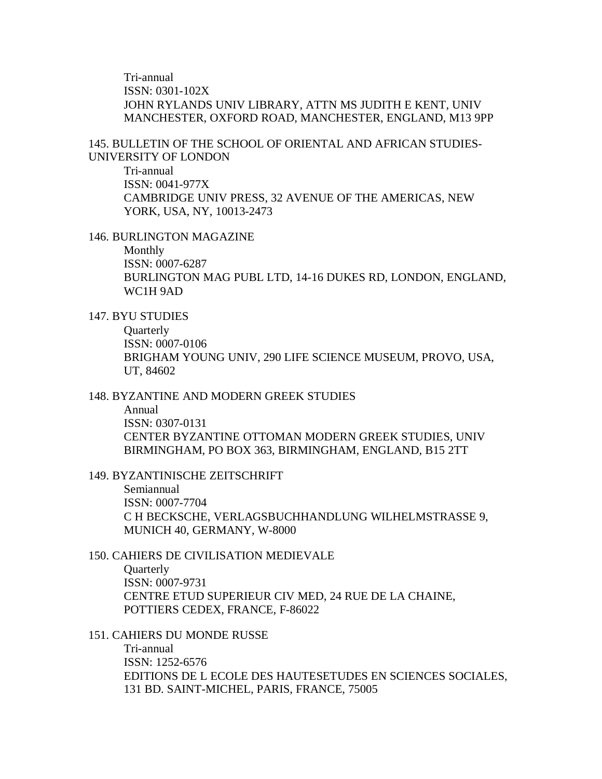Tri-annual ISSN: 0301-102X JOHN RYLANDS UNIV LIBRARY, ATTN MS JUDITH E KENT, UNIV MANCHESTER, OXFORD ROAD, MANCHESTER, ENGLAND, M13 9PP

145. BULLETIN OF THE SCHOOL OF ORIENTAL AND AFRICAN STUDIES-UNIVERSITY OF LONDON

Tri-annual ISSN: 0041-977X CAMBRIDGE UNIV PRESS, 32 AVENUE OF THE AMERICAS, NEW YORK, USA, NY, 10013-2473

146. BURLINGTON MAGAZINE

Monthly ISSN: 0007-6287 BURLINGTON MAG PUBL LTD, 14-16 DUKES RD, LONDON, ENGLAND, WC1H 9AD

147. BYU STUDIES

**Quarterly** ISSN: 0007-0106 BRIGHAM YOUNG UNIV, 290 LIFE SCIENCE MUSEUM, PROVO, USA, UT, 84602

148. BYZANTINE AND MODERN GREEK STUDIES

Annual ISSN: 0307-0131 CENTER BYZANTINE OTTOMAN MODERN GREEK STUDIES, UNIV BIRMINGHAM, PO BOX 363, BIRMINGHAM, ENGLAND, B15 2TT

149. BYZANTINISCHE ZEITSCHRIFT

Semiannual ISSN: 0007-7704 C H BECKSCHE, VERLAGSBUCHHANDLUNG WILHELMSTRASSE 9, MUNICH 40, GERMANY, W-8000

150. CAHIERS DE CIVILISATION MEDIEVALE

**Ouarterly** ISSN: 0007-9731 CENTRE ETUD SUPERIEUR CIV MED, 24 RUE DE LA CHAINE, POTTIERS CEDEX, FRANCE, F-86022

151. CAHIERS DU MONDE RUSSE

Tri-annual ISSN: 1252-6576 EDITIONS DE L ECOLE DES HAUTESETUDES EN SCIENCES SOCIALES, 131 BD. SAINT-MICHEL, PARIS, FRANCE, 75005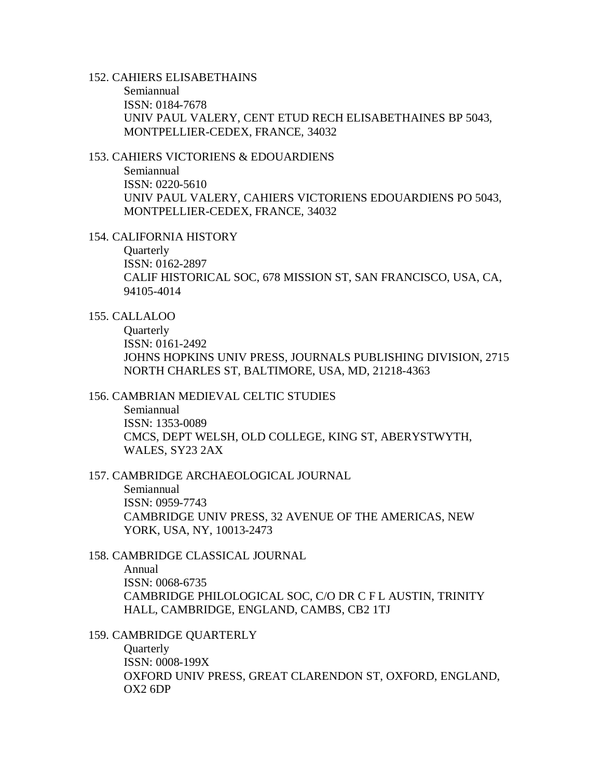### 152. CAHIERS ELISABETHAINS

Semiannual ISSN: 0184-7678 UNIV PAUL VALERY, CENT ETUD RECH ELISABETHAINES BP 5043, MONTPELLIER-CEDEX, FRANCE, 34032

### 153. CAHIERS VICTORIENS & EDOUARDIENS

Semiannual ISSN: 0220-5610 UNIV PAUL VALERY, CAHIERS VICTORIENS EDOUARDIENS PO 5043, MONTPELLIER-CEDEX, FRANCE, 34032

### 154. CALIFORNIA HISTORY

**Quarterly** ISSN: 0162-2897 CALIF HISTORICAL SOC, 678 MISSION ST, SAN FRANCISCO, USA, CA, 94105-4014

### 155. CALLALOO

**Quarterly** ISSN: 0161-2492 JOHNS HOPKINS UNIV PRESS, JOURNALS PUBLISHING DIVISION, 2715 NORTH CHARLES ST, BALTIMORE, USA, MD, 21218-4363

### 156. CAMBRIAN MEDIEVAL CELTIC STUDIES

Semiannual ISSN: 1353-0089 CMCS, DEPT WELSH, OLD COLLEGE, KING ST, ABERYSTWYTH, WALES, SY23 2AX

### 157. CAMBRIDGE ARCHAEOLOGICAL JOURNAL

Semiannual ISSN: 0959-7743 CAMBRIDGE UNIV PRESS, 32 AVENUE OF THE AMERICAS, NEW YORK, USA, NY, 10013-2473

### 158. CAMBRIDGE CLASSICAL JOURNAL

Annual ISSN: 0068-6735 CAMBRIDGE PHILOLOGICAL SOC, C/O DR C F L AUSTIN, TRINITY HALL, CAMBRIDGE, ENGLAND, CAMBS, CB2 1TJ

### 159. CAMBRIDGE QUARTERLY

**Quarterly** ISSN: 0008-199X OXFORD UNIV PRESS, GREAT CLARENDON ST, OXFORD, ENGLAND, OX2 6DP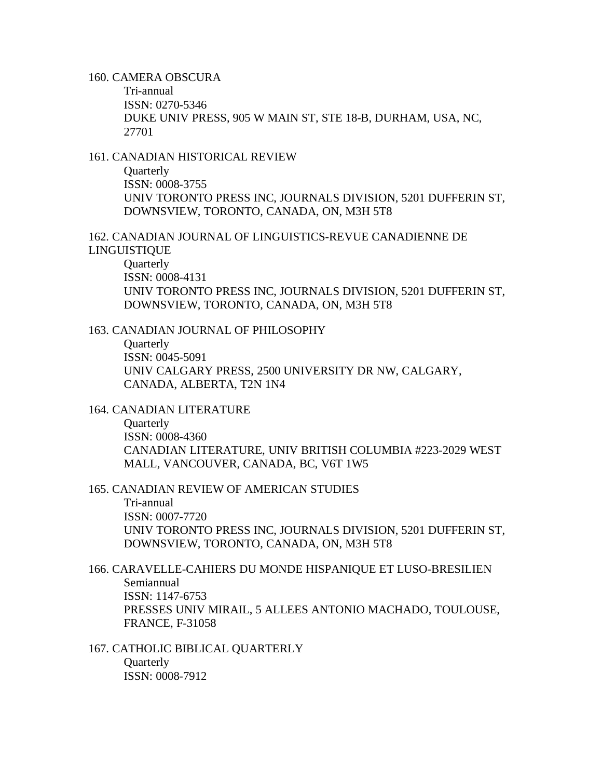160. CAMERA OBSCURA

Tri-annual ISSN: 0270-5346 DUKE UNIV PRESS, 905 W MAIN ST, STE 18-B, DURHAM, USA, NC, 27701

### 161. CANADIAN HISTORICAL REVIEW

**Ouarterly** ISSN: 0008-3755 UNIV TORONTO PRESS INC, JOURNALS DIVISION, 5201 DUFFERIN ST, DOWNSVIEW, TORONTO, CANADA, ON, M3H 5T8

162. CANADIAN JOURNAL OF LINGUISTICS-REVUE CANADIENNE DE LINGUISTIQUE

**Quarterly** ISSN: 0008-4131 UNIV TORONTO PRESS INC, JOURNALS DIVISION, 5201 DUFFERIN ST, DOWNSVIEW, TORONTO, CANADA, ON, M3H 5T8

163. CANADIAN JOURNAL OF PHILOSOPHY

**Quarterly** ISSN: 0045-5091 UNIV CALGARY PRESS, 2500 UNIVERSITY DR NW, CALGARY, CANADA, ALBERTA, T2N 1N4

164. CANADIAN LITERATURE

**Ouarterly** ISSN: 0008-4360 CANADIAN LITERATURE, UNIV BRITISH COLUMBIA #223-2029 WEST MALL, VANCOUVER, CANADA, BC, V6T 1W5

165. CANADIAN REVIEW OF AMERICAN STUDIES

Tri-annual ISSN: 0007-7720 UNIV TORONTO PRESS INC, JOURNALS DIVISION, 5201 DUFFERIN ST, DOWNSVIEW, TORONTO, CANADA, ON, M3H 5T8

166. CARAVELLE-CAHIERS DU MONDE HISPANIQUE ET LUSO-BRESILIEN Semiannual ISSN: 1147-6753 PRESSES UNIV MIRAIL, 5 ALLEES ANTONIO MACHADO, TOULOUSE, FRANCE, F-31058

167. CATHOLIC BIBLICAL QUARTERLY **Quarterly** ISSN: 0008-7912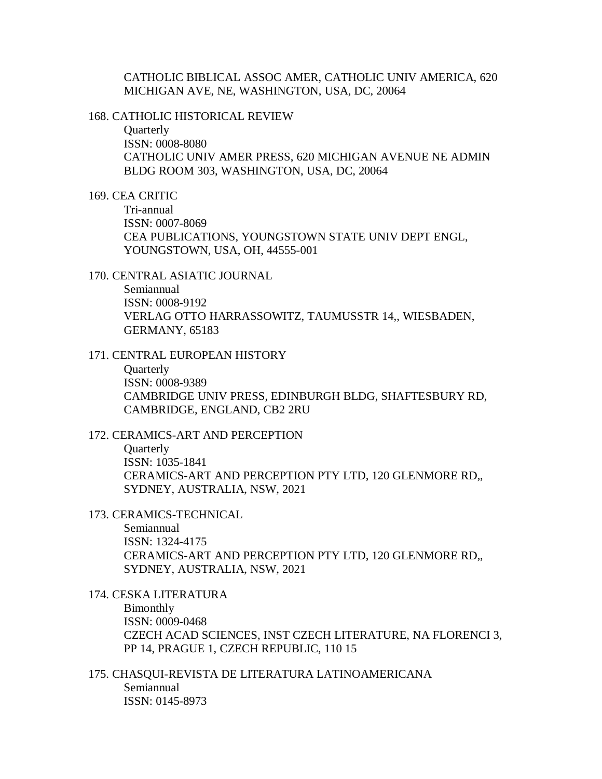CATHOLIC BIBLICAL ASSOC AMER, CATHOLIC UNIV AMERICA, 620 MICHIGAN AVE, NE, WASHINGTON, USA, DC, 20064

168. CATHOLIC HISTORICAL REVIEW

**Ouarterly** ISSN: 0008-8080 CATHOLIC UNIV AMER PRESS, 620 MICHIGAN AVENUE NE ADMIN BLDG ROOM 303, WASHINGTON, USA, DC, 20064

169. CEA CRITIC

Tri-annual ISSN: 0007-8069 CEA PUBLICATIONS, YOUNGSTOWN STATE UNIV DEPT ENGL, YOUNGSTOWN, USA, OH, 44555-001

170. CENTRAL ASIATIC JOURNAL

Semiannual ISSN: 0008-9192 VERLAG OTTO HARRASSOWITZ, TAUMUSSTR 14,, WIESBADEN, GERMANY, 65183

171. CENTRAL EUROPEAN HISTORY

**Ouarterly** ISSN: 0008-9389 CAMBRIDGE UNIV PRESS, EDINBURGH BLDG, SHAFTESBURY RD, CAMBRIDGE, ENGLAND, CB2 2RU

172. CERAMICS-ART AND PERCEPTION

**Ouarterly** ISSN: 1035-1841 CERAMICS-ART AND PERCEPTION PTY LTD, 120 GLENMORE RD,, SYDNEY, AUSTRALIA, NSW, 2021

173. CERAMICS-TECHNICAL

Semiannual ISSN: 1324-4175 CERAMICS-ART AND PERCEPTION PTY LTD, 120 GLENMORE RD,, SYDNEY, AUSTRALIA, NSW, 2021

174. CESKA LITERATURA Bimonthly ISSN: 0009-0468 CZECH ACAD SCIENCES, INST CZECH LITERATURE, NA FLORENCI 3, PP 14, PRAGUE 1, CZECH REPUBLIC, 110 15

175. CHASQUI-REVISTA DE LITERATURA LATINOAMERICANA Semiannual ISSN: 0145-8973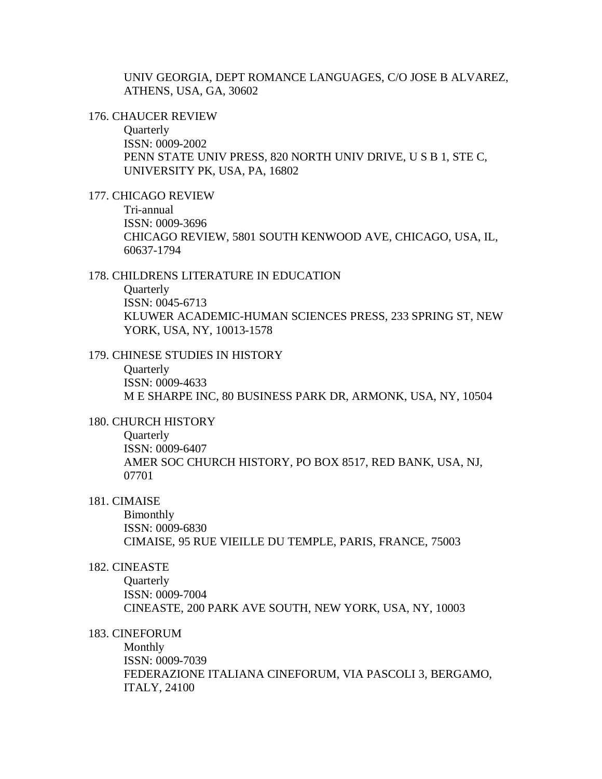UNIV GEORGIA, DEPT ROMANCE LANGUAGES, C/O JOSE B ALVAREZ, ATHENS, USA, GA, 30602

#### 176. CHAUCER REVIEW

**Quarterly** ISSN: 0009-2002 PENN STATE UNIV PRESS, 820 NORTH UNIV DRIVE, U S B 1, STE C, UNIVERSITY PK, USA, PA, 16802

#### 177. CHICAGO REVIEW

Tri-annual ISSN: 0009-3696 CHICAGO REVIEW, 5801 SOUTH KENWOOD AVE, CHICAGO, USA, IL, 60637-1794

#### 178. CHILDRENS LITERATURE IN EDUCATION

**Ouarterly** ISSN: 0045-6713 KLUWER ACADEMIC-HUMAN SCIENCES PRESS, 233 SPRING ST, NEW YORK, USA, NY, 10013-1578

#### 179. CHINESE STUDIES IN HISTORY

**Ouarterly** ISSN: 0009-4633 M E SHARPE INC, 80 BUSINESS PARK DR, ARMONK, USA, NY, 10504

#### 180. CHURCH HISTORY

**Quarterly** ISSN: 0009-6407 AMER SOC CHURCH HISTORY, PO BOX 8517, RED BANK, USA, NJ, 07701

#### 181. CIMAISE

Bimonthly ISSN: 0009-6830 CIMAISE, 95 RUE VIEILLE DU TEMPLE, PARIS, FRANCE, 75003

#### 182. CINEASTE

**Ouarterly** ISSN: 0009-7004 CINEASTE, 200 PARK AVE SOUTH, NEW YORK, USA, NY, 10003

# 183. CINEFORUM

Monthly ISSN: 0009-7039 FEDERAZIONE ITALIANA CINEFORUM, VIA PASCOLI 3, BERGAMO, ITALY, 24100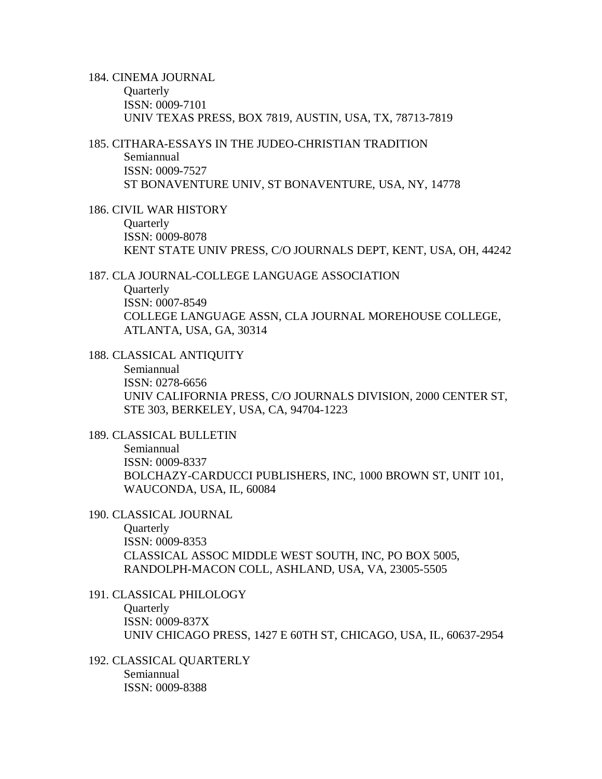184. CINEMA JOURNAL **Quarterly** ISSN: 0009-7101 UNIV TEXAS PRESS, BOX 7819, AUSTIN, USA, TX, 78713-7819

185. CITHARA-ESSAYS IN THE JUDEO-CHRISTIAN TRADITION Semiannual ISSN: 0009-7527

ST BONAVENTURE UNIV, ST BONAVENTURE, USA, NY, 14778

186. CIVIL WAR HISTORY **Ouarterly** ISSN: 0009-8078 KENT STATE UNIV PRESS, C/O JOURNALS DEPT, KENT, USA, OH, 44242

187. CLA JOURNAL-COLLEGE LANGUAGE ASSOCIATION

**Ouarterly** ISSN: 0007-8549 COLLEGE LANGUAGE ASSN, CLA JOURNAL MOREHOUSE COLLEGE, ATLANTA, USA, GA, 30314

188. CLASSICAL ANTIQUITY

Semiannual ISSN: 0278-6656 UNIV CALIFORNIA PRESS, C/O JOURNALS DIVISION, 2000 CENTER ST, STE 303, BERKELEY, USA, CA, 94704-1223

189. CLASSICAL BULLETIN Semiannual ISSN: 0009-8337 BOLCHAZY-CARDUCCI PUBLISHERS, INC, 1000 BROWN ST, UNIT 101, WAUCONDA, USA, IL, 60084

190. CLASSICAL JOURNAL

**Quarterly** ISSN: 0009-8353 CLASSICAL ASSOC MIDDLE WEST SOUTH, INC, PO BOX 5005, RANDOLPH-MACON COLL, ASHLAND, USA, VA, 23005-5505

- 191. CLASSICAL PHILOLOGY **Ouarterly** ISSN: 0009-837X UNIV CHICAGO PRESS, 1427 E 60TH ST, CHICAGO, USA, IL, 60637-2954
- 192. CLASSICAL QUARTERLY Semiannual ISSN: 0009-8388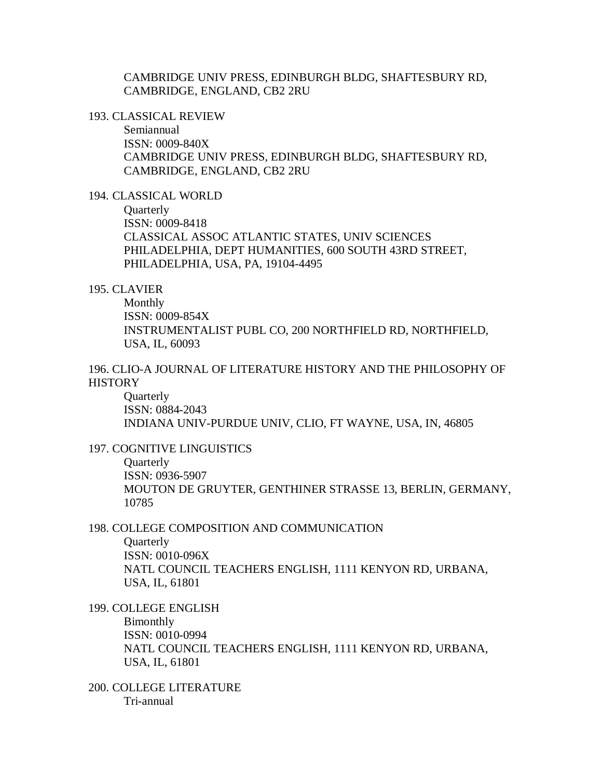CAMBRIDGE UNIV PRESS, EDINBURGH BLDG, SHAFTESBURY RD, CAMBRIDGE, ENGLAND, CB2 2RU

193. CLASSICAL REVIEW

Semiannual ISSN: 0009-840X CAMBRIDGE UNIV PRESS, EDINBURGH BLDG, SHAFTESBURY RD, CAMBRIDGE, ENGLAND, CB2 2RU

194. CLASSICAL WORLD

**Quarterly** ISSN: 0009-8418 CLASSICAL ASSOC ATLANTIC STATES, UNIV SCIENCES PHILADELPHIA, DEPT HUMANITIES, 600 SOUTH 43RD STREET, PHILADELPHIA, USA, PA, 19104-4495

#### 195. CLAVIER

Monthly ISSN: 0009-854X INSTRUMENTALIST PUBL CO, 200 NORTHFIELD RD, NORTHFIELD, USA, IL, 60093

196. CLIO-A JOURNAL OF LITERATURE HISTORY AND THE PHILOSOPHY OF **HISTORY** 

**Ouarterly** ISSN: 0884-2043 INDIANA UNIV-PURDUE UNIV, CLIO, FT WAYNE, USA, IN, 46805

#### 197. COGNITIVE LINGUISTICS

**Ouarterly** ISSN: 0936-5907 MOUTON DE GRUYTER, GENTHINER STRASSE 13, BERLIN, GERMANY, 10785

#### 198. COLLEGE COMPOSITION AND COMMUNICATION

**Ouarterly** ISSN: 0010-096X NATL COUNCIL TEACHERS ENGLISH, 1111 KENYON RD, URBANA, USA, IL, 61801

199. COLLEGE ENGLISH

Bimonthly ISSN: 0010-0994 NATL COUNCIL TEACHERS ENGLISH, 1111 KENYON RD, URBANA, USA, IL, 61801

200. COLLEGE LITERATURE Tri-annual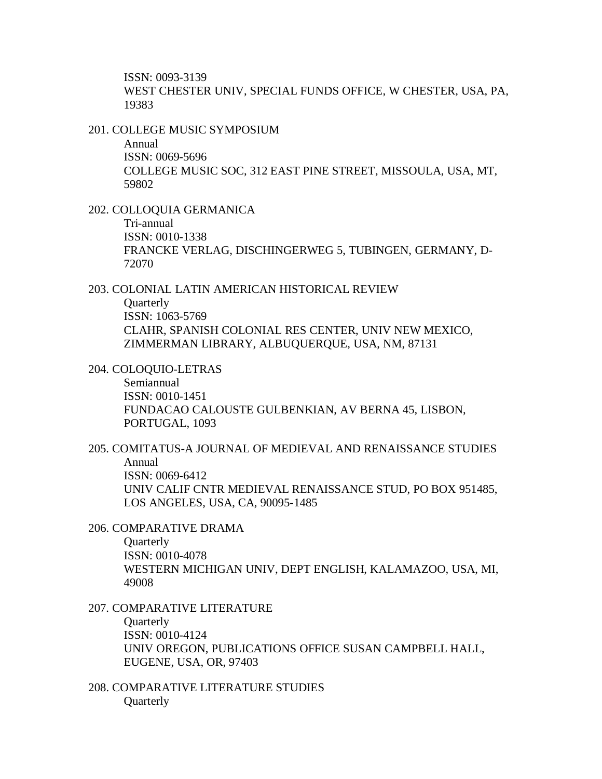ISSN: 0093-3139 WEST CHESTER UNIV, SPECIAL FUNDS OFFICE, W CHESTER, USA, PA, 19383

201. COLLEGE MUSIC SYMPOSIUM

Annual ISSN: 0069-5696 COLLEGE MUSIC SOC, 312 EAST PINE STREET, MISSOULA, USA, MT, 59802

202. COLLOQUIA GERMANICA Tri-annual ISSN: 0010-1338 FRANCKE VERLAG, DISCHINGERWEG 5, TUBINGEN, GERMANY, D-72070

203. COLONIAL LATIN AMERICAN HISTORICAL REVIEW **Quarterly** ISSN: 1063-5769 CLAHR, SPANISH COLONIAL RES CENTER, UNIV NEW MEXICO, ZIMMERMAN LIBRARY, ALBUQUERQUE, USA, NM, 87131

204. COLOQUIO-LETRAS Semiannual ISSN: 0010-1451 FUNDACAO CALOUSTE GULBENKIAN, AV BERNA 45, LISBON, PORTUGAL, 1093

205. COMITATUS-A JOURNAL OF MEDIEVAL AND RENAISSANCE STUDIES Annual ISSN: 0069-6412 UNIV CALIF CNTR MEDIEVAL RENAISSANCE STUD, PO BOX 951485, LOS ANGELES, USA, CA, 90095-1485

206. COMPARATIVE DRAMA

**Ouarterly** ISSN: 0010-4078 WESTERN MICHIGAN UNIV, DEPT ENGLISH, KALAMAZOO, USA, MI, 49008

207. COMPARATIVE LITERATURE **Quarterly** ISSN: 0010-4124 UNIV OREGON, PUBLICATIONS OFFICE SUSAN CAMPBELL HALL, EUGENE, USA, OR, 97403

208. COMPARATIVE LITERATURE STUDIES **Quarterly**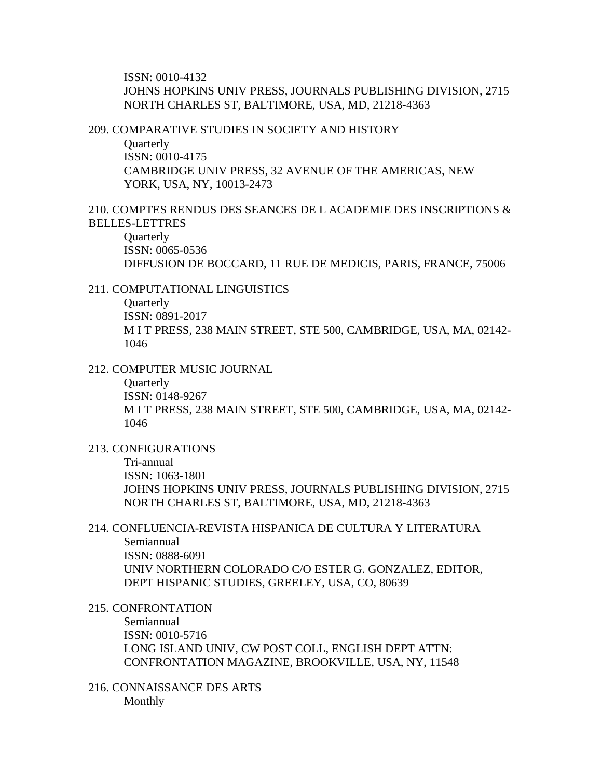ISSN: 0010-4132 JOHNS HOPKINS UNIV PRESS, JOURNALS PUBLISHING DIVISION, 2715 NORTH CHARLES ST, BALTIMORE, USA, MD, 21218-4363

209. COMPARATIVE STUDIES IN SOCIETY AND HISTORY

**Quarterly** ISSN: 0010-4175 CAMBRIDGE UNIV PRESS, 32 AVENUE OF THE AMERICAS, NEW YORK, USA, NY, 10013-2473

### 210. COMPTES RENDUS DES SEANCES DE L ACADEMIE DES INSCRIPTIONS & BELLES-LETTRES

**Ouarterly** ISSN: 0065-0536 DIFFUSION DE BOCCARD, 11 RUE DE MEDICIS, PARIS, FRANCE, 75006

### 211. COMPUTATIONAL LINGUISTICS

**Quarterly** ISSN: 0891-2017 M I T PRESS, 238 MAIN STREET, STE 500, CAMBRIDGE, USA, MA, 02142- 1046

#### 212. COMPUTER MUSIC JOURNAL

**Quarterly** ISSN: 0148-9267 M I T PRESS, 238 MAIN STREET, STE 500, CAMBRIDGE, USA, MA, 02142- 1046

#### 213. CONFIGURATIONS

Tri-annual ISSN: 1063-1801 JOHNS HOPKINS UNIV PRESS, JOURNALS PUBLISHING DIVISION, 2715 NORTH CHARLES ST, BALTIMORE, USA, MD, 21218-4363

### 214. CONFLUENCIA-REVISTA HISPANICA DE CULTURA Y LITERATURA Semiannual ISSN: 0888-6091 UNIV NORTHERN COLORADO C/O ESTER G. GONZALEZ, EDITOR, DEPT HISPANIC STUDIES, GREELEY, USA, CO, 80639

215. CONFRONTATION

Semiannual ISSN: 0010-5716 LONG ISLAND UNIV, CW POST COLL, ENGLISH DEPT ATTN: CONFRONTATION MAGAZINE, BROOKVILLE, USA, NY, 11548

### 216. CONNAISSANCE DES ARTS Monthly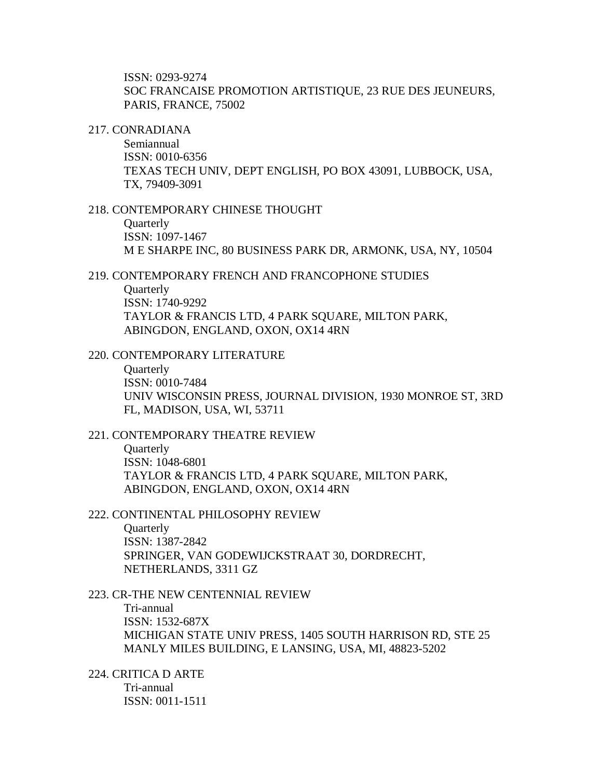ISSN: 0293-9274 SOC FRANCAISE PROMOTION ARTISTIQUE, 23 RUE DES JEUNEURS, PARIS, FRANCE, 75002

#### 217. CONRADIANA

Semiannual ISSN: 0010-6356 TEXAS TECH UNIV, DEPT ENGLISH, PO BOX 43091, LUBBOCK, USA, TX, 79409-3091

#### 218. CONTEMPORARY CHINESE THOUGHT

**Ouarterly** ISSN: 1097-1467 M E SHARPE INC, 80 BUSINESS PARK DR, ARMONK, USA, NY, 10504

### 219. CONTEMPORARY FRENCH AND FRANCOPHONE STUDIES

**Ouarterly** ISSN: 1740-9292 TAYLOR & FRANCIS LTD, 4 PARK SQUARE, MILTON PARK, ABINGDON, ENGLAND, OXON, OX14 4RN

#### 220. CONTEMPORARY LITERATURE

**Ouarterly** ISSN: 0010-7484 UNIV WISCONSIN PRESS, JOURNAL DIVISION, 1930 MONROE ST, 3RD FL, MADISON, USA, WI, 53711

# 221. CONTEMPORARY THEATRE REVIEW

**Ouarterly** ISSN: 1048-6801 TAYLOR & FRANCIS LTD, 4 PARK SQUARE, MILTON PARK, ABINGDON, ENGLAND, OXON, OX14 4RN

#### 222. CONTINENTAL PHILOSOPHY REVIEW

**Quarterly** ISSN: 1387-2842 SPRINGER, VAN GODEWIJCKSTRAAT 30, DORDRECHT, NETHERLANDS, 3311 GZ

#### 223. CR-THE NEW CENTENNIAL REVIEW

Tri-annual ISSN: 1532-687X MICHIGAN STATE UNIV PRESS, 1405 SOUTH HARRISON RD, STE 25 MANLY MILES BUILDING, E LANSING, USA, MI, 48823-5202

224. CRITICA D ARTE Tri-annual ISSN: 0011-1511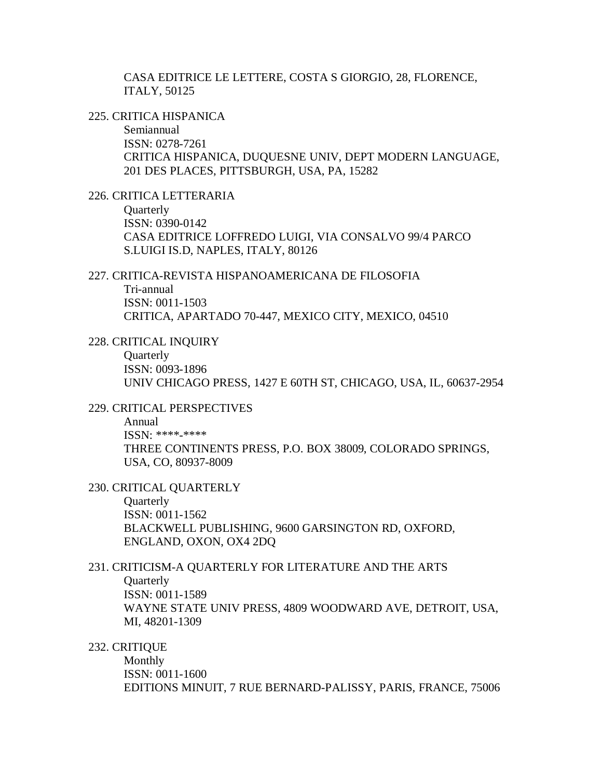CASA EDITRICE LE LETTERE, COSTA S GIORGIO, 28, FLORENCE, ITALY, 50125

225. CRITICA HISPANICA

Semiannual ISSN: 0278-7261 CRITICA HISPANICA, DUQUESNE UNIV, DEPT MODERN LANGUAGE, 201 DES PLACES, PITTSBURGH, USA, PA, 15282

226. CRITICA LETTERARIA

**Quarterly** ISSN: 0390-0142 CASA EDITRICE LOFFREDO LUIGI, VIA CONSALVO 99/4 PARCO S.LUIGI IS.D, NAPLES, ITALY, 80126

227. CRITICA-REVISTA HISPANOAMERICANA DE FILOSOFIA Tri-annual ISSN: 0011-1503 CRITICA, APARTADO 70-447, MEXICO CITY, MEXICO, 04510

228. CRITICAL INQUIRY

**Quarterly** ISSN: 0093-1896 UNIV CHICAGO PRESS, 1427 E 60TH ST, CHICAGO, USA, IL, 60637-2954

### 229. CRITICAL PERSPECTIVES

Annual ISSN: \*\*\*\*-\*\*\*\* THREE CONTINENTS PRESS, P.O. BOX 38009, COLORADO SPRINGS, USA, CO, 80937-8009

230. CRITICAL QUARTERLY

**Ouarterly** ISSN: 0011-1562 BLACKWELL PUBLISHING, 9600 GARSINGTON RD, OXFORD, ENGLAND, OXON, OX4 2DQ

#### 231. CRITICISM-A QUARTERLY FOR LITERATURE AND THE ARTS

**Ouarterly** 

ISSN: 0011-1589 WAYNE STATE UNIV PRESS, 4809 WOODWARD AVE, DETROIT, USA, MI, 48201-1309

232. CRITIQUE

Monthly ISSN: 0011-1600 EDITIONS MINUIT, 7 RUE BERNARD-PALISSY, PARIS, FRANCE, 75006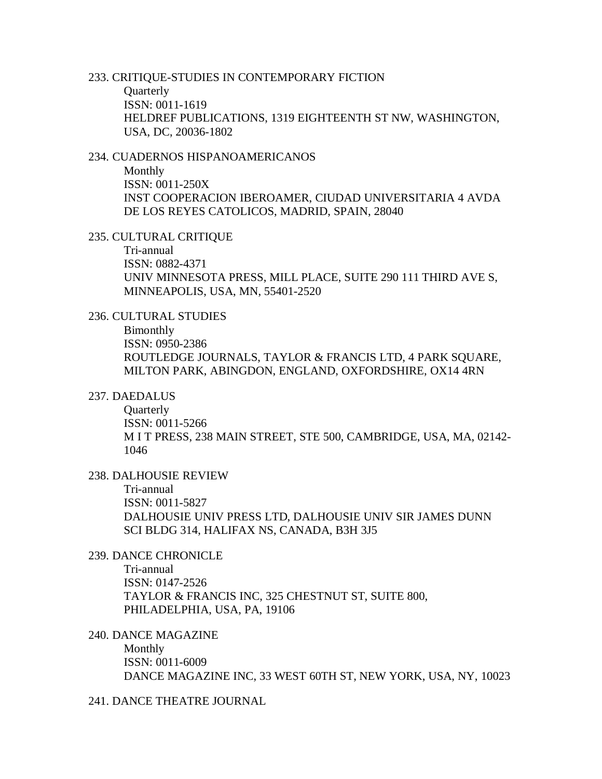# 233. CRITIQUE-STUDIES IN CONTEMPORARY FICTION

**Quarterly** ISSN: 0011-1619 HELDREF PUBLICATIONS, 1319 EIGHTEENTH ST NW, WASHINGTON, USA, DC, 20036-1802

# 234. CUADERNOS HISPANOAMERICANOS

Monthly ISSN: 0011-250X INST COOPERACION IBEROAMER, CIUDAD UNIVERSITARIA 4 AVDA DE LOS REYES CATOLICOS, MADRID, SPAIN, 28040

### 235. CULTURAL CRITIQUE

Tri-annual ISSN: 0882-4371 UNIV MINNESOTA PRESS, MILL PLACE, SUITE 290 111 THIRD AVE S, MINNEAPOLIS, USA, MN, 55401-2520

### 236. CULTURAL STUDIES

Bimonthly ISSN: 0950-2386 ROUTLEDGE JOURNALS, TAYLOR & FRANCIS LTD, 4 PARK SQUARE, MILTON PARK, ABINGDON, ENGLAND, OXFORDSHIRE, OX14 4RN

### 237. DAEDALUS

**Quarterly** ISSN: 0011-5266 M I T PRESS, 238 MAIN STREET, STE 500, CAMBRIDGE, USA, MA, 02142- 1046

# 238. DALHOUSIE REVIEW

Tri-annual ISSN: 0011-5827 DALHOUSIE UNIV PRESS LTD, DALHOUSIE UNIV SIR JAMES DUNN SCI BLDG 314, HALIFAX NS, CANADA, B3H 3J5

### 239. DANCE CHRONICLE

Tri-annual ISSN: 0147-2526 TAYLOR & FRANCIS INC, 325 CHESTNUT ST, SUITE 800, PHILADELPHIA, USA, PA, 19106

### 240. DANCE MAGAZINE

Monthly ISSN: 0011-6009 DANCE MAGAZINE INC, 33 WEST 60TH ST, NEW YORK, USA, NY, 10023

241. DANCE THEATRE JOURNAL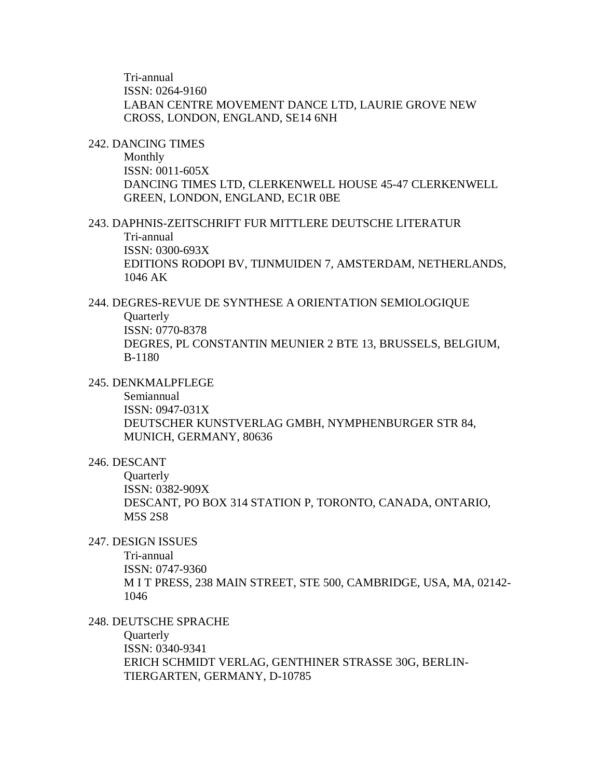Tri-annual ISSN: 0264-9160 LABAN CENTRE MOVEMENT DANCE LTD, LAURIE GROVE NEW CROSS, LONDON, ENGLAND, SE14 6NH

#### 242. DANCING TIMES

Monthly ISSN: 0011-605X DANCING TIMES LTD, CLERKENWELL HOUSE 45-47 CLERKENWELL GREEN, LONDON, ENGLAND, EC1R 0BE

### 243. DAPHNIS-ZEITSCHRIFT FUR MITTLERE DEUTSCHE LITERATUR Tri-annual ISSN: 0300-693X EDITIONS RODOPI BV, TIJNMUIDEN 7, AMSTERDAM, NETHERLANDS, 1046 AK

### 244. DEGRES-REVUE DE SYNTHESE A ORIENTATION SEMIOLOGIQUE **Quarterly** ISSN: 0770-8378 DEGRES, PL CONSTANTIN MEUNIER 2 BTE 13, BRUSSELS, BELGIUM, B-1180

#### 245. DENKMALPFLEGE

Semiannual ISSN: 0947-031X DEUTSCHER KUNSTVERLAG GMBH, NYMPHENBURGER STR 84, MUNICH, GERMANY, 80636

### 246. DESCANT

**Quarterly** ISSN: 0382-909X DESCANT, PO BOX 314 STATION P, TORONTO, CANADA, ONTARIO, M5S 2S8

## 247. DESIGN ISSUES

Tri-annual ISSN: 0747-9360 M I T PRESS, 238 MAIN STREET, STE 500, CAMBRIDGE, USA, MA, 02142- 1046

### 248. DEUTSCHE SPRACHE

**Quarterly** ISSN: 0340-9341 ERICH SCHMIDT VERLAG, GENTHINER STRASSE 30G, BERLIN-TIERGARTEN, GERMANY, D-10785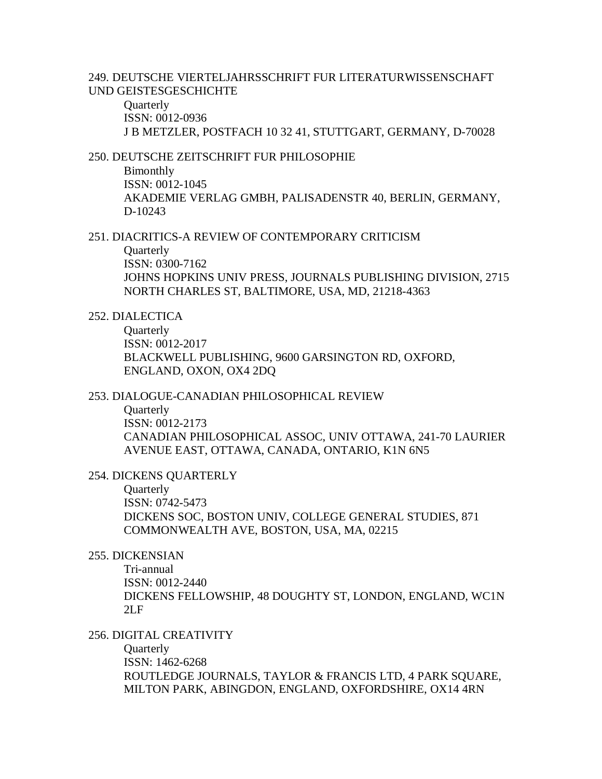249. DEUTSCHE VIERTELJAHRSSCHRIFT FUR LITERATURWISSENSCHAFT UND GEISTESGESCHICHTE

**Quarterly** ISSN: 0012-0936 J B METZLER, POSTFACH 10 32 41, STUTTGART, GERMANY, D-70028

### 250. DEUTSCHE ZEITSCHRIFT FUR PHILOSOPHIE

Bimonthly ISSN: 0012-1045 AKADEMIE VERLAG GMBH, PALISADENSTR 40, BERLIN, GERMANY, D-10243

251. DIACRITICS-A REVIEW OF CONTEMPORARY CRITICISM

**Quarterly** ISSN: 0300-7162 JOHNS HOPKINS UNIV PRESS, JOURNALS PUBLISHING DIVISION, 2715 NORTH CHARLES ST, BALTIMORE, USA, MD, 21218-4363

# 252. DIALECTICA

**Quarterly** ISSN: 0012-2017 BLACKWELL PUBLISHING, 9600 GARSINGTON RD, OXFORD, ENGLAND, OXON, OX4 2DQ

### 253. DIALOGUE-CANADIAN PHILOSOPHICAL REVIEW

**Ouarterly** ISSN: 0012-2173 CANADIAN PHILOSOPHICAL ASSOC, UNIV OTTAWA, 241-70 LAURIER AVENUE EAST, OTTAWA, CANADA, ONTARIO, K1N 6N5

#### 254. DICKENS QUARTERLY

**Quarterly** ISSN: 0742-5473 DICKENS SOC, BOSTON UNIV, COLLEGE GENERAL STUDIES, 871 COMMONWEALTH AVE, BOSTON, USA, MA, 02215

### 255. DICKENSIAN

Tri-annual ISSN: 0012-2440 DICKENS FELLOWSHIP, 48 DOUGHTY ST, LONDON, ENGLAND, WC1N  $2L$ F

### 256. DIGITAL CREATIVITY

**Quarterly** ISSN: 1462-6268 ROUTLEDGE JOURNALS, TAYLOR & FRANCIS LTD, 4 PARK SQUARE, MILTON PARK, ABINGDON, ENGLAND, OXFORDSHIRE, OX14 4RN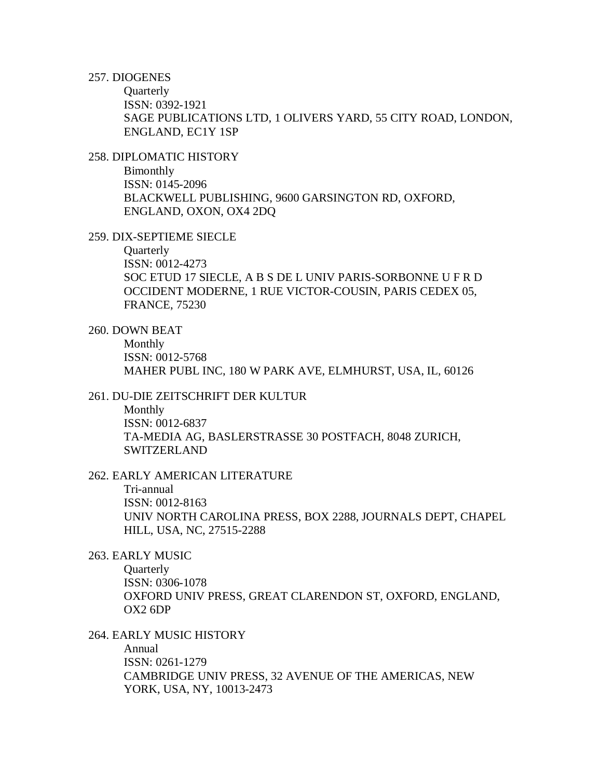257. DIOGENES

**Quarterly** ISSN: 0392-1921 SAGE PUBLICATIONS LTD, 1 OLIVERS YARD, 55 CITY ROAD, LONDON, ENGLAND, EC1Y 1SP

258. DIPLOMATIC HISTORY

Bimonthly ISSN: 0145-2096 BLACKWELL PUBLISHING, 9600 GARSINGTON RD, OXFORD, ENGLAND, OXON, OX4 2DQ

259. DIX-SEPTIEME SIECLE

Quarterly ISSN: 0012-4273 SOC ETUD 17 SIECLE, A B S DE L UNIV PARIS-SORBONNE U F R D OCCIDENT MODERNE, 1 RUE VICTOR-COUSIN, PARIS CEDEX 05, FRANCE, 75230

260. DOWN BEAT

Monthly ISSN: 0012-5768 MAHER PUBL INC, 180 W PARK AVE, ELMHURST, USA, IL, 60126

### 261. DU-DIE ZEITSCHRIFT DER KULTUR

Monthly ISSN: 0012-6837 TA-MEDIA AG, BASLERSTRASSE 30 POSTFACH, 8048 ZURICH, SWITZERLAND

262. EARLY AMERICAN LITERATURE

Tri-annual ISSN: 0012-8163 UNIV NORTH CAROLINA PRESS, BOX 2288, JOURNALS DEPT, CHAPEL HILL, USA, NC, 27515-2288

263. EARLY MUSIC

**Ouarterly** ISSN: 0306-1078 OXFORD UNIV PRESS, GREAT CLARENDON ST, OXFORD, ENGLAND, OX2 6DP

### 264. EARLY MUSIC HISTORY

Annual ISSN: 0261-1279 CAMBRIDGE UNIV PRESS, 32 AVENUE OF THE AMERICAS, NEW YORK, USA, NY, 10013-2473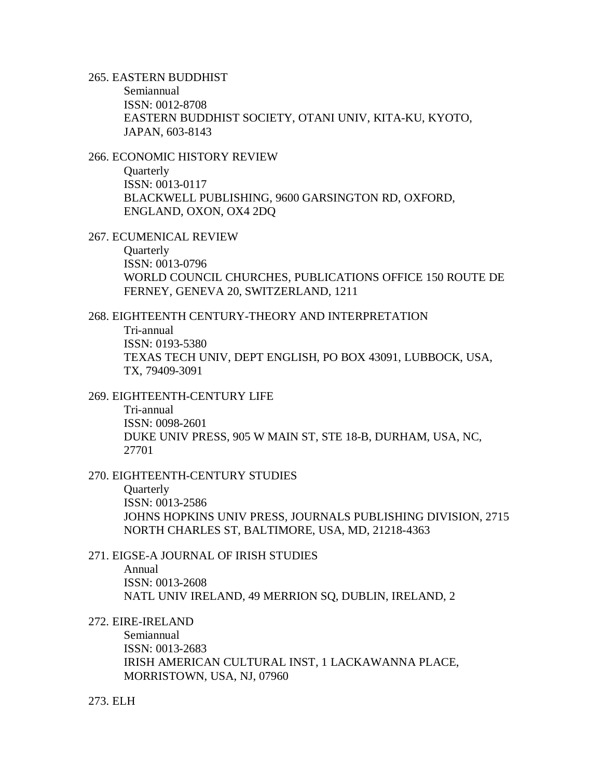### 265. EASTERN BUDDHIST

Semiannual ISSN: 0012-8708 EASTERN BUDDHIST SOCIETY, OTANI UNIV, KITA-KU, KYOTO, JAPAN, 603-8143

### 266. ECONOMIC HISTORY REVIEW

**Quarterly** ISSN: 0013-0117 BLACKWELL PUBLISHING, 9600 GARSINGTON RD, OXFORD, ENGLAND, OXON, OX4 2DQ

267. ECUMENICAL REVIEW

Quarterly ISSN: 0013-0796 WORLD COUNCIL CHURCHES, PUBLICATIONS OFFICE 150 ROUTE DE FERNEY, GENEVA 20, SWITZERLAND, 1211

#### 268. EIGHTEENTH CENTURY-THEORY AND INTERPRETATION

Tri-annual ISSN: 0193-5380 TEXAS TECH UNIV, DEPT ENGLISH, PO BOX 43091, LUBBOCK, USA, TX, 79409-3091

#### 269. EIGHTEENTH-CENTURY LIFE

Tri-annual ISSN: 0098-2601 DUKE UNIV PRESS, 905 W MAIN ST, STE 18-B, DURHAM, USA, NC, 27701

#### 270. EIGHTEENTH-CENTURY STUDIES

Quarterly ISSN: 0013-2586 JOHNS HOPKINS UNIV PRESS, JOURNALS PUBLISHING DIVISION, 2715 NORTH CHARLES ST, BALTIMORE, USA, MD, 21218-4363

#### 271. EIGSE-A JOURNAL OF IRISH STUDIES

Annual ISSN: 0013-2608 NATL UNIV IRELAND, 49 MERRION SQ, DUBLIN, IRELAND, 2

272. EIRE-IRELAND

Semiannual ISSN: 0013-2683 IRISH AMERICAN CULTURAL INST, 1 LACKAWANNA PLACE, MORRISTOWN, USA, NJ, 07960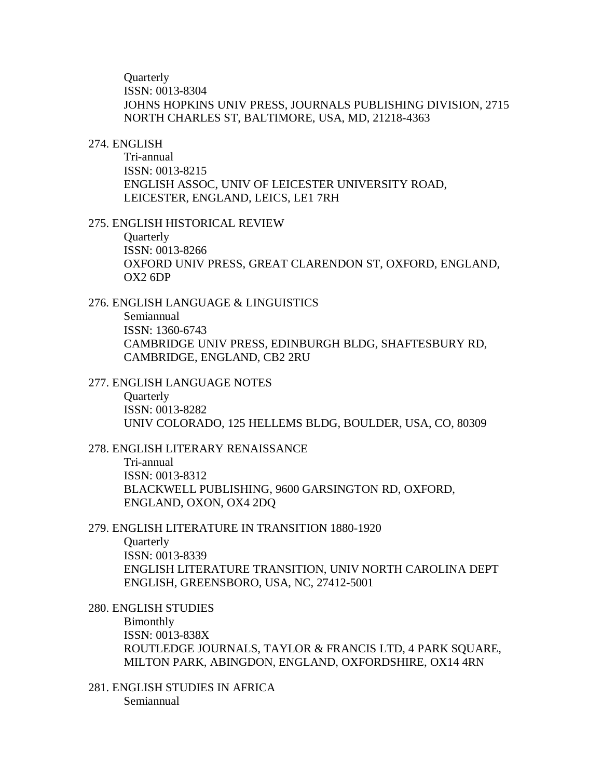**Ouarterly** ISSN: 0013-8304 JOHNS HOPKINS UNIV PRESS, JOURNALS PUBLISHING DIVISION, 2715 NORTH CHARLES ST, BALTIMORE, USA, MD, 21218-4363

#### 274. ENGLISH

Tri-annual ISSN: 0013-8215 ENGLISH ASSOC, UNIV OF LEICESTER UNIVERSITY ROAD, LEICESTER, ENGLAND, LEICS, LE1 7RH

#### 275. ENGLISH HISTORICAL REVIEW

**Ouarterly** ISSN: 0013-8266 OXFORD UNIV PRESS, GREAT CLARENDON ST, OXFORD, ENGLAND, OX2 6DP

#### 276. ENGLISH LANGUAGE & LINGUISTICS

Semiannual ISSN: 1360-6743 CAMBRIDGE UNIV PRESS, EDINBURGH BLDG, SHAFTESBURY RD, CAMBRIDGE, ENGLAND, CB2 2RU

#### 277. ENGLISH LANGUAGE NOTES

**Ouarterly** ISSN: 0013-8282 UNIV COLORADO, 125 HELLEMS BLDG, BOULDER, USA, CO, 80309

### 278. ENGLISH LITERARY RENAISSANCE

Tri-annual ISSN: 0013-8312 BLACKWELL PUBLISHING, 9600 GARSINGTON RD, OXFORD, ENGLAND, OXON, OX4 2DQ

# 279. ENGLISH LITERATURE IN TRANSITION 1880-1920

**Ouarterly** ISSN: 0013-8339 ENGLISH LITERATURE TRANSITION, UNIV NORTH CAROLINA DEPT ENGLISH, GREENSBORO, USA, NC, 27412-5001

280. ENGLISH STUDIES

Bimonthly ISSN: 0013-838X ROUTLEDGE JOURNALS, TAYLOR & FRANCIS LTD, 4 PARK SQUARE, MILTON PARK, ABINGDON, ENGLAND, OXFORDSHIRE, OX14 4RN

281. ENGLISH STUDIES IN AFRICA Semiannual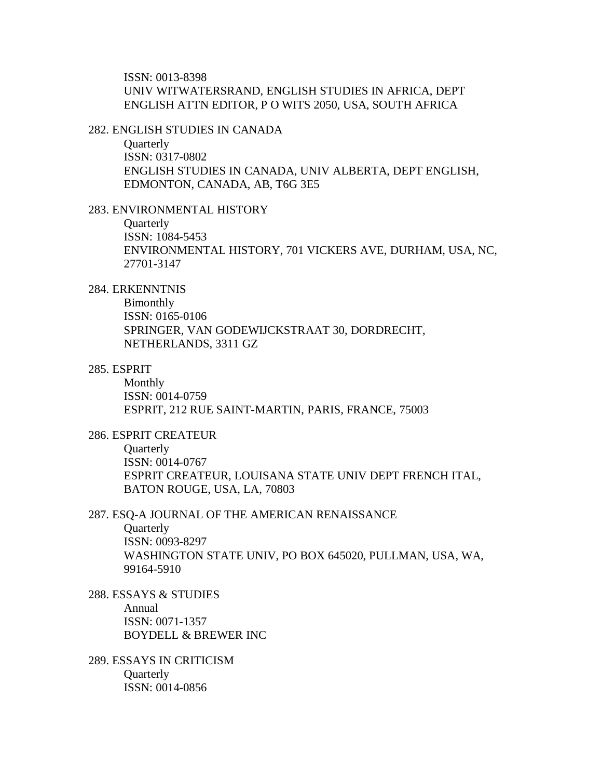ISSN: 0013-8398 UNIV WITWATERSRAND, ENGLISH STUDIES IN AFRICA, DEPT ENGLISH ATTN EDITOR, P O WITS 2050, USA, SOUTH AFRICA

#### 282. ENGLISH STUDIES IN CANADA

**Quarterly** ISSN: 0317-0802 ENGLISH STUDIES IN CANADA, UNIV ALBERTA, DEPT ENGLISH, EDMONTON, CANADA, AB, T6G 3E5

#### 283. ENVIRONMENTAL HISTORY

**Ouarterly** ISSN: 1084-5453 ENVIRONMENTAL HISTORY, 701 VICKERS AVE, DURHAM, USA, NC, 27701-3147

### 284. ERKENNTNIS

Bimonthly ISSN: 0165-0106 SPRINGER, VAN GODEWIJCKSTRAAT 30, DORDRECHT, NETHERLANDS, 3311 GZ

#### 285. ESPRIT

Monthly ISSN: 0014-0759 ESPRIT, 212 RUE SAINT-MARTIN, PARIS, FRANCE, 75003

### 286. ESPRIT CREATEUR

**Ouarterly** ISSN: 0014-0767 ESPRIT CREATEUR, LOUISANA STATE UNIV DEPT FRENCH ITAL, BATON ROUGE, USA, LA, 70803

#### 287. ESQ-A JOURNAL OF THE AMERICAN RENAISSANCE

**Quarterly** 

ISSN: 0093-8297 WASHINGTON STATE UNIV, PO BOX 645020, PULLMAN, USA, WA, 99164-5910

- 288. ESSAYS & STUDIES Annual ISSN: 0071-1357 BOYDELL & BREWER INC
- 289. ESSAYS IN CRITICISM **Quarterly** ISSN: 0014-0856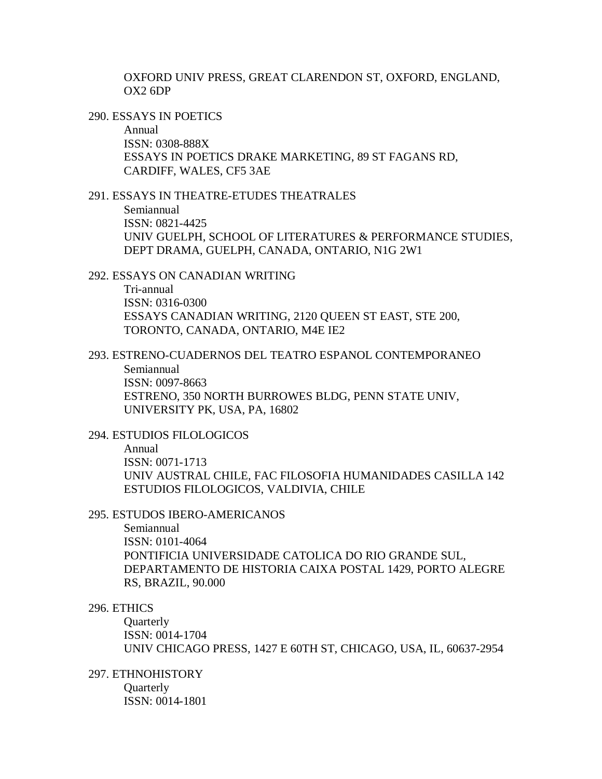OXFORD UNIV PRESS, GREAT CLARENDON ST, OXFORD, ENGLAND, OX2 6DP

290. ESSAYS IN POETICS

Annual ISSN: 0308-888X ESSAYS IN POETICS DRAKE MARKETING, 89 ST FAGANS RD, CARDIFF, WALES, CF5 3AE

## 291. ESSAYS IN THEATRE-ETUDES THEATRALES

Semiannual ISSN: 0821-4425 UNIV GUELPH, SCHOOL OF LITERATURES & PERFORMANCE STUDIES, DEPT DRAMA, GUELPH, CANADA, ONTARIO, N1G 2W1

292. ESSAYS ON CANADIAN WRITING Tri-annual ISSN: 0316-0300 ESSAYS CANADIAN WRITING, 2120 QUEEN ST EAST, STE 200, TORONTO, CANADA, ONTARIO, M4E IE2

293. ESTRENO-CUADERNOS DEL TEATRO ESPANOL CONTEMPORANEO Semiannual ISSN: 0097-8663 ESTRENO, 350 NORTH BURROWES BLDG, PENN STATE UNIV, UNIVERSITY PK, USA, PA, 16802

## 294. ESTUDIOS FILOLOGICOS

Annual ISSN: 0071-1713 UNIV AUSTRAL CHILE, FAC FILOSOFIA HUMANIDADES CASILLA 142 ESTUDIOS FILOLOGICOS, VALDIVIA, CHILE

## 295. ESTUDOS IBERO-AMERICANOS

Semiannual ISSN: 0101-4064 PONTIFICIA UNIVERSIDADE CATOLICA DO RIO GRANDE SUL, DEPARTAMENTO DE HISTORIA CAIXA POSTAL 1429, PORTO ALEGRE RS, BRAZIL, 90.000

# 296. ETHICS

**Quarterly** ISSN: 0014-1704 UNIV CHICAGO PRESS, 1427 E 60TH ST, CHICAGO, USA, IL, 60637-2954

297. ETHNOHISTORY

**Ouarterly** ISSN: 0014-1801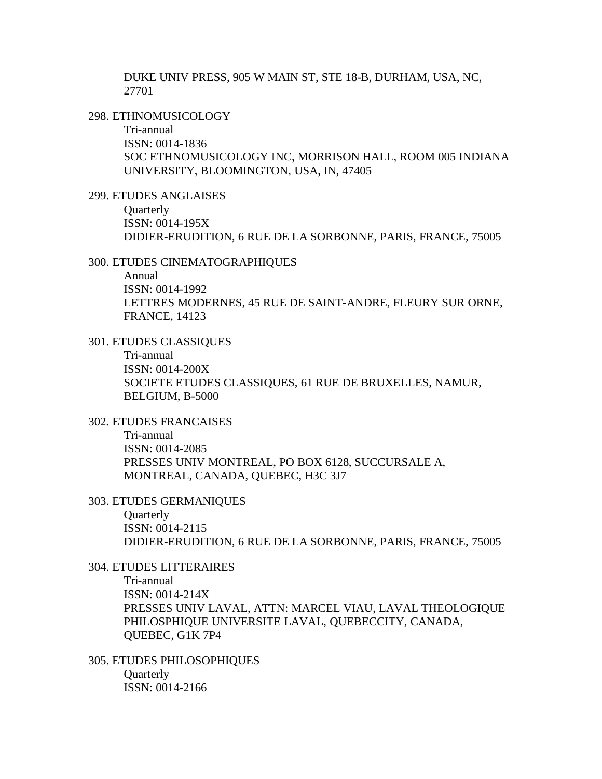DUKE UNIV PRESS, 905 W MAIN ST, STE 18-B, DURHAM, USA, NC, 27701

298. ETHNOMUSICOLOGY

Tri-annual ISSN: 0014-1836 SOC ETHNOMUSICOLOGY INC, MORRISON HALL, ROOM 005 INDIANA UNIVERSITY, BLOOMINGTON, USA, IN, 47405

299. ETUDES ANGLAISES

**Quarterly** ISSN: 0014-195X DIDIER-ERUDITION, 6 RUE DE LA SORBONNE, PARIS, FRANCE, 75005

300. ETUDES CINEMATOGRAPHIQUES

Annual ISSN: 0014-1992 LETTRES MODERNES, 45 RUE DE SAINT-ANDRE, FLEURY SUR ORNE, FRANCE, 14123

301. ETUDES CLASSIQUES

Tri-annual ISSN: 0014-200X SOCIETE ETUDES CLASSIQUES, 61 RUE DE BRUXELLES, NAMUR, BELGIUM, B-5000

302. ETUDES FRANCAISES Tri-annual ISSN: 0014-2085 PRESSES UNIV MONTREAL, PO BOX 6128, SUCCURSALE A, MONTREAL, CANADA, QUEBEC, H3C 3J7

303. ETUDES GERMANIQUES **Quarterly** ISSN: 0014-2115 DIDIER-ERUDITION, 6 RUE DE LA SORBONNE, PARIS, FRANCE, 75005

304. ETUDES LITTERAIRES

Tri-annual ISSN: 0014-214X PRESSES UNIV LAVAL, ATTN: MARCEL VIAU, LAVAL THEOLOGIQUE PHILOSPHIQUE UNIVERSITE LAVAL, QUEBECCITY, CANADA, QUEBEC, G1K 7P4

305. ETUDES PHILOSOPHIQUES **Quarterly** ISSN: 0014-2166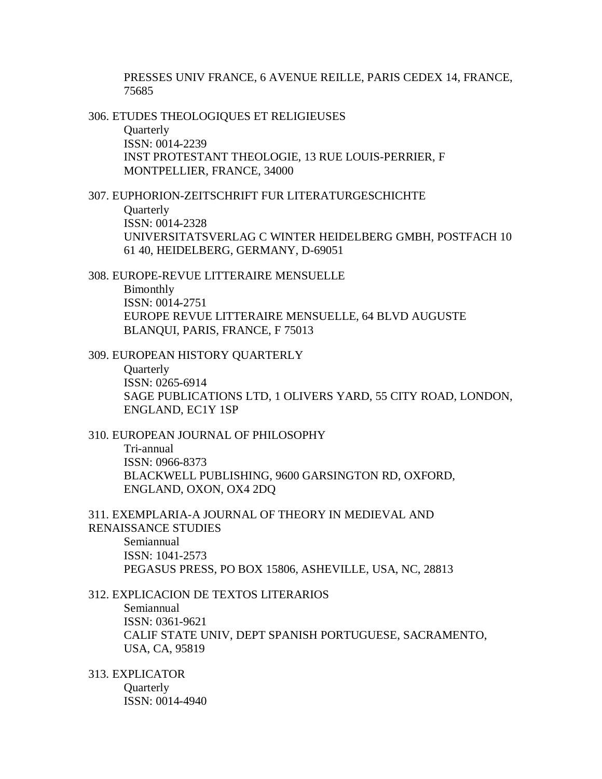PRESSES UNIV FRANCE, 6 AVENUE REILLE, PARIS CEDEX 14, FRANCE, 75685

306. ETUDES THEOLOGIQUES ET RELIGIEUSES **Ouarterly** ISSN: 0014-2239 INST PROTESTANT THEOLOGIE, 13 RUE LOUIS-PERRIER, F MONTPELLIER, FRANCE, 34000

#### 307. EUPHORION-ZEITSCHRIFT FUR LITERATURGESCHICHTE

**Quarterly** ISSN: 0014-2328 UNIVERSITATSVERLAG C WINTER HEIDELBERG GMBH, POSTFACH 10 61 40, HEIDELBERG, GERMANY, D-69051

308. EUROPE-REVUE LITTERAIRE MENSUELLE Bimonthly ISSN: 0014-2751 EUROPE REVUE LITTERAIRE MENSUELLE, 64 BLVD AUGUSTE BLANQUI, PARIS, FRANCE, F 75013

309. EUROPEAN HISTORY QUARTERLY

**Ouarterly** ISSN: 0265-6914 SAGE PUBLICATIONS LTD, 1 OLIVERS YARD, 55 CITY ROAD, LONDON, ENGLAND, EC1Y 1SP

310. EUROPEAN JOURNAL OF PHILOSOPHY Tri-annual ISSN: 0966-8373 BLACKWELL PUBLISHING, 9600 GARSINGTON RD, OXFORD, ENGLAND, OXON, OX4 2DQ

311. EXEMPLARIA-A JOURNAL OF THEORY IN MEDIEVAL AND RENAISSANCE STUDIES Semiannual ISSN: 1041-2573 PEGASUS PRESS, PO BOX 15806, ASHEVILLE, USA, NC, 28813

312. EXPLICACION DE TEXTOS LITERARIOS Semiannual ISSN: 0361-9621 CALIF STATE UNIV, DEPT SPANISH PORTUGUESE, SACRAMENTO, USA, CA, 95819

313. EXPLICATOR **Ouarterly** ISSN: 0014-4940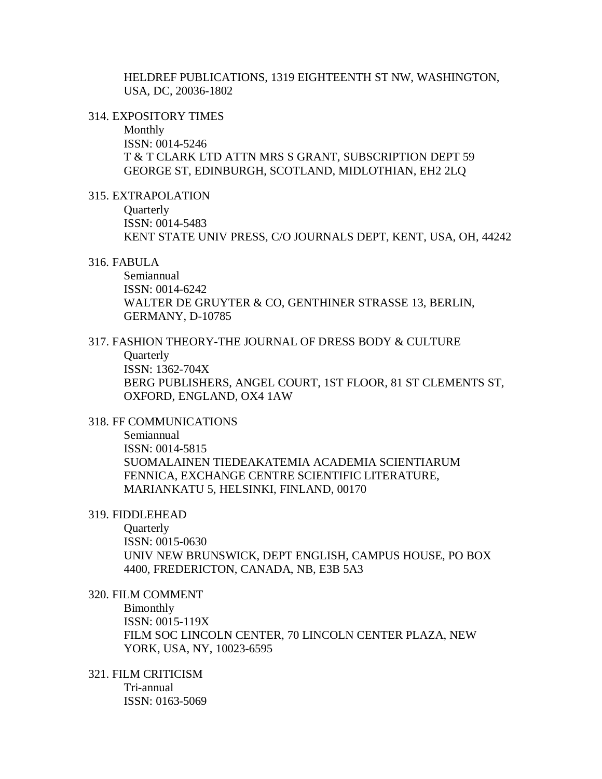HELDREF PUBLICATIONS, 1319 EIGHTEENTH ST NW, WASHINGTON, USA, DC, 20036-1802

#### 314. EXPOSITORY TIMES

Monthly ISSN: 0014-5246 T & T CLARK LTD ATTN MRS S GRANT, SUBSCRIPTION DEPT 59 GEORGE ST, EDINBURGH, SCOTLAND, MIDLOTHIAN, EH2 2LQ

315. EXTRAPOLATION

**Quarterly** ISSN: 0014-5483 KENT STATE UNIV PRESS, C/O JOURNALS DEPT, KENT, USA, OH, 44242

#### 316. FABULA

Semiannual ISSN: 0014-6242 WALTER DE GRUYTER & CO, GENTHINER STRASSE 13, BERLIN, GERMANY, D-10785

# 317. FASHION THEORY-THE JOURNAL OF DRESS BODY & CULTURE

**Quarterly** 

ISSN: 1362-704X BERG PUBLISHERS, ANGEL COURT, 1ST FLOOR, 81 ST CLEMENTS ST, OXFORD, ENGLAND, OX4 1AW

## 318. FF COMMUNICATIONS

Semiannual ISSN: 0014-5815 SUOMALAINEN TIEDEAKATEMIA ACADEMIA SCIENTIARUM FENNICA, EXCHANGE CENTRE SCIENTIFIC LITERATURE, MARIANKATU 5, HELSINKI, FINLAND, 00170

#### 319. FIDDLEHEAD

**Quarterly** ISSN: 0015-0630 UNIV NEW BRUNSWICK, DEPT ENGLISH, CAMPUS HOUSE, PO BOX 4400, FREDERICTON, CANADA, NB, E3B 5A3

# 320. FILM COMMENT

Bimonthly ISSN: 0015-119X FILM SOC LINCOLN CENTER, 70 LINCOLN CENTER PLAZA, NEW YORK, USA, NY, 10023-6595

321. FILM CRITICISM Tri-annual ISSN: 0163-5069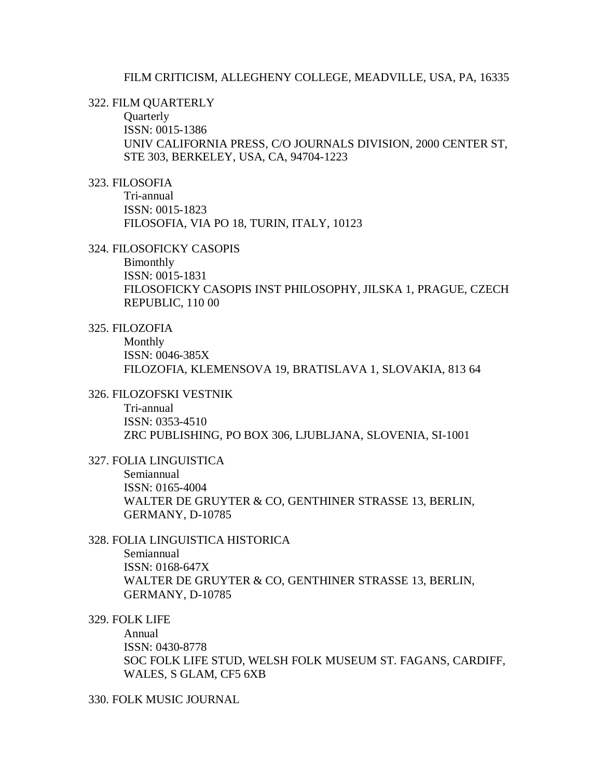#### FILM CRITICISM, ALLEGHENY COLLEGE, MEADVILLE, USA, PA, 16335

#### 322. FILM QUARTERLY

**Quarterly** ISSN: 0015-1386 UNIV CALIFORNIA PRESS, C/O JOURNALS DIVISION, 2000 CENTER ST, STE 303, BERKELEY, USA, CA, 94704-1223

#### 323. FILOSOFIA

Tri-annual ISSN: 0015-1823 FILOSOFIA, VIA PO 18, TURIN, ITALY, 10123

#### 324. FILOSOFICKY CASOPIS

Bimonthly ISSN: 0015-1831 FILOSOFICKY CASOPIS INST PHILOSOPHY, JILSKA 1, PRAGUE, CZECH REPUBLIC, 110 00

## 325. FILOZOFIA

Monthly ISSN: 0046-385X FILOZOFIA, KLEMENSOVA 19, BRATISLAVA 1, SLOVAKIA, 813 64

# 326. FILOZOFSKI VESTNIK

Tri-annual ISSN: 0353-4510 ZRC PUBLISHING, PO BOX 306, LJUBLJANA, SLOVENIA, SI-1001

## 327. FOLIA LINGUISTICA

Semiannual ISSN: 0165-4004 WALTER DE GRUYTER & CO, GENTHINER STRASSE 13, BERLIN, GERMANY, D-10785

# 328. FOLIA LINGUISTICA HISTORICA

Semiannual ISSN: 0168-647X WALTER DE GRUYTER & CO, GENTHINER STRASSE 13, BERLIN, GERMANY, D-10785

# 329. FOLK LIFE

Annual ISSN: 0430-8778 SOC FOLK LIFE STUD, WELSH FOLK MUSEUM ST. FAGANS, CARDIFF, WALES, S GLAM, CF5 6XB

# 330. FOLK MUSIC JOURNAL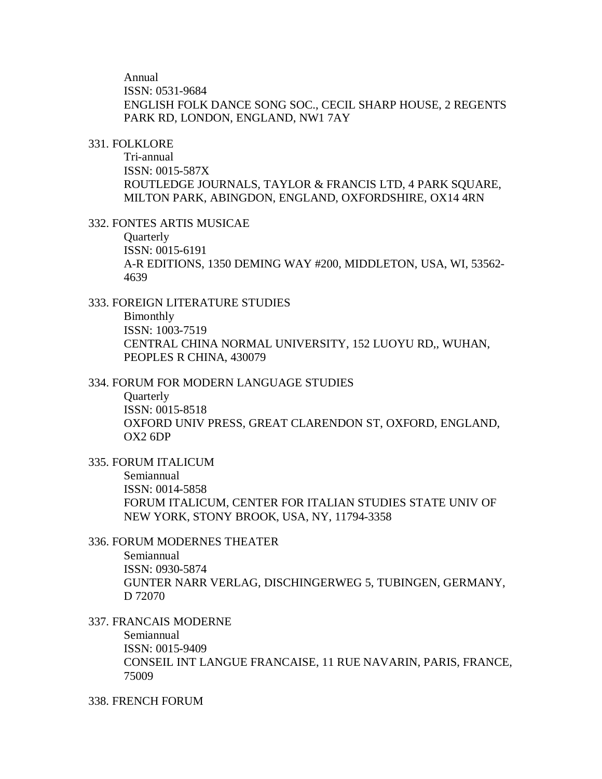Annual

ISSN: 0531-9684

ENGLISH FOLK DANCE SONG SOC., CECIL SHARP HOUSE, 2 REGENTS PARK RD, LONDON, ENGLAND, NW1 7AY

## 331. FOLKLORE

Tri-annual ISSN: 0015-587X ROUTLEDGE JOURNALS, TAYLOR & FRANCIS LTD, 4 PARK SQUARE, MILTON PARK, ABINGDON, ENGLAND, OXFORDSHIRE, OX14 4RN

## 332. FONTES ARTIS MUSICAE

**Ouarterly** ISSN: 0015-6191 A-R EDITIONS, 1350 DEMING WAY #200, MIDDLETON, USA, WI, 53562- 4639

## 333. FOREIGN LITERATURE STUDIES

Bimonthly ISSN: 1003-7519 CENTRAL CHINA NORMAL UNIVERSITY, 152 LUOYU RD,, WUHAN, PEOPLES R CHINA, 430079

## 334. FORUM FOR MODERN LANGUAGE STUDIES

**Ouarterly** ISSN: 0015-8518 OXFORD UNIV PRESS, GREAT CLARENDON ST, OXFORD, ENGLAND,  $OX2$  6DP

# 335. FORUM ITALICUM

Semiannual ISSN: 0014-5858 FORUM ITALICUM, CENTER FOR ITALIAN STUDIES STATE UNIV OF NEW YORK, STONY BROOK, USA, NY, 11794-3358

# 336. FORUM MODERNES THEATER

Semiannual ISSN: 0930-5874 GUNTER NARR VERLAG, DISCHINGERWEG 5, TUBINGEN, GERMANY, D 72070

# 337. FRANCAIS MODERNE

Semiannual ISSN: 0015-9409 CONSEIL INT LANGUE FRANCAISE, 11 RUE NAVARIN, PARIS, FRANCE, 75009

#### 338. FRENCH FORUM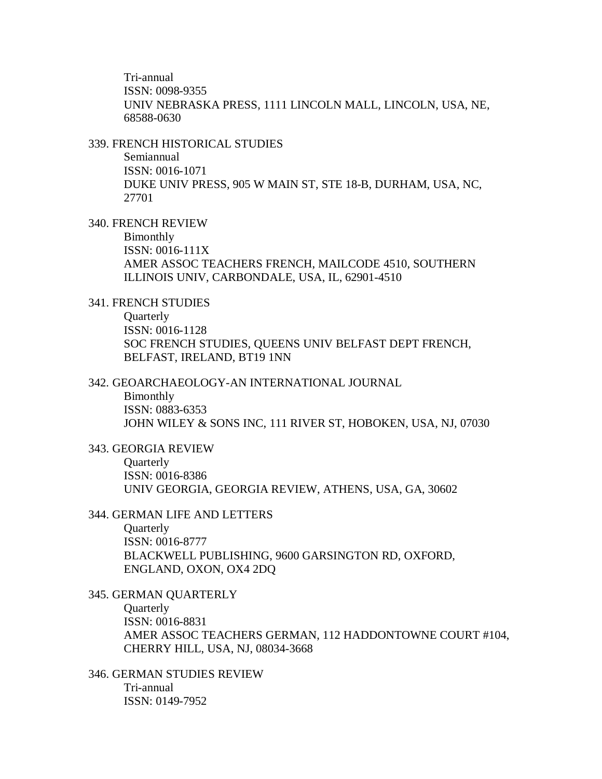Tri-annual ISSN: 0098-9355 UNIV NEBRASKA PRESS, 1111 LINCOLN MALL, LINCOLN, USA, NE, 68588-0630

#### 339. FRENCH HISTORICAL STUDIES

Semiannual ISSN: 0016-1071 DUKE UNIV PRESS, 905 W MAIN ST, STE 18-B, DURHAM, USA, NC, 27701

## 340. FRENCH REVIEW

Bimonthly

ISSN: 0016-111X AMER ASSOC TEACHERS FRENCH, MAILCODE 4510, SOUTHERN ILLINOIS UNIV, CARBONDALE, USA, IL, 62901-4510

## 341. FRENCH STUDIES

**Quarterly** ISSN: 0016-1128 SOC FRENCH STUDIES, QUEENS UNIV BELFAST DEPT FRENCH, BELFAST, IRELAND, BT19 1NN

#### 342. GEOARCHAEOLOGY-AN INTERNATIONAL JOURNAL

Bimonthly

ISSN: 0883-6353 JOHN WILEY & SONS INC, 111 RIVER ST, HOBOKEN, USA, NJ, 07030

#### 343. GEORGIA REVIEW

**Ouarterly** ISSN: 0016-8386 UNIV GEORGIA, GEORGIA REVIEW, ATHENS, USA, GA, 30602

## 344. GERMAN LIFE AND LETTERS

**Quarterly** ISSN: 0016-8777 BLACKWELL PUBLISHING, 9600 GARSINGTON RD, OXFORD, ENGLAND, OXON, OX4 2DQ

# 345. GERMAN QUARTERLY **Ouarterly** ISSN: 0016-8831 AMER ASSOC TEACHERS GERMAN, 112 HADDONTOWNE COURT #104, CHERRY HILL, USA, NJ, 08034-3668

346. GERMAN STUDIES REVIEW Tri-annual ISSN: 0149-7952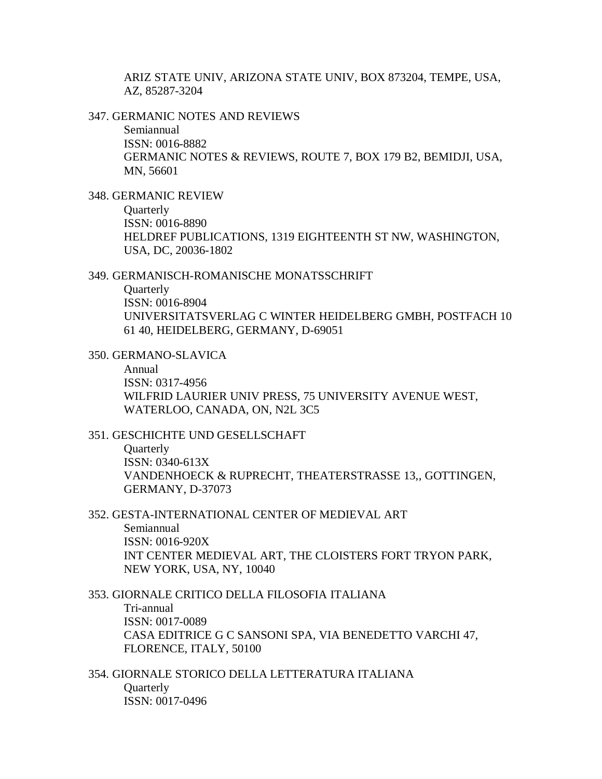ARIZ STATE UNIV, ARIZONA STATE UNIV, BOX 873204, TEMPE, USA, AZ, 85287-3204

347. GERMANIC NOTES AND REVIEWS

Semiannual ISSN: 0016-8882 GERMANIC NOTES & REVIEWS, ROUTE 7, BOX 179 B2, BEMIDJI, USA, MN, 56601

348. GERMANIC REVIEW

**Quarterly** 

ISSN: 0016-8890 HELDREF PUBLICATIONS, 1319 EIGHTEENTH ST NW, WASHINGTON, USA, DC, 20036-1802

#### 349. GERMANISCH-ROMANISCHE MONATSSCHRIFT

**Ouarterly** ISSN: 0016-8904 UNIVERSITATSVERLAG C WINTER HEIDELBERG GMBH, POSTFACH 10 61 40, HEIDELBERG, GERMANY, D-69051

350. GERMANO-SLAVICA

Annual

ISSN: 0317-4956 WILFRID LAURIER UNIV PRESS, 75 UNIVERSITY AVENUE WEST, WATERLOO, CANADA, ON, N2L 3C5

## 351. GESCHICHTE UND GESELLSCHAFT

**Ouarterly** ISSN: 0340-613X VANDENHOECK & RUPRECHT, THEATERSTRASSE 13,, GOTTINGEN, GERMANY, D-37073

## 352. GESTA-INTERNATIONAL CENTER OF MEDIEVAL ART

Semiannual ISSN: 0016-920X INT CENTER MEDIEVAL ART, THE CLOISTERS FORT TRYON PARK, NEW YORK, USA, NY, 10040

# 353. GIORNALE CRITICO DELLA FILOSOFIA ITALIANA Tri-annual ISSN: 0017-0089 CASA EDITRICE G C SANSONI SPA, VIA BENEDETTO VARCHI 47, FLORENCE, ITALY, 50100

354. GIORNALE STORICO DELLA LETTERATURA ITALIANA **Ouarterly** ISSN: 0017-0496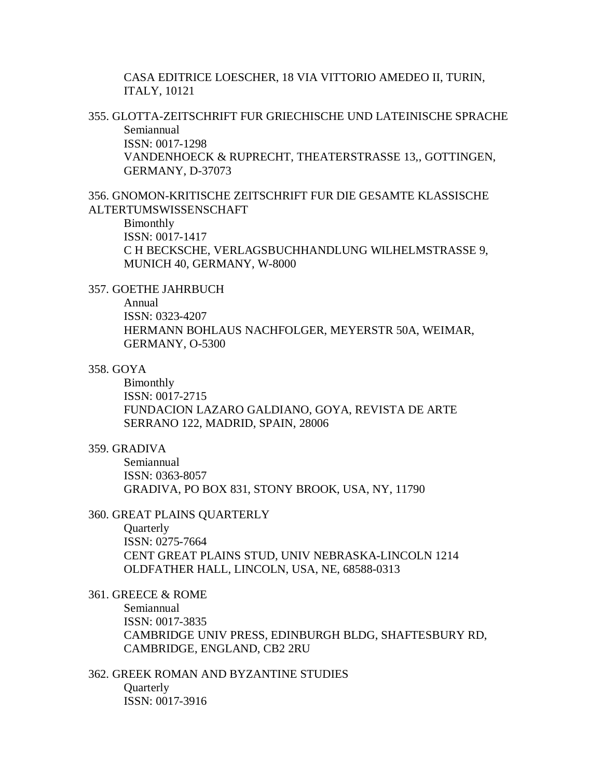CASA EDITRICE LOESCHER, 18 VIA VITTORIO AMEDEO II, TURIN, ITALY, 10121

355. GLOTTA-ZEITSCHRIFT FUR GRIECHISCHE UND LATEINISCHE SPRACHE Semiannual ISSN: 0017-1298 VANDENHOECK & RUPRECHT, THEATERSTRASSE 13,, GOTTINGEN,

GERMANY, D-37073

356. GNOMON-KRITISCHE ZEITSCHRIFT FUR DIE GESAMTE KLASSISCHE ALTERTUMSWISSENSCHAFT

#### Bimonthly

ISSN: 0017-1417

C H BECKSCHE, VERLAGSBUCHHANDLUNG WILHELMSTRASSE 9, MUNICH 40, GERMANY, W-8000

## 357. GOETHE JAHRBUCH

#### Annual

ISSN: 0323-4207 HERMANN BOHLAUS NACHFOLGER, MEYERSTR 50A, WEIMAR, GERMANY, O-5300

## 358. GOYA

Bimonthly ISSN: 0017-2715 FUNDACION LAZARO GALDIANO, GOYA, REVISTA DE ARTE SERRANO 122, MADRID, SPAIN, 28006

## 359. GRADIVA

Semiannual ISSN: 0363-8057 GRADIVA, PO BOX 831, STONY BROOK, USA, NY, 11790

#### 360. GREAT PLAINS QUARTERLY

**Quarterly** ISSN: 0275-7664 CENT GREAT PLAINS STUD, UNIV NEBRASKA-LINCOLN 1214 OLDFATHER HALL, LINCOLN, USA, NE, 68588-0313

361. GREECE & ROME Semiannual ISSN: 0017-3835 CAMBRIDGE UNIV PRESS, EDINBURGH BLDG, SHAFTESBURY RD, CAMBRIDGE, ENGLAND, CB2 2RU

362. GREEK ROMAN AND BYZANTINE STUDIES **Ouarterly** ISSN: 0017-3916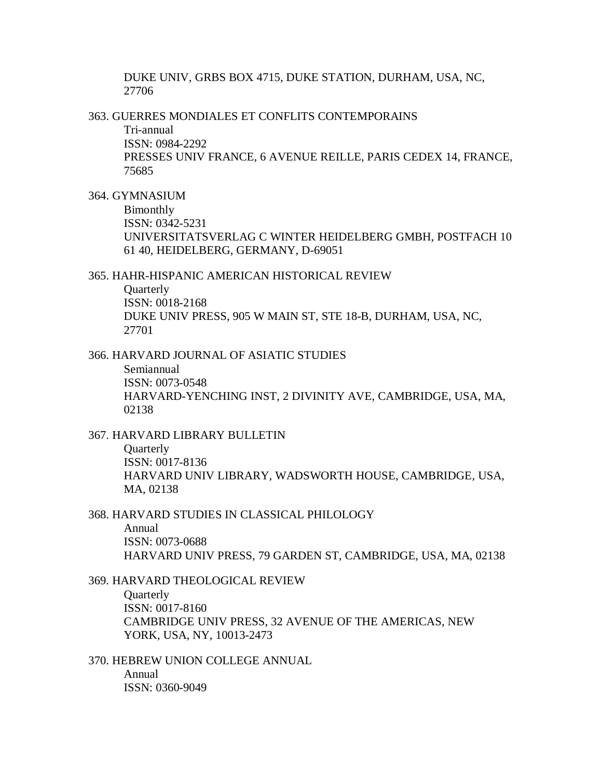DUKE UNIV, GRBS BOX 4715, DUKE STATION, DURHAM, USA, NC, 27706

363. GUERRES MONDIALES ET CONFLITS CONTEMPORAINS

Tri-annual ISSN: 0984-2292 PRESSES UNIV FRANCE, 6 AVENUE REILLE, PARIS CEDEX 14, FRANCE, 75685

364. GYMNASIUM

Bimonthly ISSN: 0342-5231 UNIVERSITATSVERLAG C WINTER HEIDELBERG GMBH, POSTFACH 10 61 40, HEIDELBERG, GERMANY, D-69051

365. HAHR-HISPANIC AMERICAN HISTORICAL REVIEW

**Ouarterly** ISSN: 0018-2168 DUKE UNIV PRESS, 905 W MAIN ST, STE 18-B, DURHAM, USA, NC, 27701

366. HARVARD JOURNAL OF ASIATIC STUDIES

Semiannual ISSN: 0073-0548 HARVARD-YENCHING INST, 2 DIVINITY AVE, CAMBRIDGE, USA, MA, 02138

367. HARVARD LIBRARY BULLETIN

**Ouarterly** ISSN: 0017-8136 HARVARD UNIV LIBRARY, WADSWORTH HOUSE, CAMBRIDGE, USA, MA, 02138

368. HARVARD STUDIES IN CLASSICAL PHILOLOGY Annual ISSN: 0073-0688

HARVARD UNIV PRESS, 79 GARDEN ST, CAMBRIDGE, USA, MA, 02138

369. HARVARD THEOLOGICAL REVIEW **Quarterly** ISSN: 0017-8160 CAMBRIDGE UNIV PRESS, 32 AVENUE OF THE AMERICAS, NEW YORK, USA, NY, 10013-2473

370. HEBREW UNION COLLEGE ANNUAL Annual ISSN: 0360-9049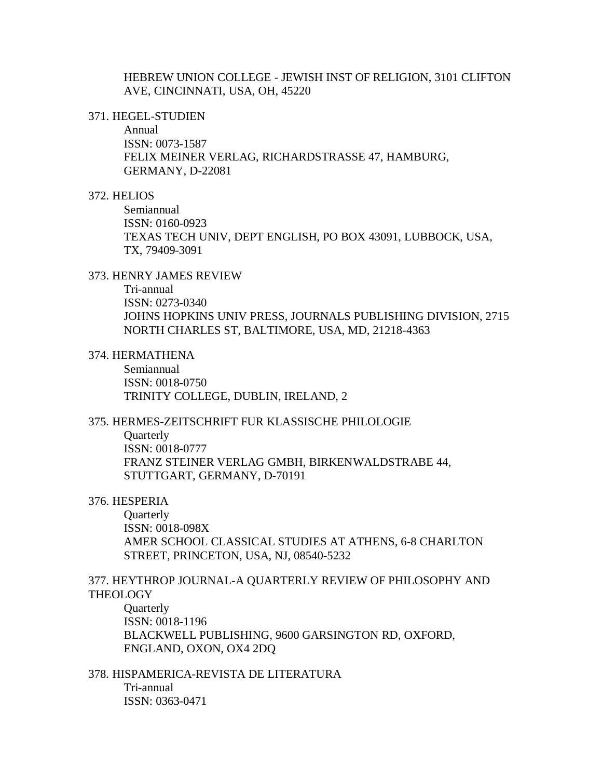HEBREW UNION COLLEGE - JEWISH INST OF RELIGION, 3101 CLIFTON AVE, CINCINNATI, USA, OH, 45220

371. HEGEL-STUDIEN

Annual ISSN: 0073-1587 FELIX MEINER VERLAG, RICHARDSTRASSE 47, HAMBURG, GERMANY, D-22081

## 372. HELIOS

Semiannual ISSN: 0160-0923 TEXAS TECH UNIV, DEPT ENGLISH, PO BOX 43091, LUBBOCK, USA, TX, 79409-3091

## 373. HENRY JAMES REVIEW

Tri-annual ISSN: 0273-0340 JOHNS HOPKINS UNIV PRESS, JOURNALS PUBLISHING DIVISION, 2715 NORTH CHARLES ST, BALTIMORE, USA, MD, 21218-4363

#### 374. HERMATHENA

Semiannual ISSN: 0018-0750 TRINITY COLLEGE, DUBLIN, IRELAND, 2

# 375. HERMES-ZEITSCHRIFT FUR KLASSISCHE PHILOLOGIE

**Quarterly** ISSN: 0018-0777 FRANZ STEINER VERLAG GMBH, BIRKENWALDSTRABE 44, STUTTGART, GERMANY, D-70191

## 376. HESPERIA

**Quarterly** ISSN: 0018-098X AMER SCHOOL CLASSICAL STUDIES AT ATHENS, 6-8 CHARLTON STREET, PRINCETON, USA, NJ, 08540-5232

# 377. HEYTHROP JOURNAL-A QUARTERLY REVIEW OF PHILOSOPHY AND **THEOLOGY**

**Ouarterly** ISSN: 0018-1196 BLACKWELL PUBLISHING, 9600 GARSINGTON RD, OXFORD, ENGLAND, OXON, OX4 2DQ

378. HISPAMERICA-REVISTA DE LITERATURA Tri-annual ISSN: 0363-0471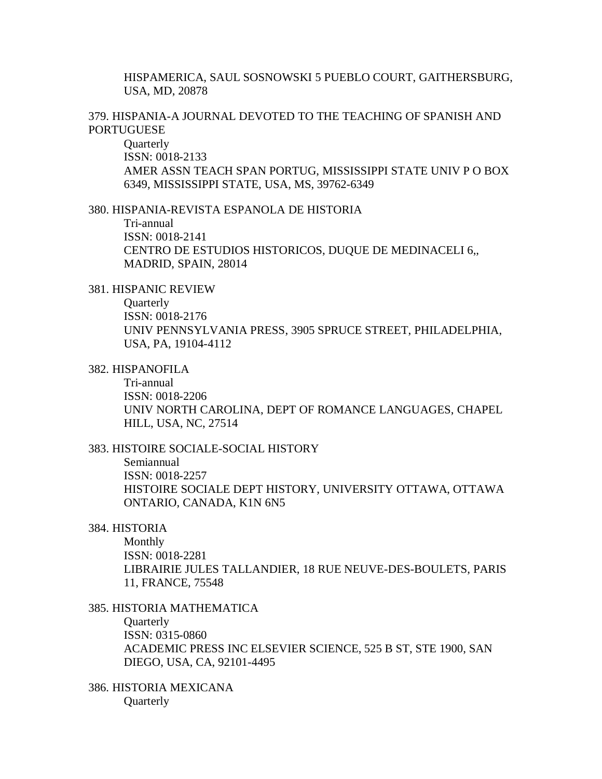HISPAMERICA, SAUL SOSNOWSKI 5 PUEBLO COURT, GAITHERSBURG, USA, MD, 20878

# 379. HISPANIA-A JOURNAL DEVOTED TO THE TEACHING OF SPANISH AND **PORTUGUESE**

**Quarterly** ISSN: 0018-2133 AMER ASSN TEACH SPAN PORTUG, MISSISSIPPI STATE UNIV P O BOX 6349, MISSISSIPPI STATE, USA, MS, 39762-6349

#### 380. HISPANIA-REVISTA ESPANOLA DE HISTORIA

Tri-annual ISSN: 0018-2141 CENTRO DE ESTUDIOS HISTORICOS, DUQUE DE MEDINACELI 6,, MADRID, SPAIN, 28014

#### 381. HISPANIC REVIEW

**Quarterly** 

ISSN: 0018-2176 UNIV PENNSYLVANIA PRESS, 3905 SPRUCE STREET, PHILADELPHIA, USA, PA, 19104-4112

# 382. HISPANOFILA

Tri-annual ISSN: 0018-2206 UNIV NORTH CAROLINA, DEPT OF ROMANCE LANGUAGES, CHAPEL HILL, USA, NC, 27514

## 383. HISTOIRE SOCIALE-SOCIAL HISTORY

Semiannual ISSN: 0018-2257 HISTOIRE SOCIALE DEPT HISTORY, UNIVERSITY OTTAWA, OTTAWA ONTARIO, CANADA, K1N 6N5

## 384. HISTORIA

Monthly ISSN: 0018-2281 LIBRAIRIE JULES TALLANDIER, 18 RUE NEUVE-DES-BOULETS, PARIS 11, FRANCE, 75548

## 385. HISTORIA MATHEMATICA

**Quarterly** ISSN: 0315-0860 ACADEMIC PRESS INC ELSEVIER SCIENCE, 525 B ST, STE 1900, SAN DIEGO, USA, CA, 92101-4495

386. HISTORIA MEXICANA **Quarterly**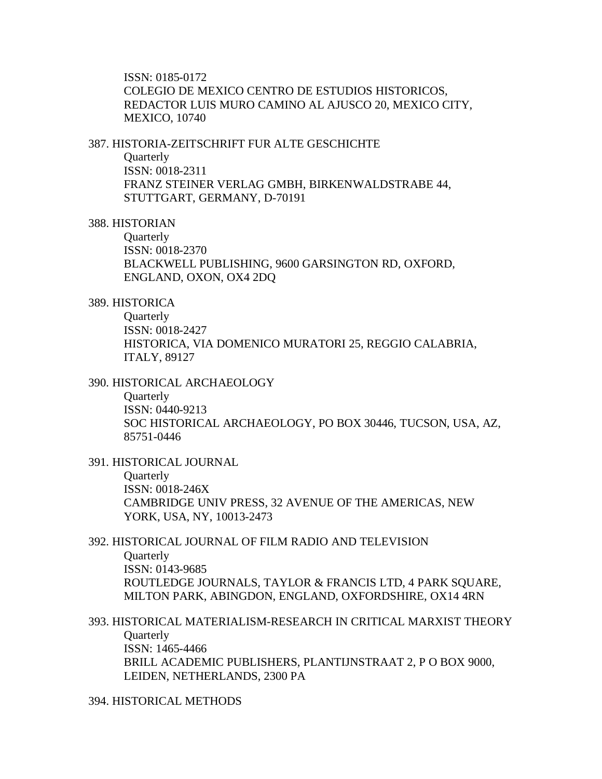ISSN: 0185-0172 COLEGIO DE MEXICO CENTRO DE ESTUDIOS HISTORICOS, REDACTOR LUIS MURO CAMINO AL AJUSCO 20, MEXICO CITY, MEXICO, 10740

#### 387. HISTORIA-ZEITSCHRIFT FUR ALTE GESCHICHTE

Quarterly

ISSN: 0018-2311 FRANZ STEINER VERLAG GMBH, BIRKENWALDSTRABE 44, STUTTGART, GERMANY, D-70191

# 388. HISTORIAN

**Ouarterly** ISSN: 0018-2370 BLACKWELL PUBLISHING, 9600 GARSINGTON RD, OXFORD, ENGLAND, OXON, OX4 2DQ

# 389. HISTORICA

**Quarterly** ISSN: 0018-2427 HISTORICA, VIA DOMENICO MURATORI 25, REGGIO CALABRIA, ITALY, 89127

#### 390. HISTORICAL ARCHAEOLOGY

**Ouarterly** ISSN: 0440-9213 SOC HISTORICAL ARCHAEOLOGY, PO BOX 30446, TUCSON, USA, AZ, 85751-0446

# 391. HISTORICAL JOURNAL **Quarterly** ISSN: 0018-246X CAMBRIDGE UNIV PRESS, 32 AVENUE OF THE AMERICAS, NEW YORK, USA, NY, 10013-2473

# 392. HISTORICAL JOURNAL OF FILM RADIO AND TELEVISION **Ouarterly** ISSN: 0143-9685 ROUTLEDGE JOURNALS, TAYLOR & FRANCIS LTD, 4 PARK SQUARE, MILTON PARK, ABINGDON, ENGLAND, OXFORDSHIRE, OX14 4RN

393. HISTORICAL MATERIALISM-RESEARCH IN CRITICAL MARXIST THEORY **Quarterly** ISSN: 1465-4466 BRILL ACADEMIC PUBLISHERS, PLANTIJNSTRAAT 2, P O BOX 9000, LEIDEN, NETHERLANDS, 2300 PA

# 394. HISTORICAL METHODS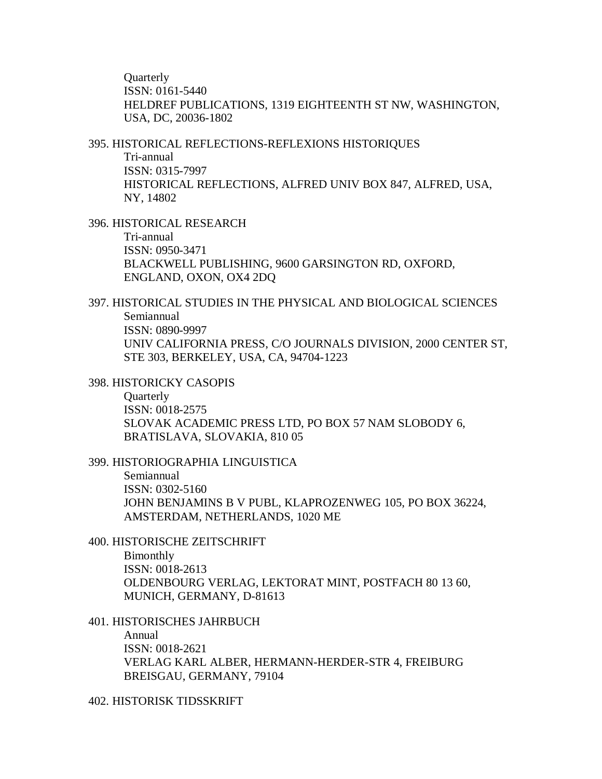**Ouarterly** ISSN: 0161-5440 HELDREF PUBLICATIONS, 1319 EIGHTEENTH ST NW, WASHINGTON, USA, DC, 20036-1802

395. HISTORICAL REFLECTIONS-REFLEXIONS HISTORIQUES Tri-annual ISSN: 0315-7997 HISTORICAL REFLECTIONS, ALFRED UNIV BOX 847, ALFRED, USA, NY, 14802

396. HISTORICAL RESEARCH Tri-annual ISSN: 0950-3471 BLACKWELL PUBLISHING, 9600 GARSINGTON RD, OXFORD, ENGLAND, OXON, OX4 2DQ

397. HISTORICAL STUDIES IN THE PHYSICAL AND BIOLOGICAL SCIENCES Semiannual ISSN: 0890-9997 UNIV CALIFORNIA PRESS, C/O JOURNALS DIVISION, 2000 CENTER ST, STE 303, BERKELEY, USA, CA, 94704-1223

398. HISTORICKY CASOPIS

**Ouarterly** ISSN: 0018-2575 SLOVAK ACADEMIC PRESS LTD, PO BOX 57 NAM SLOBODY 6, BRATISLAVA, SLOVAKIA, 810 05

399. HISTORIOGRAPHIA LINGUISTICA

Semiannual ISSN: 0302-5160 JOHN BENJAMINS B V PUBL, KLAPROZENWEG 105, PO BOX 36224, AMSTERDAM, NETHERLANDS, 1020 ME

400. HISTORISCHE ZEITSCHRIFT

Bimonthly ISSN: 0018-2613 OLDENBOURG VERLAG, LEKTORAT MINT, POSTFACH 80 13 60, MUNICH, GERMANY, D-81613

401. HISTORISCHES JAHRBUCH

Annual ISSN: 0018-2621 VERLAG KARL ALBER, HERMANN-HERDER-STR 4, FREIBURG BREISGAU, GERMANY, 79104

402. HISTORISK TIDSSKRIFT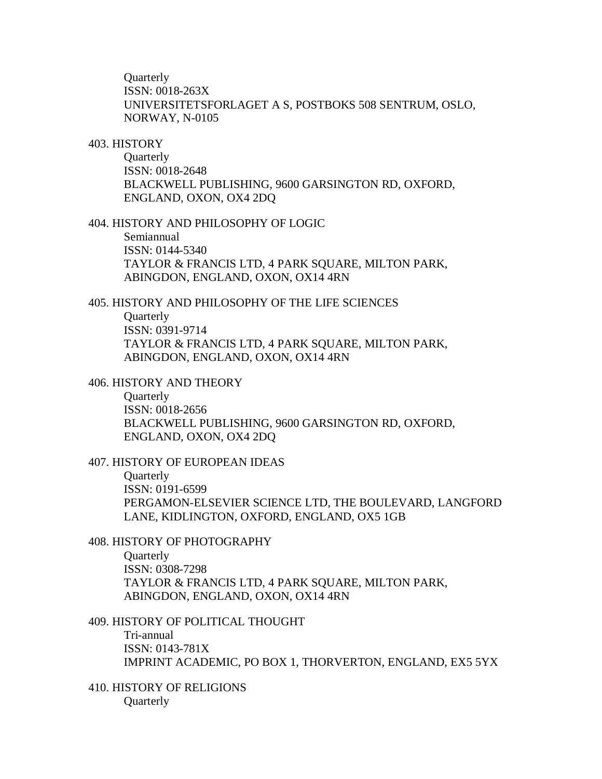**Ouarterly** ISSN: 0018-263X UNIVERSITETSFORLAGET A S, POSTBOKS 508 SENTRUM, OSLO, NORWAY, N-0105

#### 403. HISTORY

Quarterly ISSN: 0018-2648 BLACKWELL PUBLISHING, 9600 GARSINGTON RD, OXFORD, ENGLAND, OXON, OX4 2DQ

404. HISTORY AND PHILOSOPHY OF LOGIC

Semiannual ISSN: 0144-5340 TAYLOR & FRANCIS LTD, 4 PARK SQUARE, MILTON PARK, ABINGDON, ENGLAND, OXON, OX14 4RN

405. HISTORY AND PHILOSOPHY OF THE LIFE SCIENCES **Quarterly** ISSN: 0391-9714 TAYLOR & FRANCIS LTD, 4 PARK SQUARE, MILTON PARK, ABINGDON, ENGLAND, OXON, OX14 4RN

#### 406. HISTORY AND THEORY

**Ouarterly** ISSN: 0018-2656 BLACKWELL PUBLISHING, 9600 GARSINGTON RD, OXFORD, ENGLAND, OXON, OX4 2DQ

# 407. HISTORY OF EUROPEAN IDEAS

**Quarterly** ISSN: 0191-6599 PERGAMON-ELSEVIER SCIENCE LTD, THE BOULEVARD, LANGFORD LANE, KIDLINGTON, OXFORD, ENGLAND, OX5 1GB

# 408. HISTORY OF PHOTOGRAPHY

**Ouarterly** ISSN: 0308-7298 TAYLOR & FRANCIS LTD, 4 PARK SQUARE, MILTON PARK, ABINGDON, ENGLAND, OXON, OX14 4RN

## 409. HISTORY OF POLITICAL THOUGHT Tri-annual ISSN: 0143-781X IMPRINT ACADEMIC, PO BOX 1, THORVERTON, ENGLAND, EX5 5YX

# 410. HISTORY OF RELIGIONS **Quarterly**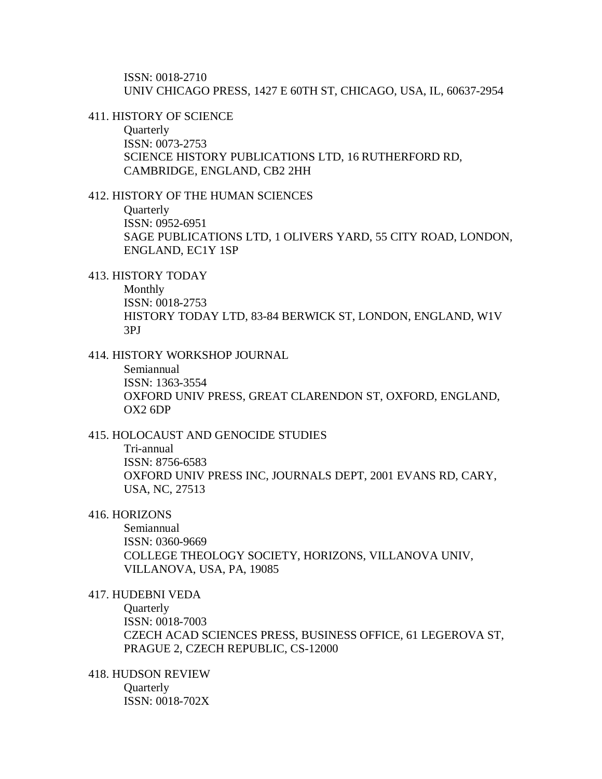ISSN: 0018-2710 UNIV CHICAGO PRESS, 1427 E 60TH ST, CHICAGO, USA, IL, 60637-2954

411. HISTORY OF SCIENCE

**Quarterly** ISSN: 0073-2753 SCIENCE HISTORY PUBLICATIONS LTD, 16 RUTHERFORD RD, CAMBRIDGE, ENGLAND, CB2 2HH

## 412. HISTORY OF THE HUMAN SCIENCES

**Quarterly** ISSN: 0952-6951 SAGE PUBLICATIONS LTD, 1 OLIVERS YARD, 55 CITY ROAD, LONDON, ENGLAND, EC1Y 1SP

413. HISTORY TODAY

Monthly ISSN: 0018-2753 HISTORY TODAY LTD, 83-84 BERWICK ST, LONDON, ENGLAND, W1V 3PJ

414. HISTORY WORKSHOP JOURNAL

Semiannual ISSN: 1363-3554 OXFORD UNIV PRESS, GREAT CLARENDON ST, OXFORD, ENGLAND, OX2 6DP

# 415. HOLOCAUST AND GENOCIDE STUDIES

Tri-annual ISSN: 8756-6583 OXFORD UNIV PRESS INC, JOURNALS DEPT, 2001 EVANS RD, CARY, USA, NC, 27513

## 416. HORIZONS

Semiannual ISSN: 0360-9669 COLLEGE THEOLOGY SOCIETY, HORIZONS, VILLANOVA UNIV, VILLANOVA, USA, PA, 19085

# 417. HUDEBNI VEDA

**Ouarterly** ISSN: 0018-7003 CZECH ACAD SCIENCES PRESS, BUSINESS OFFICE, 61 LEGEROVA ST, PRAGUE 2, CZECH REPUBLIC, CS-12000

418. HUDSON REVIEW **Ouarterly** ISSN: 0018-702X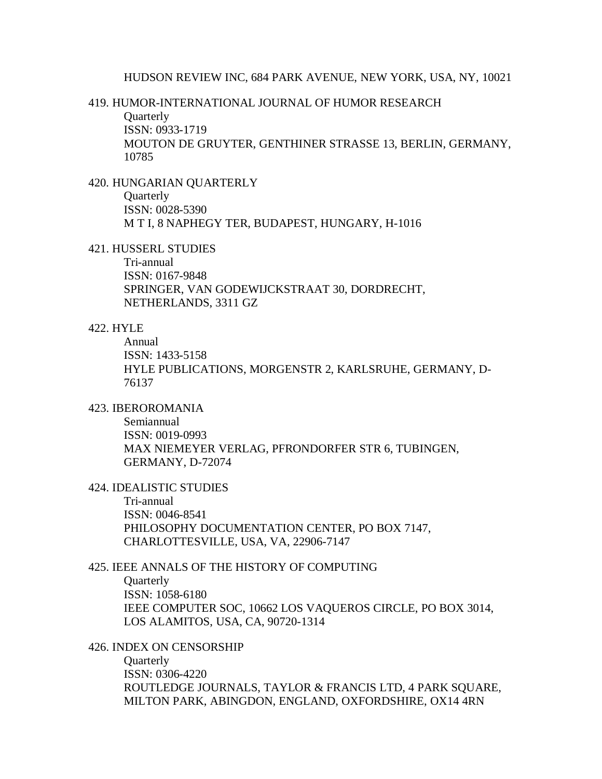#### 419. HUMOR-INTERNATIONAL JOURNAL OF HUMOR RESEARCH

**Ouarterly** 

ISSN: 0933-1719

MOUTON DE GRUYTER, GENTHINER STRASSE 13, BERLIN, GERMANY, 10785

## 420. HUNGARIAN QUARTERLY

**Quarterly** ISSN: 0028-5390 M T I, 8 NAPHEGY TER, BUDAPEST, HUNGARY, H-1016

#### 421. HUSSERL STUDIES

Tri-annual ISSN: 0167-9848 SPRINGER, VAN GODEWIJCKSTRAAT 30, DORDRECHT, NETHERLANDS, 3311 GZ

## 422. HYLE

Annual ISSN: 1433-5158 HYLE PUBLICATIONS, MORGENSTR 2, KARLSRUHE, GERMANY, D-76137

# 423. IBEROROMANIA

Semiannual ISSN: 0019-0993 MAX NIEMEYER VERLAG, PFRONDORFER STR 6, TUBINGEN, GERMANY, D-72074

# 424. IDEALISTIC STUDIES

Tri-annual ISSN: 0046-8541 PHILOSOPHY DOCUMENTATION CENTER, PO BOX 7147, CHARLOTTESVILLE, USA, VA, 22906-7147

# 425. IEEE ANNALS OF THE HISTORY OF COMPUTING

**Ouarterly** ISSN: 1058-6180 IEEE COMPUTER SOC, 10662 LOS VAQUEROS CIRCLE, PO BOX 3014, LOS ALAMITOS, USA, CA, 90720-1314

#### 426. INDEX ON CENSORSHIP

**Quarterly** ISSN: 0306-4220 ROUTLEDGE JOURNALS, TAYLOR & FRANCIS LTD, 4 PARK SQUARE, MILTON PARK, ABINGDON, ENGLAND, OXFORDSHIRE, OX14 4RN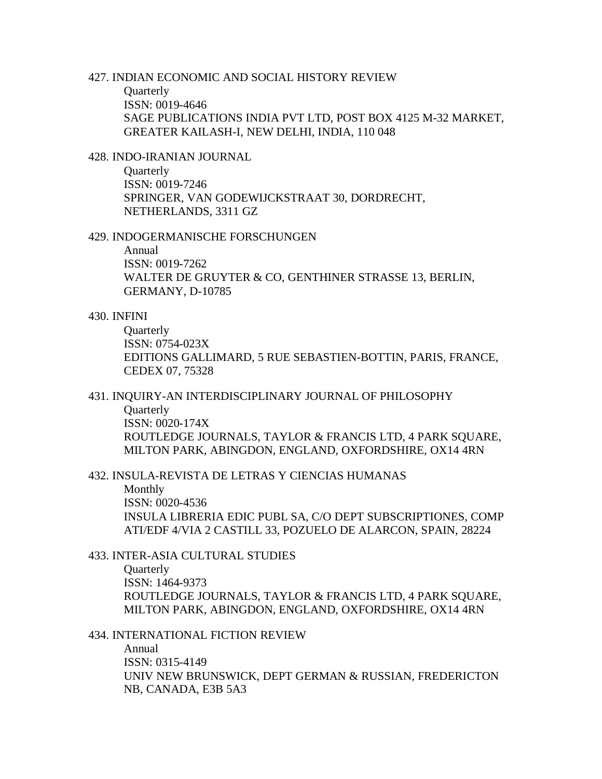# 427. INDIAN ECONOMIC AND SOCIAL HISTORY REVIEW

**Quarterly** ISSN: 0019-4646 SAGE PUBLICATIONS INDIA PVT LTD, POST BOX 4125 M-32 MARKET, GREATER KAILASH-I, NEW DELHI, INDIA, 110 048

# 428. INDO-IRANIAN JOURNAL

**Ouarterly** ISSN: 0019-7246 SPRINGER, VAN GODEWIJCKSTRAAT 30, DORDRECHT, NETHERLANDS, 3311 GZ

#### 429. INDOGERMANISCHE FORSCHUNGEN

Annual ISSN: 0019-7262 WALTER DE GRUYTER & CO, GENTHINER STRASSE 13, BERLIN, GERMANY, D-10785

#### 430. INFINI

**Quarterly** ISSN: 0754-023X EDITIONS GALLIMARD, 5 RUE SEBASTIEN-BOTTIN, PARIS, FRANCE, CEDEX 07, 75328

# 431. INQUIRY-AN INTERDISCIPLINARY JOURNAL OF PHILOSOPHY

**Ouarterly** ISSN: 0020-174X ROUTLEDGE JOURNALS, TAYLOR & FRANCIS LTD, 4 PARK SQUARE, MILTON PARK, ABINGDON, ENGLAND, OXFORDSHIRE, OX14 4RN

432. INSULA-REVISTA DE LETRAS Y CIENCIAS HUMANAS

Monthly ISSN: 0020-4536 INSULA LIBRERIA EDIC PUBL SA, C/O DEPT SUBSCRIPTIONES, COMP ATI/EDF 4/VIA 2 CASTILL 33, POZUELO DE ALARCON, SPAIN, 28224

#### 433. INTER-ASIA CULTURAL STUDIES

**Ouarterly** ISSN: 1464-9373 ROUTLEDGE JOURNALS, TAYLOR & FRANCIS LTD, 4 PARK SOUARE, MILTON PARK, ABINGDON, ENGLAND, OXFORDSHIRE, OX14 4RN

#### 434. INTERNATIONAL FICTION REVIEW

Annual ISSN: 0315-4149 UNIV NEW BRUNSWICK, DEPT GERMAN & RUSSIAN, FREDERICTON NB, CANADA, E3B 5A3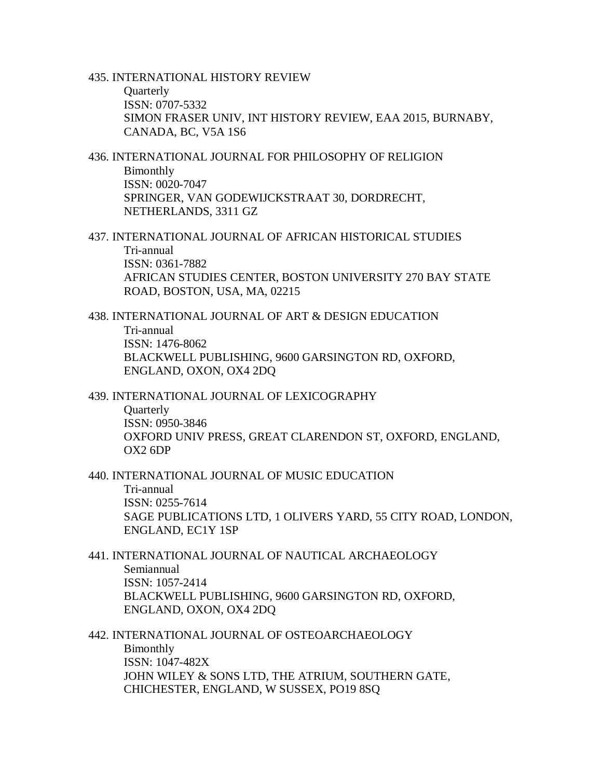435. INTERNATIONAL HISTORY REVIEW **Quarterly** ISSN: 0707-5332 SIMON FRASER UNIV, INT HISTORY REVIEW, EAA 2015, BURNABY, CANADA, BC, V5A 1S6

436. INTERNATIONAL JOURNAL FOR PHILOSOPHY OF RELIGION Bimonthly ISSN: 0020-7047 SPRINGER, VAN GODEWIJCKSTRAAT 30, DORDRECHT, NETHERLANDS, 3311 GZ

437. INTERNATIONAL JOURNAL OF AFRICAN HISTORICAL STUDIES Tri-annual ISSN: 0361-7882 AFRICAN STUDIES CENTER, BOSTON UNIVERSITY 270 BAY STATE ROAD, BOSTON, USA, MA, 02215

438. INTERNATIONAL JOURNAL OF ART & DESIGN EDUCATION Tri-annual ISSN: 1476-8062 BLACKWELL PUBLISHING, 9600 GARSINGTON RD, OXFORD, ENGLAND, OXON, OX4 2DQ

439. INTERNATIONAL JOURNAL OF LEXICOGRAPHY

**Ouarterly** ISSN: 0950-3846 OXFORD UNIV PRESS, GREAT CLARENDON ST, OXFORD, ENGLAND, OX2 6DP

440. INTERNATIONAL JOURNAL OF MUSIC EDUCATION Tri-annual ISSN: 0255-7614 SAGE PUBLICATIONS LTD, 1 OLIVERS YARD, 55 CITY ROAD, LONDON, ENGLAND, EC1Y 1SP

441. INTERNATIONAL JOURNAL OF NAUTICAL ARCHAEOLOGY Semiannual ISSN: 1057-2414 BLACKWELL PUBLISHING, 9600 GARSINGTON RD, OXFORD, ENGLAND, OXON, OX4 2DQ

442. INTERNATIONAL JOURNAL OF OSTEOARCHAEOLOGY Bimonthly ISSN: 1047-482X JOHN WILEY & SONS LTD, THE ATRIUM, SOUTHERN GATE, CHICHESTER, ENGLAND, W SUSSEX, PO19 8SQ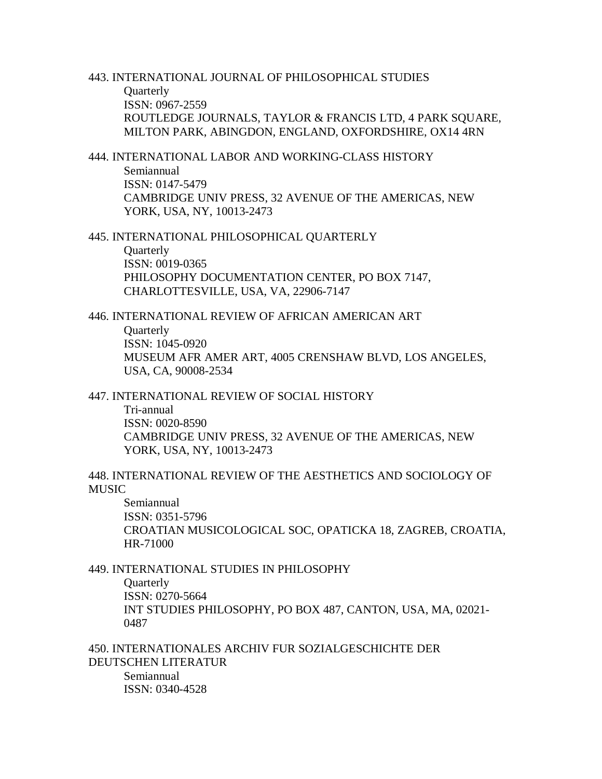443. INTERNATIONAL JOURNAL OF PHILOSOPHICAL STUDIES **Quarterly** ISSN: 0967-2559 ROUTLEDGE JOURNALS, TAYLOR & FRANCIS LTD, 4 PARK SOUARE, MILTON PARK, ABINGDON, ENGLAND, OXFORDSHIRE, OX14 4RN

444. INTERNATIONAL LABOR AND WORKING-CLASS HISTORY Semiannual ISSN: 0147-5479 CAMBRIDGE UNIV PRESS, 32 AVENUE OF THE AMERICAS, NEW YORK, USA, NY, 10013-2473

445. INTERNATIONAL PHILOSOPHICAL QUARTERLY Quarterly ISSN: 0019-0365 PHILOSOPHY DOCUMENTATION CENTER, PO BOX 7147, CHARLOTTESVILLE, USA, VA, 22906-7147

446. INTERNATIONAL REVIEW OF AFRICAN AMERICAN ART

**Quarterly** 

ISSN: 1045-0920 MUSEUM AFR AMER ART, 4005 CRENSHAW BLVD, LOS ANGELES,

USA, CA, 90008-2534

447. INTERNATIONAL REVIEW OF SOCIAL HISTORY

Tri-annual ISSN: 0020-8590 CAMBRIDGE UNIV PRESS, 32 AVENUE OF THE AMERICAS, NEW YORK, USA, NY, 10013-2473

448. INTERNATIONAL REVIEW OF THE AESTHETICS AND SOCIOLOGY OF MUSIC

Semiannual ISSN: 0351-5796 CROATIAN MUSICOLOGICAL SOC, OPATICKA 18, ZAGREB, CROATIA, HR-71000

449. INTERNATIONAL STUDIES IN PHILOSOPHY

**Quarterly** 

ISSN: 0270-5664 INT STUDIES PHILOSOPHY, PO BOX 487, CANTON, USA, MA, 02021- 0487

450. INTERNATIONALES ARCHIV FUR SOZIALGESCHICHTE DER DEUTSCHEN LITERATUR Semiannual ISSN: 0340-4528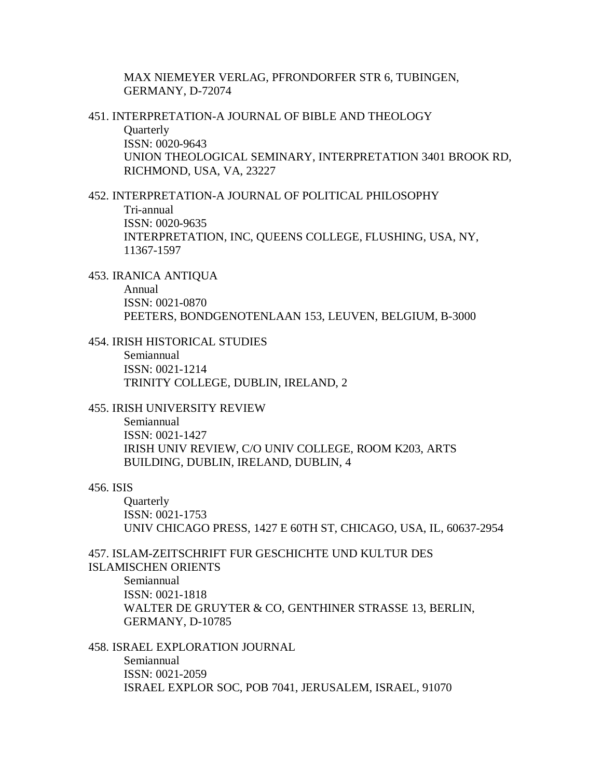MAX NIEMEYER VERLAG, PFRONDORFER STR 6, TUBINGEN, GERMANY, D-72074

451. INTERPRETATION-A JOURNAL OF BIBLE AND THEOLOGY **Quarterly** ISSN: 0020-9643 UNION THEOLOGICAL SEMINARY, INTERPRETATION 3401 BROOK RD, RICHMOND, USA, VA, 23227

452. INTERPRETATION-A JOURNAL OF POLITICAL PHILOSOPHY Tri-annual ISSN: 0020-9635 INTERPRETATION, INC, QUEENS COLLEGE, FLUSHING, USA, NY, 11367-1597

453. IRANICA ANTIQUA

Annual ISSN: 0021-0870 PEETERS, BONDGENOTENLAAN 153, LEUVEN, BELGIUM, B-3000

454. IRISH HISTORICAL STUDIES Semiannual ISSN: 0021-1214 TRINITY COLLEGE, DUBLIN, IRELAND, 2

455. IRISH UNIVERSITY REVIEW

Semiannual ISSN: 0021-1427 IRISH UNIV REVIEW, C/O UNIV COLLEGE, ROOM K203, ARTS BUILDING, DUBLIN, IRELAND, DUBLIN, 4

## 456. ISIS

**Quarterly** ISSN: 0021-1753 UNIV CHICAGO PRESS, 1427 E 60TH ST, CHICAGO, USA, IL, 60637-2954

457. ISLAM-ZEITSCHRIFT FUR GESCHICHTE UND KULTUR DES ISLAMISCHEN ORIENTS

Semiannual

ISSN: 0021-1818 WALTER DE GRUYTER & CO, GENTHINER STRASSE 13, BERLIN, GERMANY, D-10785

458. ISRAEL EXPLORATION JOURNAL Semiannual ISSN: 0021-2059 ISRAEL EXPLOR SOC, POB 7041, JERUSALEM, ISRAEL, 91070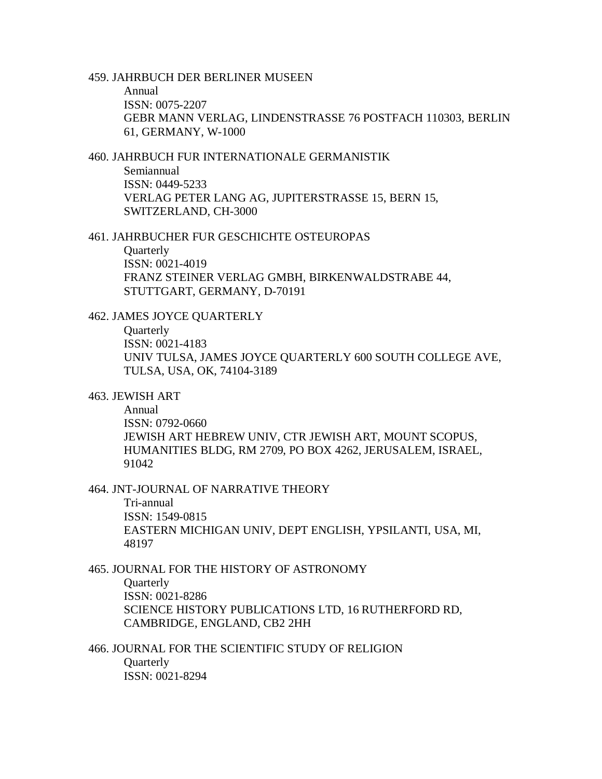#### 459. JAHRBUCH DER BERLINER MUSEEN

Annual ISSN: 0075-2207 GEBR MANN VERLAG, LINDENSTRASSE 76 POSTFACH 110303, BERLIN 61, GERMANY, W-1000

#### 460. JAHRBUCH FUR INTERNATIONALE GERMANISTIK Semiannual

ISSN: 0449-5233 VERLAG PETER LANG AG, JUPITERSTRASSE 15, BERN 15, SWITZERLAND, CH-3000

#### 461. JAHRBUCHER FUR GESCHICHTE OSTEUROPAS

Quarterly ISSN: 0021-4019 FRANZ STEINER VERLAG GMBH, BIRKENWALDSTRABE 44, STUTTGART, GERMANY, D-70191

# 462. JAMES JOYCE QUARTERLY

**Quarterly** ISSN: 0021-4183 UNIV TULSA, JAMES JOYCE QUARTERLY 600 SOUTH COLLEGE AVE, TULSA, USA, OK, 74104-3189

# 463. JEWISH ART

Annual ISSN: 0792-0660 JEWISH ART HEBREW UNIV, CTR JEWISH ART, MOUNT SCOPUS, HUMANITIES BLDG, RM 2709, PO BOX 4262, JERUSALEM, ISRAEL, 91042

# 464. JNT-JOURNAL OF NARRATIVE THEORY

Tri-annual ISSN: 1549-0815 EASTERN MICHIGAN UNIV, DEPT ENGLISH, YPSILANTI, USA, MI, 48197

## 465. JOURNAL FOR THE HISTORY OF ASTRONOMY

**Quarterly** 

ISSN: 0021-8286 SCIENCE HISTORY PUBLICATIONS LTD, 16 RUTHERFORD RD, CAMBRIDGE, ENGLAND, CB2 2HH

# 466. JOURNAL FOR THE SCIENTIFIC STUDY OF RELIGION **Ouarterly** ISSN: 0021-8294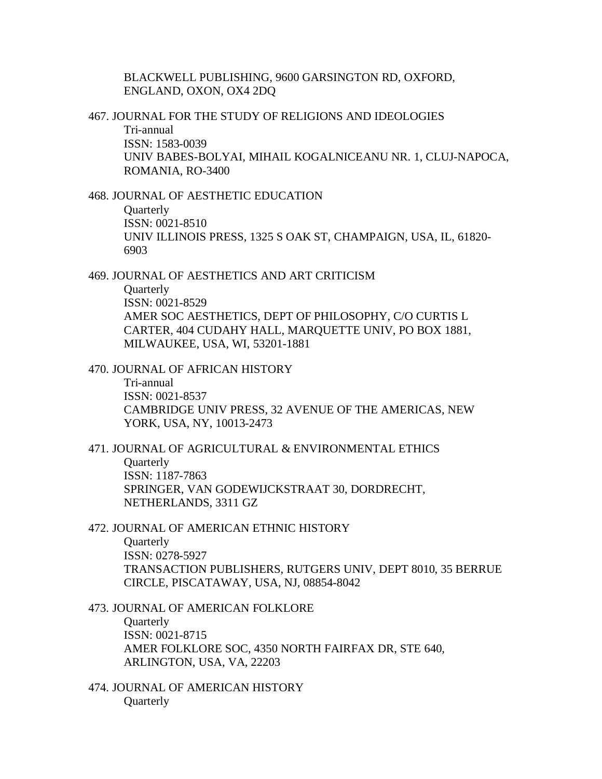BLACKWELL PUBLISHING, 9600 GARSINGTON RD, OXFORD, ENGLAND, OXON, OX4 2DQ

467. JOURNAL FOR THE STUDY OF RELIGIONS AND IDEOLOGIES Tri-annual ISSN: 1583-0039 UNIV BABES-BOLYAI, MIHAIL KOGALNICEANU NR. 1, CLUJ-NAPOCA, ROMANIA, RO-3400

468. JOURNAL OF AESTHETIC EDUCATION

**Quarterly** ISSN: 0021-8510 UNIV ILLINOIS PRESS, 1325 S OAK ST, CHAMPAIGN, USA, IL, 61820- 6903

469. JOURNAL OF AESTHETICS AND ART CRITICISM

**Ouarterly** ISSN: 0021-8529 AMER SOC AESTHETICS, DEPT OF PHILOSOPHY, C/O CURTIS L CARTER, 404 CUDAHY HALL, MARQUETTE UNIV, PO BOX 1881, MILWAUKEE, USA, WI, 53201-1881

470. JOURNAL OF AFRICAN HISTORY Tri-annual ISSN: 0021-8537 CAMBRIDGE UNIV PRESS, 32 AVENUE OF THE AMERICAS, NEW YORK, USA, NY, 10013-2473

471. JOURNAL OF AGRICULTURAL & ENVIRONMENTAL ETHICS **Ouarterly** ISSN: 1187-7863 SPRINGER, VAN GODEWIJCKSTRAAT 30, DORDRECHT, NETHERLANDS, 3311 GZ

472. JOURNAL OF AMERICAN ETHNIC HISTORY **Ouarterly** ISSN: 0278-5927 TRANSACTION PUBLISHERS, RUTGERS UNIV, DEPT 8010, 35 BERRUE CIRCLE, PISCATAWAY, USA, NJ, 08854-8042

473. JOURNAL OF AMERICAN FOLKLORE **Quarterly** ISSN: 0021-8715 AMER FOLKLORE SOC, 4350 NORTH FAIRFAX DR, STE 640, ARLINGTON, USA, VA, 22203

474. JOURNAL OF AMERICAN HISTORY **Quarterly**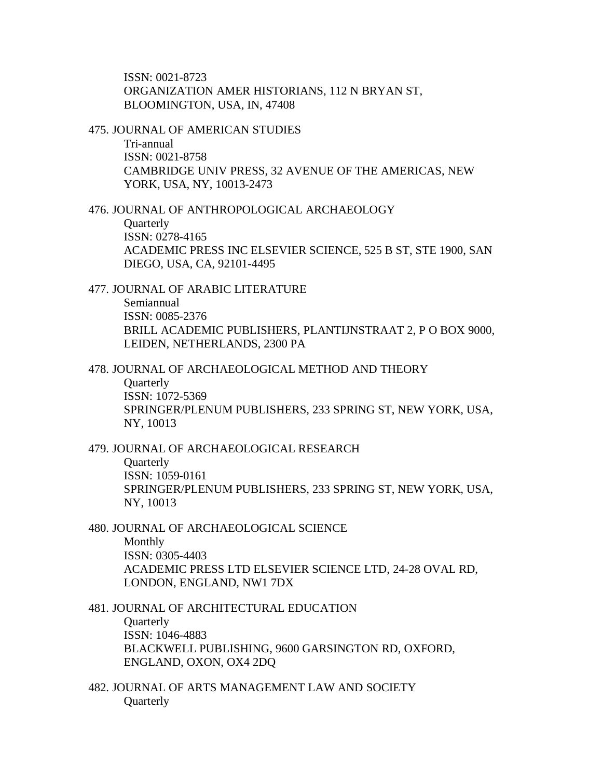ISSN: 0021-8723 ORGANIZATION AMER HISTORIANS, 112 N BRYAN ST, BLOOMINGTON, USA, IN, 47408

475. JOURNAL OF AMERICAN STUDIES Tri-annual ISSN: 0021-8758 CAMBRIDGE UNIV PRESS, 32 AVENUE OF THE AMERICAS, NEW YORK, USA, NY, 10013-2473

476. JOURNAL OF ANTHROPOLOGICAL ARCHAEOLOGY **Ouarterly** ISSN: 0278-4165 ACADEMIC PRESS INC ELSEVIER SCIENCE, 525 B ST, STE 1900, SAN DIEGO, USA, CA, 92101-4495

477. JOURNAL OF ARABIC LITERATURE Semiannual ISSN: 0085-2376 BRILL ACADEMIC PUBLISHERS, PLANTIJNSTRAAT 2, P O BOX 9000, LEIDEN, NETHERLANDS, 2300 PA

478. JOURNAL OF ARCHAEOLOGICAL METHOD AND THEORY **Quarterly** ISSN: 1072-5369 SPRINGER/PLENUM PUBLISHERS, 233 SPRING ST, NEW YORK, USA, NY, 10013

479. JOURNAL OF ARCHAEOLOGICAL RESEARCH **Ouarterly** ISSN: 1059-0161 SPRINGER/PLENUM PUBLISHERS, 233 SPRING ST, NEW YORK, USA, NY, 10013

480. JOURNAL OF ARCHAEOLOGICAL SCIENCE Monthly ISSN: 0305-4403 ACADEMIC PRESS LTD ELSEVIER SCIENCE LTD, 24-28 OVAL RD, LONDON, ENGLAND, NW1 7DX

481. JOURNAL OF ARCHITECTURAL EDUCATION **Quarterly** ISSN: 1046-4883 BLACKWELL PUBLISHING, 9600 GARSINGTON RD, OXFORD, ENGLAND, OXON, OX4 2DQ

482. JOURNAL OF ARTS MANAGEMENT LAW AND SOCIETY **Quarterly**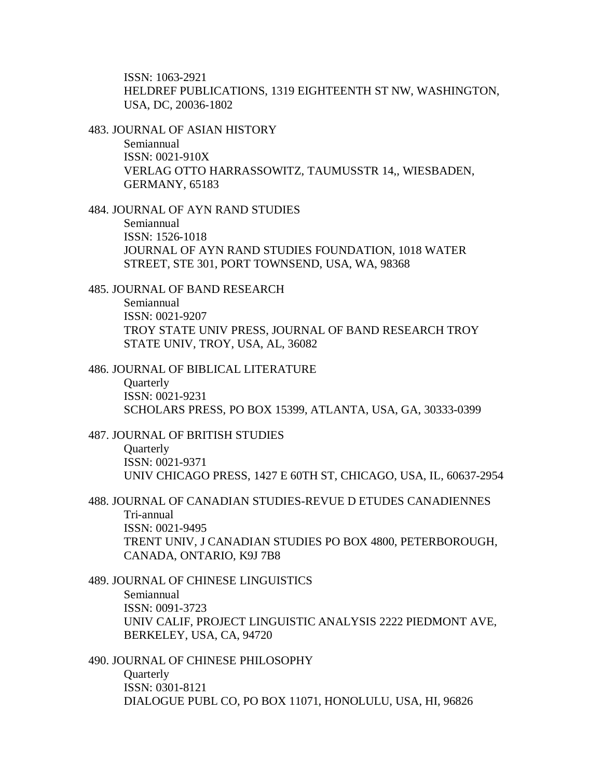ISSN: 1063-2921 HELDREF PUBLICATIONS, 1319 EIGHTEENTH ST NW, WASHINGTON, USA, DC, 20036-1802

483. JOURNAL OF ASIAN HISTORY Semiannual ISSN: 0021-910X VERLAG OTTO HARRASSOWITZ, TAUMUSSTR 14,, WIESBADEN, GERMANY, 65183

484. JOURNAL OF AYN RAND STUDIES Semiannual ISSN: 1526-1018 JOURNAL OF AYN RAND STUDIES FOUNDATION, 1018 WATER STREET, STE 301, PORT TOWNSEND, USA, WA, 98368

485. JOURNAL OF BAND RESEARCH Semiannual ISSN: 0021-9207 TROY STATE UNIV PRESS, JOURNAL OF BAND RESEARCH TROY STATE UNIV, TROY, USA, AL, 36082

486. JOURNAL OF BIBLICAL LITERATURE **Quarterly** ISSN: 0021-9231 SCHOLARS PRESS, PO BOX 15399, ATLANTA, USA, GA, 30333-0399

487. JOURNAL OF BRITISH STUDIES **Ouarterly** ISSN: 0021-9371 UNIV CHICAGO PRESS, 1427 E 60TH ST, CHICAGO, USA, IL, 60637-2954

488. JOURNAL OF CANADIAN STUDIES-REVUE D ETUDES CANADIENNES Tri-annual ISSN: 0021-9495 TRENT UNIV, J CANADIAN STUDIES PO BOX 4800, PETERBOROUGH, CANADA, ONTARIO, K9J 7B8

489. JOURNAL OF CHINESE LINGUISTICS Semiannual ISSN: 0091-3723 UNIV CALIF, PROJECT LINGUISTIC ANALYSIS 2222 PIEDMONT AVE, BERKELEY, USA, CA, 94720

490. JOURNAL OF CHINESE PHILOSOPHY **Quarterly** ISSN: 0301-8121 DIALOGUE PUBL CO, PO BOX 11071, HONOLULU, USA, HI, 96826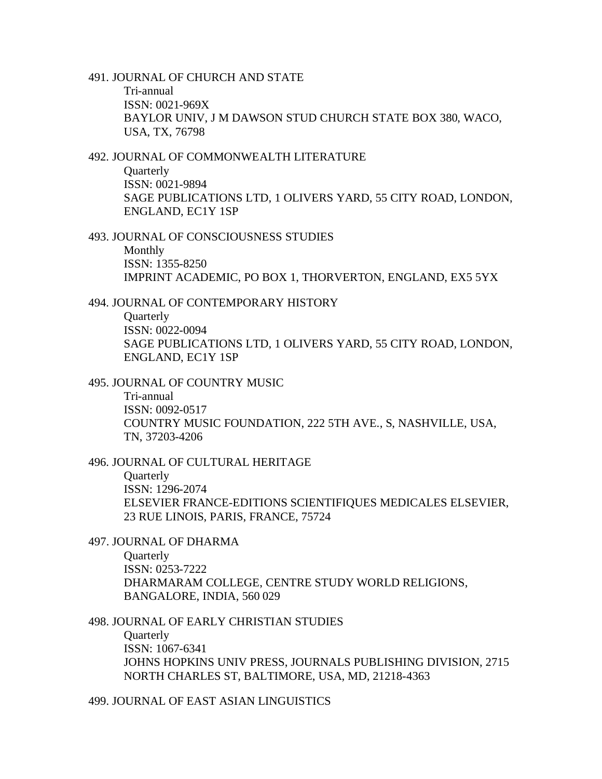491. JOURNAL OF CHURCH AND STATE Tri-annual ISSN: 0021-969X BAYLOR UNIV, J M DAWSON STUD CHURCH STATE BOX 380, WACO, USA, TX, 76798

492. JOURNAL OF COMMONWEALTH LITERATURE **Ouarterly** ISSN: 0021-9894 SAGE PUBLICATIONS LTD, 1 OLIVERS YARD, 55 CITY ROAD, LONDON, ENGLAND, EC1Y 1SP

493. JOURNAL OF CONSCIOUSNESS STUDIES Monthly ISSN: 1355-8250 IMPRINT ACADEMIC, PO BOX 1, THORVERTON, ENGLAND, EX5 5YX

494. JOURNAL OF CONTEMPORARY HISTORY **Quarterly** ISSN: 0022-0094 SAGE PUBLICATIONS LTD, 1 OLIVERS YARD, 55 CITY ROAD, LONDON, ENGLAND, EC1Y 1SP

495. JOURNAL OF COUNTRY MUSIC

Tri-annual ISSN: 0092-0517 COUNTRY MUSIC FOUNDATION, 222 5TH AVE., S, NASHVILLE, USA, TN, 37203-4206

496. JOURNAL OF CULTURAL HERITAGE **Quarterly** ISSN: 1296-2074 ELSEVIER FRANCE-EDITIONS SCIENTIFIQUES MEDICALES ELSEVIER, 23 RUE LINOIS, PARIS, FRANCE, 75724

497. JOURNAL OF DHARMA **Ouarterly** ISSN: 0253-7222 DHARMARAM COLLEGE, CENTRE STUDY WORLD RELIGIONS, BANGALORE, INDIA, 560 029

498. JOURNAL OF EARLY CHRISTIAN STUDIES **Quarterly** ISSN: 1067-6341 JOHNS HOPKINS UNIV PRESS, JOURNALS PUBLISHING DIVISION, 2715 NORTH CHARLES ST, BALTIMORE, USA, MD, 21218-4363

499. JOURNAL OF EAST ASIAN LINGUISTICS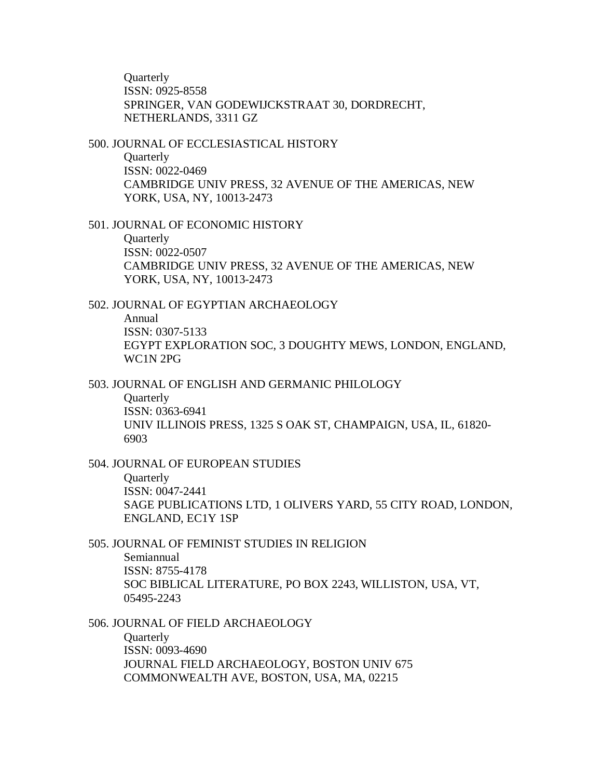**Ouarterly** ISSN: 0925-8558 SPRINGER, VAN GODEWIJCKSTRAAT 30, DORDRECHT, NETHERLANDS, 3311 GZ

500. JOURNAL OF ECCLESIASTICAL HISTORY Quarterly ISSN: 0022-0469 CAMBRIDGE UNIV PRESS, 32 AVENUE OF THE AMERICAS, NEW YORK, USA, NY, 10013-2473

501. JOURNAL OF ECONOMIC HISTORY **Quarterly** ISSN: 0022-0507 CAMBRIDGE UNIV PRESS, 32 AVENUE OF THE AMERICAS, NEW YORK, USA, NY, 10013-2473

#### 502. JOURNAL OF EGYPTIAN ARCHAEOLOGY

Annual ISSN: 0307-5133 EGYPT EXPLORATION SOC, 3 DOUGHTY MEWS, LONDON, ENGLAND, WC1N 2PG

503. JOURNAL OF ENGLISH AND GERMANIC PHILOLOGY

**Quarterly** ISSN: 0363-6941 UNIV ILLINOIS PRESS, 1325 S OAK ST, CHAMPAIGN, USA, IL, 61820- 6903

504. JOURNAL OF EUROPEAN STUDIES

**Ouarterly** ISSN: 0047-2441 SAGE PUBLICATIONS LTD, 1 OLIVERS YARD, 55 CITY ROAD, LONDON, ENGLAND, EC1Y 1SP

505. JOURNAL OF FEMINIST STUDIES IN RELIGION Semiannual ISSN: 8755-4178 SOC BIBLICAL LITERATURE, PO BOX 2243, WILLISTON, USA, VT, 05495-2243

506. JOURNAL OF FIELD ARCHAEOLOGY **Quarterly** ISSN: 0093-4690 JOURNAL FIELD ARCHAEOLOGY, BOSTON UNIV 675 COMMONWEALTH AVE, BOSTON, USA, MA, 02215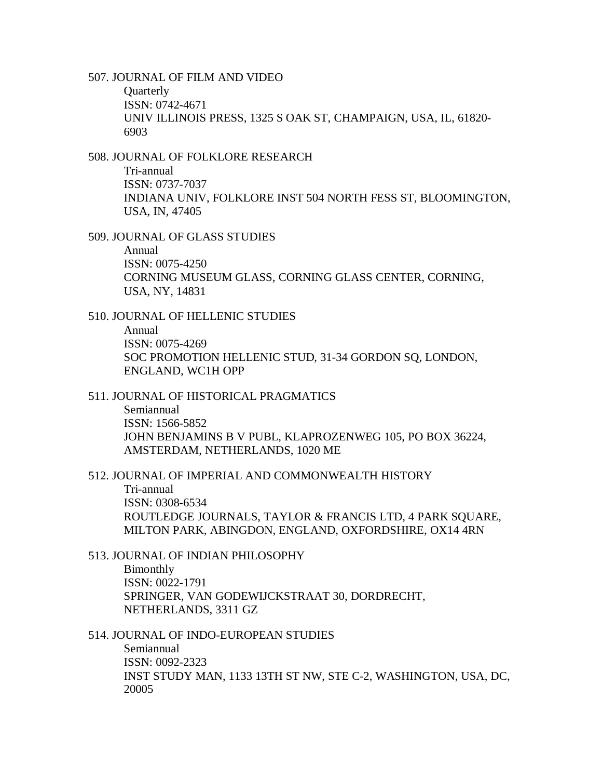507. JOURNAL OF FILM AND VIDEO

**Quarterly** ISSN: 0742-4671 UNIV ILLINOIS PRESS, 1325 S OAK ST, CHAMPAIGN, USA, IL, 61820- 6903

# 508. JOURNAL OF FOLKLORE RESEARCH

Tri-annual ISSN: 0737-7037 INDIANA UNIV, FOLKLORE INST 504 NORTH FESS ST, BLOOMINGTON, USA, IN, 47405

509. JOURNAL OF GLASS STUDIES

Annual ISSN: 0075-4250 CORNING MUSEUM GLASS, CORNING GLASS CENTER, CORNING, USA, NY, 14831

510. JOURNAL OF HELLENIC STUDIES

Annual ISSN: 0075-4269 SOC PROMOTION HELLENIC STUD, 31-34 GORDON SQ, LONDON, ENGLAND, WC1H OPP

# 511. JOURNAL OF HISTORICAL PRAGMATICS

Semiannual ISSN: 1566-5852 JOHN BENJAMINS B V PUBL, KLAPROZENWEG 105, PO BOX 36224, AMSTERDAM, NETHERLANDS, 1020 ME

512. JOURNAL OF IMPERIAL AND COMMONWEALTH HISTORY Tri-annual ISSN: 0308-6534 ROUTLEDGE JOURNALS, TAYLOR & FRANCIS LTD, 4 PARK SQUARE, MILTON PARK, ABINGDON, ENGLAND, OXFORDSHIRE, OX14 4RN

513. JOURNAL OF INDIAN PHILOSOPHY

Bimonthly ISSN: 0022-1791 SPRINGER, VAN GODEWIJCKSTRAAT 30, DORDRECHT, NETHERLANDS, 3311 GZ

#### 514. JOURNAL OF INDO-EUROPEAN STUDIES

Semiannual ISSN: 0092-2323 INST STUDY MAN, 1133 13TH ST NW, STE C-2, WASHINGTON, USA, DC, 20005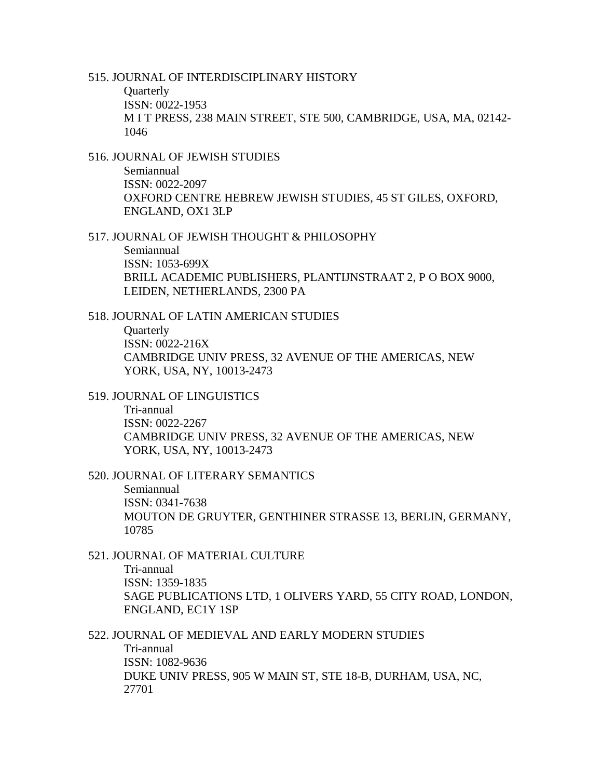515. JOURNAL OF INTERDISCIPLINARY HISTORY

**Quarterly** ISSN: 0022-1953 M I T PRESS, 238 MAIN STREET, STE 500, CAMBRIDGE, USA, MA, 02142- 1046

516. JOURNAL OF JEWISH STUDIES Semiannual ISSN: 0022-2097 OXFORD CENTRE HEBREW JEWISH STUDIES, 45 ST GILES, OXFORD, ENGLAND, OX1 3LP

517. JOURNAL OF JEWISH THOUGHT & PHILOSOPHY

Semiannual ISSN: 1053-699X BRILL ACADEMIC PUBLISHERS, PLANTIJNSTRAAT 2, P O BOX 9000, LEIDEN, NETHERLANDS, 2300 PA

518. JOURNAL OF LATIN AMERICAN STUDIES **Quarterly** 

ISSN: 0022-216X CAMBRIDGE UNIV PRESS, 32 AVENUE OF THE AMERICAS, NEW YORK, USA, NY, 10013-2473

519. JOURNAL OF LINGUISTICS

Tri-annual ISSN: 0022-2267 CAMBRIDGE UNIV PRESS, 32 AVENUE OF THE AMERICAS, NEW YORK, USA, NY, 10013-2473

520. JOURNAL OF LITERARY SEMANTICS

Semiannual ISSN: 0341-7638 MOUTON DE GRUYTER, GENTHINER STRASSE 13, BERLIN, GERMANY, 10785

521. JOURNAL OF MATERIAL CULTURE

Tri-annual ISSN: 1359-1835 SAGE PUBLICATIONS LTD, 1 OLIVERS YARD, 55 CITY ROAD, LONDON, ENGLAND, EC1Y 1SP

522. JOURNAL OF MEDIEVAL AND EARLY MODERN STUDIES

Tri-annual ISSN: 1082-9636 DUKE UNIV PRESS, 905 W MAIN ST, STE 18-B, DURHAM, USA, NC, 27701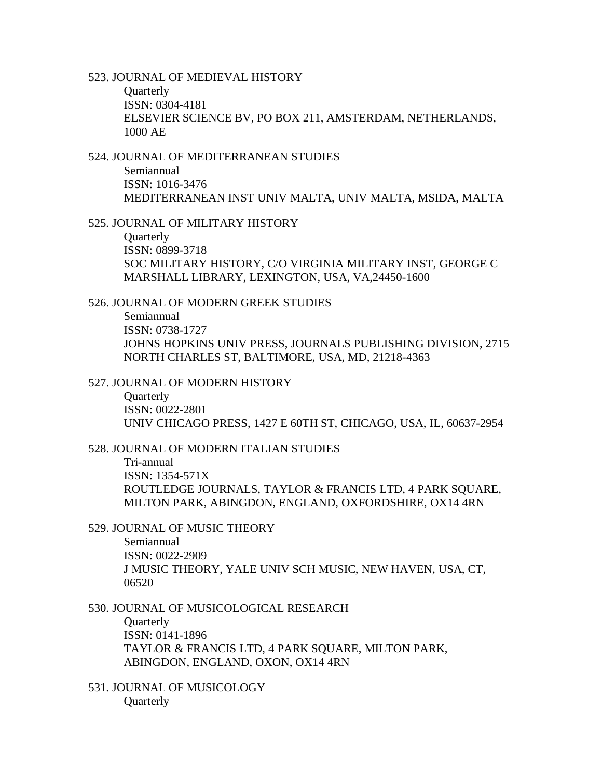523. JOURNAL OF MEDIEVAL HISTORY

**Quarterly** ISSN: 0304-4181 ELSEVIER SCIENCE BV, PO BOX 211, AMSTERDAM, NETHERLANDS, 1000 AE

524. JOURNAL OF MEDITERRANEAN STUDIES Semiannual ISSN: 1016-3476 MEDITERRANEAN INST UNIV MALTA, UNIV MALTA, MSIDA, MALTA

525. JOURNAL OF MILITARY HISTORY

**Ouarterly** ISSN: 0899-3718 SOC MILITARY HISTORY, C/O VIRGINIA MILITARY INST, GEORGE C MARSHALL LIBRARY, LEXINGTON, USA, VA,24450-1600

526. JOURNAL OF MODERN GREEK STUDIES Semiannual ISSN: 0738-1727 JOHNS HOPKINS UNIV PRESS, JOURNALS PUBLISHING DIVISION, 2715 NORTH CHARLES ST, BALTIMORE, USA, MD, 21218-4363

527. JOURNAL OF MODERN HISTORY

**Ouarterly** ISSN: 0022-2801 UNIV CHICAGO PRESS, 1427 E 60TH ST, CHICAGO, USA, IL, 60637-2954

528. JOURNAL OF MODERN ITALIAN STUDIES

Tri-annual ISSN: 1354-571X ROUTLEDGE JOURNALS, TAYLOR & FRANCIS LTD, 4 PARK SQUARE, MILTON PARK, ABINGDON, ENGLAND, OXFORDSHIRE, OX14 4RN

529. JOURNAL OF MUSIC THEORY

Semiannual ISSN: 0022-2909 J MUSIC THEORY, YALE UNIV SCH MUSIC, NEW HAVEN, USA, CT, 06520

530. JOURNAL OF MUSICOLOGICAL RESEARCH **Quarterly** ISSN: 0141-1896 TAYLOR & FRANCIS LTD, 4 PARK SQUARE, MILTON PARK, ABINGDON, ENGLAND, OXON, OX14 4RN

531. JOURNAL OF MUSICOLOGY **Quarterly**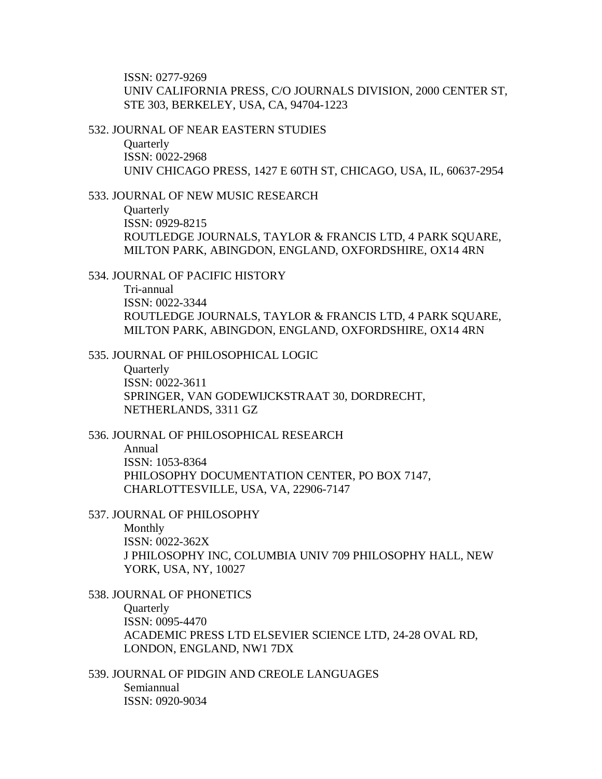ISSN: 0277-9269 UNIV CALIFORNIA PRESS, C/O JOURNALS DIVISION, 2000 CENTER ST, STE 303, BERKELEY, USA, CA, 94704-1223

532. JOURNAL OF NEAR EASTERN STUDIES

**Quarterly** ISSN: 0022-2968 UNIV CHICAGO PRESS, 1427 E 60TH ST, CHICAGO, USA, IL, 60637-2954

533. JOURNAL OF NEW MUSIC RESEARCH

**Quarterly** ISSN: 0929-8215 ROUTLEDGE JOURNALS, TAYLOR & FRANCIS LTD, 4 PARK SQUARE, MILTON PARK, ABINGDON, ENGLAND, OXFORDSHIRE, OX14 4RN

534. JOURNAL OF PACIFIC HISTORY Tri-annual ISSN: 0022-3344 ROUTLEDGE JOURNALS, TAYLOR & FRANCIS LTD, 4 PARK SQUARE, MILTON PARK, ABINGDON, ENGLAND, OXFORDSHIRE, OX14 4RN

535. JOURNAL OF PHILOSOPHICAL LOGIC

**Ouarterly** ISSN: 0022-3611 SPRINGER, VAN GODEWIJCKSTRAAT 30, DORDRECHT, NETHERLANDS, 3311 GZ

536. JOURNAL OF PHILOSOPHICAL RESEARCH Annual ISSN: 1053-8364 PHILOSOPHY DOCUMENTATION CENTER, PO BOX 7147, CHARLOTTESVILLE, USA, VA, 22906-7147

537. JOURNAL OF PHILOSOPHY

Monthly ISSN: 0022-362X J PHILOSOPHY INC, COLUMBIA UNIV 709 PHILOSOPHY HALL, NEW YORK, USA, NY, 10027

538. JOURNAL OF PHONETICS **Ouarterly** ISSN: 0095-4470 ACADEMIC PRESS LTD ELSEVIER SCIENCE LTD, 24-28 OVAL RD, LONDON, ENGLAND, NW1 7DX

539. JOURNAL OF PIDGIN AND CREOLE LANGUAGES Semiannual ISSN: 0920-9034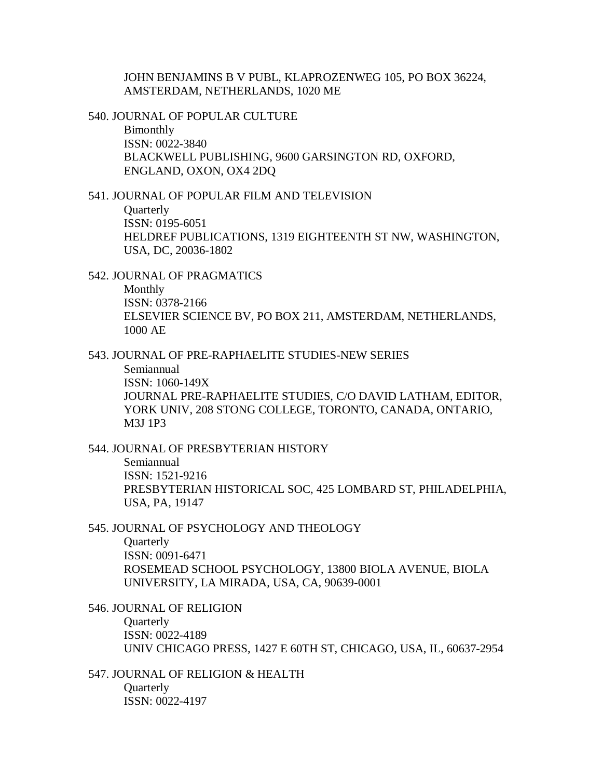JOHN BENJAMINS B V PUBL, KLAPROZENWEG 105, PO BOX 36224, AMSTERDAM, NETHERLANDS, 1020 ME

540. JOURNAL OF POPULAR CULTURE Bimonthly ISSN: 0022-3840 BLACKWELL PUBLISHING, 9600 GARSINGTON RD, OXFORD, ENGLAND, OXON, OX4 2DQ

541. JOURNAL OF POPULAR FILM AND TELEVISION

**Quarterly** ISSN: 0195-6051 HELDREF PUBLICATIONS, 1319 EIGHTEENTH ST NW, WASHINGTON, USA, DC, 20036-1802

542. JOURNAL OF PRAGMATICS Monthly ISSN: 0378-2166 ELSEVIER SCIENCE BV, PO BOX 211, AMSTERDAM, NETHERLANDS, 1000 AE

543. JOURNAL OF PRE-RAPHAELITE STUDIES-NEW SERIES Semiannual ISSN: 1060-149X JOURNAL PRE-RAPHAELITE STUDIES, C/O DAVID LATHAM, EDITOR,

YORK UNIV, 208 STONG COLLEGE, TORONTO, CANADA, ONTARIO, M3J 1P3

544. JOURNAL OF PRESBYTERIAN HISTORY

Semiannual ISSN: 1521-9216 PRESBYTERIAN HISTORICAL SOC, 425 LOMBARD ST, PHILADELPHIA, USA, PA, 19147

545. JOURNAL OF PSYCHOLOGY AND THEOLOGY **Ouarterly** ISSN: 0091-6471 ROSEMEAD SCHOOL PSYCHOLOGY, 13800 BIOLA AVENUE, BIOLA UNIVERSITY, LA MIRADA, USA, CA, 90639-0001

546. JOURNAL OF RELIGION **Quarterly** ISSN: 0022-4189 UNIV CHICAGO PRESS, 1427 E 60TH ST, CHICAGO, USA, IL, 60637-2954

547. JOURNAL OF RELIGION & HEALTH **Ouarterly** ISSN: 0022-4197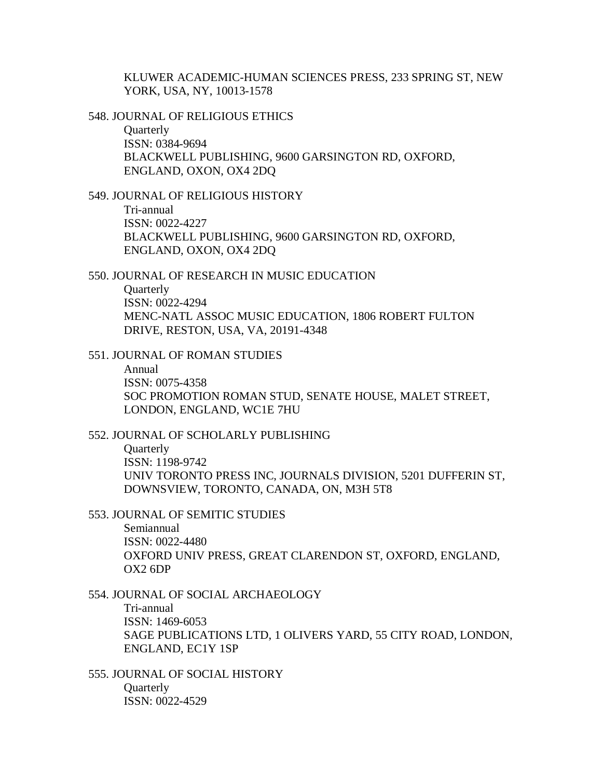KLUWER ACADEMIC-HUMAN SCIENCES PRESS, 233 SPRING ST, NEW YORK, USA, NY, 10013-1578

548. JOURNAL OF RELIGIOUS ETHICS **Ouarterly** 

ISSN: 0384-9694 BLACKWELL PUBLISHING, 9600 GARSINGTON RD, OXFORD, ENGLAND, OXON, OX4 2DQ

549. JOURNAL OF RELIGIOUS HISTORY

Tri-annual ISSN: 0022-4227 BLACKWELL PUBLISHING, 9600 GARSINGTON RD, OXFORD, ENGLAND, OXON, OX4 2DQ

550. JOURNAL OF RESEARCH IN MUSIC EDUCATION **Ouarterly** ISSN: 0022-4294 MENC-NATL ASSOC MUSIC EDUCATION, 1806 ROBERT FULTON DRIVE, RESTON, USA, VA, 20191-4348

551. JOURNAL OF ROMAN STUDIES Annual ISSN: 0075-4358 SOC PROMOTION ROMAN STUD, SENATE HOUSE, MALET STREET, LONDON, ENGLAND, WC1E 7HU

552. JOURNAL OF SCHOLARLY PUBLISHING **Ouarterly** ISSN: 1198-9742 UNIV TORONTO PRESS INC, JOURNALS DIVISION, 5201 DUFFERIN ST, DOWNSVIEW, TORONTO, CANADA, ON, M3H 5T8

553. JOURNAL OF SEMITIC STUDIES

Semiannual ISSN: 0022-4480 OXFORD UNIV PRESS, GREAT CLARENDON ST, OXFORD, ENGLAND, OX2 6DP

- 554. JOURNAL OF SOCIAL ARCHAEOLOGY Tri-annual ISSN: 1469-6053 SAGE PUBLICATIONS LTD, 1 OLIVERS YARD, 55 CITY ROAD, LONDON, ENGLAND, EC1Y 1SP
- 555. JOURNAL OF SOCIAL HISTORY **Ouarterly** ISSN: 0022-4529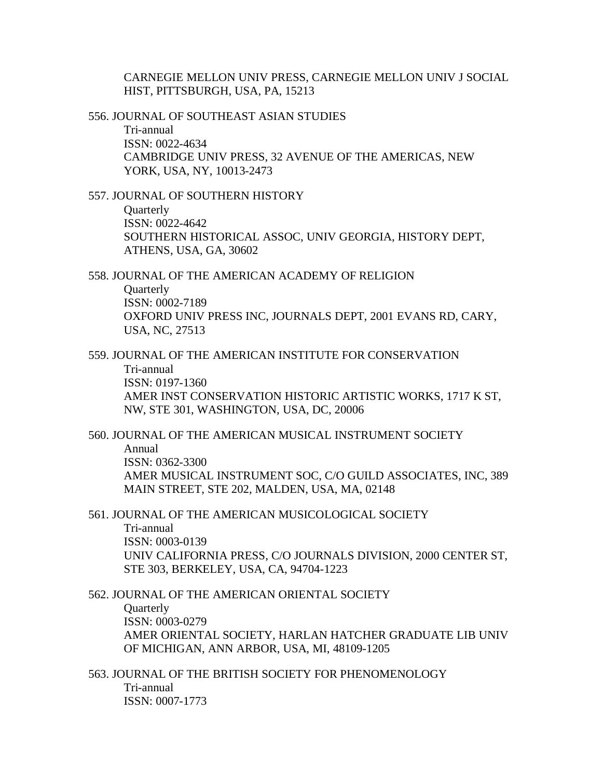CARNEGIE MELLON UNIV PRESS, CARNEGIE MELLON UNIV J SOCIAL HIST, PITTSBURGH, USA, PA, 15213

556. JOURNAL OF SOUTHEAST ASIAN STUDIES Tri-annual ISSN: 0022-4634 CAMBRIDGE UNIV PRESS, 32 AVENUE OF THE AMERICAS, NEW YORK, USA, NY, 10013-2473

557. JOURNAL OF SOUTHERN HISTORY

**Quarterly** ISSN: 0022-4642 SOUTHERN HISTORICAL ASSOC, UNIV GEORGIA, HISTORY DEPT, ATHENS, USA, GA, 30602

558. JOURNAL OF THE AMERICAN ACADEMY OF RELIGION **Ouarterly** ISSN: 0002-7189 OXFORD UNIV PRESS INC, JOURNALS DEPT, 2001 EVANS RD, CARY, USA, NC, 27513

559. JOURNAL OF THE AMERICAN INSTITUTE FOR CONSERVATION Tri-annual ISSN: 0197-1360 AMER INST CONSERVATION HISTORIC ARTISTIC WORKS, 1717 K ST, NW, STE 301, WASHINGTON, USA, DC, 20006

560. JOURNAL OF THE AMERICAN MUSICAL INSTRUMENT SOCIETY Annual ISSN: 0362-3300 AMER MUSICAL INSTRUMENT SOC, C/O GUILD ASSOCIATES, INC, 389 MAIN STREET, STE 202, MALDEN, USA, MA, 02148

561. JOURNAL OF THE AMERICAN MUSICOLOGICAL SOCIETY

Tri-annual ISSN: 0003-0139 UNIV CALIFORNIA PRESS, C/O JOURNALS DIVISION, 2000 CENTER ST, STE 303, BERKELEY, USA, CA, 94704-1223

562. JOURNAL OF THE AMERICAN ORIENTAL SOCIETY **Ouarterly** ISSN: 0003-0279 AMER ORIENTAL SOCIETY, HARLAN HATCHER GRADUATE LIB UNIV OF MICHIGAN, ANN ARBOR, USA, MI, 48109-1205

563. JOURNAL OF THE BRITISH SOCIETY FOR PHENOMENOLOGY Tri-annual ISSN: 0007-1773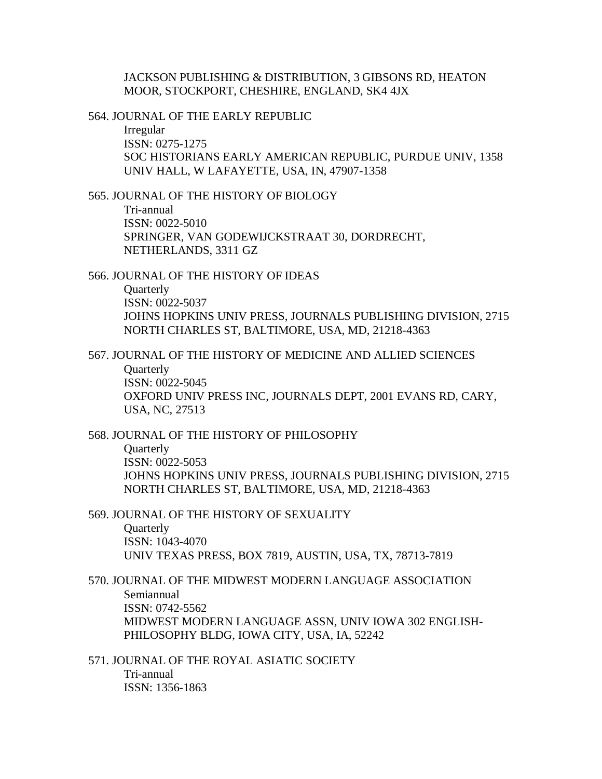JACKSON PUBLISHING & DISTRIBUTION, 3 GIBSONS RD, HEATON MOOR, STOCKPORT, CHESHIRE, ENGLAND, SK4 4JX

564. JOURNAL OF THE EARLY REPUBLIC

Irregular ISSN: 0275-1275 SOC HISTORIANS EARLY AMERICAN REPUBLIC, PURDUE UNIV, 1358 UNIV HALL, W LAFAYETTE, USA, IN, 47907-1358

565. JOURNAL OF THE HISTORY OF BIOLOGY

Tri-annual ISSN: 0022-5010 SPRINGER, VAN GODEWIJCKSTRAAT 30, DORDRECHT, NETHERLANDS, 3311 GZ

566. JOURNAL OF THE HISTORY OF IDEAS **Ouarterly** ISSN: 0022-5037 JOHNS HOPKINS UNIV PRESS, JOURNALS PUBLISHING DIVISION, 2715 NORTH CHARLES ST, BALTIMORE, USA, MD, 21218-4363

567. JOURNAL OF THE HISTORY OF MEDICINE AND ALLIED SCIENCES **Ouarterly** ISSN: 0022-5045 OXFORD UNIV PRESS INC, JOURNALS DEPT, 2001 EVANS RD, CARY, USA, NC, 27513

568. JOURNAL OF THE HISTORY OF PHILOSOPHY **Ouarterly** ISSN: 0022-5053 JOHNS HOPKINS UNIV PRESS, JOURNALS PUBLISHING DIVISION, 2715 NORTH CHARLES ST, BALTIMORE, USA, MD, 21218-4363

569. JOURNAL OF THE HISTORY OF SEXUALITY **Quarterly** ISSN: 1043-4070 UNIV TEXAS PRESS, BOX 7819, AUSTIN, USA, TX, 78713-7819

570. JOURNAL OF THE MIDWEST MODERN LANGUAGE ASSOCIATION Semiannual ISSN: 0742-5562 MIDWEST MODERN LANGUAGE ASSN, UNIV IOWA 302 ENGLISH-PHILOSOPHY BLDG, IOWA CITY, USA, IA, 52242

571. JOURNAL OF THE ROYAL ASIATIC SOCIETY Tri-annual ISSN: 1356-1863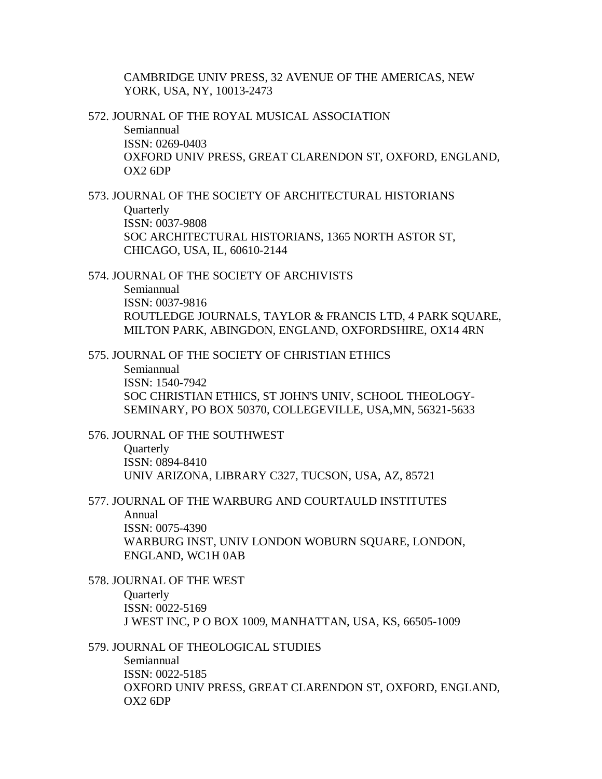CAMBRIDGE UNIV PRESS, 32 AVENUE OF THE AMERICAS, NEW YORK, USA, NY, 10013-2473

572. JOURNAL OF THE ROYAL MUSICAL ASSOCIATION Semiannual ISSN: 0269-0403 OXFORD UNIV PRESS, GREAT CLARENDON ST, OXFORD, ENGLAND, OX2 6DP

573. JOURNAL OF THE SOCIETY OF ARCHITECTURAL HISTORIANS **Quarterly** ISSN: 0037-9808 SOC ARCHITECTURAL HISTORIANS, 1365 NORTH ASTOR ST, CHICAGO, USA, IL, 60610-2144

574. JOURNAL OF THE SOCIETY OF ARCHIVISTS Semiannual ISSN: 0037-9816 ROUTLEDGE JOURNALS, TAYLOR & FRANCIS LTD, 4 PARK SQUARE, MILTON PARK, ABINGDON, ENGLAND, OXFORDSHIRE, OX14 4RN

575. JOURNAL OF THE SOCIETY OF CHRISTIAN ETHICS Semiannual ISSN: 1540-7942 SOC CHRISTIAN ETHICS, ST JOHN'S UNIV, SCHOOL THEOLOGY-SEMINARY, PO BOX 50370, COLLEGEVILLE, USA,MN, 56321-5633

576. JOURNAL OF THE SOUTHWEST **Ouarterly** ISSN: 0894-8410 UNIV ARIZONA, LIBRARY C327, TUCSON, USA, AZ, 85721

577. JOURNAL OF THE WARBURG AND COURTAULD INSTITUTES Annual ISSN: 0075-4390 WARBURG INST, UNIV LONDON WOBURN SQUARE, LONDON, ENGLAND, WC1H 0AB

578. JOURNAL OF THE WEST **Quarterly** ISSN: 0022-5169 J WEST INC, P O BOX 1009, MANHATTAN, USA, KS, 66505-1009

579. JOURNAL OF THEOLOGICAL STUDIES Semiannual ISSN: 0022-5185 OXFORD UNIV PRESS, GREAT CLARENDON ST, OXFORD, ENGLAND, OX2 6DP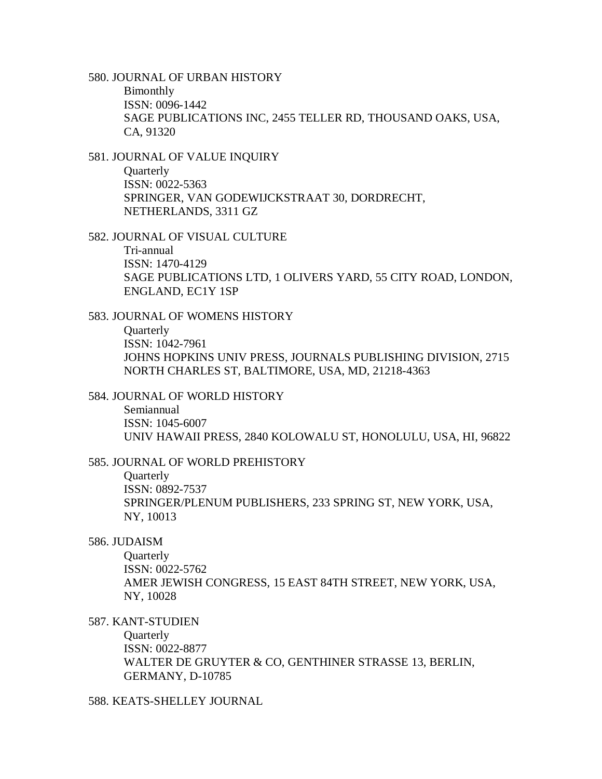580. JOURNAL OF URBAN HISTORY Bimonthly ISSN: 0096-1442 SAGE PUBLICATIONS INC, 2455 TELLER RD, THOUSAND OAKS, USA, CA, 91320

581. JOURNAL OF VALUE INQUIRY **Quarterly** ISSN: 0022-5363 SPRINGER, VAN GODEWIJCKSTRAAT 30, DORDRECHT, NETHERLANDS, 3311 GZ

582. JOURNAL OF VISUAL CULTURE

Tri-annual ISSN: 1470-4129 SAGE PUBLICATIONS LTD, 1 OLIVERS YARD, 55 CITY ROAD, LONDON, ENGLAND, EC1Y 1SP

583. JOURNAL OF WOMENS HISTORY

**Quarterly** ISSN: 1042-7961 JOHNS HOPKINS UNIV PRESS, JOURNALS PUBLISHING DIVISION, 2715 NORTH CHARLES ST, BALTIMORE, USA, MD, 21218-4363

584. JOURNAL OF WORLD HISTORY

Semiannual ISSN: 1045-6007 UNIV HAWAII PRESS, 2840 KOLOWALU ST, HONOLULU, USA, HI, 96822

585. JOURNAL OF WORLD PREHISTORY

**Quarterly** ISSN: 0892-7537 SPRINGER/PLENUM PUBLISHERS, 233 SPRING ST, NEW YORK, USA, NY, 10013

586. JUDAISM

**Ouarterly** ISSN: 0022-5762 AMER JEWISH CONGRESS, 15 EAST 84TH STREET, NEW YORK, USA, NY, 10028

587. KANT-STUDIEN

**Quarterly** ISSN: 0022-8877 WALTER DE GRUYTER & CO, GENTHINER STRASSE 13, BERLIN, GERMANY, D-10785

588. KEATS-SHELLEY JOURNAL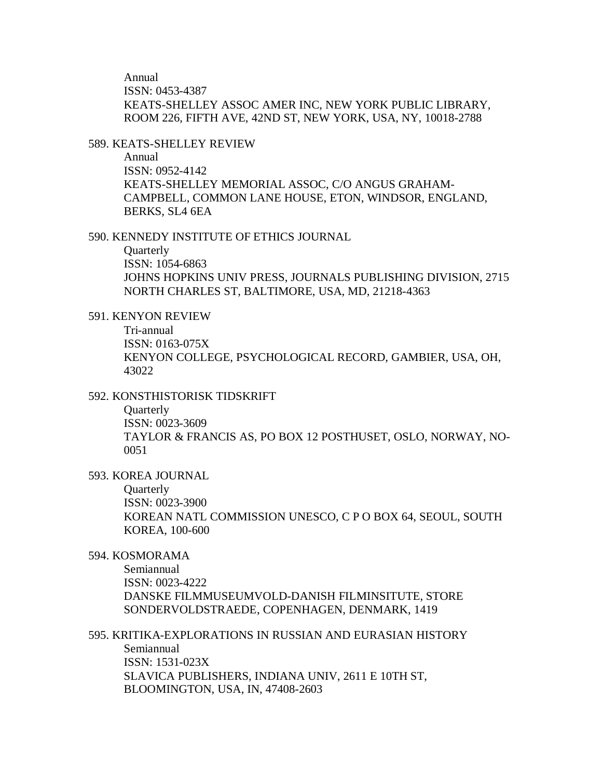Annual ISSN: 0453-4387 KEATS-SHELLEY ASSOC AMER INC, NEW YORK PUBLIC LIBRARY, ROOM 226, FIFTH AVE, 42ND ST, NEW YORK, USA, NY, 10018-2788

#### 589. KEATS-SHELLEY REVIEW

Annual ISSN: 0952-4142 KEATS-SHELLEY MEMORIAL ASSOC, C/O ANGUS GRAHAM-CAMPBELL, COMMON LANE HOUSE, ETON, WINDSOR, ENGLAND, BERKS, SL4 6EA

#### 590. KENNEDY INSTITUTE OF ETHICS JOURNAL

**Quarterly** ISSN: 1054-6863 JOHNS HOPKINS UNIV PRESS, JOURNALS PUBLISHING DIVISION, 2715 NORTH CHARLES ST, BALTIMORE, USA, MD, 21218-4363

### 591. KENYON REVIEW

Tri-annual ISSN: 0163-075X KENYON COLLEGE, PSYCHOLOGICAL RECORD, GAMBIER, USA, OH, 43022

# 592. KONSTHISTORISK TIDSKRIFT

**Quarterly** ISSN: 0023-3609 TAYLOR & FRANCIS AS, PO BOX 12 POSTHUSET, OSLO, NORWAY, NO-0051

### 593. KOREA JOURNAL

Quarterly ISSN: 0023-3900 KOREAN NATL COMMISSION UNESCO, C P O BOX 64, SEOUL, SOUTH KOREA, 100-600

### 594. KOSMORAMA

Semiannual ISSN: 0023-4222 DANSKE FILMMUSEUMVOLD-DANISH FILMINSITUTE, STORE SONDERVOLDSTRAEDE, COPENHAGEN, DENMARK, 1419

# 595. KRITIKA-EXPLORATIONS IN RUSSIAN AND EURASIAN HISTORY Semiannual ISSN: 1531-023X

SLAVICA PUBLISHERS, INDIANA UNIV, 2611 E 10TH ST, BLOOMINGTON, USA, IN, 47408-2603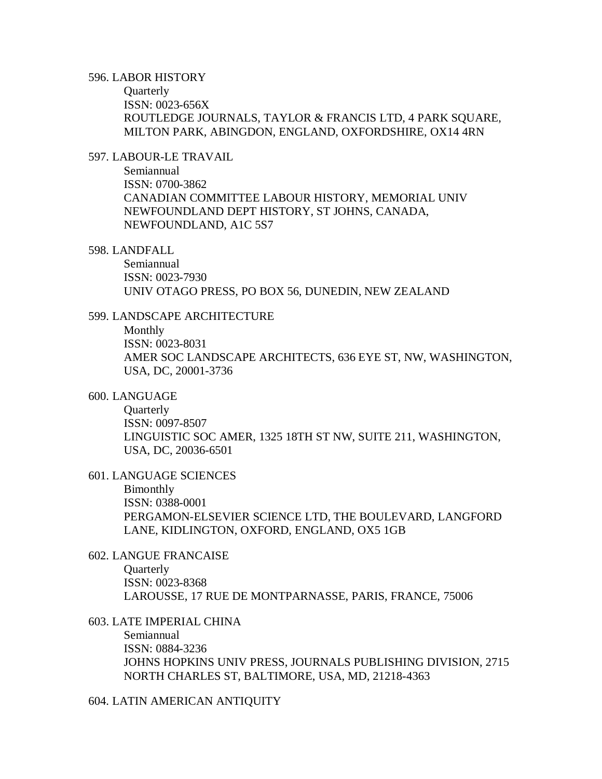### 596. LABOR HISTORY

**Quarterly** ISSN: 0023-656X ROUTLEDGE JOURNALS, TAYLOR & FRANCIS LTD, 4 PARK SQUARE, MILTON PARK, ABINGDON, ENGLAND, OXFORDSHIRE, OX14 4RN

# 597. LABOUR-LE TRAVAIL

Semiannual ISSN: 0700-3862 CANADIAN COMMITTEE LABOUR HISTORY, MEMORIAL UNIV NEWFOUNDLAND DEPT HISTORY, ST JOHNS, CANADA, NEWFOUNDLAND, A1C 5S7

### 598. LANDFALL

Semiannual ISSN: 0023-7930 UNIV OTAGO PRESS, PO BOX 56, DUNEDIN, NEW ZEALAND

### 599. LANDSCAPE ARCHITECTURE

Monthly ISSN: 0023-8031 AMER SOC LANDSCAPE ARCHITECTS, 636 EYE ST, NW, WASHINGTON, USA, DC, 20001-3736

### 600. LANGUAGE

**Quarterly** ISSN: 0097-8507 LINGUISTIC SOC AMER, 1325 18TH ST NW, SUITE 211, WASHINGTON, USA, DC, 20036-6501

### 601. LANGUAGE SCIENCES

Bimonthly ISSN: 0388-0001 PERGAMON-ELSEVIER SCIENCE LTD, THE BOULEVARD, LANGFORD LANE, KIDLINGTON, OXFORD, ENGLAND, OX5 1GB

# 602. LANGUE FRANCAISE

**Ouarterly** ISSN: 0023-8368 LAROUSSE, 17 RUE DE MONTPARNASSE, PARIS, FRANCE, 75006

### 603. LATE IMPERIAL CHINA

Semiannual ISSN: 0884-3236 JOHNS HOPKINS UNIV PRESS, JOURNALS PUBLISHING DIVISION, 2715 NORTH CHARLES ST, BALTIMORE, USA, MD, 21218-4363

#### 604. LATIN AMERICAN ANTIQUITY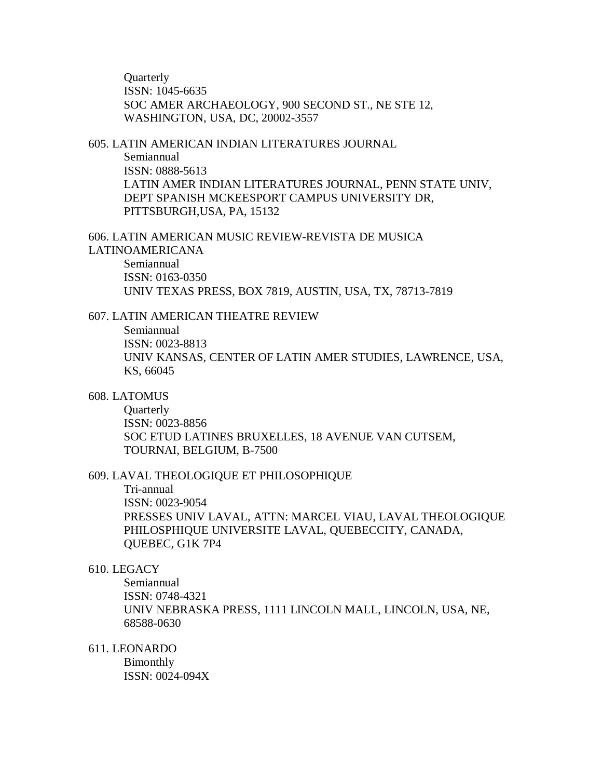**Ouarterly** ISSN: 1045-6635 SOC AMER ARCHAEOLOGY, 900 SECOND ST., NE STE 12, WASHINGTON, USA, DC, 20002-3557

# 605. LATIN AMERICAN INDIAN LITERATURES JOURNAL Semiannual ISSN: 0888-5613 LATIN AMER INDIAN LITERATURES JOURNAL, PENN STATE UNIV, DEPT SPANISH MCKEESPORT CAMPUS UNIVERSITY DR, PITTSBURGH,USA, PA, 15132

606. LATIN AMERICAN MUSIC REVIEW-REVISTA DE MUSICA LATINOAMERICANA Semiannual ISSN: 0163-0350

UNIV TEXAS PRESS, BOX 7819, AUSTIN, USA, TX, 78713-7819

# 607. LATIN AMERICAN THEATRE REVIEW

Semiannual ISSN: 0023-8813 UNIV KANSAS, CENTER OF LATIN AMER STUDIES, LAWRENCE, USA, KS, 66045

### 608. LATOMUS

**Quarterly** ISSN: 0023-8856 SOC ETUD LATINES BRUXELLES, 18 AVENUE VAN CUTSEM, TOURNAI, BELGIUM, B-7500

#### 609. LAVAL THEOLOGIQUE ET PHILOSOPHIQUE

Tri-annual ISSN: 0023-9054 PRESSES UNIV LAVAL, ATTN: MARCEL VIAU, LAVAL THEOLOGIQUE PHILOSPHIQUE UNIVERSITE LAVAL, QUEBECCITY, CANADA, QUEBEC, G1K 7P4

### 610. LEGACY

Semiannual ISSN: 0748-4321 UNIV NEBRASKA PRESS, 1111 LINCOLN MALL, LINCOLN, USA, NE, 68588-0630

611. LEONARDO

Bimonthly ISSN: 0024-094X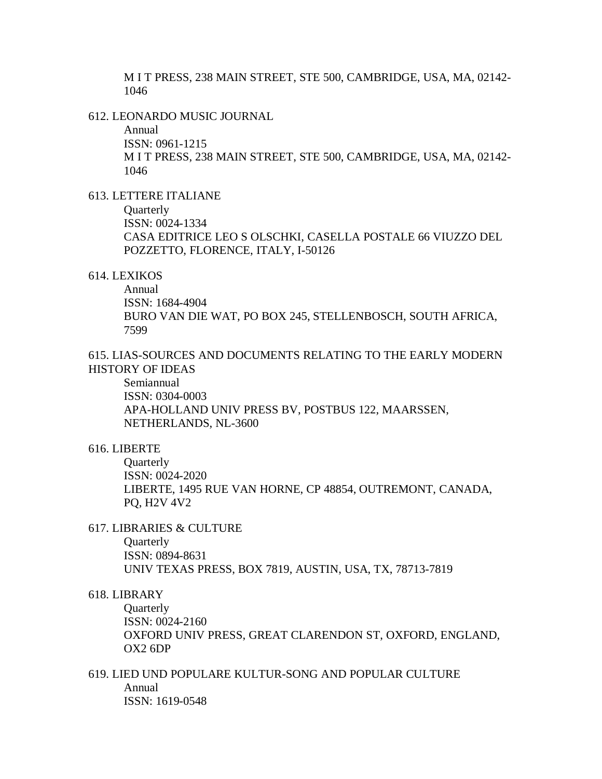M I T PRESS, 238 MAIN STREET, STE 500, CAMBRIDGE, USA, MA, 02142- 1046

612. LEONARDO MUSIC JOURNAL

Annual ISSN: 0961-1215 M I T PRESS, 238 MAIN STREET, STE 500, CAMBRIDGE, USA, MA, 02142- 1046

613. LETTERE ITALIANE

**Quarterly** 

ISSN: 0024-1334 CASA EDITRICE LEO S OLSCHKI, CASELLA POSTALE 66 VIUZZO DEL

POZZETTO, FLORENCE, ITALY, I-50126

### 614. LEXIKOS

Annual ISSN: 1684-4904 BURO VAN DIE WAT, PO BOX 245, STELLENBOSCH, SOUTH AFRICA, 7599

615. LIAS-SOURCES AND DOCUMENTS RELATING TO THE EARLY MODERN HISTORY OF IDEAS

Semiannual ISSN: 0304-0003 APA-HOLLAND UNIV PRESS BV, POSTBUS 122, MAARSSEN, NETHERLANDS, NL-3600

### 616. LIBERTE

**Ouarterly** ISSN: 0024-2020 LIBERTE, 1495 RUE VAN HORNE, CP 48854, OUTREMONT, CANADA, PQ, H2V 4V2

#### 617. LIBRARIES & CULTURE

**Ouarterly** ISSN: 0894-8631 UNIV TEXAS PRESS, BOX 7819, AUSTIN, USA, TX, 78713-7819

### 618. LIBRARY

**Ouarterly** ISSN: 0024-2160 OXFORD UNIV PRESS, GREAT CLARENDON ST, OXFORD, ENGLAND, OX2 6DP

619. LIED UND POPULARE KULTUR-SONG AND POPULAR CULTURE Annual ISSN: 1619-0548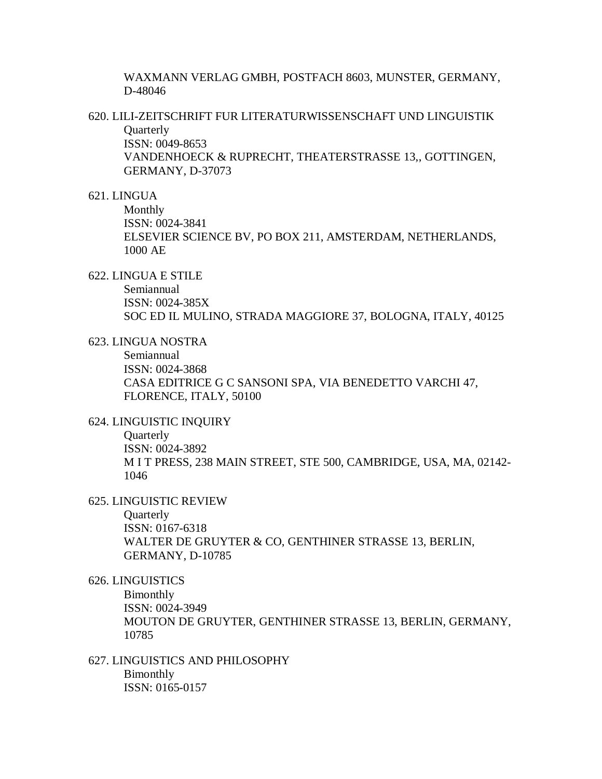WAXMANN VERLAG GMBH, POSTFACH 8603, MUNSTER, GERMANY, D-48046

620. LILI-ZEITSCHRIFT FUR LITERATURWISSENSCHAFT UND LINGUISTIK **Quarterly** ISSN: 0049-8653 VANDENHOECK & RUPRECHT, THEATERSTRASSE 13,, GOTTINGEN,

GERMANY, D-37073

# 621. LINGUA

Monthly ISSN: 0024-3841 ELSEVIER SCIENCE BV, PO BOX 211, AMSTERDAM, NETHERLANDS, 1000 AE

622. LINGUA E STILE

Semiannual ISSN: 0024-385X SOC ED IL MULINO, STRADA MAGGIORE 37, BOLOGNA, ITALY, 40125

623. LINGUA NOSTRA

Semiannual ISSN: 0024-3868 CASA EDITRICE G C SANSONI SPA, VIA BENEDETTO VARCHI 47, FLORENCE, ITALY, 50100

624. LINGUISTIC INQUIRY

**Quarterly** ISSN: 0024-3892 M I T PRESS, 238 MAIN STREET, STE 500, CAMBRIDGE, USA, MA, 02142- 1046

625. LINGUISTIC REVIEW

**Quarterly** 

ISSN: 0167-6318 WALTER DE GRUYTER & CO, GENTHINER STRASSE 13, BERLIN, GERMANY, D-10785

626. LINGUISTICS

Bimonthly ISSN: 0024-3949 MOUTON DE GRUYTER, GENTHINER STRASSE 13, BERLIN, GERMANY, 10785

627. LINGUISTICS AND PHILOSOPHY Bimonthly ISSN: 0165-0157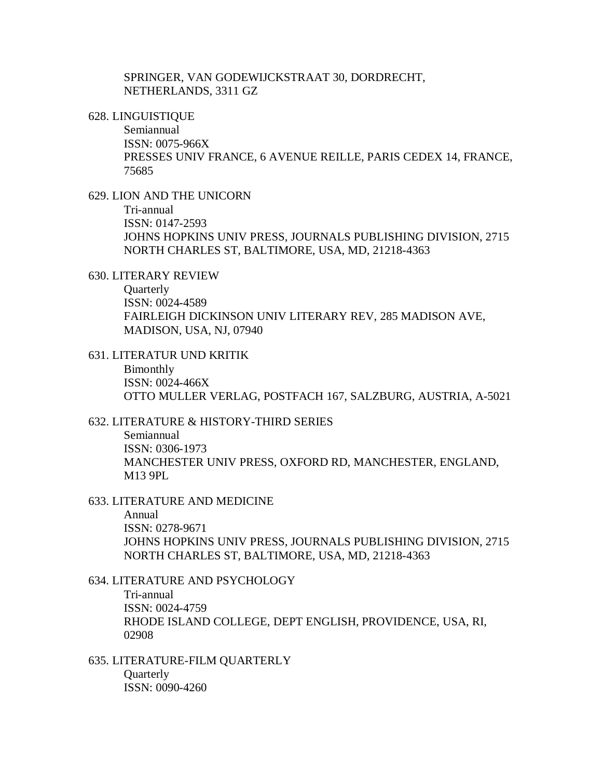SPRINGER, VAN GODEWIJCKSTRAAT 30, DORDRECHT, NETHERLANDS, 3311 GZ

628. LINGUISTIQUE

Semiannual ISSN: 0075-966X PRESSES UNIV FRANCE, 6 AVENUE REILLE, PARIS CEDEX 14, FRANCE, 75685

629. LION AND THE UNICORN

Tri-annual ISSN: 0147-2593 JOHNS HOPKINS UNIV PRESS, JOURNALS PUBLISHING DIVISION, 2715 NORTH CHARLES ST, BALTIMORE, USA, MD, 21218-4363

630. LITERARY REVIEW

**Ouarterly** ISSN: 0024-4589 FAIRLEIGH DICKINSON UNIV LITERARY REV, 285 MADISON AVE, MADISON, USA, NJ, 07940

631. LITERATUR UND KRITIK Bimonthly ISSN: 0024-466X OTTO MULLER VERLAG, POSTFACH 167, SALZBURG, AUSTRIA, A-5021

- 632. LITERATURE & HISTORY-THIRD SERIES Semiannual ISSN: 0306-1973 MANCHESTER UNIV PRESS, OXFORD RD, MANCHESTER, ENGLAND, M13 9PL
- 633. LITERATURE AND MEDICINE Annual ISSN: 0278-9671 JOHNS HOPKINS UNIV PRESS, JOURNALS PUBLISHING DIVISION, 2715 NORTH CHARLES ST, BALTIMORE, USA, MD, 21218-4363

634. LITERATURE AND PSYCHOLOGY Tri-annual ISSN: 0024-4759 RHODE ISLAND COLLEGE, DEPT ENGLISH, PROVIDENCE, USA, RI, 02908

635. LITERATURE-FILM QUARTERLY **Quarterly** ISSN: 0090-4260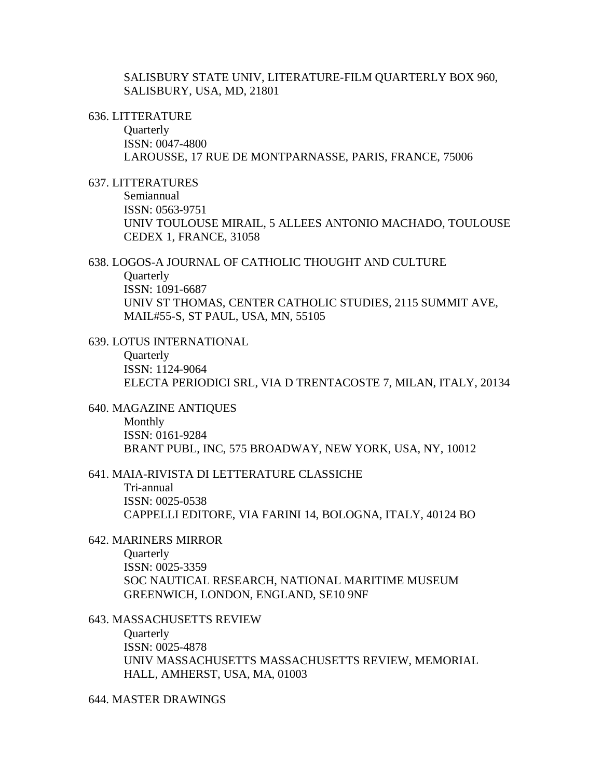SALISBURY STATE UNIV, LITERATURE-FILM QUARTERLY BOX 960, SALISBURY, USA, MD, 21801

#### 636. LITTERATURE

**Quarterly** ISSN: 0047-4800 LAROUSSE, 17 RUE DE MONTPARNASSE, PARIS, FRANCE, 75006

### 637. LITTERATURES

Semiannual ISSN: 0563-9751 UNIV TOULOUSE MIRAIL, 5 ALLEES ANTONIO MACHADO, TOULOUSE CEDEX 1, FRANCE, 31058

### 638. LOGOS-A JOURNAL OF CATHOLIC THOUGHT AND CULTURE **Quarterly** ISSN: 1091-6687 UNIV ST THOMAS, CENTER CATHOLIC STUDIES, 2115 SUMMIT AVE, MAIL#55-S, ST PAUL, USA, MN, 55105

639. LOTUS INTERNATIONAL **Quarterly** ISSN: 1124-9064 ELECTA PERIODICI SRL, VIA D TRENTACOSTE 7, MILAN, ITALY, 20134

640. MAGAZINE ANTIQUES

Monthly ISSN: 0161-9284 BRANT PUBL, INC, 575 BROADWAY, NEW YORK, USA, NY, 10012

#### 641. MAIA-RIVISTA DI LETTERATURE CLASSICHE

Tri-annual ISSN: 0025-0538 CAPPELLI EDITORE, VIA FARINI 14, BOLOGNA, ITALY, 40124 BO

# 642. MARINERS MIRROR

**Quarterly** ISSN: 0025-3359 SOC NAUTICAL RESEARCH, NATIONAL MARITIME MUSEUM GREENWICH, LONDON, ENGLAND, SE10 9NF

### 643. MASSACHUSETTS REVIEW

**Quarterly** ISSN: 0025-4878 UNIV MASSACHUSETTS MASSACHUSETTS REVIEW, MEMORIAL HALL, AMHERST, USA, MA, 01003

# 644. MASTER DRAWINGS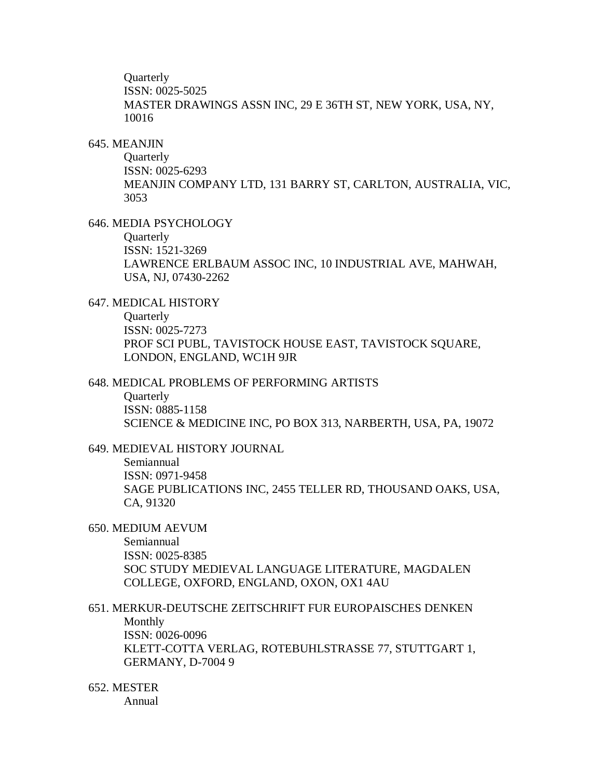**Ouarterly** ISSN: 0025-5025 MASTER DRAWINGS ASSN INC, 29 E 36TH ST, NEW YORK, USA, NY, 10016

#### 645. MEANJIN

**Quarterly** ISSN: 0025-6293 MEANJIN COMPANY LTD, 131 BARRY ST, CARLTON, AUSTRALIA, VIC, 3053

# 646. MEDIA PSYCHOLOGY

**Ouarterly** 

ISSN: 1521-3269 LAWRENCE ERLBAUM ASSOC INC, 10 INDUSTRIAL AVE, MAHWAH, USA, NJ, 07430-2262

### 647. MEDICAL HISTORY

**Quarterly** ISSN: 0025-7273 PROF SCI PUBL, TAVISTOCK HOUSE EAST, TAVISTOCK SQUARE, LONDON, ENGLAND, WC1H 9JR

#### 648. MEDICAL PROBLEMS OF PERFORMING ARTISTS

**Ouarterly** ISSN: 0885-1158 SCIENCE & MEDICINE INC, PO BOX 313, NARBERTH, USA, PA, 19072

# 649. MEDIEVAL HISTORY JOURNAL

Semiannual ISSN: 0971-9458 SAGE PUBLICATIONS INC, 2455 TELLER RD, THOUSAND OAKS, USA, CA, 91320

# 650. MEDIUM AEVUM

Semiannual ISSN: 0025-8385 SOC STUDY MEDIEVAL LANGUAGE LITERATURE, MAGDALEN COLLEGE, OXFORD, ENGLAND, OXON, OX1 4AU

651. MERKUR-DEUTSCHE ZEITSCHRIFT FUR EUROPAISCHES DENKEN Monthly ISSN: 0026-0096 KLETT-COTTA VERLAG, ROTEBUHLSTRASSE 77, STUTTGART 1, GERMANY, D-7004 9

# 652. MESTER

Annual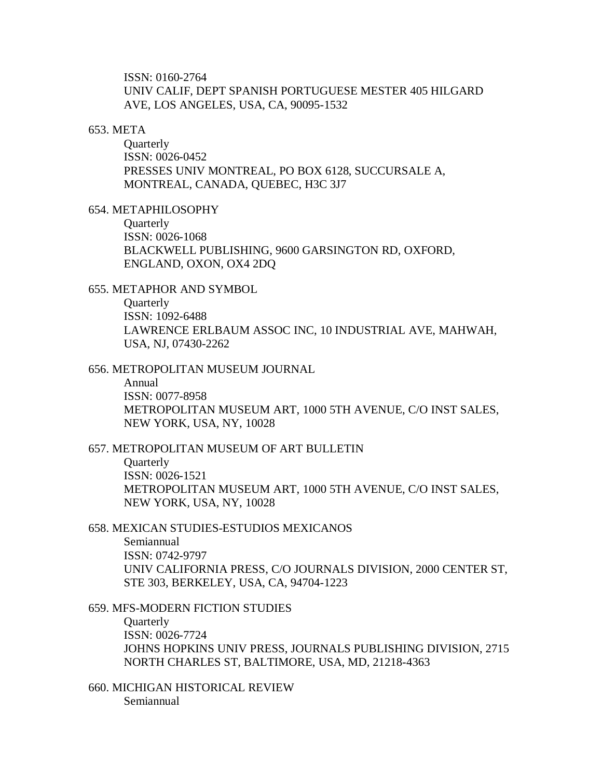ISSN: 0160-2764 UNIV CALIF, DEPT SPANISH PORTUGUESE MESTER 405 HILGARD AVE, LOS ANGELES, USA, CA, 90095-1532

#### 653. META

**Quarterly** ISSN: 0026-0452 PRESSES UNIV MONTREAL, PO BOX 6128, SUCCURSALE A, MONTREAL, CANADA, QUEBEC, H3C 3J7

654. METAPHILOSOPHY

**Ouarterly** 

ISSN: 0026-1068 BLACKWELL PUBLISHING, 9600 GARSINGTON RD, OXFORD, ENGLAND, OXON, OX4 2DQ

### 655. METAPHOR AND SYMBOL

**Quarterly** ISSN: 1092-6488 LAWRENCE ERLBAUM ASSOC INC, 10 INDUSTRIAL AVE, MAHWAH, USA, NJ, 07430-2262

#### 656. METROPOLITAN MUSEUM JOURNAL

Annual ISSN: 0077-8958 METROPOLITAN MUSEUM ART, 1000 5TH AVENUE, C/O INST SALES, NEW YORK, USA, NY, 10028

### 657. METROPOLITAN MUSEUM OF ART BULLETIN

**Ouarterly** ISSN: 0026-1521 METROPOLITAN MUSEUM ART, 1000 5TH AVENUE, C/O INST SALES, NEW YORK, USA, NY, 10028

#### 658. MEXICAN STUDIES-ESTUDIOS MEXICANOS

Semiannual ISSN: 0742-9797 UNIV CALIFORNIA PRESS, C/O JOURNALS DIVISION, 2000 CENTER ST, STE 303, BERKELEY, USA, CA, 94704-1223

659. MFS-MODERN FICTION STUDIES

**Quarterly** ISSN: 0026-7724 JOHNS HOPKINS UNIV PRESS, JOURNALS PUBLISHING DIVISION, 2715 NORTH CHARLES ST, BALTIMORE, USA, MD, 21218-4363

660. MICHIGAN HISTORICAL REVIEW Semiannual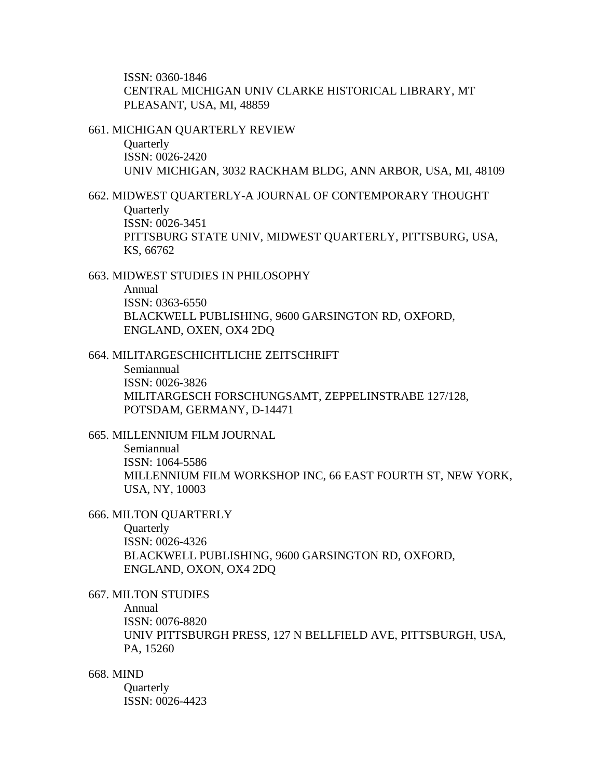ISSN: 0360-1846 CENTRAL MICHIGAN UNIV CLARKE HISTORICAL LIBRARY, MT PLEASANT, USA, MI, 48859

661. MICHIGAN QUARTERLY REVIEW

**Quarterly** ISSN: 0026-2420 UNIV MICHIGAN, 3032 RACKHAM BLDG, ANN ARBOR, USA, MI, 48109

662. MIDWEST QUARTERLY-A JOURNAL OF CONTEMPORARY THOUGHT **Quarterly** ISSN: 0026-3451 PITTSBURG STATE UNIV, MIDWEST QUARTERLY, PITTSBURG, USA, KS, 66762

663. MIDWEST STUDIES IN PHILOSOPHY

Annual ISSN: 0363-6550 BLACKWELL PUBLISHING, 9600 GARSINGTON RD, OXFORD, ENGLAND, OXEN, OX4 2DQ

664. MILITARGESCHICHTLICHE ZEITSCHRIFT

Semiannual ISSN: 0026-3826 MILITARGESCH FORSCHUNGSAMT, ZEPPELINSTRABE 127/128, POTSDAM, GERMANY, D-14471

665. MILLENNIUM FILM JOURNAL

Semiannual ISSN: 1064-5586 MILLENNIUM FILM WORKSHOP INC, 66 EAST FOURTH ST, NEW YORK, USA, NY, 10003

666. MILTON QUARTERLY

**Quarterly** ISSN: 0026-4326 BLACKWELL PUBLISHING, 9600 GARSINGTON RD, OXFORD, ENGLAND, OXON, OX4 2DQ

667. MILTON STUDIES

Annual

ISSN: 0076-8820

UNIV PITTSBURGH PRESS, 127 N BELLFIELD AVE, PITTSBURGH, USA, PA, 15260

668. MIND

**Quarterly** ISSN: 0026-4423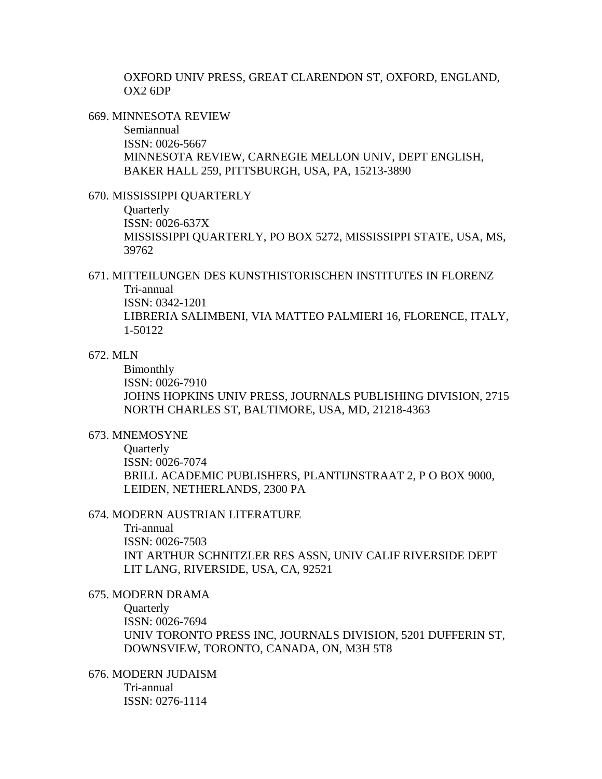OXFORD UNIV PRESS, GREAT CLARENDON ST, OXFORD, ENGLAND, OX2 6DP

669. MINNESOTA REVIEW

Semiannual ISSN: 0026-5667 MINNESOTA REVIEW, CARNEGIE MELLON UNIV, DEPT ENGLISH, BAKER HALL 259, PITTSBURGH, USA, PA, 15213-3890

### 670. MISSISSIPPI QUARTERLY

**Quarterly** ISSN: 0026-637X MISSISSIPPI QUARTERLY, PO BOX 5272, MISSISSIPPI STATE, USA, MS, 39762

### 671. MITTEILUNGEN DES KUNSTHISTORISCHEN INSTITUTES IN FLORENZ Tri-annual ISSN: 0342-1201

LIBRERIA SALIMBENI, VIA MATTEO PALMIERI 16, FLORENCE, ITALY, 1-50122

### 672. MLN

Bimonthly ISSN: 0026-7910 JOHNS HOPKINS UNIV PRESS, JOURNALS PUBLISHING DIVISION, 2715 NORTH CHARLES ST, BALTIMORE, USA, MD, 21218-4363

### 673. MNEMOSYNE

**Ouarterly** ISSN: 0026-7074 BRILL ACADEMIC PUBLISHERS, PLANTIJNSTRAAT 2, P O BOX 9000, LEIDEN, NETHERLANDS, 2300 PA

#### 674. MODERN AUSTRIAN LITERATURE

Tri-annual ISSN: 0026-7503 INT ARTHUR SCHNITZLER RES ASSN, UNIV CALIF RIVERSIDE DEPT LIT LANG, RIVERSIDE, USA, CA, 92521

### 675. MODERN DRAMA

**Ouarterly** ISSN: 0026-7694 UNIV TORONTO PRESS INC, JOURNALS DIVISION, 5201 DUFFERIN ST, DOWNSVIEW, TORONTO, CANADA, ON, M3H 5T8

676. MODERN JUDAISM Tri-annual ISSN: 0276-1114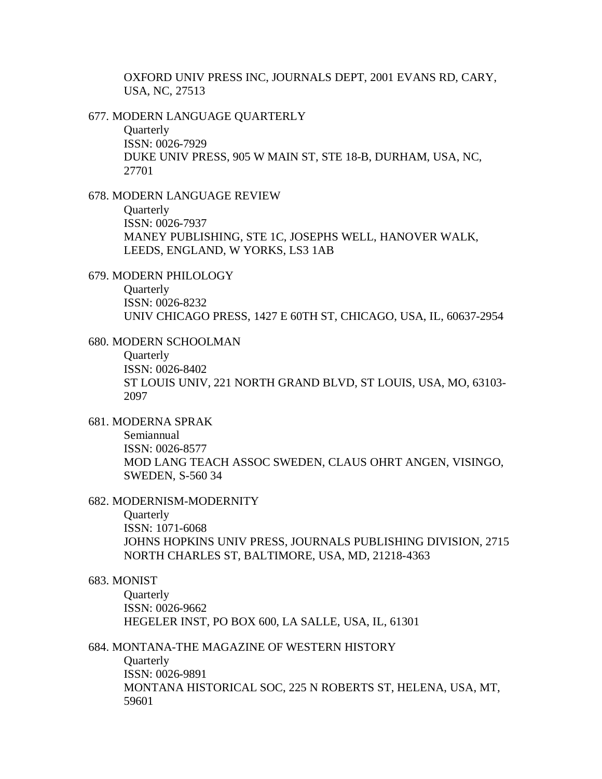OXFORD UNIV PRESS INC, JOURNALS DEPT, 2001 EVANS RD, CARY, USA, NC, 27513

677. MODERN LANGUAGE QUARTERLY

**Quarterly** ISSN: 0026-7929 DUKE UNIV PRESS, 905 W MAIN ST, STE 18-B, DURHAM, USA, NC, 27701

678. MODERN LANGUAGE REVIEW

**Quarterly** ISSN: 0026-7937 MANEY PUBLISHING, STE 1C, JOSEPHS WELL, HANOVER WALK, LEEDS, ENGLAND, W YORKS, LS3 1AB

679. MODERN PHILOLOGY

**Ouarterly** ISSN: 0026-8232 UNIV CHICAGO PRESS, 1427 E 60TH ST, CHICAGO, USA, IL, 60637-2954

680. MODERN SCHOOLMAN

**Quarterly** ISSN: 0026-8402 ST LOUIS UNIV, 221 NORTH GRAND BLVD, ST LOUIS, USA, MO, 63103- 2097

681. MODERNA SPRAK

Semiannual ISSN: 0026-8577 MOD LANG TEACH ASSOC SWEDEN, CLAUS OHRT ANGEN, VISINGO, SWEDEN, S-560 34

682. MODERNISM-MODERNITY

**Quarterly** 

ISSN: 1071-6068 JOHNS HOPKINS UNIV PRESS, JOURNALS PUBLISHING DIVISION, 2715 NORTH CHARLES ST, BALTIMORE, USA, MD, 21218-4363

### 683. MONIST

**Quarterly** ISSN: 0026-9662 HEGELER INST, PO BOX 600, LA SALLE, USA, IL, 61301

684. MONTANA-THE MAGAZINE OF WESTERN HISTORY

**Quarterly** ISSN: 0026-9891 MONTANA HISTORICAL SOC, 225 N ROBERTS ST, HELENA, USA, MT, 59601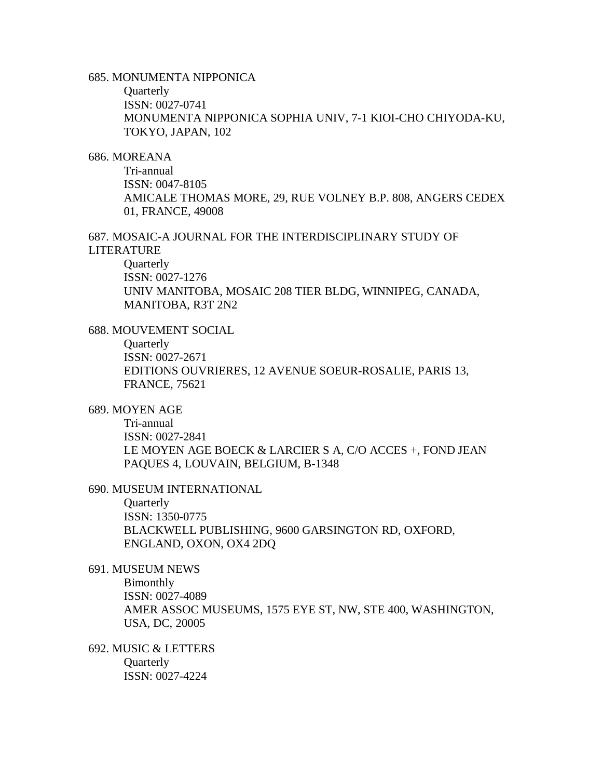# 685. MONUMENTA NIPPONICA

**Quarterly** 

ISSN: 0027-0741

MONUMENTA NIPPONICA SOPHIA UNIV, 7-1 KIOI-CHO CHIYODA-KU, TOKYO, JAPAN, 102

### 686. MOREANA

Tri-annual ISSN: 0047-8105 AMICALE THOMAS MORE, 29, RUE VOLNEY B.P. 808, ANGERS CEDEX 01, FRANCE, 49008

687. MOSAIC-A JOURNAL FOR THE INTERDISCIPLINARY STUDY OF LITERATURE

**Quarterly** ISSN: 0027-1276 UNIV MANITOBA, MOSAIC 208 TIER BLDG, WINNIPEG, CANADA, MANITOBA, R3T 2N2

- 688. MOUVEMENT SOCIAL
	- **Quarterly** ISSN: 0027-2671

EDITIONS OUVRIERES, 12 AVENUE SOEUR-ROSALIE, PARIS 13, FRANCE, 75621

### 689. MOYEN AGE

Tri-annual ISSN: 0027-2841 LE MOYEN AGE BOECK & LARCIER S A, C/O ACCES +, FOND JEAN PAQUES 4, LOUVAIN, BELGIUM, B-1348

690. MUSEUM INTERNATIONAL

**Quarterly** ISSN: 1350-0775 BLACKWELL PUBLISHING, 9600 GARSINGTON RD, OXFORD, ENGLAND, OXON, OX4 2DQ

# 691. MUSEUM NEWS

Bimonthly ISSN: 0027-4089 AMER ASSOC MUSEUMS, 1575 EYE ST, NW, STE 400, WASHINGTON, USA, DC, 20005

692. MUSIC & LETTERS **Quarterly** ISSN: 0027-4224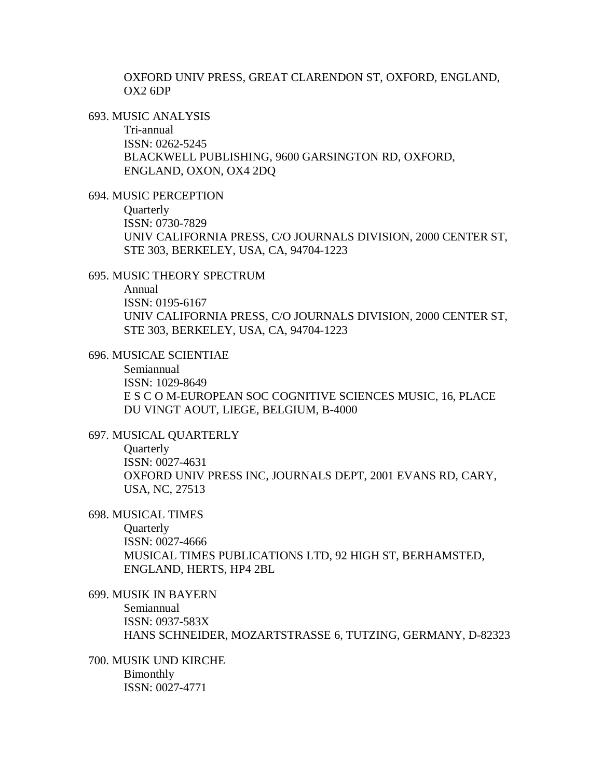OXFORD UNIV PRESS, GREAT CLARENDON ST, OXFORD, ENGLAND, OX2 6DP

693. MUSIC ANALYSIS

Tri-annual ISSN: 0262-5245 BLACKWELL PUBLISHING, 9600 GARSINGTON RD, OXFORD, ENGLAND, OXON, OX4 2DQ

694. MUSIC PERCEPTION

**Quarterly** ISSN: 0730-7829 UNIV CALIFORNIA PRESS, C/O JOURNALS DIVISION, 2000 CENTER ST, STE 303, BERKELEY, USA, CA, 94704-1223

695. MUSIC THEORY SPECTRUM

Annual ISSN: 0195-6167 UNIV CALIFORNIA PRESS, C/O JOURNALS DIVISION, 2000 CENTER ST, STE 303, BERKELEY, USA, CA, 94704-1223

696. MUSICAE SCIENTIAE

Semiannual ISSN: 1029-8649 E S C O M-EUROPEAN SOC COGNITIVE SCIENCES MUSIC, 16, PLACE DU VINGT AOUT, LIEGE, BELGIUM, B-4000

697. MUSICAL QUARTERLY

**Ouarterly** ISSN: 0027-4631 OXFORD UNIV PRESS INC, JOURNALS DEPT, 2001 EVANS RD, CARY, USA, NC, 27513

698. MUSICAL TIMES

**Quarterly** ISSN: 0027-4666 MUSICAL TIMES PUBLICATIONS LTD, 92 HIGH ST, BERHAMSTED, ENGLAND, HERTS, HP4 2BL

699. MUSIK IN BAYERN Semiannual ISSN: 0937-583X HANS SCHNEIDER, MOZARTSTRASSE 6, TUTZING, GERMANY, D-82323

700. MUSIK UND KIRCHE Bimonthly ISSN: 0027-4771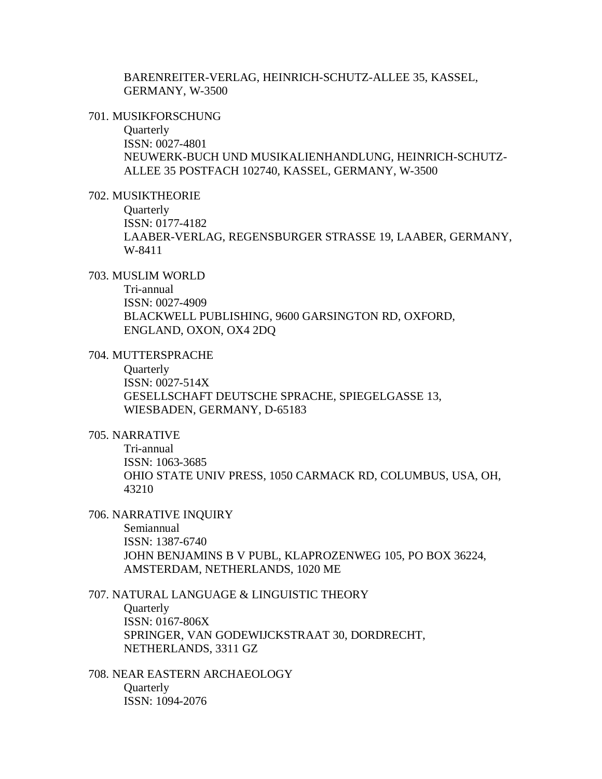BARENREITER-VERLAG, HEINRICH-SCHUTZ-ALLEE 35, KASSEL, GERMANY, W-3500

#### 701. MUSIKFORSCHUNG

**Quarterly** ISSN: 0027-4801 NEUWERK-BUCH UND MUSIKALIENHANDLUNG, HEINRICH-SCHUTZ-ALLEE 35 POSTFACH 102740, KASSEL, GERMANY, W-3500

### 702. MUSIKTHEORIE

**Quarterly** ISSN: 0177-4182 LAABER-VERLAG, REGENSBURGER STRASSE 19, LAABER, GERMANY, W-8411

# 703. MUSLIM WORLD

Tri-annual ISSN: 0027-4909 BLACKWELL PUBLISHING, 9600 GARSINGTON RD, OXFORD, ENGLAND, OXON, OX4 2DQ

#### 704. MUTTERSPRACHE

**Quarterly** ISSN: 0027-514X GESELLSCHAFT DEUTSCHE SPRACHE, SPIEGELGASSE 13, WIESBADEN, GERMANY, D-65183

# 705. NARRATIVE

Tri-annual ISSN: 1063-3685 OHIO STATE UNIV PRESS, 1050 CARMACK RD, COLUMBUS, USA, OH, 43210

#### 706. NARRATIVE INQUIRY

Semiannual ISSN: 1387-6740 JOHN BENJAMINS B V PUBL, KLAPROZENWEG 105, PO BOX 36224, AMSTERDAM, NETHERLANDS, 1020 ME

707. NATURAL LANGUAGE & LINGUISTIC THEORY **Ouarterly** ISSN: 0167-806X SPRINGER, VAN GODEWIJCKSTRAAT 30, DORDRECHT, NETHERLANDS, 3311 GZ

708. NEAR EASTERN ARCHAEOLOGY **Ouarterly** ISSN: 1094-2076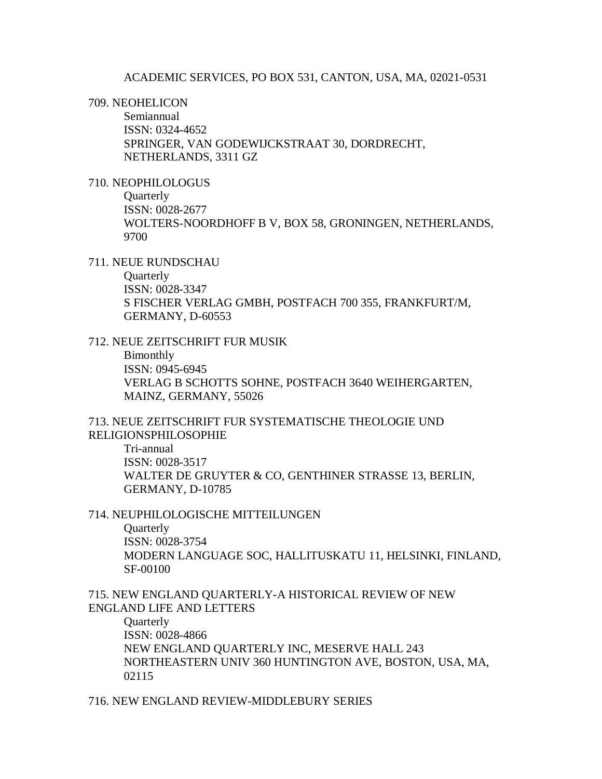#### ACADEMIC SERVICES, PO BOX 531, CANTON, USA, MA, 02021-0531

#### 709. NEOHELICON

Semiannual ISSN: 0324-4652 SPRINGER, VAN GODEWIJCKSTRAAT 30, DORDRECHT, NETHERLANDS, 3311 GZ

### 710. NEOPHILOLOGUS

**Quarterly** ISSN: 0028-2677 WOLTERS-NOORDHOFF B V, BOX 58, GRONINGEN, NETHERLANDS, 9700

#### 711. NEUE RUNDSCHAU

**Quarterly** ISSN: 0028-3347 S FISCHER VERLAG GMBH, POSTFACH 700 355, FRANKFURT/M, GERMANY, D-60553

### 712. NEUE ZEITSCHRIFT FUR MUSIK

Bimonthly ISSN: 0945-6945 VERLAG B SCHOTTS SOHNE, POSTFACH 3640 WEIHERGARTEN, MAINZ, GERMANY, 55026

#### 713. NEUE ZEITSCHRIFT FUR SYSTEMATISCHE THEOLOGIE UND RELIGIONSPHILOSOPHIE

Tri-annual ISSN: 0028-3517 WALTER DE GRUYTER & CO, GENTHINER STRASSE 13, BERLIN, GERMANY, D-10785

### 714. NEUPHILOLOGISCHE MITTEILUNGEN

**Quarterly** ISSN: 0028-3754 MODERN LANGUAGE SOC, HALLITUSKATU 11, HELSINKI, FINLAND, SF-00100

### 715. NEW ENGLAND QUARTERLY-A HISTORICAL REVIEW OF NEW ENGLAND LIFE AND LETTERS

**Quarterly** ISSN: 0028-4866 NEW ENGLAND QUARTERLY INC, MESERVE HALL 243 NORTHEASTERN UNIV 360 HUNTINGTON AVE, BOSTON, USA, MA, 02115

#### 716. NEW ENGLAND REVIEW-MIDDLEBURY SERIES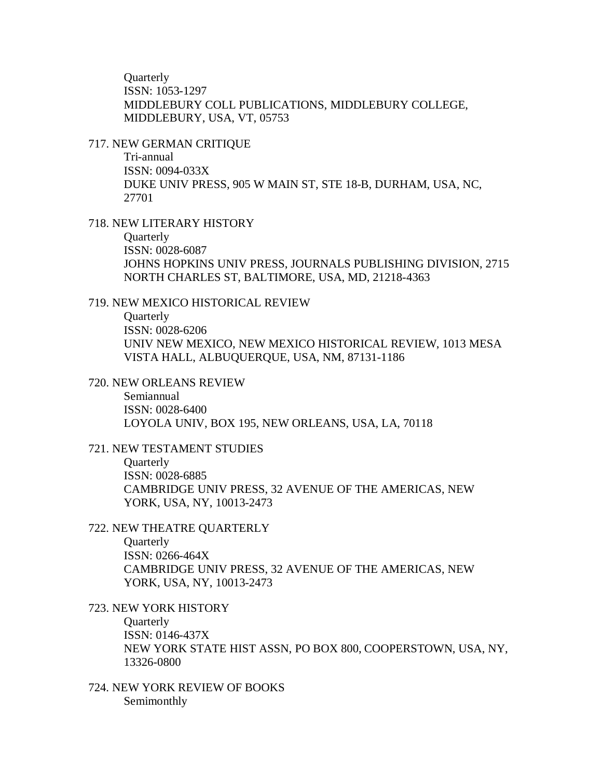**Ouarterly** ISSN: 1053-1297 MIDDLEBURY COLL PUBLICATIONS, MIDDLEBURY COLLEGE, MIDDLEBURY, USA, VT, 05753

#### 717. NEW GERMAN CRITIQUE

Tri-annual ISSN: 0094-033X DUKE UNIV PRESS, 905 W MAIN ST, STE 18-B, DURHAM, USA, NC, 27701

### 718. NEW LITERARY HISTORY

**Ouarterly** 

ISSN: 0028-6087

JOHNS HOPKINS UNIV PRESS, JOURNALS PUBLISHING DIVISION, 2715 NORTH CHARLES ST, BALTIMORE, USA, MD, 21218-4363

## 719. NEW MEXICO HISTORICAL REVIEW

**Quarterly** ISSN: 0028-6206 UNIV NEW MEXICO, NEW MEXICO HISTORICAL REVIEW, 1013 MESA VISTA HALL, ALBUQUERQUE, USA, NM, 87131-1186

#### 720. NEW ORLEANS REVIEW

Semiannual ISSN: 0028-6400 LOYOLA UNIV, BOX 195, NEW ORLEANS, USA, LA, 70118

### 721. NEW TESTAMENT STUDIES

**Ouarterly** ISSN: 0028-6885 CAMBRIDGE UNIV PRESS, 32 AVENUE OF THE AMERICAS, NEW YORK, USA, NY, 10013-2473

### 722. NEW THEATRE QUARTERLY

**Ouarterly** ISSN: 0266-464X CAMBRIDGE UNIV PRESS, 32 AVENUE OF THE AMERICAS, NEW YORK, USA, NY, 10013-2473

# 723. NEW YORK HISTORY

**Quarterly** ISSN: 0146-437X NEW YORK STATE HIST ASSN, PO BOX 800, COOPERSTOWN, USA, NY, 13326-0800

724. NEW YORK REVIEW OF BOOKS Semimonthly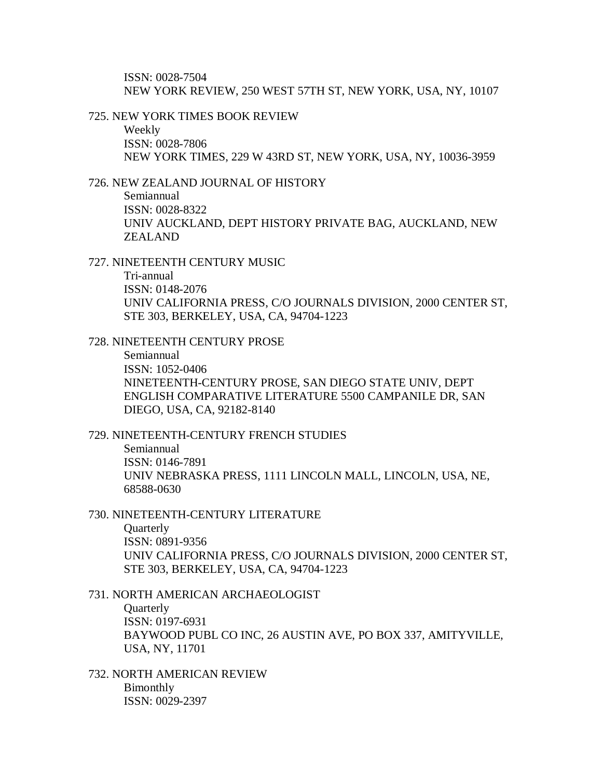ISSN: 0028-7504 NEW YORK REVIEW, 250 WEST 57TH ST, NEW YORK, USA, NY, 10107

#### 725. NEW YORK TIMES BOOK REVIEW

Weekly ISSN: 0028-7806 NEW YORK TIMES, 229 W 43RD ST, NEW YORK, USA, NY, 10036-3959

### 726. NEW ZEALAND JOURNAL OF HISTORY

Semiannual ISSN: 0028-8322 UNIV AUCKLAND, DEPT HISTORY PRIVATE BAG, AUCKLAND, NEW ZEALAND

727. NINETEENTH CENTURY MUSIC

Tri-annual ISSN: 0148-2076 UNIV CALIFORNIA PRESS, C/O JOURNALS DIVISION, 2000 CENTER ST, STE 303, BERKELEY, USA, CA, 94704-1223

728. NINETEENTH CENTURY PROSE

Semiannual ISSN: 1052-0406 NINETEENTH-CENTURY PROSE, SAN DIEGO STATE UNIV, DEPT ENGLISH COMPARATIVE LITERATURE 5500 CAMPANILE DR, SAN DIEGO, USA, CA, 92182-8140

# 729. NINETEENTH-CENTURY FRENCH STUDIES

Semiannual ISSN: 0146-7891 UNIV NEBRASKA PRESS, 1111 LINCOLN MALL, LINCOLN, USA, NE, 68588-0630

#### 730. NINETEENTH-CENTURY LITERATURE

**Quarterly** ISSN: 0891-9356 UNIV CALIFORNIA PRESS, C/O JOURNALS DIVISION, 2000 CENTER ST, STE 303, BERKELEY, USA, CA, 94704-1223

#### 731. NORTH AMERICAN ARCHAEOLOGIST

**Ouarterly** ISSN: 0197-6931 BAYWOOD PUBL CO INC, 26 AUSTIN AVE, PO BOX 337, AMITYVILLE, USA, NY, 11701

732. NORTH AMERICAN REVIEW Bimonthly ISSN: 0029-2397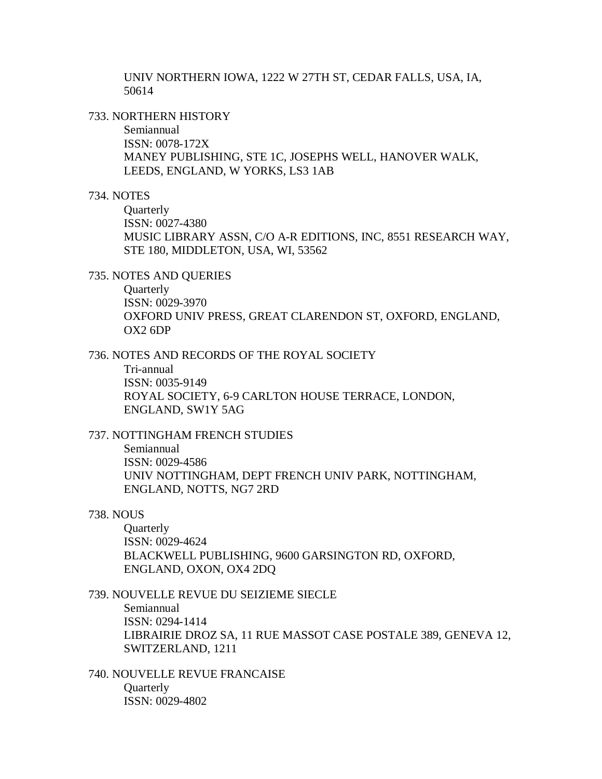UNIV NORTHERN IOWA, 1222 W 27TH ST, CEDAR FALLS, USA, IA, 50614

733. NORTHERN HISTORY

Semiannual ISSN: 0078-172X MANEY PUBLISHING, STE 1C, JOSEPHS WELL, HANOVER WALK, LEEDS, ENGLAND, W YORKS, LS3 1AB

### 734. NOTES

**Quarterly** ISSN: 0027-4380 MUSIC LIBRARY ASSN, C/O A-R EDITIONS, INC, 8551 RESEARCH WAY, STE 180, MIDDLETON, USA, WI, 53562

735. NOTES AND QUERIES

**Ouarterly** ISSN: 0029-3970 OXFORD UNIV PRESS, GREAT CLARENDON ST, OXFORD, ENGLAND, OX2 6DP

736. NOTES AND RECORDS OF THE ROYAL SOCIETY

Tri-annual ISSN: 0035-9149 ROYAL SOCIETY, 6-9 CARLTON HOUSE TERRACE, LONDON, ENGLAND, SW1Y 5AG

737. NOTTINGHAM FRENCH STUDIES

Semiannual ISSN: 0029-4586 UNIV NOTTINGHAM, DEPT FRENCH UNIV PARK, NOTTINGHAM, ENGLAND, NOTTS, NG7 2RD

### 738. NOUS

**Quarterly** ISSN: 0029-4624 BLACKWELL PUBLISHING, 9600 GARSINGTON RD, OXFORD, ENGLAND, OXON, OX4 2DQ

739. NOUVELLE REVUE DU SEIZIEME SIECLE Semiannual ISSN: 0294-1414 LIBRAIRIE DROZ SA, 11 RUE MASSOT CASE POSTALE 389, GENEVA 12, SWITZERLAND, 1211

740. NOUVELLE REVUE FRANCAISE **Ouarterly** ISSN: 0029-4802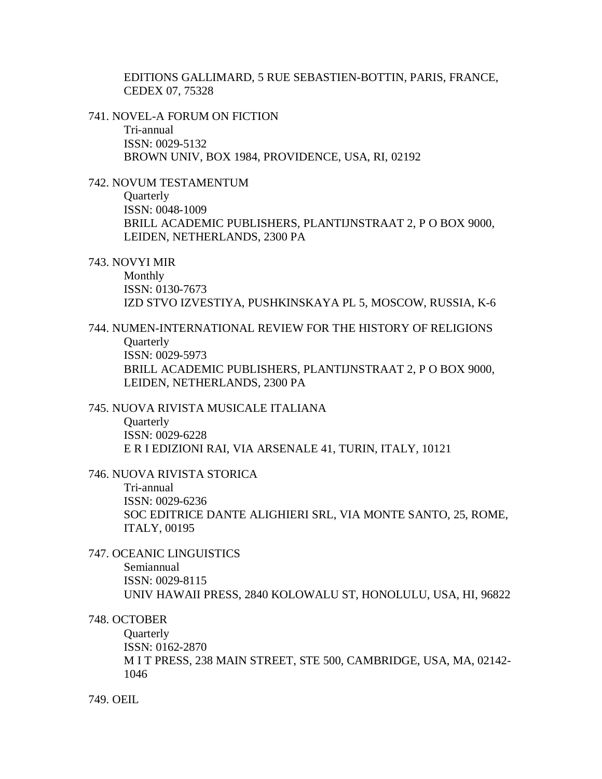EDITIONS GALLIMARD, 5 RUE SEBASTIEN-BOTTIN, PARIS, FRANCE, CEDEX 07, 75328

741. NOVEL-A FORUM ON FICTION

Tri-annual ISSN: 0029-5132 BROWN UNIV, BOX 1984, PROVIDENCE, USA, RI, 02192

# 742. NOVUM TESTAMENTUM

**Quarterly** ISSN: 0048-1009 BRILL ACADEMIC PUBLISHERS, PLANTIJNSTRAAT 2, P O BOX 9000, LEIDEN, NETHERLANDS, 2300 PA

743. NOVYI MIR

Monthly ISSN: 0130-7673 IZD STVO IZVESTIYA, PUSHKINSKAYA PL 5, MOSCOW, RUSSIA, K-6

# 744. NUMEN-INTERNATIONAL REVIEW FOR THE HISTORY OF RELIGIONS **Ouarterly** ISSN: 0029-5973

BRILL ACADEMIC PUBLISHERS, PLANTIJNSTRAAT 2, P O BOX 9000, LEIDEN, NETHERLANDS, 2300 PA

# 745. NUOVA RIVISTA MUSICALE ITALIANA

**Quarterly** ISSN: 0029-6228 E R I EDIZIONI RAI, VIA ARSENALE 41, TURIN, ITALY, 10121

# 746. NUOVA RIVISTA STORICA

Tri-annual ISSN: 0029-6236 SOC EDITRICE DANTE ALIGHIERI SRL, VIA MONTE SANTO, 25, ROME, ITALY, 00195

747. OCEANIC LINGUISTICS

Semiannual ISSN: 0029-8115 UNIV HAWAII PRESS, 2840 KOLOWALU ST, HONOLULU, USA, HI, 96822

# 748. OCTOBER

**Quarterly** ISSN: 0162-2870 M I T PRESS, 238 MAIN STREET, STE 500, CAMBRIDGE, USA, MA, 02142- 1046

749. OEIL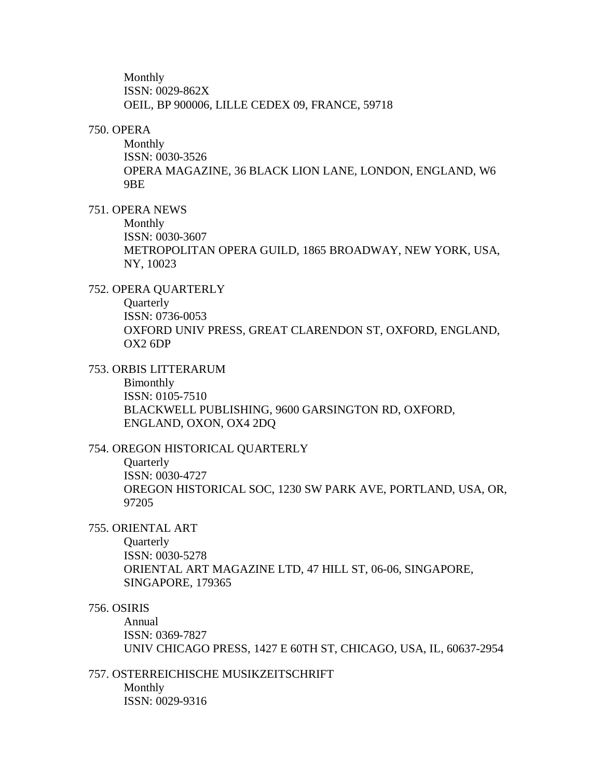Monthly ISSN: 0029-862X OEIL, BP 900006, LILLE CEDEX 09, FRANCE, 59718

### 750. OPERA

Monthly ISSN: 0030-3526 OPERA MAGAZINE, 36 BLACK LION LANE, LONDON, ENGLAND, W6 9BE

### 751. OPERA NEWS

Monthly ISSN: 0030-3607 METROPOLITAN OPERA GUILD, 1865 BROADWAY, NEW YORK, USA, NY, 10023

### 752. OPERA QUARTERLY

**Quarterly** 

ISSN: 0736-0053 OXFORD UNIV PRESS, GREAT CLARENDON ST, OXFORD, ENGLAND, OX2 6DP

# 753. ORBIS LITTERARUM

Bimonthly ISSN: 0105-7510 BLACKWELL PUBLISHING, 9600 GARSINGTON RD, OXFORD, ENGLAND, OXON, OX4 2DQ

# 754. OREGON HISTORICAL QUARTERLY

**Quarterly** ISSN: 0030-4727 OREGON HISTORICAL SOC, 1230 SW PARK AVE, PORTLAND, USA, OR, 97205

#### 755. ORIENTAL ART

**Ouarterly** ISSN: 0030-5278 ORIENTAL ART MAGAZINE LTD, 47 HILL ST, 06-06, SINGAPORE, SINGAPORE, 179365

### 756. OSIRIS

Annual ISSN: 0369-7827 UNIV CHICAGO PRESS, 1427 E 60TH ST, CHICAGO, USA, IL, 60637-2954

### 757. OSTERREICHISCHE MUSIKZEITSCHRIFT

Monthly ISSN: 0029-9316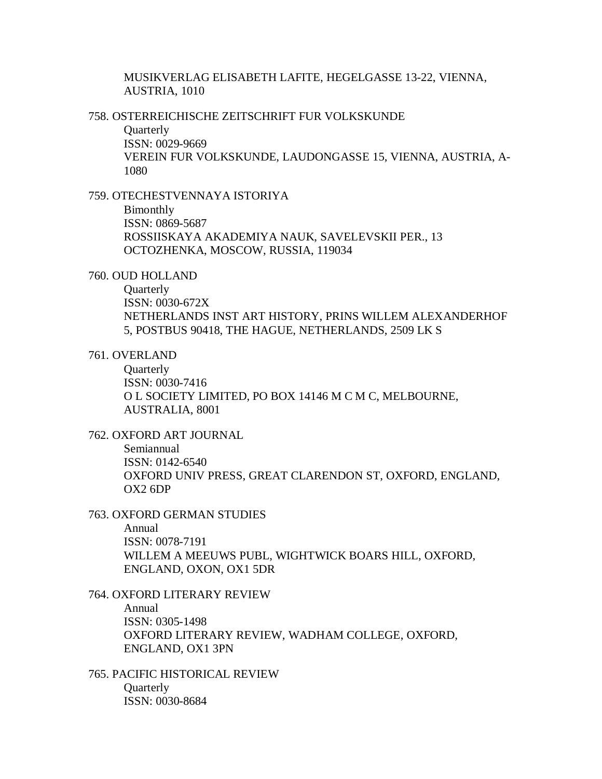MUSIKVERLAG ELISABETH LAFITE, HEGELGASSE 13-22, VIENNA, AUSTRIA, 1010

758. OSTERREICHISCHE ZEITSCHRIFT FUR VOLKSKUNDE

**Quarterly** ISSN: 0029-9669 VEREIN FUR VOLKSKUNDE, LAUDONGASSE 15, VIENNA, AUSTRIA, A-1080

759. OTECHESTVENNAYA ISTORIYA

Bimonthly ISSN: 0869-5687 ROSSIISKAYA AKADEMIYA NAUK, SAVELEVSKII PER., 13 OCTOZHENKA, MOSCOW, RUSSIA, 119034

760. OUD HOLLAND

**Ouarterly** 

ISSN: 0030-672X NETHERLANDS INST ART HISTORY, PRINS WILLEM ALEXANDERHOF 5, POSTBUS 90418, THE HAGUE, NETHERLANDS, 2509 LK S

### 761. OVERLAND

**Ouarterly** ISSN: 0030-7416 O L SOCIETY LIMITED, PO BOX 14146 M C M C, MELBOURNE, AUSTRALIA, 8001

# 762. OXFORD ART JOURNAL

Semiannual ISSN: 0142-6540 OXFORD UNIV PRESS, GREAT CLARENDON ST, OXFORD, ENGLAND, OX2 6DP

### 763. OXFORD GERMAN STUDIES

Annual

ISSN: 0078-7191 WILLEM A MEEUWS PUBL, WIGHTWICK BOARS HILL, OXFORD, ENGLAND, OXON, OX1 5DR

# 764. OXFORD LITERARY REVIEW

Annual ISSN: 0305-1498 OXFORD LITERARY REVIEW, WADHAM COLLEGE, OXFORD, ENGLAND, OX1 3PN

765. PACIFIC HISTORICAL REVIEW **Ouarterly** ISSN: 0030-8684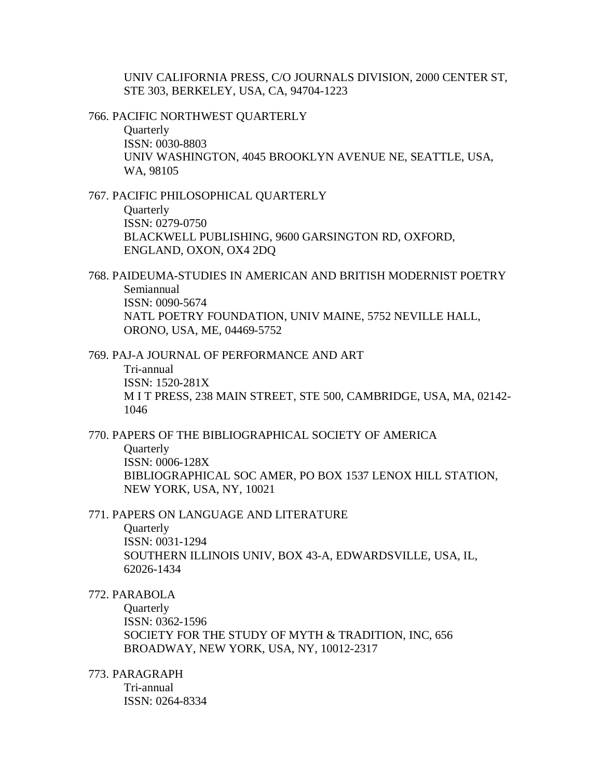UNIV CALIFORNIA PRESS, C/O JOURNALS DIVISION, 2000 CENTER ST, STE 303, BERKELEY, USA, CA, 94704-1223

766. PACIFIC NORTHWEST QUARTERLY

**Ouarterly** ISSN: 0030-8803 UNIV WASHINGTON, 4045 BROOKLYN AVENUE NE, SEATTLE, USA, WA, 98105

767. PACIFIC PHILOSOPHICAL QUARTERLY

**Quarterly** ISSN: 0279-0750 BLACKWELL PUBLISHING, 9600 GARSINGTON RD, OXFORD, ENGLAND, OXON, OX4 2DQ

768. PAIDEUMA-STUDIES IN AMERICAN AND BRITISH MODERNIST POETRY Semiannual ISSN: 0090-5674 NATL POETRY FOUNDATION, UNIV MAINE, 5752 NEVILLE HALL, ORONO, USA, ME, 04469-5752

769. PAJ-A JOURNAL OF PERFORMANCE AND ART Tri-annual ISSN: 1520-281X M I T PRESS, 238 MAIN STREET, STE 500, CAMBRIDGE, USA, MA, 02142- 1046

770. PAPERS OF THE BIBLIOGRAPHICAL SOCIETY OF AMERICA **Ouarterly** ISSN: 0006-128X BIBLIOGRAPHICAL SOC AMER, PO BOX 1537 LENOX HILL STATION, NEW YORK, USA, NY, 10021

771. PAPERS ON LANGUAGE AND LITERATURE

**Quarterly** 

ISSN: 0031-1294 SOUTHERN ILLINOIS UNIV, BOX 43-A, EDWARDSVILLE, USA, IL, 62026-1434

772. PARABOLA

**Ouarterly** ISSN: 0362-1596 SOCIETY FOR THE STUDY OF MYTH & TRADITION, INC, 656 BROADWAY, NEW YORK, USA, NY, 10012-2317

773. PARAGRAPH

Tri-annual ISSN: 0264-8334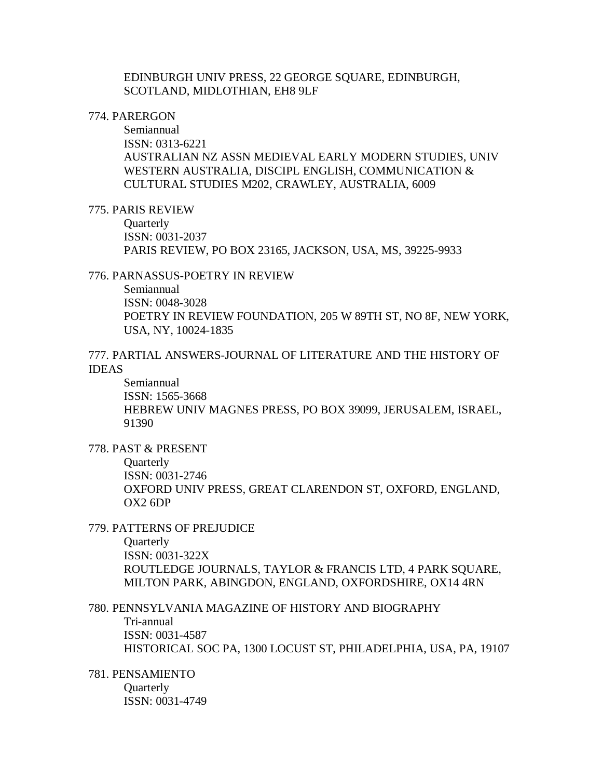EDINBURGH UNIV PRESS, 22 GEORGE SQUARE, EDINBURGH, SCOTLAND, MIDLOTHIAN, EH8 9LF

### 774. PARERGON

Semiannual ISSN: 0313-6221 AUSTRALIAN NZ ASSN MEDIEVAL EARLY MODERN STUDIES, UNIV WESTERN AUSTRALIA, DISCIPL ENGLISH, COMMUNICATION & CULTURAL STUDIES M202, CRAWLEY, AUSTRALIA, 6009

### 775. PARIS REVIEW

**Ouarterly** ISSN: 0031-2037 PARIS REVIEW, PO BOX 23165, JACKSON, USA, MS, 39225-9933

### 776. PARNASSUS-POETRY IN REVIEW

Semiannual ISSN: 0048-3028 POETRY IN REVIEW FOUNDATION, 205 W 89TH ST, NO 8F, NEW YORK, USA, NY, 10024-1835

# 777. PARTIAL ANSWERS-JOURNAL OF LITERATURE AND THE HISTORY OF IDEAS

Semiannual ISSN: 1565-3668 HEBREW UNIV MAGNES PRESS, PO BOX 39099, JERUSALEM, ISRAEL, 91390

### 778. PAST & PRESENT

**Ouarterly** ISSN: 0031-2746 OXFORD UNIV PRESS, GREAT CLARENDON ST, OXFORD, ENGLAND, OX2 6DP

### 779. PATTERNS OF PREJUDICE

**Ouarterly** ISSN: 0031-322X ROUTLEDGE JOURNALS, TAYLOR & FRANCIS LTD, 4 PARK SQUARE, MILTON PARK, ABINGDON, ENGLAND, OXFORDSHIRE, OX14 4RN

# 780. PENNSYLVANIA MAGAZINE OF HISTORY AND BIOGRAPHY

Tri-annual ISSN: 0031-4587 HISTORICAL SOC PA, 1300 LOCUST ST, PHILADELPHIA, USA, PA, 19107

### 781. PENSAMIENTO **Ouarterly** ISSN: 0031-4749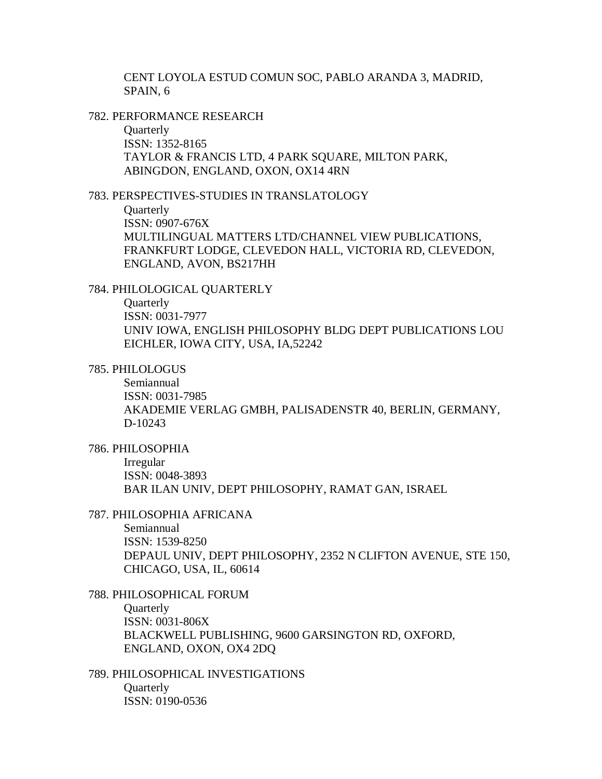CENT LOYOLA ESTUD COMUN SOC, PABLO ARANDA 3, MADRID, SPAIN, 6

782. PERFORMANCE RESEARCH

**Quarterly** ISSN: 1352-8165 TAYLOR & FRANCIS LTD, 4 PARK SQUARE, MILTON PARK, ABINGDON, ENGLAND, OXON, OX14 4RN

783. PERSPECTIVES-STUDIES IN TRANSLATOLOGY

**Quarterly** ISSN: 0907-676X MULTILINGUAL MATTERS LTD/CHANNEL VIEW PUBLICATIONS, FRANKFURT LODGE, CLEVEDON HALL, VICTORIA RD, CLEVEDON, ENGLAND, AVON, BS217HH

### 784. PHILOLOGICAL QUARTERLY

**Quarterly** ISSN: 0031-7977 UNIV IOWA, ENGLISH PHILOSOPHY BLDG DEPT PUBLICATIONS LOU EICHLER, IOWA CITY, USA, IA,52242

785. PHILOLOGUS

Semiannual ISSN: 0031-7985 AKADEMIE VERLAG GMBH, PALISADENSTR 40, BERLIN, GERMANY, D-10243

786. PHILOSOPHIA

Irregular ISSN: 0048-3893 BAR ILAN UNIV, DEPT PHILOSOPHY, RAMAT GAN, ISRAEL

### 787. PHILOSOPHIA AFRICANA

Semiannual ISSN: 1539-8250 DEPAUL UNIV, DEPT PHILOSOPHY, 2352 N CLIFTON AVENUE, STE 150, CHICAGO, USA, IL, 60614

788. PHILOSOPHICAL FORUM **Ouarterly** ISSN: 0031-806X BLACKWELL PUBLISHING, 9600 GARSINGTON RD, OXFORD, ENGLAND, OXON, OX4 2DQ

789. PHILOSOPHICAL INVESTIGATIONS **Ouarterly** ISSN: 0190-0536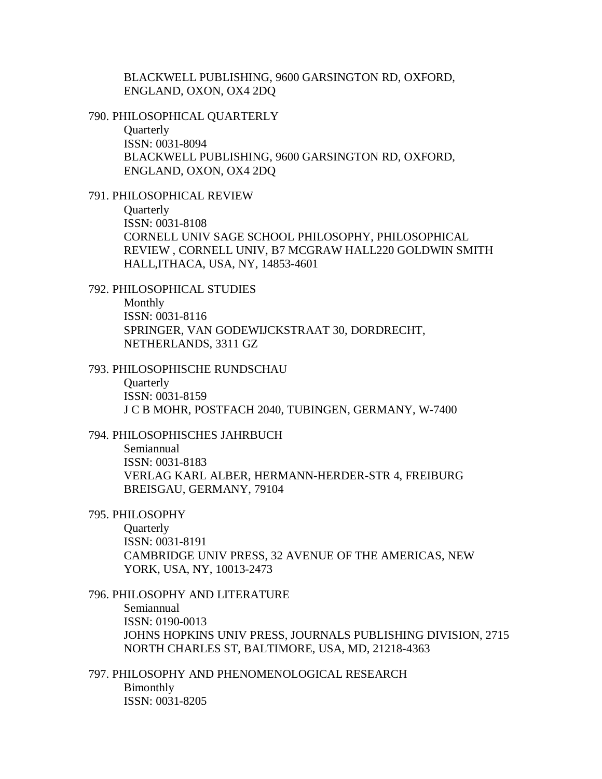BLACKWELL PUBLISHING, 9600 GARSINGTON RD, OXFORD, ENGLAND, OXON, OX4 2DQ

#### 790. PHILOSOPHICAL QUARTERLY

**Ouarterly** ISSN: 0031-8094 BLACKWELL PUBLISHING, 9600 GARSINGTON RD, OXFORD, ENGLAND, OXON, OX4 2DQ

### 791. PHILOSOPHICAL REVIEW

**Quarterly** ISSN: 0031-8108 CORNELL UNIV SAGE SCHOOL PHILOSOPHY, PHILOSOPHICAL REVIEW , CORNELL UNIV, B7 MCGRAW HALL220 GOLDWIN SMITH HALL,ITHACA, USA, NY, 14853-4601

### 792. PHILOSOPHICAL STUDIES

Monthly ISSN: 0031-8116 SPRINGER, VAN GODEWIJCKSTRAAT 30, DORDRECHT, NETHERLANDS, 3311 GZ

#### 793. PHILOSOPHISCHE RUNDSCHAU

**Quarterly** ISSN: 0031-8159 J C B MOHR, POSTFACH 2040, TUBINGEN, GERMANY, W-7400

### 794. PHILOSOPHISCHES JAHRBUCH

Semiannual ISSN: 0031-8183 VERLAG KARL ALBER, HERMANN-HERDER-STR 4, FREIBURG BREISGAU, GERMANY, 79104

#### 795. PHILOSOPHY

**Quarterly** ISSN: 0031-8191 CAMBRIDGE UNIV PRESS, 32 AVENUE OF THE AMERICAS, NEW YORK, USA, NY, 10013-2473

### 796. PHILOSOPHY AND LITERATURE

Semiannual ISSN: 0190-0013 JOHNS HOPKINS UNIV PRESS, JOURNALS PUBLISHING DIVISION, 2715 NORTH CHARLES ST, BALTIMORE, USA, MD, 21218-4363

797. PHILOSOPHY AND PHENOMENOLOGICAL RESEARCH Bimonthly ISSN: 0031-8205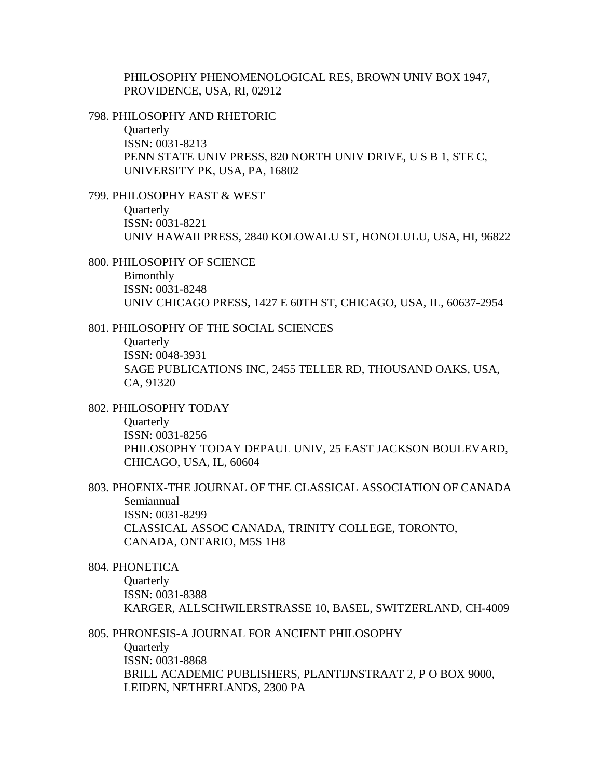PHILOSOPHY PHENOMENOLOGICAL RES, BROWN UNIV BOX 1947, PROVIDENCE, USA, RI, 02912

#### 798. PHILOSOPHY AND RHETORIC

**Quarterly** ISSN: 0031-8213 PENN STATE UNIV PRESS, 820 NORTH UNIV DRIVE, U S B 1, STE C, UNIVERSITY PK, USA, PA, 16802

### 799. PHILOSOPHY EAST & WEST

**Quarterly** ISSN: 0031-8221 UNIV HAWAII PRESS, 2840 KOLOWALU ST, HONOLULU, USA, HI, 96822

# 800. PHILOSOPHY OF SCIENCE Bimonthly ISSN: 0031-8248 UNIV CHICAGO PRESS, 1427 E 60TH ST, CHICAGO, USA, IL, 60637-2954

#### 801. PHILOSOPHY OF THE SOCIAL SCIENCES

**Ouarterly** ISSN: 0048-3931 SAGE PUBLICATIONS INC, 2455 TELLER RD, THOUSAND OAKS, USA, CA, 91320

802. PHILOSOPHY TODAY

**Quarterly** ISSN: 0031-8256 PHILOSOPHY TODAY DEPAUL UNIV, 25 EAST JACKSON BOULEVARD, CHICAGO, USA, IL, 60604

# 803. PHOENIX-THE JOURNAL OF THE CLASSICAL ASSOCIATION OF CANADA Semiannual ISSN: 0031-8299 CLASSICAL ASSOC CANADA, TRINITY COLLEGE, TORONTO, CANADA, ONTARIO, M5S 1H8

#### 804. PHONETICA

**Ouarterly** ISSN: 0031-8388 KARGER, ALLSCHWILERSTRASSE 10, BASEL, SWITZERLAND, CH-4009

### 805. PHRONESIS-A JOURNAL FOR ANCIENT PHILOSOPHY

**Quarterly** ISSN: 0031-8868 BRILL ACADEMIC PUBLISHERS, PLANTIJNSTRAAT 2, P O BOX 9000, LEIDEN, NETHERLANDS, 2300 PA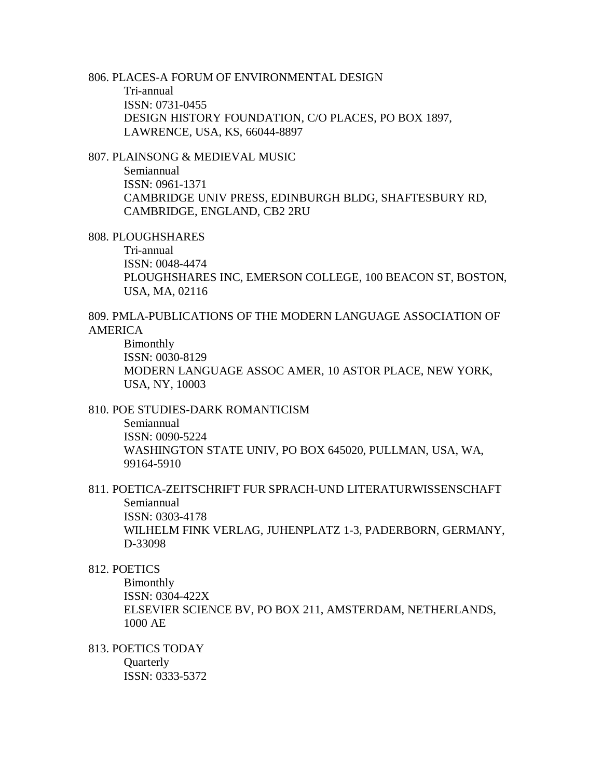806. PLACES-A FORUM OF ENVIRONMENTAL DESIGN Tri-annual ISSN: 0731-0455 DESIGN HISTORY FOUNDATION, C/O PLACES, PO BOX 1897, LAWRENCE, USA, KS, 66044-8897

807. PLAINSONG & MEDIEVAL MUSIC

Semiannual ISSN: 0961-1371 CAMBRIDGE UNIV PRESS, EDINBURGH BLDG, SHAFTESBURY RD, CAMBRIDGE, ENGLAND, CB2 2RU

808. PLOUGHSHARES

Tri-annual ISSN: 0048-4474 PLOUGHSHARES INC, EMERSON COLLEGE, 100 BEACON ST, BOSTON, USA, MA, 02116

809. PMLA-PUBLICATIONS OF THE MODERN LANGUAGE ASSOCIATION OF AMERICA

Bimonthly ISSN: 0030-8129 MODERN LANGUAGE ASSOC AMER, 10 ASTOR PLACE, NEW YORK, USA, NY, 10003

810. POE STUDIES-DARK ROMANTICISM

Semiannual ISSN: 0090-5224 WASHINGTON STATE UNIV, PO BOX 645020, PULLMAN, USA, WA, 99164-5910

811. POETICA-ZEITSCHRIFT FUR SPRACH-UND LITERATURWISSENSCHAFT Semiannual ISSN: 0303-4178 WILHELM FINK VERLAG, JUHENPLATZ 1-3, PADERBORN, GERMANY, D-33098

812. POETICS

Bimonthly ISSN: 0304-422X ELSEVIER SCIENCE BV, PO BOX 211, AMSTERDAM, NETHERLANDS, 1000 AE

813. POETICS TODAY **Quarterly** 

ISSN: 0333-5372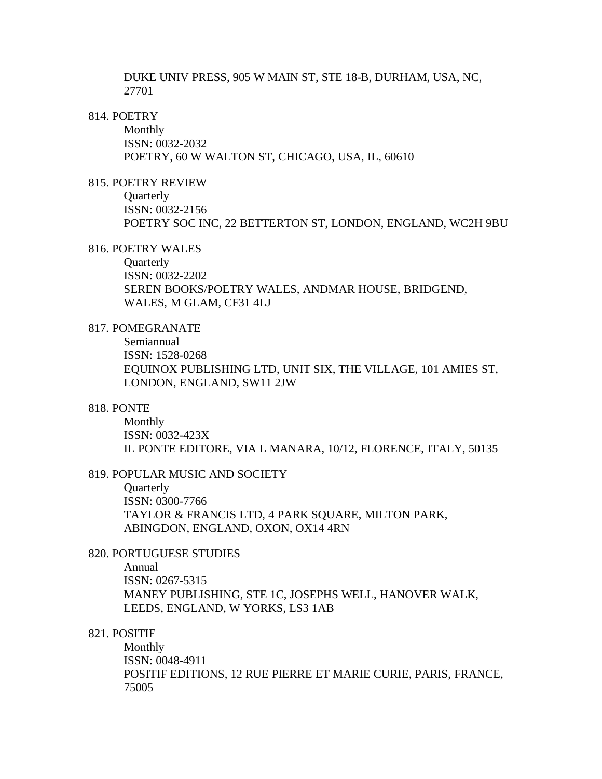DUKE UNIV PRESS, 905 W MAIN ST, STE 18-B, DURHAM, USA, NC, 27701

## 814. POETRY

Monthly ISSN: 0032-2032 POETRY, 60 W WALTON ST, CHICAGO, USA, IL, 60610

### 815. POETRY REVIEW

**Quarterly** ISSN: 0032-2156 POETRY SOC INC, 22 BETTERTON ST, LONDON, ENGLAND, WC2H 9BU

### 816. POETRY WALES

**Ouarterly** ISSN: 0032-2202 SEREN BOOKS/POETRY WALES, ANDMAR HOUSE, BRIDGEND, WALES, M GLAM, CF31 4LJ

### 817. POMEGRANATE

Semiannual ISSN: 1528-0268 EQUINOX PUBLISHING LTD, UNIT SIX, THE VILLAGE, 101 AMIES ST, LONDON, ENGLAND, SW11 2JW

### 818. PONTE

Monthly ISSN: 0032-423X IL PONTE EDITORE, VIA L MANARA, 10/12, FLORENCE, ITALY, 50135

#### 819. POPULAR MUSIC AND SOCIETY

**Quarterly** ISSN: 0300-7766 TAYLOR & FRANCIS LTD, 4 PARK SQUARE, MILTON PARK, ABINGDON, ENGLAND, OXON, OX14 4RN

# 820. PORTUGUESE STUDIES

Annual ISSN: 0267-5315 MANEY PUBLISHING, STE 1C, JOSEPHS WELL, HANOVER WALK, LEEDS, ENGLAND, W YORKS, LS3 1AB

### 821. POSITIF

Monthly ISSN: 0048-4911 POSITIF EDITIONS, 12 RUE PIERRE ET MARIE CURIE, PARIS, FRANCE, 75005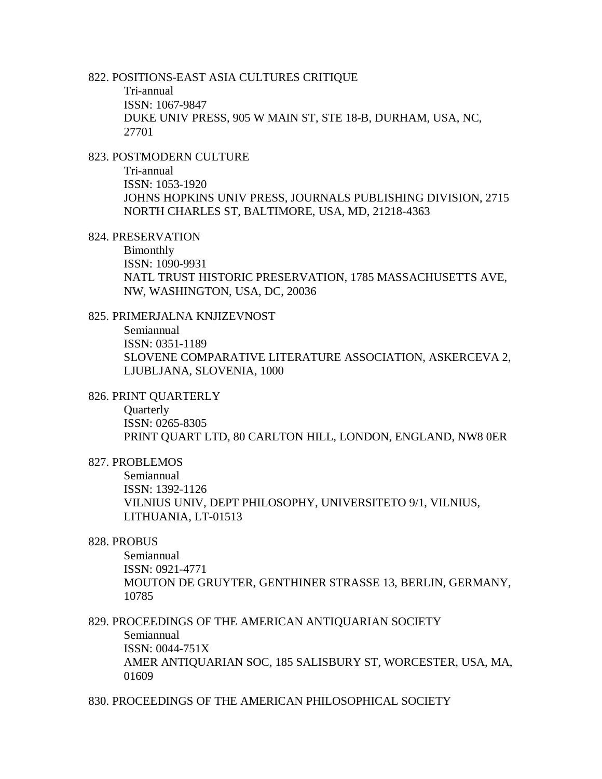#### 822. POSITIONS-EAST ASIA CULTURES CRITIQUE

Tri-annual ISSN: 1067-9847 DUKE UNIV PRESS, 905 W MAIN ST, STE 18-B, DURHAM, USA, NC, 27701

## 823. POSTMODERN CULTURE

Tri-annual ISSN: 1053-1920 JOHNS HOPKINS UNIV PRESS, JOURNALS PUBLISHING DIVISION, 2715 NORTH CHARLES ST, BALTIMORE, USA, MD, 21218-4363

#### 824. PRESERVATION

Bimonthly ISSN: 1090-9931 NATL TRUST HISTORIC PRESERVATION, 1785 MASSACHUSETTS AVE, NW, WASHINGTON, USA, DC, 20036

# 825. PRIMERJALNA KNJIZEVNOST

Semiannual ISSN: 0351-1189 SLOVENE COMPARATIVE LITERATURE ASSOCIATION, ASKERCEVA 2, LJUBLJANA, SLOVENIA, 1000

### 826. PRINT QUARTERLY

**Quarterly** ISSN: 0265-8305 PRINT QUART LTD, 80 CARLTON HILL, LONDON, ENGLAND, NW8 0ER

#### 827. PROBLEMOS

Semiannual ISSN: 1392-1126 VILNIUS UNIV, DEPT PHILOSOPHY, UNIVERSITETO 9/1, VILNIUS, LITHUANIA, LT-01513

### 828. PROBUS

Semiannual ISSN: 0921-4771 MOUTON DE GRUYTER, GENTHINER STRASSE 13, BERLIN, GERMANY, 10785

# 829. PROCEEDINGS OF THE AMERICAN ANTIQUARIAN SOCIETY Semiannual ISSN: 0044-751X AMER ANTIQUARIAN SOC, 185 SALISBURY ST, WORCESTER, USA, MA, 01609

830. PROCEEDINGS OF THE AMERICAN PHILOSOPHICAL SOCIETY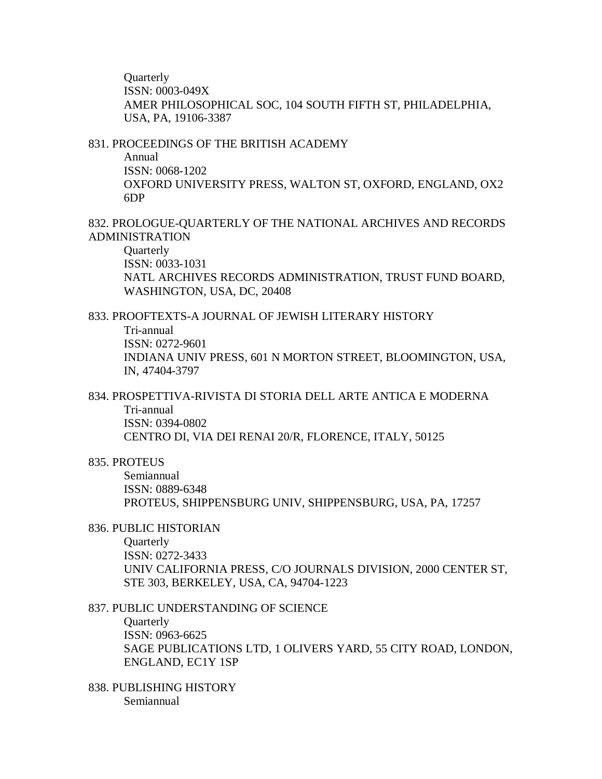**Ouarterly** ISSN: 0003-049X AMER PHILOSOPHICAL SOC, 104 SOUTH FIFTH ST, PHILADELPHIA, USA, PA, 19106-3387

#### 831. PROCEEDINGS OF THE BRITISH ACADEMY

Annual ISSN: 0068-1202 OXFORD UNIVERSITY PRESS, WALTON ST, OXFORD, ENGLAND, OX2 6DP

# 832. PROLOGUE-QUARTERLY OF THE NATIONAL ARCHIVES AND RECORDS ADMINISTRATION

**Quarterly** ISSN: 0033-1031 NATL ARCHIVES RECORDS ADMINISTRATION, TRUST FUND BOARD, WASHINGTON, USA, DC, 20408

### 833. PROOFTEXTS-A JOURNAL OF JEWISH LITERARY HISTORY

Tri-annual

ISSN: 0272-9601

INDIANA UNIV PRESS, 601 N MORTON STREET, BLOOMINGTON, USA, IN, 47404-3797

### 834. PROSPETTIVA-RIVISTA DI STORIA DELL ARTE ANTICA E MODERNA Tri-annual

ISSN: 0394-0802 CENTRO DI, VIA DEI RENAI 20/R, FLORENCE, ITALY, 50125

### 835. PROTEUS

Semiannual ISSN: 0889-6348 PROTEUS, SHIPPENSBURG UNIV, SHIPPENSBURG, USA, PA, 17257

#### 836. PUBLIC HISTORIAN

**Ouarterly** ISSN: 0272-3433 UNIV CALIFORNIA PRESS, C/O JOURNALS DIVISION, 2000 CENTER ST, STE 303, BERKELEY, USA, CA, 94704-1223

### 837. PUBLIC UNDERSTANDING OF SCIENCE

**Quarterly** ISSN: 0963-6625 SAGE PUBLICATIONS LTD, 1 OLIVERS YARD, 55 CITY ROAD, LONDON, ENGLAND, EC1Y 1SP

838. PUBLISHING HISTORY Semiannual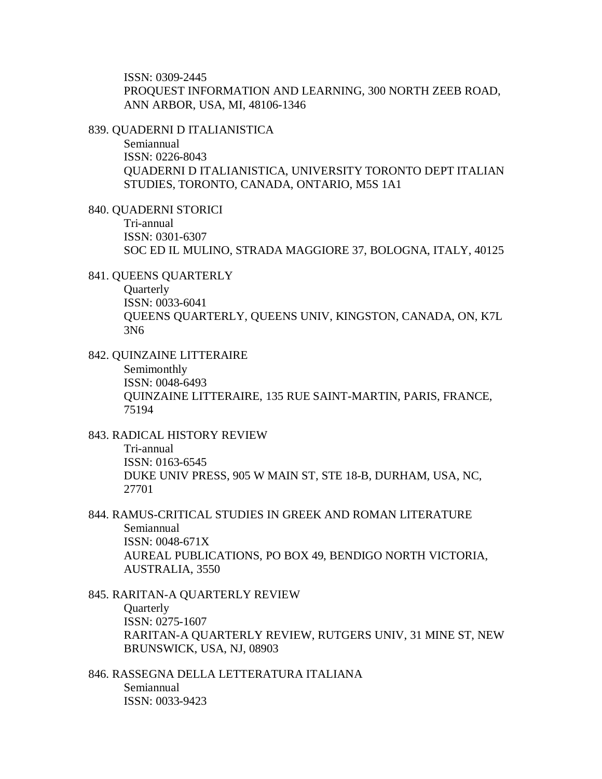ISSN: 0309-2445 PROQUEST INFORMATION AND LEARNING, 300 NORTH ZEEB ROAD, ANN ARBOR, USA, MI, 48106-1346

839. QUADERNI D ITALIANISTICA

Semiannual ISSN: 0226-8043 QUADERNI D ITALIANISTICA, UNIVERSITY TORONTO DEPT ITALIAN STUDIES, TORONTO, CANADA, ONTARIO, M5S 1A1

840. QUADERNI STORICI Tri-annual ISSN: 0301-6307 SOC ED IL MULINO, STRADA MAGGIORE 37, BOLOGNA, ITALY, 40125

841. QUEENS QUARTERLY

**Ouarterly** ISSN: 0033-6041 QUEENS QUARTERLY, QUEENS UNIV, KINGSTON, CANADA, ON, K7L 3N6

842. QUINZAINE LITTERAIRE

Semimonthly ISSN: 0048-6493 QUINZAINE LITTERAIRE, 135 RUE SAINT-MARTIN, PARIS, FRANCE, 75194

843. RADICAL HISTORY REVIEW

Tri-annual ISSN: 0163-6545 DUKE UNIV PRESS, 905 W MAIN ST, STE 18-B, DURHAM, USA, NC, 27701

844. RAMUS-CRITICAL STUDIES IN GREEK AND ROMAN LITERATURE Semiannual ISSN: 0048-671X AUREAL PUBLICATIONS, PO BOX 49, BENDIGO NORTH VICTORIA, AUSTRALIA, 3550

845. RARITAN-A QUARTERLY REVIEW **Ouarterly** ISSN: 0275-1607 RARITAN-A QUARTERLY REVIEW, RUTGERS UNIV, 31 MINE ST, NEW BRUNSWICK, USA, NJ, 08903

846. RASSEGNA DELLA LETTERATURA ITALIANA Semiannual ISSN: 0033-9423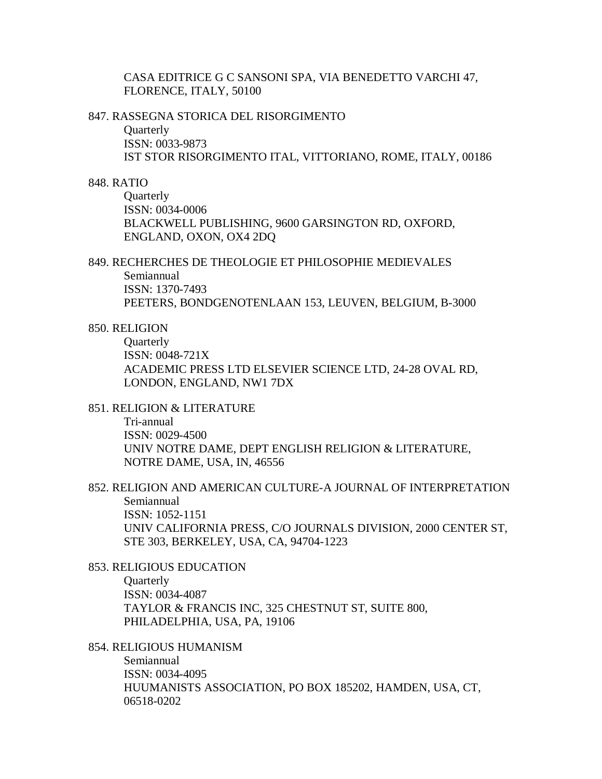CASA EDITRICE G C SANSONI SPA, VIA BENEDETTO VARCHI 47, FLORENCE, ITALY, 50100

### 847. RASSEGNA STORICA DEL RISORGIMENTO

**Quarterly** ISSN: 0033-9873 IST STOR RISORGIMENTO ITAL, VITTORIANO, ROME, ITALY, 00186

### 848. RATIO

**Quarterly** ISSN: 0034-0006 BLACKWELL PUBLISHING, 9600 GARSINGTON RD, OXFORD, ENGLAND, OXON, OX4 2DQ

# 849. RECHERCHES DE THEOLOGIE ET PHILOSOPHIE MEDIEVALES Semiannual ISSN: 1370-7493 PEETERS, BONDGENOTENLAAN 153, LEUVEN, BELGIUM, B-3000

### 850. RELIGION

**Ouarterly** ISSN: 0048-721X ACADEMIC PRESS LTD ELSEVIER SCIENCE LTD, 24-28 OVAL RD, LONDON, ENGLAND, NW1 7DX

851. RELIGION & LITERATURE

Tri-annual ISSN: 0029-4500 UNIV NOTRE DAME, DEPT ENGLISH RELIGION & LITERATURE, NOTRE DAME, USA, IN, 46556

# 852. RELIGION AND AMERICAN CULTURE-A JOURNAL OF INTERPRETATION Semiannual ISSN: 1052-1151 UNIV CALIFORNIA PRESS, C/O JOURNALS DIVISION, 2000 CENTER ST, STE 303, BERKELEY, USA, CA, 94704-1223

### 853. RELIGIOUS EDUCATION

**Ouarterly** ISSN: 0034-4087 TAYLOR & FRANCIS INC, 325 CHESTNUT ST, SUITE 800, PHILADELPHIA, USA, PA, 19106

# 854. RELIGIOUS HUMANISM

Semiannual ISSN: 0034-4095 HUUMANISTS ASSOCIATION, PO BOX 185202, HAMDEN, USA, CT, 06518-0202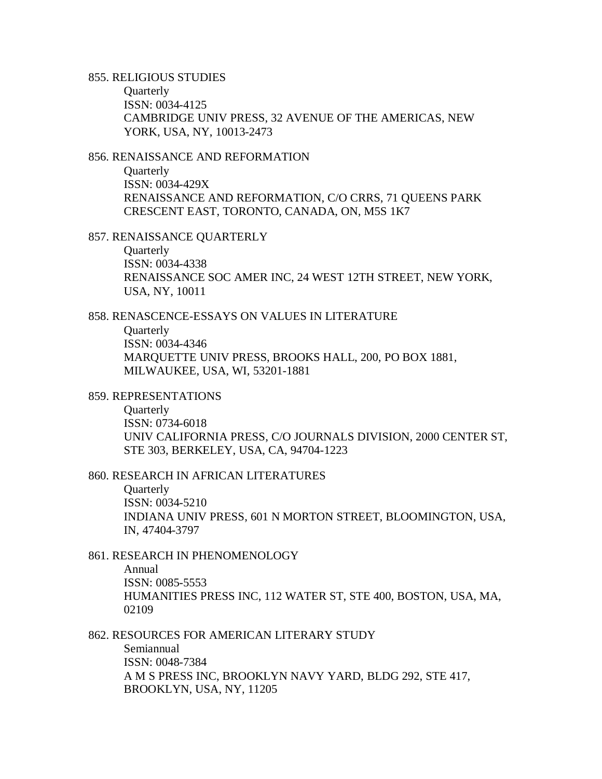855. RELIGIOUS STUDIES

**Quarterly** ISSN: 0034-4125 CAMBRIDGE UNIV PRESS, 32 AVENUE OF THE AMERICAS, NEW YORK, USA, NY, 10013-2473

856. RENAISSANCE AND REFORMATION

**Quarterly** ISSN: 0034-429X RENAISSANCE AND REFORMATION, C/O CRRS, 71 QUEENS PARK CRESCENT EAST, TORONTO, CANADA, ON, M5S 1K7

857. RENAISSANCE QUARTERLY

**Quarterly** ISSN: 0034-4338 RENAISSANCE SOC AMER INC, 24 WEST 12TH STREET, NEW YORK, USA, NY, 10011

858. RENASCENCE-ESSAYS ON VALUES IN LITERATURE

**Quarterly** ISSN: 0034-4346 MARQUETTE UNIV PRESS, BROOKS HALL, 200, PO BOX 1881, MILWAUKEE, USA, WI, 53201-1881

859. REPRESENTATIONS

**Quarterly** ISSN: 0734-6018 UNIV CALIFORNIA PRESS, C/O JOURNALS DIVISION, 2000 CENTER ST, STE 303, BERKELEY, USA, CA, 94704-1223

860. RESEARCH IN AFRICAN LITERATURES

**Quarterly** ISSN: 0034-5210 INDIANA UNIV PRESS, 601 N MORTON STREET, BLOOMINGTON, USA, IN, 47404-3797

861. RESEARCH IN PHENOMENOLOGY

Annual ISSN: 0085-5553 HUMANITIES PRESS INC, 112 WATER ST, STE 400, BOSTON, USA, MA, 02109

862. RESOURCES FOR AMERICAN LITERARY STUDY

Semiannual ISSN: 0048-7384 A M S PRESS INC, BROOKLYN NAVY YARD, BLDG 292, STE 417, BROOKLYN, USA, NY, 11205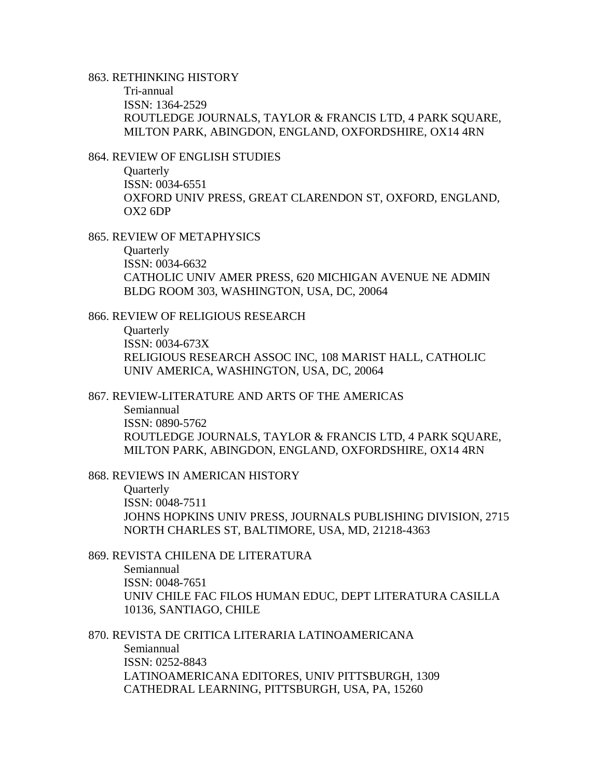### 863. RETHINKING HISTORY

Tri-annual ISSN: 1364-2529 ROUTLEDGE JOURNALS, TAYLOR & FRANCIS LTD, 4 PARK SOUARE, MILTON PARK, ABINGDON, ENGLAND, OXFORDSHIRE, OX14 4RN

# 864. REVIEW OF ENGLISH STUDIES

**Quarterly** ISSN: 0034-6551 OXFORD UNIV PRESS, GREAT CLARENDON ST, OXFORD, ENGLAND, OX2 6DP

#### 865. REVIEW OF METAPHYSICS

**Quarterly** ISSN: 0034-6632 CATHOLIC UNIV AMER PRESS, 620 MICHIGAN AVENUE NE ADMIN BLDG ROOM 303, WASHINGTON, USA, DC, 20064

### 866. REVIEW OF RELIGIOUS RESEARCH

**Quarterly** ISSN: 0034-673X RELIGIOUS RESEARCH ASSOC INC, 108 MARIST HALL, CATHOLIC UNIV AMERICA, WASHINGTON, USA, DC, 20064

# 867. REVIEW-LITERATURE AND ARTS OF THE AMERICAS

Semiannual ISSN: 0890-5762 ROUTLEDGE JOURNALS, TAYLOR & FRANCIS LTD, 4 PARK SQUARE, MILTON PARK, ABINGDON, ENGLAND, OXFORDSHIRE, OX14 4RN

### 868. REVIEWS IN AMERICAN HISTORY

**Quarterly** ISSN: 0048-7511 JOHNS HOPKINS UNIV PRESS, JOURNALS PUBLISHING DIVISION, 2715 NORTH CHARLES ST, BALTIMORE, USA, MD, 21218-4363

### 869. REVISTA CHILENA DE LITERATURA

Semiannual ISSN: 0048-7651 UNIV CHILE FAC FILOS HUMAN EDUC, DEPT LITERATURA CASILLA 10136, SANTIAGO, CHILE

870. REVISTA DE CRITICA LITERARIA LATINOAMERICANA

Semiannual ISSN: 0252-8843 LATINOAMERICANA EDITORES, UNIV PITTSBURGH, 1309 CATHEDRAL LEARNING, PITTSBURGH, USA, PA, 15260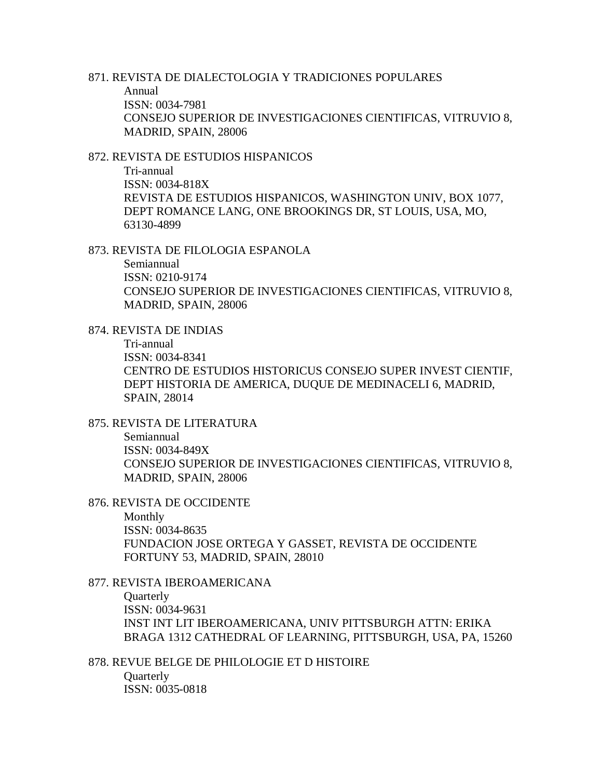871. REVISTA DE DIALECTOLOGIA Y TRADICIONES POPULARES Annual ISSN: 0034-7981 CONSEJO SUPERIOR DE INVESTIGACIONES CIENTIFICAS, VITRUVIO 8, MADRID, SPAIN, 28006

872. REVISTA DE ESTUDIOS HISPANICOS

Tri-annual ISSN: 0034-818X REVISTA DE ESTUDIOS HISPANICOS, WASHINGTON UNIV, BOX 1077, DEPT ROMANCE LANG, ONE BROOKINGS DR, ST LOUIS, USA, MO, 63130-4899

873. REVISTA DE FILOLOGIA ESPANOLA

Semiannual ISSN: 0210-9174 CONSEJO SUPERIOR DE INVESTIGACIONES CIENTIFICAS, VITRUVIO 8, MADRID, SPAIN, 28006

874. REVISTA DE INDIAS

Tri-annual ISSN: 0034-8341 CENTRO DE ESTUDIOS HISTORICUS CONSEJO SUPER INVEST CIENTIF, DEPT HISTORIA DE AMERICA, DUQUE DE MEDINACELI 6, MADRID, SPAIN, 28014

875. REVISTA DE LITERATURA

Semiannual ISSN: 0034-849X CONSEJO SUPERIOR DE INVESTIGACIONES CIENTIFICAS, VITRUVIO 8, MADRID, SPAIN, 28006

876. REVISTA DE OCCIDENTE

Monthly ISSN: 0034-8635 FUNDACION JOSE ORTEGA Y GASSET, REVISTA DE OCCIDENTE FORTUNY 53, MADRID, SPAIN, 28010

877. REVISTA IBEROAMERICANA **Ouarterly** ISSN: 0034-9631 INST INT LIT IBEROAMERICANA, UNIV PITTSBURGH ATTN: ERIKA BRAGA 1312 CATHEDRAL OF LEARNING, PITTSBURGH, USA, PA, 15260

878. REVUE BELGE DE PHILOLOGIE ET D HISTOIRE **Quarterly** ISSN: 0035-0818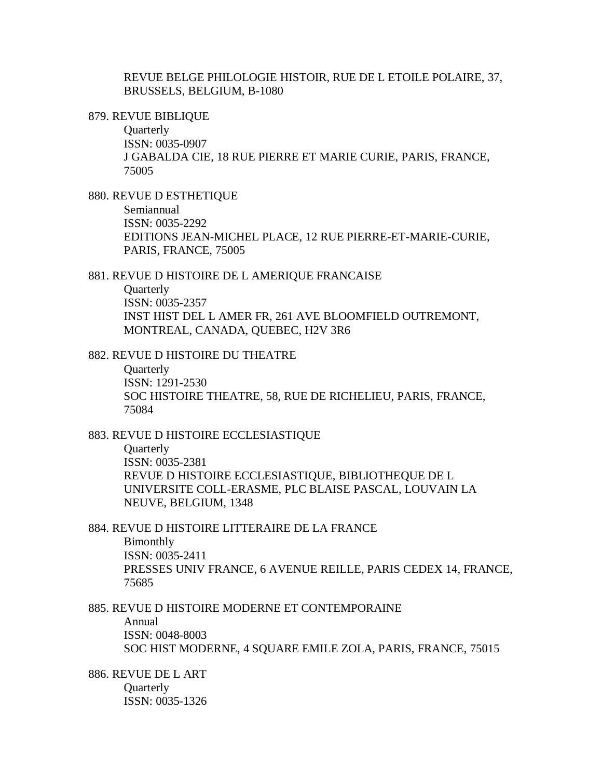REVUE BELGE PHILOLOGIE HISTOIR, RUE DE L ETOILE POLAIRE, 37, BRUSSELS, BELGIUM, B-1080

879. REVUE BIBLIQUE

**Ouarterly** ISSN: 0035-0907 J GABALDA CIE, 18 RUE PIERRE ET MARIE CURIE, PARIS, FRANCE, 75005

880. REVUE D ESTHETIQUE

Semiannual ISSN: 0035-2292 EDITIONS JEAN-MICHEL PLACE, 12 RUE PIERRE-ET-MARIE-CURIE, PARIS, FRANCE, 75005

881. REVUE D HISTOIRE DE L AMERIQUE FRANCAISE

**Ouarterly** ISSN: 0035-2357 INST HIST DEL L AMER FR, 261 AVE BLOOMFIELD OUTREMONT, MONTREAL, CANADA, QUEBEC, H2V 3R6

882. REVUE D HISTOIRE DU THEATRE

**Ouarterly** ISSN: 1291-2530 SOC HISTOIRE THEATRE, 58, RUE DE RICHELIEU, PARIS, FRANCE, 75084

883. REVUE D HISTOIRE ECCLESIASTIQUE

**Ouarterly** ISSN: 0035-2381 REVUE D HISTOIRE ECCLESIASTIQUE, BIBLIOTHEQUE DE L UNIVERSITE COLL-ERASME, PLC BLAISE PASCAL, LOUVAIN LA NEUVE, BELGIUM, 1348

884. REVUE D HISTOIRE LITTERAIRE DE LA FRANCE Bimonthly ISSN: 0035-2411 PRESSES UNIV FRANCE, 6 AVENUE REILLE, PARIS CEDEX 14, FRANCE,

75685

885. REVUE D HISTOIRE MODERNE ET CONTEMPORAINE

Annual ISSN: 0048-8003 SOC HIST MODERNE, 4 SQUARE EMILE ZOLA, PARIS, FRANCE, 75015

886. REVUE DE L ART **Ouarterly** ISSN: 0035-1326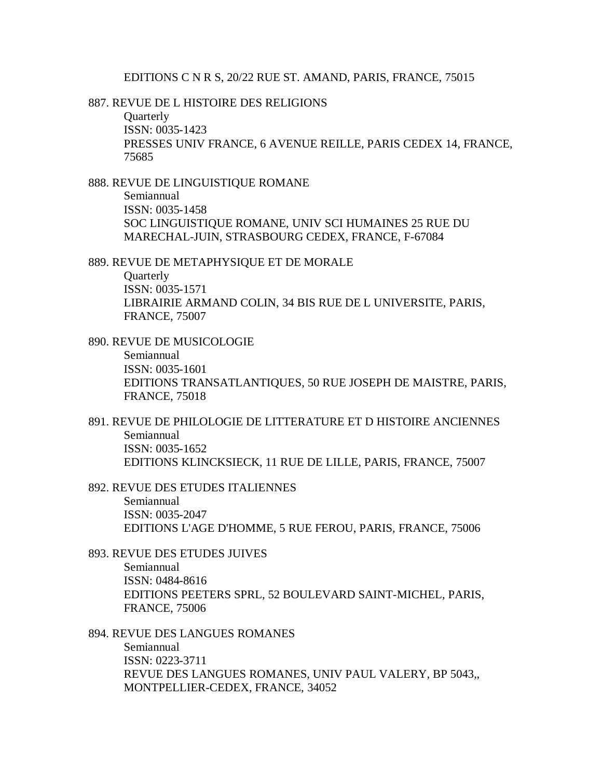#### EDITIONS C N R S, 20/22 RUE ST. AMAND, PARIS, FRANCE, 75015

# 887. REVUE DE L HISTOIRE DES RELIGIONS

**Ouarterly** ISSN: 0035-1423 PRESSES UNIV FRANCE, 6 AVENUE REILLE, PARIS CEDEX 14, FRANCE, 75685

## 888. REVUE DE LINGUISTIQUE ROMANE

Semiannual ISSN: 0035-1458 SOC LINGUISTIQUE ROMANE, UNIV SCI HUMAINES 25 RUE DU MARECHAL-JUIN, STRASBOURG CEDEX, FRANCE, F-67084

889. REVUE DE METAPHYSIQUE ET DE MORALE

**Quarterly** ISSN: 0035-1571 LIBRAIRIE ARMAND COLIN, 34 BIS RUE DE L UNIVERSITE, PARIS, FRANCE, 75007

890. REVUE DE MUSICOLOGIE Semiannual ISSN: 0035-1601 EDITIONS TRANSATLANTIQUES, 50 RUE JOSEPH DE MAISTRE, PARIS, FRANCE, 75018

891. REVUE DE PHILOLOGIE DE LITTERATURE ET D HISTOIRE ANCIENNES Semiannual ISSN: 0035-1652 EDITIONS KLINCKSIECK, 11 RUE DE LILLE, PARIS, FRANCE, 75007

892. REVUE DES ETUDES ITALIENNES

Semiannual ISSN: 0035-2047 EDITIONS L'AGE D'HOMME, 5 RUE FEROU, PARIS, FRANCE, 75006

893. REVUE DES ETUDES JUIVES

Semiannual ISSN: 0484-8616 EDITIONS PEETERS SPRL, 52 BOULEVARD SAINT-MICHEL, PARIS, FRANCE, 75006

#### 894. REVUE DES LANGUES ROMANES

Semiannual ISSN: 0223-3711 REVUE DES LANGUES ROMANES, UNIV PAUL VALERY, BP 5043,, MONTPELLIER-CEDEX, FRANCE, 34052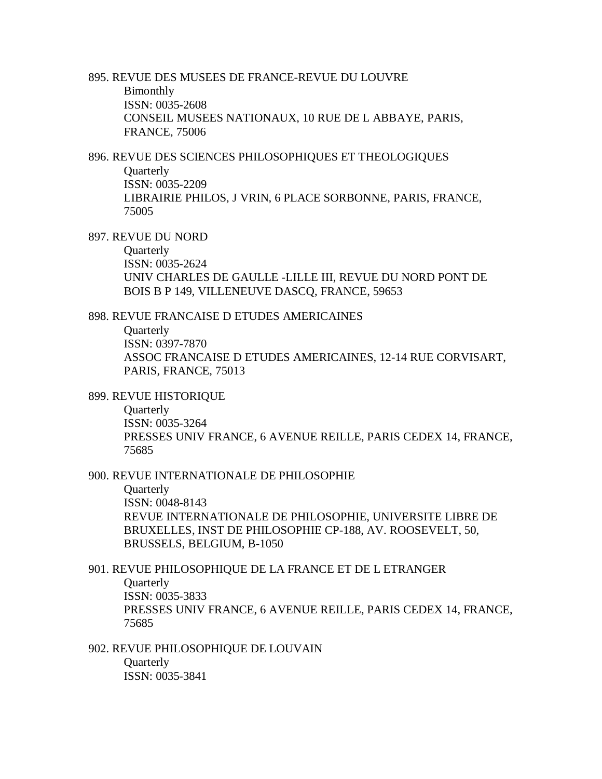895. REVUE DES MUSEES DE FRANCE-REVUE DU LOUVRE Bimonthly ISSN: 0035-2608 CONSEIL MUSEES NATIONAUX, 10 RUE DE L ABBAYE, PARIS, FRANCE, 75006

896. REVUE DES SCIENCES PHILOSOPHIQUES ET THEOLOGIQUES **Quarterly** ISSN: 0035-2209 LIBRAIRIE PHILOS, J VRIN, 6 PLACE SORBONNE, PARIS, FRANCE, 75005

897. REVUE DU NORD

**Quarterly** ISSN: 0035-2624 UNIV CHARLES DE GAULLE -LILLE III, REVUE DU NORD PONT DE BOIS B P 149, VILLENEUVE DASCQ, FRANCE, 59653

898. REVUE FRANCAISE D ETUDES AMERICAINES

**Quarterly** ISSN: 0397-7870 ASSOC FRANCAISE D ETUDES AMERICAINES, 12-14 RUE CORVISART, PARIS, FRANCE, 75013

899. REVUE HISTORIQUE

**Quarterly** ISSN: 0035-3264 PRESSES UNIV FRANCE, 6 AVENUE REILLE, PARIS CEDEX 14, FRANCE, 75685

900. REVUE INTERNATIONALE DE PHILOSOPHIE

**Quarterly** ISSN: 0048-8143 REVUE INTERNATIONALE DE PHILOSOPHIE, UNIVERSITE LIBRE DE BRUXELLES, INST DE PHILOSOPHIE CP-188, AV. ROOSEVELT, 50, BRUSSELS, BELGIUM, B-1050

901. REVUE PHILOSOPHIQUE DE LA FRANCE ET DE L ETRANGER

**Quarterly** 

ISSN: 0035-3833 PRESSES UNIV FRANCE, 6 AVENUE REILLE, PARIS CEDEX 14, FRANCE, 75685

902. REVUE PHILOSOPHIQUE DE LOUVAIN **Quarterly** ISSN: 0035-3841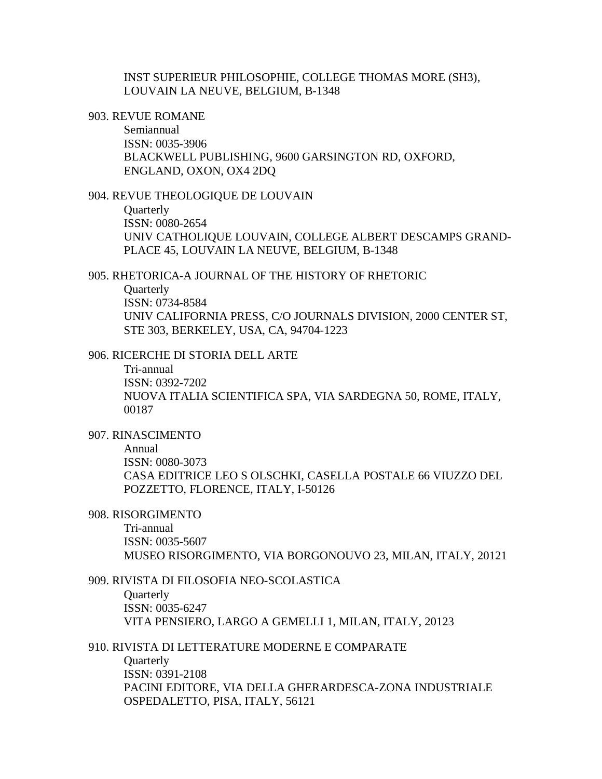INST SUPERIEUR PHILOSOPHIE, COLLEGE THOMAS MORE (SH3), LOUVAIN LA NEUVE, BELGIUM, B-1348

903. REVUE ROMANE

Semiannual ISSN: 0035-3906 BLACKWELL PUBLISHING, 9600 GARSINGTON RD, OXFORD, ENGLAND, OXON, OX4 2DQ

904. REVUE THEOLOGIQUE DE LOUVAIN

**Quarterly** ISSN: 0080-2654 UNIV CATHOLIQUE LOUVAIN, COLLEGE ALBERT DESCAMPS GRAND-PLACE 45, LOUVAIN LA NEUVE, BELGIUM, B-1348

905. RHETORICA-A JOURNAL OF THE HISTORY OF RHETORIC

**Ouarterly** ISSN: 0734-8584 UNIV CALIFORNIA PRESS, C/O JOURNALS DIVISION, 2000 CENTER ST, STE 303, BERKELEY, USA, CA, 94704-1223

906. RICERCHE DI STORIA DELL ARTE

Tri-annual ISSN: 0392-7202 NUOVA ITALIA SCIENTIFICA SPA, VIA SARDEGNA 50, ROME, ITALY, 00187

907. RINASCIMENTO

Annual

ISSN: 0080-3073

CASA EDITRICE LEO S OLSCHKI, CASELLA POSTALE 66 VIUZZO DEL POZZETTO, FLORENCE, ITALY, I-50126

908. RISORGIMENTO

Tri-annual ISSN: 0035-5607 MUSEO RISORGIMENTO, VIA BORGONOUVO 23, MILAN, ITALY, 20121

909. RIVISTA DI FILOSOFIA NEO-SCOLASTICA **Quarterly** ISSN: 0035-6247 VITA PENSIERO, LARGO A GEMELLI 1, MILAN, ITALY, 20123

910. RIVISTA DI LETTERATURE MODERNE E COMPARATE

**Quarterly** ISSN: 0391-2108 PACINI EDITORE, VIA DELLA GHERARDESCA-ZONA INDUSTRIALE OSPEDALETTO, PISA, ITALY, 56121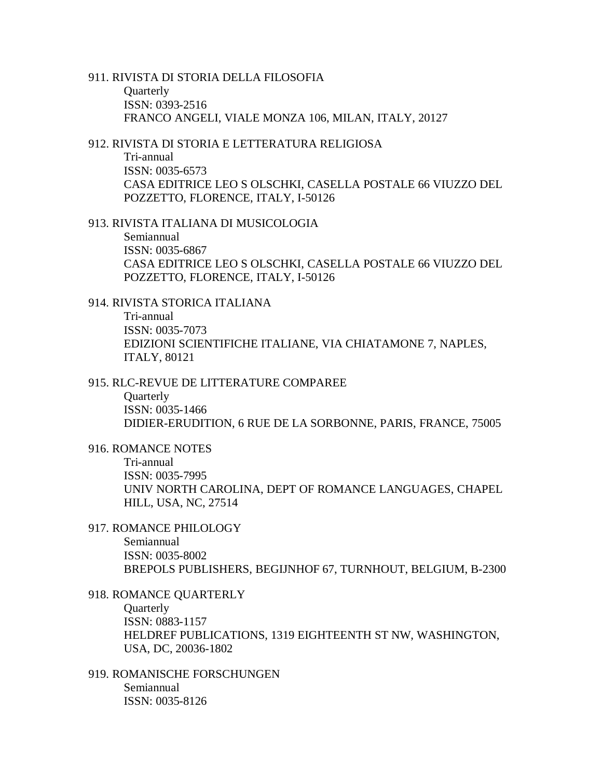# 911. RIVISTA DI STORIA DELLA FILOSOFIA **Quarterly** ISSN: 0393-2516

FRANCO ANGELI, VIALE MONZA 106, MILAN, ITALY, 20127

# 912. RIVISTA DI STORIA E LETTERATURA RELIGIOSA Tri-annual ISSN: 0035-6573 CASA EDITRICE LEO S OLSCHKI, CASELLA POSTALE 66 VIUZZO DEL POZZETTO, FLORENCE, ITALY, I-50126

913. RIVISTA ITALIANA DI MUSICOLOGIA

Semiannual ISSN: 0035-6867 CASA EDITRICE LEO S OLSCHKI, CASELLA POSTALE 66 VIUZZO DEL POZZETTO, FLORENCE, ITALY, I-50126

914. RIVISTA STORICA ITALIANA Tri-annual ISSN: 0035-7073 EDIZIONI SCIENTIFICHE ITALIANE, VIA CHIATAMONE 7, NAPLES, ITALY, 80121

# 915. RLC-REVUE DE LITTERATURE COMPAREE

**Ouarterly** ISSN: 0035-1466 DIDIER-ERUDITION, 6 RUE DE LA SORBONNE, PARIS, FRANCE, 75005

# 916. ROMANCE NOTES

Tri-annual ISSN: 0035-7995 UNIV NORTH CAROLINA, DEPT OF ROMANCE LANGUAGES, CHAPEL HILL, USA, NC, 27514

# 917. ROMANCE PHILOLOGY

Semiannual ISSN: 0035-8002 BREPOLS PUBLISHERS, BEGIJNHOF 67, TURNHOUT, BELGIUM, B-2300

- 918. ROMANCE QUARTERLY **Ouarterly** ISSN: 0883-1157 HELDREF PUBLICATIONS, 1319 EIGHTEENTH ST NW, WASHINGTON, USA, DC, 20036-1802
- 919. ROMANISCHE FORSCHUNGEN Semiannual ISSN: 0035-8126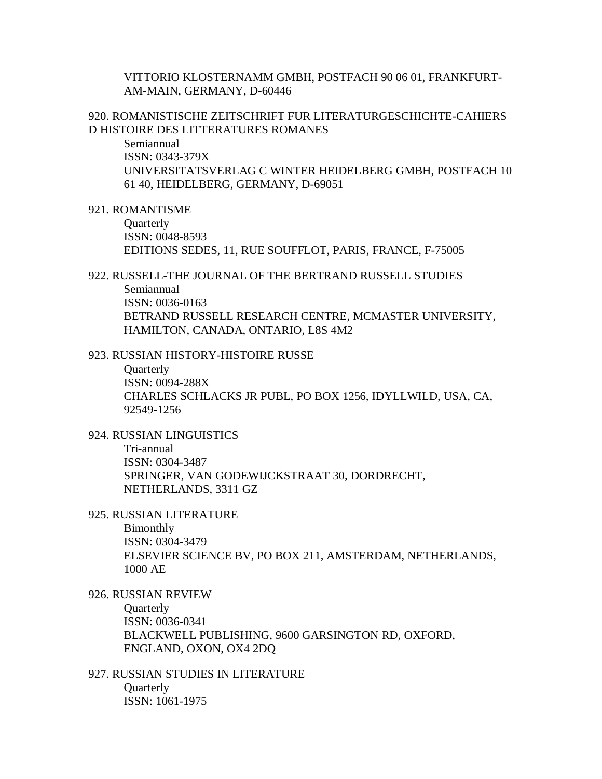VITTORIO KLOSTERNAMM GMBH, POSTFACH 90 06 01, FRANKFURT-AM-MAIN, GERMANY, D-60446

920. ROMANISTISCHE ZEITSCHRIFT FUR LITERATURGESCHICHTE-CAHIERS D HISTOIRE DES LITTERATURES ROMANES

Semiannual ISSN: 0343-379X UNIVERSITATSVERLAG C WINTER HEIDELBERG GMBH, POSTFACH 10 61 40, HEIDELBERG, GERMANY, D-69051

921. ROMANTISME

**Ouarterly** ISSN: 0048-8593 EDITIONS SEDES, 11, RUE SOUFFLOT, PARIS, FRANCE, F-75005

# 922. RUSSELL-THE JOURNAL OF THE BERTRAND RUSSELL STUDIES Semiannual ISSN: 0036-0163 BETRAND RUSSELL RESEARCH CENTRE, MCMASTER UNIVERSITY, HAMILTON, CANADA, ONTARIO, L8S 4M2

923. RUSSIAN HISTORY-HISTOIRE RUSSE

**Ouarterly** ISSN: 0094-288X CHARLES SCHLACKS JR PUBL, PO BOX 1256, IDYLLWILD, USA, CA, 92549-1256

924. RUSSIAN LINGUISTICS Tri-annual ISSN: 0304-3487 SPRINGER, VAN GODEWIJCKSTRAAT 30, DORDRECHT, NETHERLANDS, 3311 GZ

925. RUSSIAN LITERATURE

Bimonthly ISSN: 0304-3479 ELSEVIER SCIENCE BV, PO BOX 211, AMSTERDAM, NETHERLANDS, 1000 AE

926. RUSSIAN REVIEW **Ouarterly** ISSN: 0036-0341 BLACKWELL PUBLISHING, 9600 GARSINGTON RD, OXFORD, ENGLAND, OXON, OX4 2DQ

927. RUSSIAN STUDIES IN LITERATURE **Ouarterly** ISSN: 1061-1975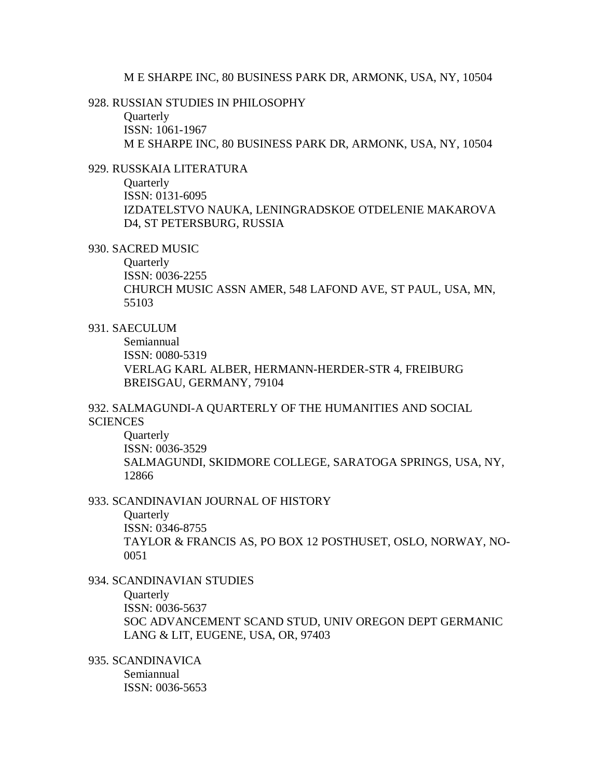#### M E SHARPE INC, 80 BUSINESS PARK DR, ARMONK, USA, NY, 10504

# 928. RUSSIAN STUDIES IN PHILOSOPHY

**Ouarterly** ISSN: 1061-1967 M E SHARPE INC, 80 BUSINESS PARK DR, ARMONK, USA, NY, 10504

## 929. RUSSKAIA LITERATURA

**Quarterly** ISSN: 0131-6095 IZDATELSTVO NAUKA, LENINGRADSKOE OTDELENIE MAKAROVA D4, ST PETERSBURG, RUSSIA

#### 930. SACRED MUSIC

**Quarterly** ISSN: 0036-2255 CHURCH MUSIC ASSN AMER, 548 LAFOND AVE, ST PAUL, USA, MN, 55103

#### 931. SAECULUM

Semiannual ISSN: 0080-5319 VERLAG KARL ALBER, HERMANN-HERDER-STR 4, FREIBURG BREISGAU, GERMANY, 79104

# 932. SALMAGUNDI-A QUARTERLY OF THE HUMANITIES AND SOCIAL **SCIENCES**

**Quarterly** ISSN: 0036-3529 SALMAGUNDI, SKIDMORE COLLEGE, SARATOGA SPRINGS, USA, NY, 12866

#### 933. SCANDINAVIAN JOURNAL OF HISTORY

**Quarterly** ISSN: 0346-8755 TAYLOR & FRANCIS AS, PO BOX 12 POSTHUSET, OSLO, NORWAY, NO-0051

# 934. SCANDINAVIAN STUDIES **Quarterly** ISSN: 0036-5637 SOC ADVANCEMENT SCAND STUD, UNIV OREGON DEPT GERMANIC LANG & LIT, EUGENE, USA, OR, 97403

935. SCANDINAVICA Semiannual ISSN: 0036-5653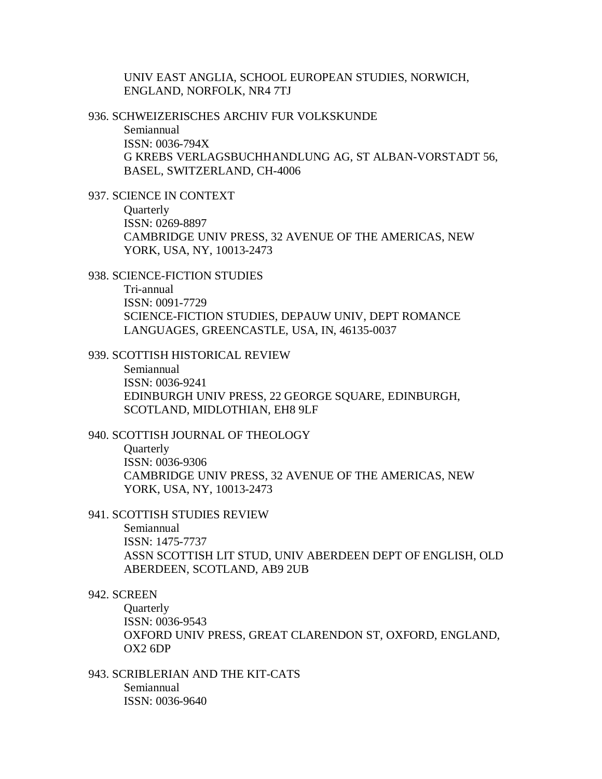UNIV EAST ANGLIA, SCHOOL EUROPEAN STUDIES, NORWICH, ENGLAND, NORFOLK, NR4 7TJ

936. SCHWEIZERISCHES ARCHIV FUR VOLKSKUNDE

Semiannual ISSN: 0036-794X G KREBS VERLAGSBUCHHANDLUNG AG, ST ALBAN-VORSTADT 56, BASEL, SWITZERLAND, CH-4006

937. SCIENCE IN CONTEXT

- **Quarterly** ISSN: 0269-8897 CAMBRIDGE UNIV PRESS, 32 AVENUE OF THE AMERICAS, NEW YORK, USA, NY, 10013-2473
- 938. SCIENCE-FICTION STUDIES

Tri-annual ISSN: 0091-7729 SCIENCE-FICTION STUDIES, DEPAUW UNIV, DEPT ROMANCE LANGUAGES, GREENCASTLE, USA, IN, 46135-0037

#### 939. SCOTTISH HISTORICAL REVIEW

Semiannual ISSN: 0036-9241 EDINBURGH UNIV PRESS, 22 GEORGE SQUARE, EDINBURGH, SCOTLAND, MIDLOTHIAN, EH8 9LF

## 940. SCOTTISH JOURNAL OF THEOLOGY

**Ouarterly** ISSN: 0036-9306 CAMBRIDGE UNIV PRESS, 32 AVENUE OF THE AMERICAS, NEW YORK, USA, NY, 10013-2473

## 941. SCOTTISH STUDIES REVIEW

Semiannual ISSN: 1475-7737 ASSN SCOTTISH LIT STUD, UNIV ABERDEEN DEPT OF ENGLISH, OLD ABERDEEN, SCOTLAND, AB9 2UB

### 942. SCREEN

**Ouarterly** ISSN: 0036-9543 OXFORD UNIV PRESS, GREAT CLARENDON ST, OXFORD, ENGLAND, OX2 6DP

943. SCRIBLERIAN AND THE KIT-CATS Semiannual ISSN: 0036-9640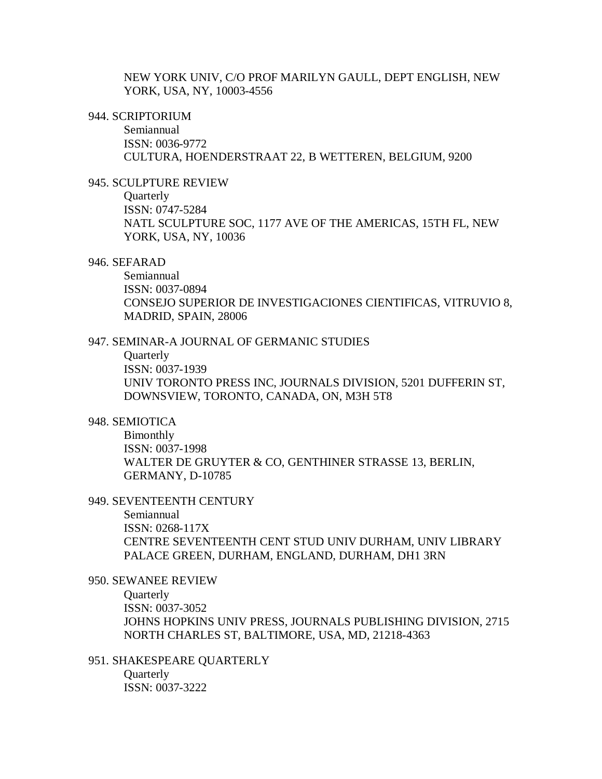NEW YORK UNIV, C/O PROF MARILYN GAULL, DEPT ENGLISH, NEW YORK, USA, NY, 10003-4556

## 944. SCRIPTORIUM

Semiannual ISSN: 0036-9772 CULTURA, HOENDERSTRAAT 22, B WETTEREN, BELGIUM, 9200

## 945. SCULPTURE REVIEW

**Quarterly** ISSN: 0747-5284 NATL SCULPTURE SOC, 1177 AVE OF THE AMERICAS, 15TH FL, NEW YORK, USA, NY, 10036

### 946. SEFARAD

Semiannual ISSN: 0037-0894 CONSEJO SUPERIOR DE INVESTIGACIONES CIENTIFICAS, VITRUVIO 8, MADRID, SPAIN, 28006

## 947. SEMINAR-A JOURNAL OF GERMANIC STUDIES

**Quarterly** ISSN: 0037-1939 UNIV TORONTO PRESS INC, JOURNALS DIVISION, 5201 DUFFERIN ST, DOWNSVIEW, TORONTO, CANADA, ON, M3H 5T8

## 948. SEMIOTICA

Bimonthly ISSN: 0037-1998 WALTER DE GRUYTER & CO, GENTHINER STRASSE 13, BERLIN, GERMANY, D-10785

### 949. SEVENTEENTH CENTURY

Semiannual

ISSN: 0268-117X CENTRE SEVENTEENTH CENT STUD UNIV DURHAM, UNIV LIBRARY PALACE GREEN, DURHAM, ENGLAND, DURHAM, DH1 3RN

#### 950. SEWANEE REVIEW

**Quarterly** 

ISSN: 0037-3052

JOHNS HOPKINS UNIV PRESS, JOURNALS PUBLISHING DIVISION, 2715 NORTH CHARLES ST, BALTIMORE, USA, MD, 21218-4363

951. SHAKESPEARE QUARTERLY **Quarterly** ISSN: 0037-3222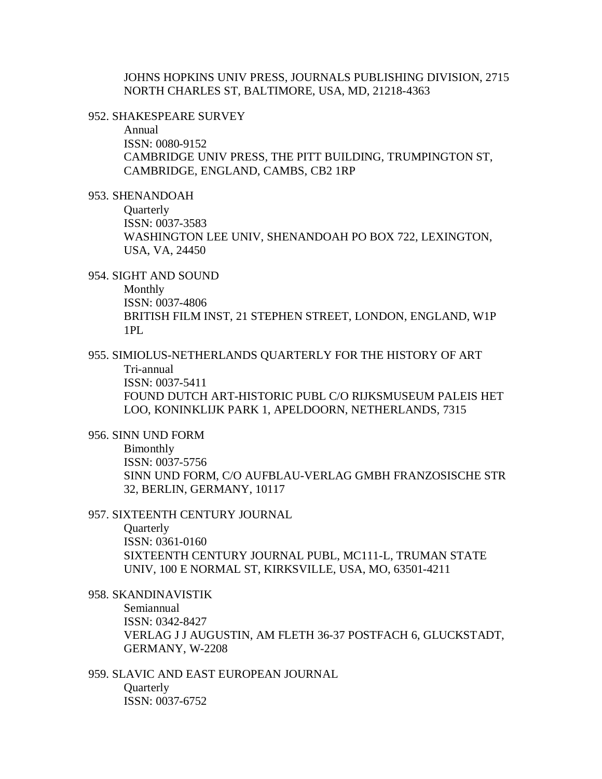JOHNS HOPKINS UNIV PRESS, JOURNALS PUBLISHING DIVISION, 2715 NORTH CHARLES ST, BALTIMORE, USA, MD, 21218-4363

#### 952. SHAKESPEARE SURVEY

Annual ISSN: 0080-9152 CAMBRIDGE UNIV PRESS, THE PITT BUILDING, TRUMPINGTON ST, CAMBRIDGE, ENGLAND, CAMBS, CB2 1RP

953. SHENANDOAH

**Quarterly** ISSN: 0037-3583 WASHINGTON LEE UNIV, SHENANDOAH PO BOX 722, LEXINGTON, USA, VA, 24450

954. SIGHT AND SOUND

Monthly ISSN: 0037-4806

BRITISH FILM INST, 21 STEPHEN STREET, LONDON, ENGLAND, W1P  $1PI<sub>1</sub>$ 

955. SIMIOLUS-NETHERLANDS QUARTERLY FOR THE HISTORY OF ART Tri-annual ISSN: 0037-5411 FOUND DUTCH ART-HISTORIC PUBL C/O RIJKSMUSEUM PALEIS HET LOO, KONINKLIJK PARK 1, APELDOORN, NETHERLANDS, 7315

956. SINN UND FORM

Bimonthly ISSN: 0037-5756 SINN UND FORM, C/O AUFBLAU-VERLAG GMBH FRANZOSISCHE STR 32, BERLIN, GERMANY, 10117

957. SIXTEENTH CENTURY JOURNAL

**Quarterly** ISSN: 0361-0160 SIXTEENTH CENTURY JOURNAL PUBL, MC111-L, TRUMAN STATE

UNIV, 100 E NORMAL ST, KIRKSVILLE, USA, MO, 63501-4211

958. SKANDINAVISTIK Semiannual ISSN: 0342-8427 VERLAG J J AUGUSTIN, AM FLETH 36-37 POSTFACH 6, GLUCKSTADT, GERMANY, W-2208

959. SLAVIC AND EAST EUROPEAN JOURNAL **Ouarterly** ISSN: 0037-6752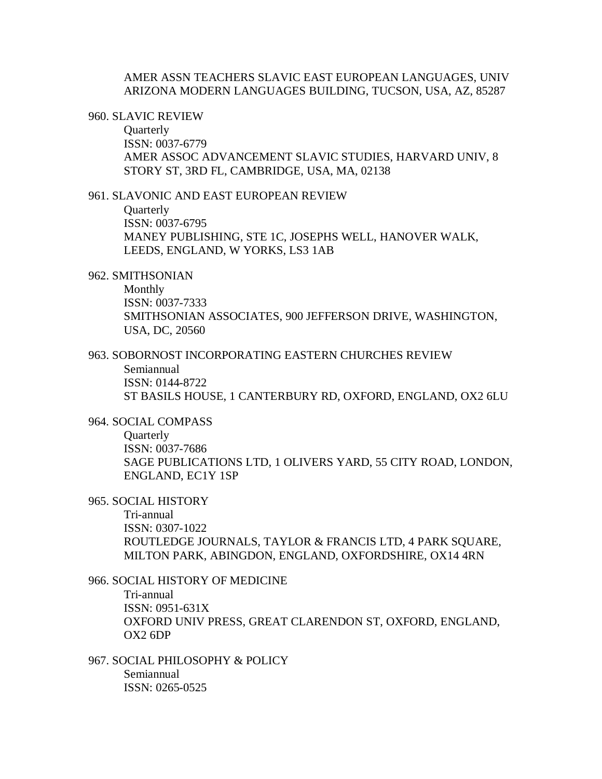# AMER ASSN TEACHERS SLAVIC EAST EUROPEAN LANGUAGES, UNIV ARIZONA MODERN LANGUAGES BUILDING, TUCSON, USA, AZ, 85287

#### 960. SLAVIC REVIEW

**Quarterly** ISSN: 0037-6779 AMER ASSOC ADVANCEMENT SLAVIC STUDIES, HARVARD UNIV, 8 STORY ST, 3RD FL, CAMBRIDGE, USA, MA, 02138

### 961. SLAVONIC AND EAST EUROPEAN REVIEW

**Quarterly** ISSN: 0037-6795 MANEY PUBLISHING, STE 1C, JOSEPHS WELL, HANOVER WALK, LEEDS, ENGLAND, W YORKS, LS3 1AB

#### 962. SMITHSONIAN

Monthly ISSN: 0037-7333 SMITHSONIAN ASSOCIATES, 900 JEFFERSON DRIVE, WASHINGTON, USA, DC, 20560

# 963. SOBORNOST INCORPORATING EASTERN CHURCHES REVIEW

Semiannual ISSN: 0144-8722

ST BASILS HOUSE, 1 CANTERBURY RD, OXFORD, ENGLAND, OX2 6LU

## 964. SOCIAL COMPASS

**Quarterly** ISSN: 0037-7686 SAGE PUBLICATIONS LTD, 1 OLIVERS YARD, 55 CITY ROAD, LONDON, ENGLAND, EC1Y 1SP

## 965. SOCIAL HISTORY

Tri-annual ISSN: 0307-1022 ROUTLEDGE JOURNALS, TAYLOR & FRANCIS LTD, 4 PARK SOUARE, MILTON PARK, ABINGDON, ENGLAND, OXFORDSHIRE, OX14 4RN

966. SOCIAL HISTORY OF MEDICINE Tri-annual ISSN: 0951-631X OXFORD UNIV PRESS, GREAT CLARENDON ST, OXFORD, ENGLAND, OX2 6DP

967. SOCIAL PHILOSOPHY & POLICY Semiannual ISSN: 0265-0525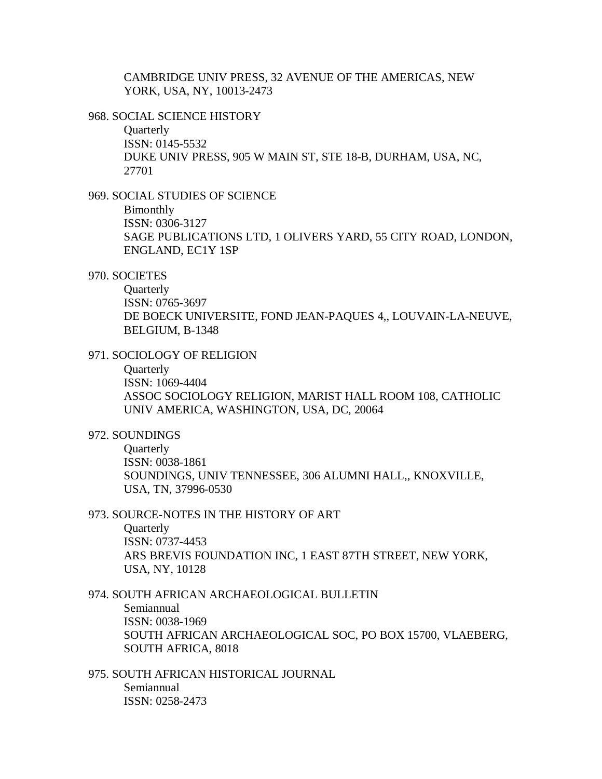CAMBRIDGE UNIV PRESS, 32 AVENUE OF THE AMERICAS, NEW YORK, USA, NY, 10013-2473

968. SOCIAL SCIENCE HISTORY

**Quarterly** ISSN: 0145-5532 DUKE UNIV PRESS, 905 W MAIN ST, STE 18-B, DURHAM, USA, NC, 27701

969. SOCIAL STUDIES OF SCIENCE

Bimonthly ISSN: 0306-3127 SAGE PUBLICATIONS LTD, 1 OLIVERS YARD, 55 CITY ROAD, LONDON, ENGLAND, EC1Y 1SP

# 970. SOCIETES

**Ouarterly** ISSN: 0765-3697 DE BOECK UNIVERSITE, FOND JEAN-PAQUES 4,, LOUVAIN-LA-NEUVE, BELGIUM, B-1348

971. SOCIOLOGY OF RELIGION

**Ouarterly** 

ISSN: 1069-4404 ASSOC SOCIOLOGY RELIGION, MARIST HALL ROOM 108, CATHOLIC UNIV AMERICA, WASHINGTON, USA, DC, 20064

#### 972. SOUNDINGS

**Ouarterly** ISSN: 0038-1861 SOUNDINGS, UNIV TENNESSEE, 306 ALUMNI HALL,, KNOXVILLE, USA, TN, 37996-0530

#### 973. SOURCE-NOTES IN THE HISTORY OF ART

**Quarterly** ISSN: 0737-4453 ARS BREVIS FOUNDATION INC, 1 EAST 87TH STREET, NEW YORK, USA, NY, 10128

# 974. SOUTH AFRICAN ARCHAEOLOGICAL BULLETIN Semiannual ISSN: 0038-1969 SOUTH AFRICAN ARCHAEOLOGICAL SOC, PO BOX 15700, VLAEBERG, SOUTH AFRICA, 8018

975. SOUTH AFRICAN HISTORICAL JOURNAL Semiannual ISSN: 0258-2473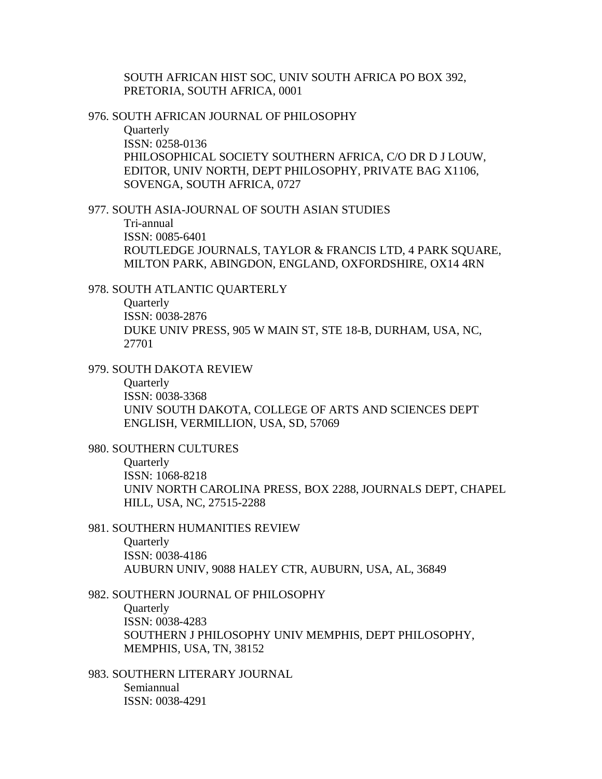# SOUTH AFRICAN HIST SOC, UNIV SOUTH AFRICA PO BOX 392, PRETORIA, SOUTH AFRICA, 0001

#### 976. SOUTH AFRICAN JOURNAL OF PHILOSOPHY

**Quarterly** ISSN: 0258-0136 PHILOSOPHICAL SOCIETY SOUTHERN AFRICA, C/O DR D J LOUW, EDITOR, UNIV NORTH, DEPT PHILOSOPHY, PRIVATE BAG X1106, SOVENGA, SOUTH AFRICA, 0727

977. SOUTH ASIA-JOURNAL OF SOUTH ASIAN STUDIES Tri-annual ISSN: 0085-6401 ROUTLEDGE JOURNALS, TAYLOR & FRANCIS LTD, 4 PARK SQUARE, MILTON PARK, ABINGDON, ENGLAND, OXFORDSHIRE, OX14 4RN

### 978. SOUTH ATLANTIC QUARTERLY

**Quarterly** ISSN: 0038-2876 DUKE UNIV PRESS, 905 W MAIN ST, STE 18-B, DURHAM, USA, NC, 27701

#### 979. SOUTH DAKOTA REVIEW

**Quarterly** ISSN: 0038-3368 UNIV SOUTH DAKOTA, COLLEGE OF ARTS AND SCIENCES DEPT ENGLISH, VERMILLION, USA, SD, 57069

#### 980. SOUTHERN CULTURES

**Ouarterly** ISSN: 1068-8218 UNIV NORTH CAROLINA PRESS, BOX 2288, JOURNALS DEPT, CHAPEL HILL, USA, NC, 27515-2288

#### 981. SOUTHERN HUMANITIES REVIEW

**Ouarterly** ISSN: 0038-4186 AUBURN UNIV, 9088 HALEY CTR, AUBURN, USA, AL, 36849

## 982. SOUTHERN JOURNAL OF PHILOSOPHY

**Ouarterly** ISSN: 0038-4283 SOUTHERN J PHILOSOPHY UNIV MEMPHIS, DEPT PHILOSOPHY, MEMPHIS, USA, TN, 38152

# 983. SOUTHERN LITERARY JOURNAL Semiannual ISSN: 0038-4291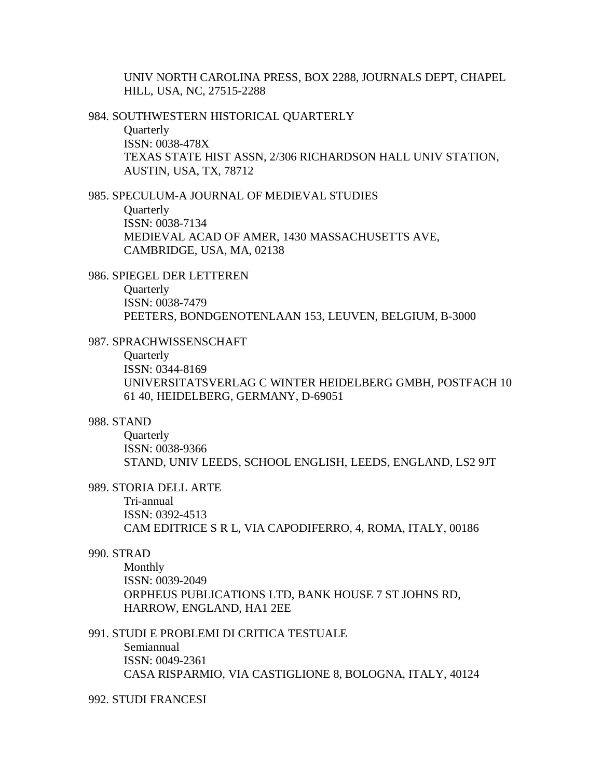UNIV NORTH CAROLINA PRESS, BOX 2288, JOURNALS DEPT, CHAPEL HILL, USA, NC, 27515-2288

984. SOUTHWESTERN HISTORICAL QUARTERLY

**Quarterly** ISSN: 0038-478X TEXAS STATE HIST ASSN, 2/306 RICHARDSON HALL UNIV STATION, AUSTIN, USA, TX, 78712

985. SPECULUM-A JOURNAL OF MEDIEVAL STUDIES

**Quarterly** ISSN: 0038-7134 MEDIEVAL ACAD OF AMER, 1430 MASSACHUSETTS AVE, CAMBRIDGE, USA, MA, 02138

986. SPIEGEL DER LETTEREN

**Ouarterly** ISSN: 0038-7479 PEETERS, BONDGENOTENLAAN 153, LEUVEN, BELGIUM, B-3000

## 987. SPRACHWISSENSCHAFT

**Quarterly** ISSN: 0344-8169 UNIVERSITATSVERLAG C WINTER HEIDELBERG GMBH, POSTFACH 10 61 40, HEIDELBERG, GERMANY, D-69051

## 988. STAND

**Quarterly** ISSN: 0038-9366 STAND, UNIV LEEDS, SCHOOL ENGLISH, LEEDS, ENGLAND, LS2 9JT

# 989. STORIA DELL ARTE

Tri-annual ISSN: 0392-4513 CAM EDITRICE S R L, VIA CAPODIFERRO, 4, ROMA, ITALY, 00186

#### 990. STRAD

Monthly ISSN: 0039-2049 ORPHEUS PUBLICATIONS LTD, BANK HOUSE 7 ST JOHNS RD, HARROW, ENGLAND, HA1 2EE

## 991. STUDI E PROBLEMI DI CRITICA TESTUALE

Semiannual ISSN: 0049-2361 CASA RISPARMIO, VIA CASTIGLIONE 8, BOLOGNA, ITALY, 40124

#### 992. STUDI FRANCESI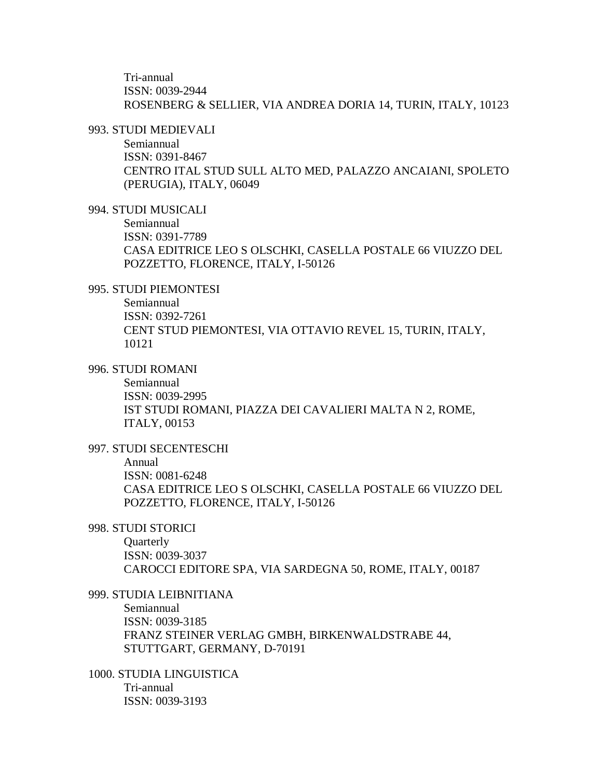Tri-annual ISSN: 0039-2944 ROSENBERG & SELLIER, VIA ANDREA DORIA 14, TURIN, ITALY, 10123

## 993. STUDI MEDIEVALI

Semiannual ISSN: 0391-8467 CENTRO ITAL STUD SULL ALTO MED, PALAZZO ANCAIANI, SPOLETO (PERUGIA), ITALY, 06049

## 994. STUDI MUSICALI

Semiannual ISSN: 0391-7789 CASA EDITRICE LEO S OLSCHKI, CASELLA POSTALE 66 VIUZZO DEL POZZETTO, FLORENCE, ITALY, I-50126

### 995. STUDI PIEMONTESI

Semiannual ISSN: 0392-7261 CENT STUD PIEMONTESI, VIA OTTAVIO REVEL 15, TURIN, ITALY, 10121

# 996. STUDI ROMANI

Semiannual ISSN: 0039-2995 IST STUDI ROMANI, PIAZZA DEI CAVALIERI MALTA N 2, ROME, ITALY, 00153

### 997. STUDI SECENTESCHI

#### Annual

ISSN: 0081-6248 CASA EDITRICE LEO S OLSCHKI, CASELLA POSTALE 66 VIUZZO DEL POZZETTO, FLORENCE, ITALY, I-50126

## 998. STUDI STORICI

**Ouarterly** ISSN: 0039-3037 CAROCCI EDITORE SPA, VIA SARDEGNA 50, ROME, ITALY, 00187

# 999. STUDIA LEIBNITIANA Semiannual ISSN: 0039-3185 FRANZ STEINER VERLAG GMBH, BIRKENWALDSTRABE 44, STUTTGART, GERMANY, D-70191

1000. STUDIA LINGUISTICA Tri-annual ISSN: 0039-3193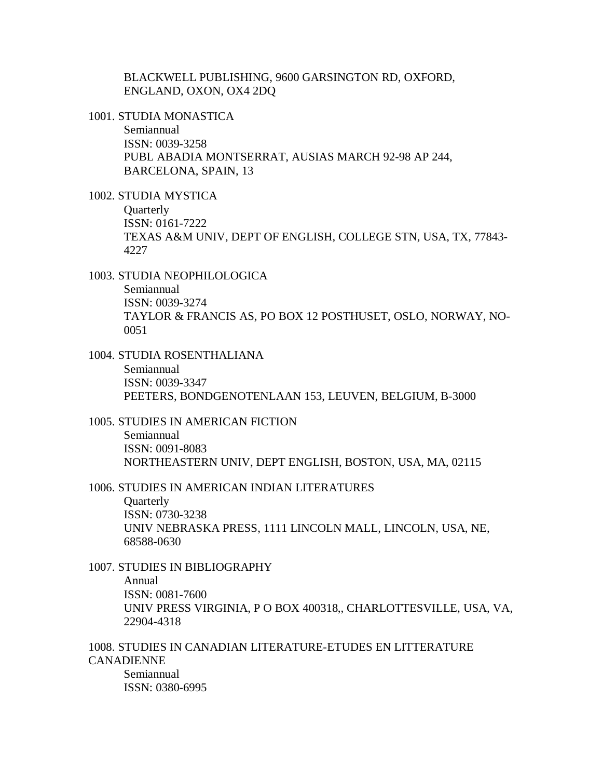BLACKWELL PUBLISHING, 9600 GARSINGTON RD, OXFORD, ENGLAND, OXON, OX4 2DQ

1001. STUDIA MONASTICA

Semiannual ISSN: 0039-3258 PUBL ABADIA MONTSERRAT, AUSIAS MARCH 92-98 AP 244, BARCELONA, SPAIN, 13

1002. STUDIA MYSTICA

**Quarterly** ISSN: 0161-7222 TEXAS A&M UNIV, DEPT OF ENGLISH, COLLEGE STN, USA, TX, 77843- 4227

1003. STUDIA NEOPHILOLOGICA Semiannual ISSN: 0039-3274 TAYLOR & FRANCIS AS, PO BOX 12 POSTHUSET, OSLO, NORWAY, NO-0051

1004. STUDIA ROSENTHALIANA Semiannual ISSN: 0039-3347 PEETERS, BONDGENOTENLAAN 153, LEUVEN, BELGIUM, B-3000

1005. STUDIES IN AMERICAN FICTION Semiannual ISSN: 0091-8083 NORTHEASTERN UNIV, DEPT ENGLISH, BOSTON, USA, MA, 02115

1006. STUDIES IN AMERICAN INDIAN LITERATURES

**Quarterly** ISSN: 0730-3238 UNIV NEBRASKA PRESS, 1111 LINCOLN MALL, LINCOLN, USA, NE, 68588-0630

1007. STUDIES IN BIBLIOGRAPHY Annual ISSN: 0081-7600 UNIV PRESS VIRGINIA, P O BOX 400318,, CHARLOTTESVILLE, USA, VA, 22904-4318

1008. STUDIES IN CANADIAN LITERATURE-ETUDES EN LITTERATURE CANADIENNE Semiannual ISSN: 0380-6995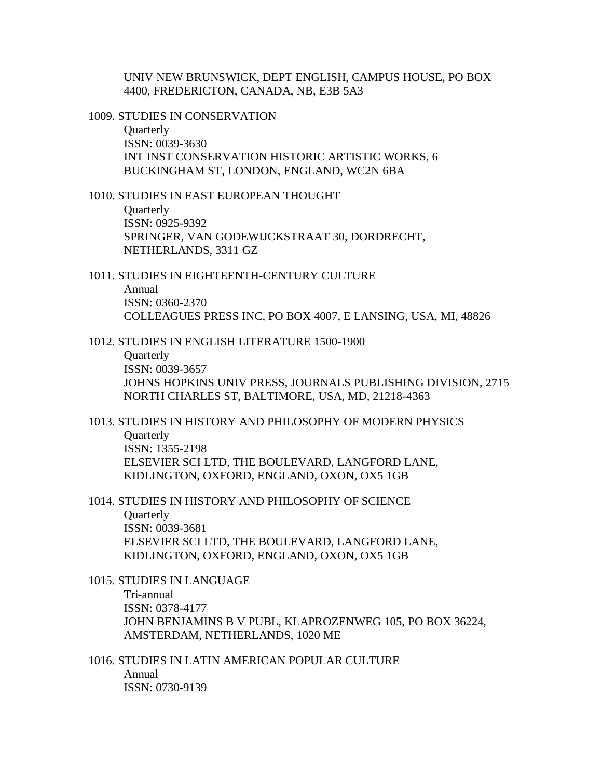UNIV NEW BRUNSWICK, DEPT ENGLISH, CAMPUS HOUSE, PO BOX 4400, FREDERICTON, CANADA, NB, E3B 5A3

1009. STUDIES IN CONSERVATION

**Quarterly** ISSN: 0039-3630 INT INST CONSERVATION HISTORIC ARTISTIC WORKS, 6 BUCKINGHAM ST, LONDON, ENGLAND, WC2N 6BA

1010. STUDIES IN EAST EUROPEAN THOUGHT

**Quarterly** ISSN: 0925-9392 SPRINGER, VAN GODEWIJCKSTRAAT 30, DORDRECHT, NETHERLANDS, 3311 GZ

1011. STUDIES IN EIGHTEENTH-CENTURY CULTURE Annual ISSN: 0360-2370 COLLEAGUES PRESS INC, PO BOX 4007, E LANSING, USA, MI, 48826

1012. STUDIES IN ENGLISH LITERATURE 1500-1900

**Quarterly** ISSN: 0039-3657 JOHNS HOPKINS UNIV PRESS, JOURNALS PUBLISHING DIVISION, 2715 NORTH CHARLES ST, BALTIMORE, USA, MD, 21218-4363

1013. STUDIES IN HISTORY AND PHILOSOPHY OF MODERN PHYSICS **Quarterly** ISSN: 1355-2198 ELSEVIER SCI LTD, THE BOULEVARD, LANGFORD LANE, KIDLINGTON, OXFORD, ENGLAND, OXON, OX5 1GB

1014. STUDIES IN HISTORY AND PHILOSOPHY OF SCIENCE **Quarterly** ISSN: 0039-3681 ELSEVIER SCI LTD, THE BOULEVARD, LANGFORD LANE, KIDLINGTON, OXFORD, ENGLAND, OXON, OX5 1GB

1015. STUDIES IN LANGUAGE Tri-annual ISSN: 0378-4177 JOHN BENJAMINS B V PUBL, KLAPROZENWEG 105, PO BOX 36224, AMSTERDAM, NETHERLANDS, 1020 ME

1016. STUDIES IN LATIN AMERICAN POPULAR CULTURE Annual ISSN: 0730-9139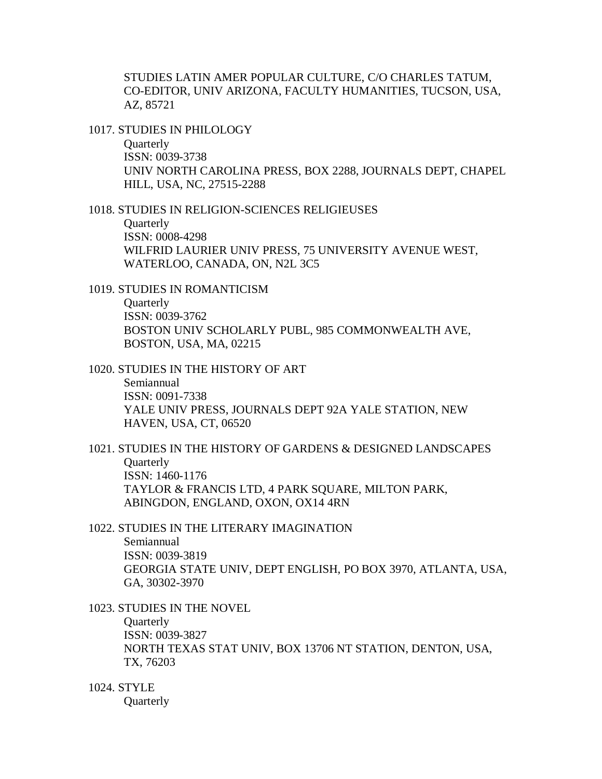STUDIES LATIN AMER POPULAR CULTURE, C/O CHARLES TATUM, CO-EDITOR, UNIV ARIZONA, FACULTY HUMANITIES, TUCSON, USA, AZ, 85721

1017. STUDIES IN PHILOLOGY

**Quarterly** ISSN: 0039-3738 UNIV NORTH CAROLINA PRESS, BOX 2288, JOURNALS DEPT, CHAPEL HILL, USA, NC, 27515-2288

1018. STUDIES IN RELIGION-SCIENCES RELIGIEUSES **Ouarterly** ISSN: 0008-4298 WILFRID LAURIER UNIV PRESS, 75 UNIVERSITY AVENUE WEST, WATERLOO, CANADA, ON, N2L 3C5

1019. STUDIES IN ROMANTICISM **Quarterly** ISSN: 0039-3762 BOSTON UNIV SCHOLARLY PUBL, 985 COMMONWEALTH AVE, BOSTON, USA, MA, 02215

1020. STUDIES IN THE HISTORY OF ART Semiannual ISSN: 0091-7338 YALE UNIV PRESS, JOURNALS DEPT 92A YALE STATION, NEW HAVEN, USA, CT, 06520

1021. STUDIES IN THE HISTORY OF GARDENS & DESIGNED LANDSCAPES **Ouarterly** ISSN: 1460-1176 TAYLOR & FRANCIS LTD, 4 PARK SQUARE, MILTON PARK, ABINGDON, ENGLAND, OXON, OX14 4RN

1022. STUDIES IN THE LITERARY IMAGINATION Semiannual ISSN: 0039-3819 GEORGIA STATE UNIV, DEPT ENGLISH, PO BOX 3970, ATLANTA, USA,

GA, 30302-3970

1023. STUDIES IN THE NOVEL

**Quarterly** ISSN: 0039-3827 NORTH TEXAS STAT UNIV, BOX 13706 NT STATION, DENTON, USA, TX, 76203

1024. STYLE

**Quarterly**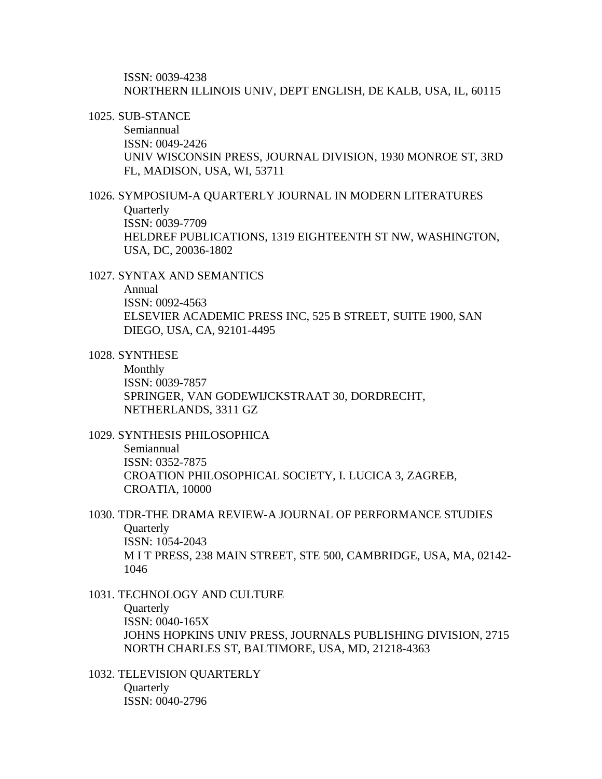ISSN: 0039-4238 NORTHERN ILLINOIS UNIV, DEPT ENGLISH, DE KALB, USA, IL, 60115

1025. SUB-STANCE

Semiannual ISSN: 0049-2426 UNIV WISCONSIN PRESS, JOURNAL DIVISION, 1930 MONROE ST, 3RD FL, MADISON, USA, WI, 53711

1026. SYMPOSIUM-A QUARTERLY JOURNAL IN MODERN LITERATURES **Quarterly** ISSN: 0039-7709 HELDREF PUBLICATIONS, 1319 EIGHTEENTH ST NW, WASHINGTON, USA, DC, 20036-1802

1027. SYNTAX AND SEMANTICS

Annual ISSN: 0092-4563

ELSEVIER ACADEMIC PRESS INC, 525 B STREET, SUITE 1900, SAN DIEGO, USA, CA, 92101-4495

1028. SYNTHESE

Monthly ISSN: 0039-7857 SPRINGER, VAN GODEWIJCKSTRAAT 30, DORDRECHT, NETHERLANDS, 3311 GZ

1029. SYNTHESIS PHILOSOPHICA

Semiannual ISSN: 0352-7875 CROATION PHILOSOPHICAL SOCIETY, I. LUCICA 3, ZAGREB, CROATIA, 10000

1030. TDR-THE DRAMA REVIEW-A JOURNAL OF PERFORMANCE STUDIES **Quarterly** ISSN: 1054-2043 M I T PRESS, 238 MAIN STREET, STE 500, CAMBRIDGE, USA, MA, 02142- 1046

1031. TECHNOLOGY AND CULTURE **Ouarterly** ISSN: 0040-165X JOHNS HOPKINS UNIV PRESS, JOURNALS PUBLISHING DIVISION, 2715 NORTH CHARLES ST, BALTIMORE, USA, MD, 21218-4363

1032. TELEVISION QUARTERLY **Ouarterly** ISSN: 0040-2796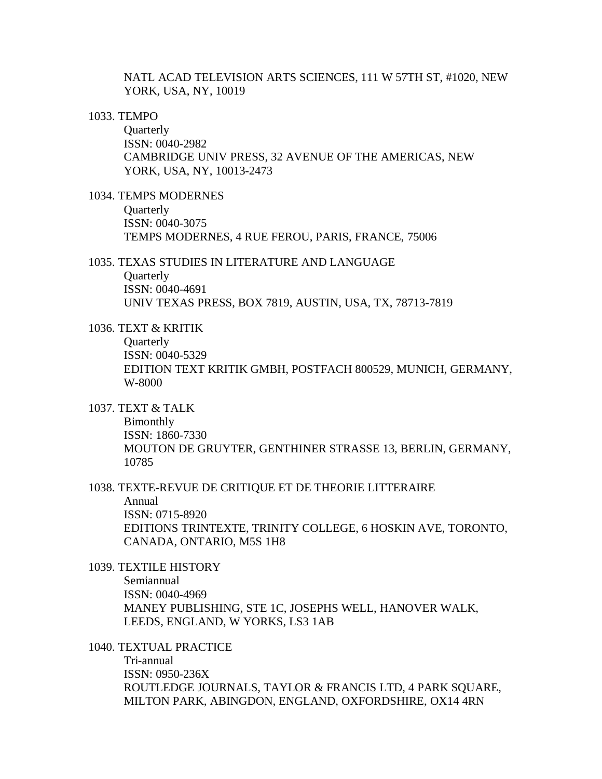NATL ACAD TELEVISION ARTS SCIENCES, 111 W 57TH ST, #1020, NEW YORK, USA, NY, 10019

### 1033. TEMPO

**Quarterly** ISSN: 0040-2982 CAMBRIDGE UNIV PRESS, 32 AVENUE OF THE AMERICAS, NEW YORK, USA, NY, 10013-2473

1034. TEMPS MODERNES

**Quarterly** ISSN: 0040-3075 TEMPS MODERNES, 4 RUE FEROU, PARIS, FRANCE, 75006

## 1035. TEXAS STUDIES IN LITERATURE AND LANGUAGE

**Quarterly** ISSN: 0040-4691 UNIV TEXAS PRESS, BOX 7819, AUSTIN, USA, TX, 78713-7819

1036. TEXT & KRITIK

**Ouarterly** ISSN: 0040-5329 EDITION TEXT KRITIK GMBH, POSTFACH 800529, MUNICH, GERMANY, W-8000

1037. TEXT & TALK

Bimonthly ISSN: 1860-7330 MOUTON DE GRUYTER, GENTHINER STRASSE 13, BERLIN, GERMANY, 10785

# 1038. TEXTE-REVUE DE CRITIQUE ET DE THEORIE LITTERAIRE

Annual ISSN: 0715-8920 EDITIONS TRINTEXTE, TRINITY COLLEGE, 6 HOSKIN AVE, TORONTO, CANADA, ONTARIO, M5S 1H8

1039. TEXTILE HISTORY

Semiannual ISSN: 0040-4969 MANEY PUBLISHING, STE 1C, JOSEPHS WELL, HANOVER WALK, LEEDS, ENGLAND, W YORKS, LS3 1AB

1040. TEXTUAL PRACTICE

Tri-annual ISSN: 0950-236X ROUTLEDGE JOURNALS, TAYLOR & FRANCIS LTD, 4 PARK SQUARE, MILTON PARK, ABINGDON, ENGLAND, OXFORDSHIRE, OX14 4RN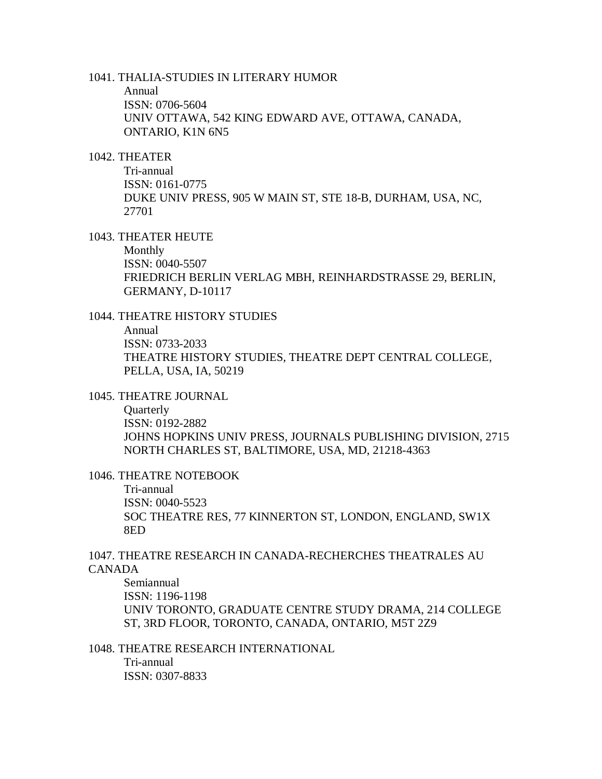1041. THALIA-STUDIES IN LITERARY HUMOR

Annual ISSN: 0706-5604 UNIV OTTAWA, 542 KING EDWARD AVE, OTTAWA, CANADA, ONTARIO, K1N 6N5

## 1042. THEATER

Tri-annual ISSN: 0161-0775 DUKE UNIV PRESS, 905 W MAIN ST, STE 18-B, DURHAM, USA, NC, 27701

#### 1043. THEATER HEUTE

Monthly ISSN: 0040-5507 FRIEDRICH BERLIN VERLAG MBH, REINHARDSTRASSE 29, BERLIN, GERMANY, D-10117

# 1044. THEATRE HISTORY STUDIES

Annual ISSN: 0733-2033 THEATRE HISTORY STUDIES, THEATRE DEPT CENTRAL COLLEGE, PELLA, USA, IA, 50219

# 1045. THEATRE JOURNAL

**Quarterly** ISSN: 0192-2882 JOHNS HOPKINS UNIV PRESS, JOURNALS PUBLISHING DIVISION, 2715 NORTH CHARLES ST, BALTIMORE, USA, MD, 21218-4363

#### 1046. THEATRE NOTEBOOK

Tri-annual ISSN: 0040-5523 SOC THEATRE RES, 77 KINNERTON ST, LONDON, ENGLAND, SW1X 8ED

# 1047. THEATRE RESEARCH IN CANADA-RECHERCHES THEATRALES AU CANADA

Semiannual ISSN: 1196-1198 UNIV TORONTO, GRADUATE CENTRE STUDY DRAMA, 214 COLLEGE ST, 3RD FLOOR, TORONTO, CANADA, ONTARIO, M5T 2Z9

# 1048. THEATRE RESEARCH INTERNATIONAL

Tri-annual ISSN: 0307-8833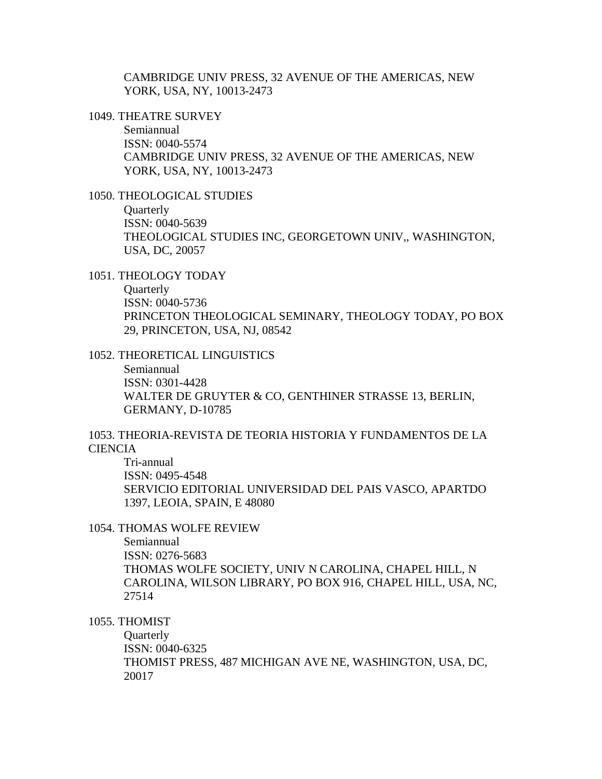CAMBRIDGE UNIV PRESS, 32 AVENUE OF THE AMERICAS, NEW YORK, USA, NY, 10013-2473

1049. THEATRE SURVEY

Semiannual ISSN: 0040-5574 CAMBRIDGE UNIV PRESS, 32 AVENUE OF THE AMERICAS, NEW YORK, USA, NY, 10013-2473

1050. THEOLOGICAL STUDIES

**Quarterly** ISSN: 0040-5639 THEOLOGICAL STUDIES INC, GEORGETOWN UNIV,, WASHINGTON, USA, DC, 20057

1051. THEOLOGY TODAY

**Ouarterly** ISSN: 0040-5736 PRINCETON THEOLOGICAL SEMINARY, THEOLOGY TODAY, PO BOX 29, PRINCETON, USA, NJ, 08542

1052. THEORETICAL LINGUISTICS Semiannual ISSN: 0301-4428

WALTER DE GRUYTER & CO, GENTHINER STRASSE 13, BERLIN, GERMANY, D-10785

1053. THEORIA-REVISTA DE TEORIA HISTORIA Y FUNDAMENTOS DE LA **CIENCIA** 

Tri-annual ISSN: 0495-4548 SERVICIO EDITORIAL UNIVERSIDAD DEL PAIS VASCO, APARTDO 1397, LEOIA, SPAIN, E 48080

## 1054. THOMAS WOLFE REVIEW

Semiannual ISSN: 0276-5683 THOMAS WOLFE SOCIETY, UNIV N CAROLINA, CHAPEL HILL, N CAROLINA, WILSON LIBRARY, PO BOX 916, CHAPEL HILL, USA, NC, 27514

1055. THOMIST

**Quarterly** ISSN: 0040-6325 THOMIST PRESS, 487 MICHIGAN AVE NE, WASHINGTON, USA, DC, 20017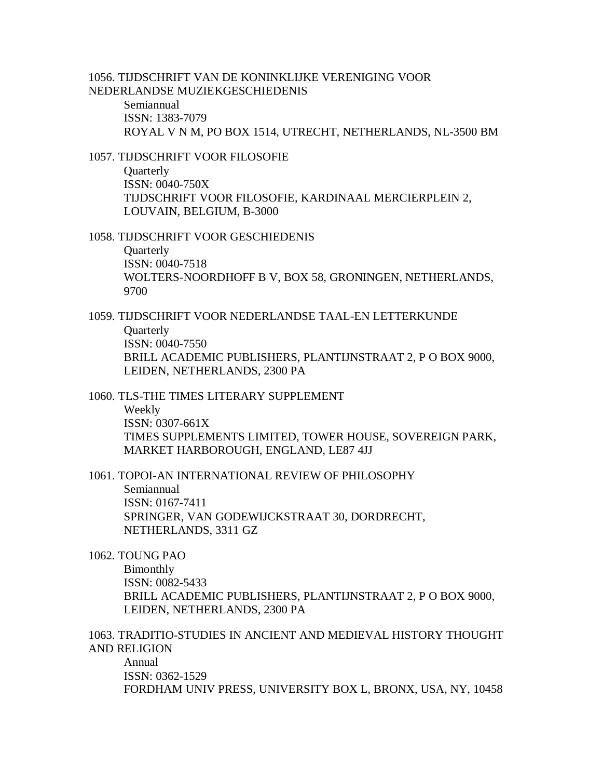1056. TIJDSCHRIFT VAN DE KONINKLIJKE VERENIGING VOOR NEDERLANDSE MUZIEKGESCHIEDENIS Semiannual ISSN: 1383-7079

ROYAL V N M, PO BOX 1514, UTRECHT, NETHERLANDS, NL-3500 BM

1057. TIJDSCHRIFT VOOR FILOSOFIE **Quarterly** ISSN: 0040-750X TIJDSCHRIFT VOOR FILOSOFIE, KARDINAAL MERCIERPLEIN 2, LOUVAIN, BELGIUM, B-3000

1058. TIJDSCHRIFT VOOR GESCHIEDENIS

**Quarterly** ISSN: 0040-7518 WOLTERS-NOORDHOFF B V, BOX 58, GRONINGEN, NETHERLANDS, 9700

1059. TIJDSCHRIFT VOOR NEDERLANDSE TAAL-EN LETTERKUNDE **Quarterly** ISSN: 0040-7550 BRILL ACADEMIC PUBLISHERS, PLANTIJNSTRAAT 2, P O BOX 9000, LEIDEN, NETHERLANDS, 2300 PA

1060. TLS-THE TIMES LITERARY SUPPLEMENT Weekly ISSN: 0307-661X TIMES SUPPLEMENTS LIMITED, TOWER HOUSE, SOVEREIGN PARK, MARKET HARBOROUGH, ENGLAND, LE87 4JJ

1061. TOPOI-AN INTERNATIONAL REVIEW OF PHILOSOPHY Semiannual ISSN: 0167-7411 SPRINGER, VAN GODEWIJCKSTRAAT 30, DORDRECHT, NETHERLANDS, 3311 GZ

1062. TOUNG PAO

Bimonthly ISSN: 0082-5433 BRILL ACADEMIC PUBLISHERS, PLANTIJNSTRAAT 2, P O BOX 9000, LEIDEN, NETHERLANDS, 2300 PA

1063. TRADITIO-STUDIES IN ANCIENT AND MEDIEVAL HISTORY THOUGHT AND RELIGION

Annual ISSN: 0362-1529 FORDHAM UNIV PRESS, UNIVERSITY BOX L, BRONX, USA, NY, 10458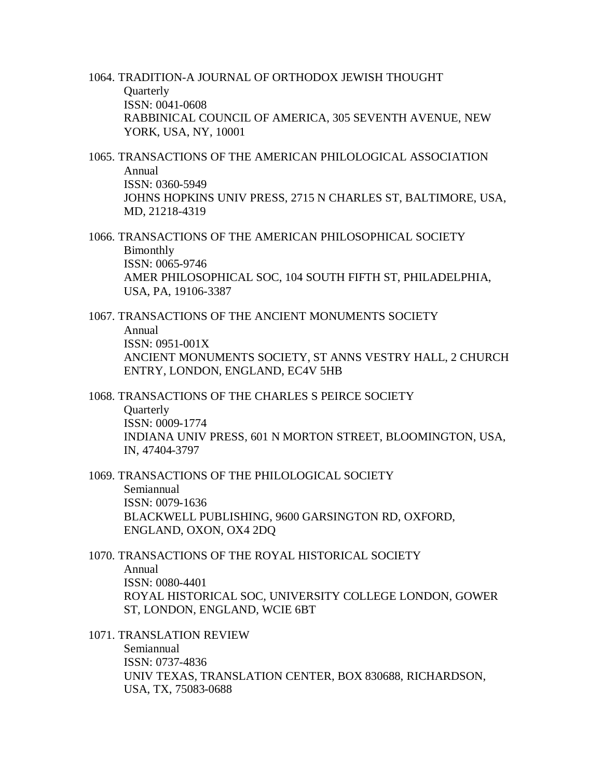1064. TRADITION-A JOURNAL OF ORTHODOX JEWISH THOUGHT **Quarterly** ISSN: 0041-0608 RABBINICAL COUNCIL OF AMERICA, 305 SEVENTH AVENUE, NEW YORK, USA, NY, 10001

1065. TRANSACTIONS OF THE AMERICAN PHILOLOGICAL ASSOCIATION Annual ISSN: 0360-5949 JOHNS HOPKINS UNIV PRESS, 2715 N CHARLES ST, BALTIMORE, USA, MD, 21218-4319

1066. TRANSACTIONS OF THE AMERICAN PHILOSOPHICAL SOCIETY Bimonthly ISSN: 0065-9746 AMER PHILOSOPHICAL SOC, 104 SOUTH FIFTH ST, PHILADELPHIA, USA, PA, 19106-3387

1067. TRANSACTIONS OF THE ANCIENT MONUMENTS SOCIETY Annual ISSN: 0951-001X ANCIENT MONUMENTS SOCIETY, ST ANNS VESTRY HALL, 2 CHURCH ENTRY, LONDON, ENGLAND, EC4V 5HB

1068. TRANSACTIONS OF THE CHARLES S PEIRCE SOCIETY **Ouarterly** ISSN: 0009-1774 INDIANA UNIV PRESS, 601 N MORTON STREET, BLOOMINGTON, USA, IN, 47404-3797

1069. TRANSACTIONS OF THE PHILOLOGICAL SOCIETY Semiannual ISSN: 0079-1636 BLACKWELL PUBLISHING, 9600 GARSINGTON RD, OXFORD, ENGLAND, OXON, OX4 2DQ

1070. TRANSACTIONS OF THE ROYAL HISTORICAL SOCIETY Annual

ISSN: 0080-4401 ROYAL HISTORICAL SOC, UNIVERSITY COLLEGE LONDON, GOWER ST, LONDON, ENGLAND, WCIE 6BT

1071. TRANSLATION REVIEW

Semiannual ISSN: 0737-4836 UNIV TEXAS, TRANSLATION CENTER, BOX 830688, RICHARDSON, USA, TX, 75083-0688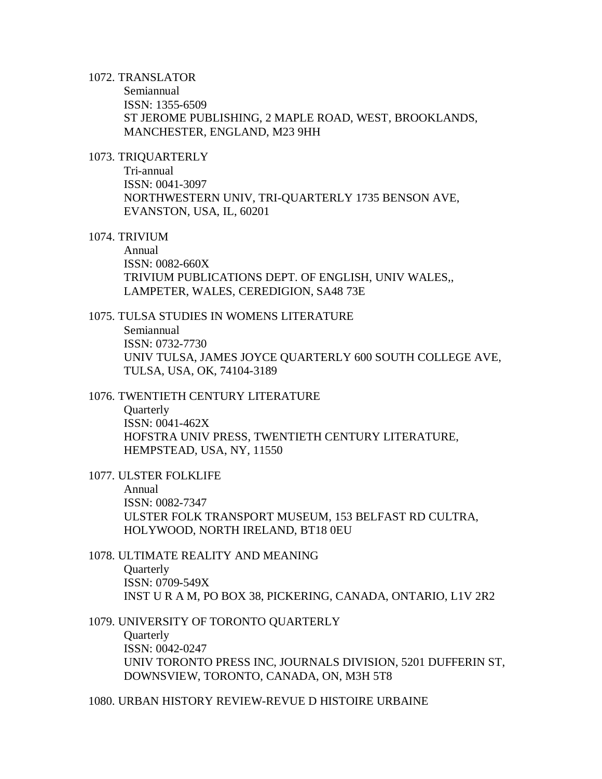## 1072. TRANSLATOR

Semiannual ISSN: 1355-6509 ST JEROME PUBLISHING, 2 MAPLE ROAD, WEST, BROOKLANDS, MANCHESTER, ENGLAND, M23 9HH

## 1073. TRIQUARTERLY

Tri-annual ISSN: 0041-3097 NORTHWESTERN UNIV, TRI-QUARTERLY 1735 BENSON AVE, EVANSTON, USA, IL, 60201

#### 1074. TRIVIUM

Annual ISSN: 0082-660X TRIVIUM PUBLICATIONS DEPT. OF ENGLISH, UNIV WALES,, LAMPETER, WALES, CEREDIGION, SA48 73E

## 1075. TULSA STUDIES IN WOMENS LITERATURE

Semiannual ISSN: 0732-7730 UNIV TULSA, JAMES JOYCE QUARTERLY 600 SOUTH COLLEGE AVE, TULSA, USA, OK, 74104-3189

# 1076. TWENTIETH CENTURY LITERATURE

**Quarterly** ISSN: 0041-462X HOFSTRA UNIV PRESS, TWENTIETH CENTURY LITERATURE, HEMPSTEAD, USA, NY, 11550

1077. ULSTER FOLKLIFE

Annual ISSN: 0082-7347 ULSTER FOLK TRANSPORT MUSEUM, 153 BELFAST RD CULTRA, HOLYWOOD, NORTH IRELAND, BT18 0EU

# 1078. ULTIMATE REALITY AND MEANING

**Ouarterly** ISSN: 0709-549X INST U R A M, PO BOX 38, PICKERING, CANADA, ONTARIO, L1V 2R2

1079. UNIVERSITY OF TORONTO QUARTERLY **Quarterly** ISSN: 0042-0247 UNIV TORONTO PRESS INC, JOURNALS DIVISION, 5201 DUFFERIN ST, DOWNSVIEW, TORONTO, CANADA, ON, M3H 5T8

1080. URBAN HISTORY REVIEW-REVUE D HISTOIRE URBAINE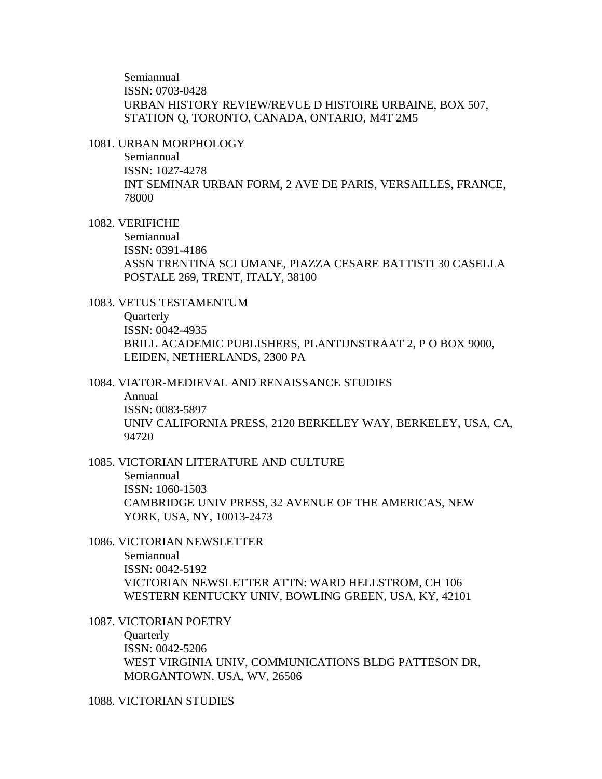Semiannual ISSN: 0703-0428 URBAN HISTORY REVIEW/REVUE D HISTOIRE URBAINE, BOX 507, STATION Q, TORONTO, CANADA, ONTARIO, M4T 2M5

#### 1081. URBAN MORPHOLOGY

Semiannual ISSN: 1027-4278 INT SEMINAR URBAN FORM, 2 AVE DE PARIS, VERSAILLES, FRANCE, 78000

# 1082. VERIFICHE

Semiannual ISSN: 0391-4186 ASSN TRENTINA SCI UMANE, PIAZZA CESARE BATTISTI 30 CASELLA POSTALE 269, TRENT, ITALY, 38100

# 1083. VETUS TESTAMENTUM

**Quarterly** ISSN: 0042-4935 BRILL ACADEMIC PUBLISHERS, PLANTIJNSTRAAT 2, P O BOX 9000, LEIDEN, NETHERLANDS, 2300 PA

1084. VIATOR-MEDIEVAL AND RENAISSANCE STUDIES

Annual ISSN: 0083-5897 UNIV CALIFORNIA PRESS, 2120 BERKELEY WAY, BERKELEY, USA, CA, 94720

1085. VICTORIAN LITERATURE AND CULTURE Semiannual ISSN: 1060-1503 CAMBRIDGE UNIV PRESS, 32 AVENUE OF THE AMERICAS, NEW YORK, USA, NY, 10013-2473

1086. VICTORIAN NEWSLETTER Semiannual ISSN: 0042-5192 VICTORIAN NEWSLETTER ATTN: WARD HELLSTROM, CH 106 WESTERN KENTUCKY UNIV, BOWLING GREEN, USA, KY, 42101

1087. VICTORIAN POETRY **Quarterly** ISSN: 0042-5206 WEST VIRGINIA UNIV, COMMUNICATIONS BLDG PATTESON DR, MORGANTOWN, USA, WV, 26506

## 1088. VICTORIAN STUDIES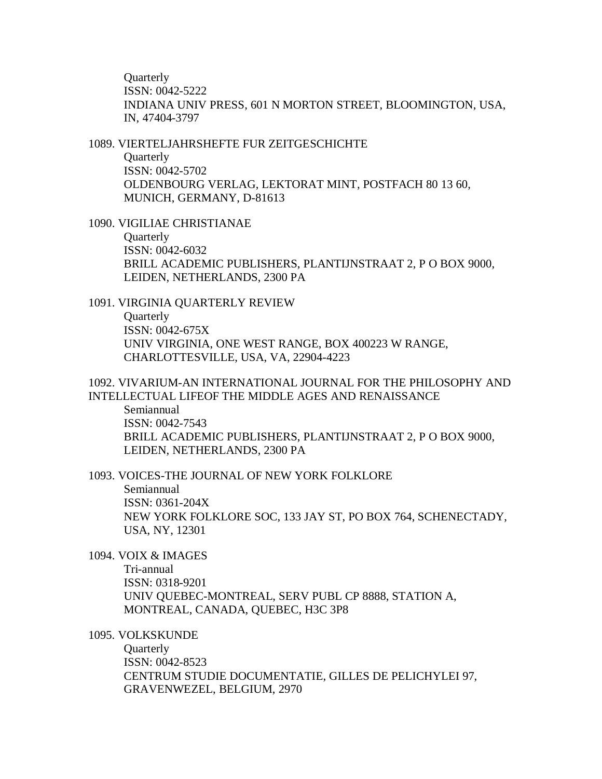**Ouarterly** ISSN: 0042-5222 INDIANA UNIV PRESS, 601 N MORTON STREET, BLOOMINGTON, USA, IN, 47404-3797

1089. VIERTELJAHRSHEFTE FUR ZEITGESCHICHTE Quarterly ISSN: 0042-5702 OLDENBOURG VERLAG, LEKTORAT MINT, POSTFACH 80 13 60, MUNICH, GERMANY, D-81613

1090. VIGILIAE CHRISTIANAE **Ouarterly** ISSN: 0042-6032 BRILL ACADEMIC PUBLISHERS, PLANTIJNSTRAAT 2, P O BOX 9000, LEIDEN, NETHERLANDS, 2300 PA

1091. VIRGINIA QUARTERLY REVIEW **Quarterly** ISSN: 0042-675X UNIV VIRGINIA, ONE WEST RANGE, BOX 400223 W RANGE, CHARLOTTESVILLE, USA, VA, 22904-4223

1092. VIVARIUM-AN INTERNATIONAL JOURNAL FOR THE PHILOSOPHY AND INTELLECTUAL LIFEOF THE MIDDLE AGES AND RENAISSANCE

Semiannual ISSN: 0042-7543 BRILL ACADEMIC PUBLISHERS, PLANTIJNSTRAAT 2, P O BOX 9000, LEIDEN, NETHERLANDS, 2300 PA

1093. VOICES-THE JOURNAL OF NEW YORK FOLKLORE Semiannual ISSN: 0361-204X NEW YORK FOLKLORE SOC, 133 JAY ST, PO BOX 764, SCHENECTADY, USA, NY, 12301

1094. VOIX & IMAGES

Tri-annual ISSN: 0318-9201 UNIV QUEBEC-MONTREAL, SERV PUBL CP 8888, STATION A, MONTREAL, CANADA, QUEBEC, H3C 3P8

1095. VOLKSKUNDE

**Quarterly** ISSN: 0042-8523 CENTRUM STUDIE DOCUMENTATIE, GILLES DE PELICHYLEI 97, GRAVENWEZEL, BELGIUM, 2970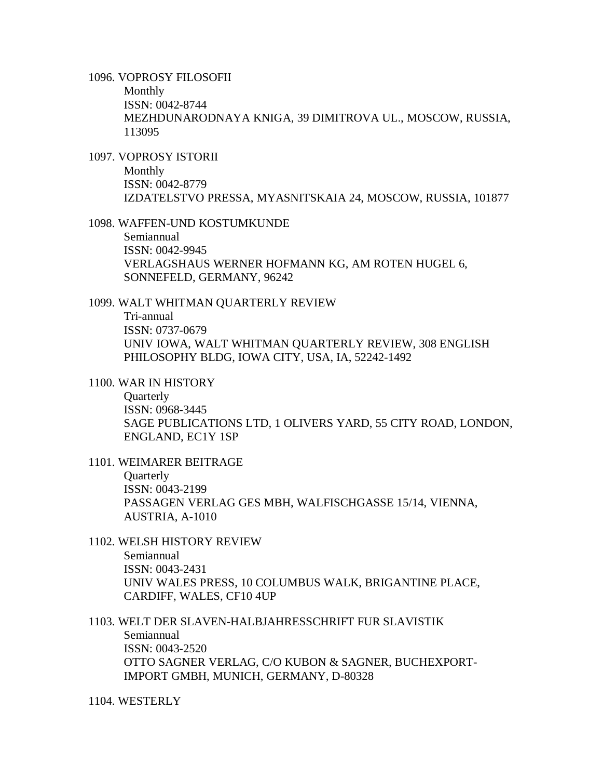1096. VOPROSY FILOSOFII

Monthly ISSN: 0042-8744 MEZHDUNARODNAYA KNIGA, 39 DIMITROVA UL., MOSCOW, RUSSIA, 113095

1097. VOPROSY ISTORII Monthly ISSN: 0042-8779 IZDATELSTVO PRESSA, MYASNITSKAIA 24, MOSCOW, RUSSIA, 101877

1098. WAFFEN-UND KOSTUMKUNDE Semiannual ISSN: 0042-9945 VERLAGSHAUS WERNER HOFMANN KG, AM ROTEN HUGEL 6, SONNEFELD, GERMANY, 96242

1099. WALT WHITMAN QUARTERLY REVIEW Tri-annual ISSN: 0737-0679 UNIV IOWA, WALT WHITMAN QUARTERLY REVIEW, 308 ENGLISH PHILOSOPHY BLDG, IOWA CITY, USA, IA, 52242-1492

1100. WAR IN HISTORY

**Ouarterly** ISSN: 0968-3445 SAGE PUBLICATIONS LTD, 1 OLIVERS YARD, 55 CITY ROAD, LONDON, ENGLAND, EC1Y 1SP

- 1101. WEIMARER BEITRAGE **Quarterly** ISSN: 0043-2199 PASSAGEN VERLAG GES MBH, WALFISCHGASSE 15/14, VIENNA, AUSTRIA, A-1010
- 1102. WELSH HISTORY REVIEW Semiannual ISSN: 0043-2431 UNIV WALES PRESS, 10 COLUMBUS WALK, BRIGANTINE PLACE, CARDIFF, WALES, CF10 4UP

1103. WELT DER SLAVEN-HALBJAHRESSCHRIFT FUR SLAVISTIK Semiannual ISSN: 0043-2520 OTTO SAGNER VERLAG, C/O KUBON & SAGNER, BUCHEXPORT-IMPORT GMBH, MUNICH, GERMANY, D-80328

1104. WESTERLY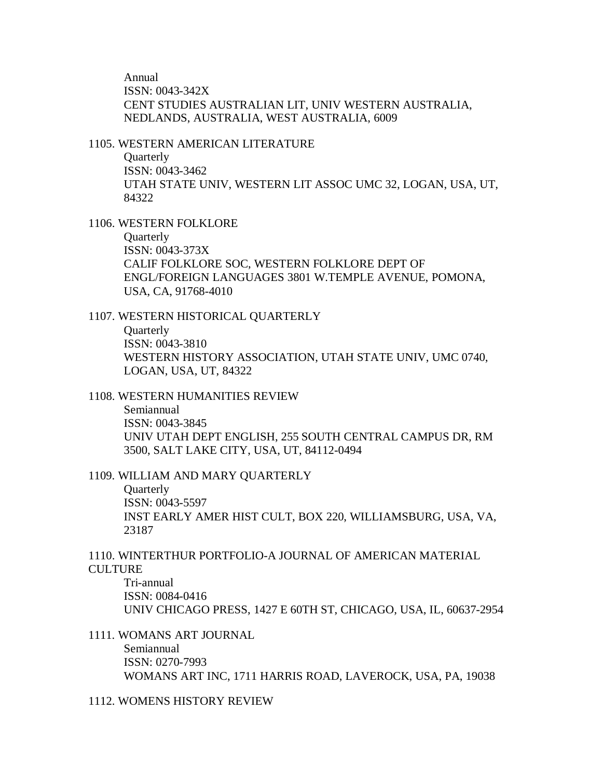Annual ISSN: 0043-342X CENT STUDIES AUSTRALIAN LIT, UNIV WESTERN AUSTRALIA, NEDLANDS, AUSTRALIA, WEST AUSTRALIA, 6009

#### 1105. WESTERN AMERICAN LITERATURE

**Quarterly** ISSN: 0043-3462 UTAH STATE UNIV, WESTERN LIT ASSOC UMC 32, LOGAN, USA, UT, 84322

1106. WESTERN FOLKLORE

**Ouarterly** 

ISSN: 0043-373X CALIF FOLKLORE SOC, WESTERN FOLKLORE DEPT OF ENGL/FOREIGN LANGUAGES 3801 W.TEMPLE AVENUE, POMONA, USA, CA, 91768-4010

1107. WESTERN HISTORICAL QUARTERLY

**Quarterly** ISSN: 0043-3810 WESTERN HISTORY ASSOCIATION, UTAH STATE UNIV, UMC 0740, LOGAN, USA, UT, 84322

1108. WESTERN HUMANITIES REVIEW

Semiannual ISSN: 0043-3845 UNIV UTAH DEPT ENGLISH, 255 SOUTH CENTRAL CAMPUS DR, RM 3500, SALT LAKE CITY, USA, UT, 84112-0494

1109. WILLIAM AND MARY QUARTERLY

**Quarterly** ISSN: 0043-5597 INST EARLY AMER HIST CULT, BOX 220, WILLIAMSBURG, USA, VA, 23187

1110. WINTERTHUR PORTFOLIO-A JOURNAL OF AMERICAN MATERIAL **CULTURE** 

Tri-annual ISSN: 0084-0416 UNIV CHICAGO PRESS, 1427 E 60TH ST, CHICAGO, USA, IL, 60637-2954

1111. WOMANS ART JOURNAL

Semiannual ISSN: 0270-7993 WOMANS ART INC, 1711 HARRIS ROAD, LAVEROCK, USA, PA, 19038

1112. WOMENS HISTORY REVIEW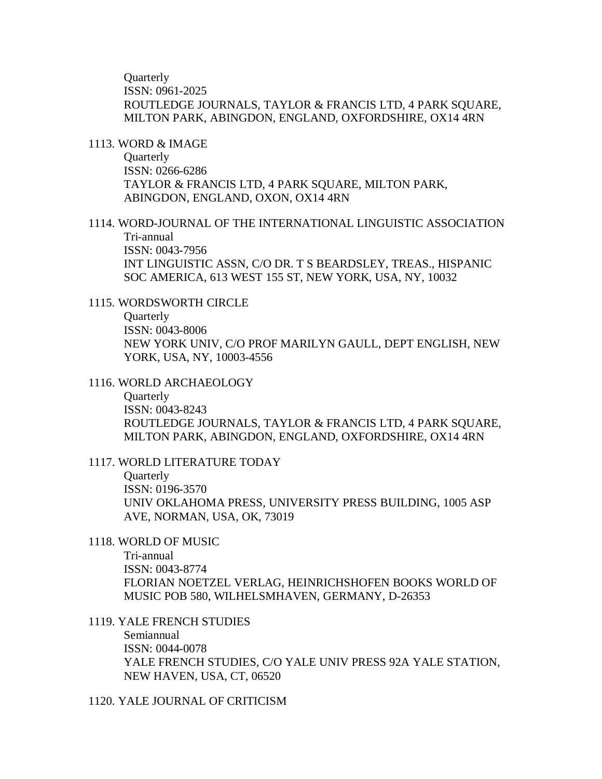**Ouarterly** ISSN: 0961-2025 ROUTLEDGE JOURNALS, TAYLOR & FRANCIS LTD, 4 PARK SQUARE, MILTON PARK, ABINGDON, ENGLAND, OXFORDSHIRE, OX14 4RN

### 1113. WORD & IMAGE

Quarterly ISSN: 0266-6286 TAYLOR & FRANCIS LTD, 4 PARK SQUARE, MILTON PARK, ABINGDON, ENGLAND, OXON, OX14 4RN

# 1114. WORD-JOURNAL OF THE INTERNATIONAL LINGUISTIC ASSOCIATION Tri-annual ISSN: 0043-7956 INT LINGUISTIC ASSN, C/O DR. T S BEARDSLEY, TREAS., HISPANIC SOC AMERICA, 613 WEST 155 ST, NEW YORK, USA, NY, 10032

# 1115. WORDSWORTH CIRCLE

**Quarterly** ISSN: 0043-8006 NEW YORK UNIV, C/O PROF MARILYN GAULL, DEPT ENGLISH, NEW YORK, USA, NY, 10003-4556

#### 1116. WORLD ARCHAEOLOGY

**Ouarterly** ISSN: 0043-8243 ROUTLEDGE JOURNALS, TAYLOR & FRANCIS LTD, 4 PARK SOUARE, MILTON PARK, ABINGDON, ENGLAND, OXFORDSHIRE, OX14 4RN

### 1117. WORLD LITERATURE TODAY

**Quarterly** ISSN: 0196-3570 UNIV OKLAHOMA PRESS, UNIVERSITY PRESS BUILDING, 1005 ASP AVE, NORMAN, USA, OK, 73019

# 1118. WORLD OF MUSIC

Tri-annual ISSN: 0043-8774 FLORIAN NOETZEL VERLAG, HEINRICHSHOFEN BOOKS WORLD OF MUSIC POB 580, WILHELSMHAVEN, GERMANY, D-26353

# 1119. YALE FRENCH STUDIES Semiannual ISSN: 0044-0078 YALE FRENCH STUDIES, C/O YALE UNIV PRESS 92A YALE STATION, NEW HAVEN, USA, CT, 06520

#### 1120. YALE JOURNAL OF CRITICISM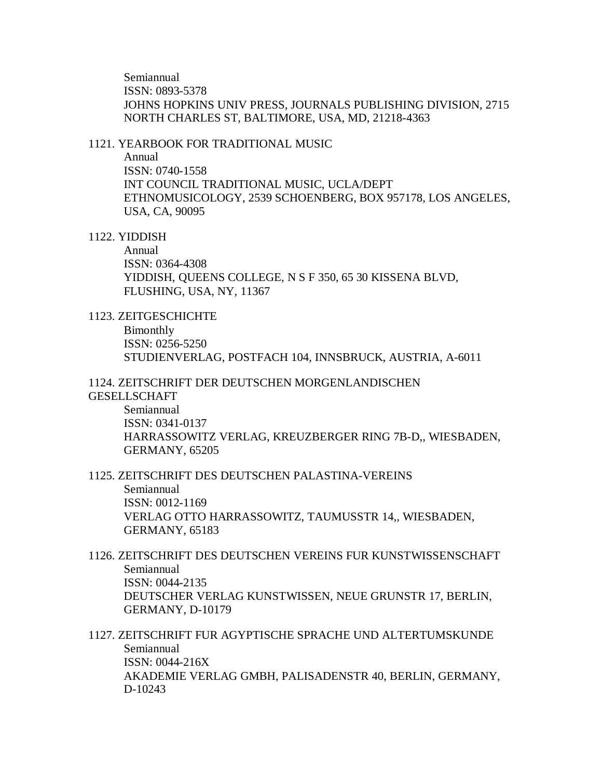Semiannual ISSN: 0893-5378 JOHNS HOPKINS UNIV PRESS, JOURNALS PUBLISHING DIVISION, 2715 NORTH CHARLES ST, BALTIMORE, USA, MD, 21218-4363

#### 1121. YEARBOOK FOR TRADITIONAL MUSIC

Annual

ISSN: 0740-1558 INT COUNCIL TRADITIONAL MUSIC, UCLA/DEPT ETHNOMUSICOLOGY, 2539 SCHOENBERG, BOX 957178, LOS ANGELES, USA, CA, 90095

#### 1122. YIDDISH

Annual ISSN: 0364-4308 YIDDISH, QUEENS COLLEGE, N S F 350, 65 30 KISSENA BLVD, FLUSHING, USA, NY, 11367

## 1123. ZEITGESCHICHTE

Bimonthly ISSN: 0256-5250 STUDIENVERLAG, POSTFACH 104, INNSBRUCK, AUSTRIA, A-6011

# 1124. ZEITSCHRIFT DER DEUTSCHEN MORGENLANDISCHEN

# **GESELLSCHAFT**

Semiannual ISSN: 0341-0137 HARRASSOWITZ VERLAG, KREUZBERGER RING 7B-D,, WIESBADEN, GERMANY, 65205

# 1125. ZEITSCHRIFT DES DEUTSCHEN PALASTINA-VEREINS Semiannual ISSN: 0012-1169 VERLAG OTTO HARRASSOWITZ, TAUMUSSTR 14,, WIESBADEN, GERMANY, 65183

# 1126. ZEITSCHRIFT DES DEUTSCHEN VEREINS FUR KUNSTWISSENSCHAFT Semiannual ISSN: 0044-2135 DEUTSCHER VERLAG KUNSTWISSEN, NEUE GRUNSTR 17, BERLIN, GERMANY, D-10179

1127. ZEITSCHRIFT FUR AGYPTISCHE SPRACHE UND ALTERTUMSKUNDE Semiannual ISSN: 0044-216X AKADEMIE VERLAG GMBH, PALISADENSTR 40, BERLIN, GERMANY, D-10243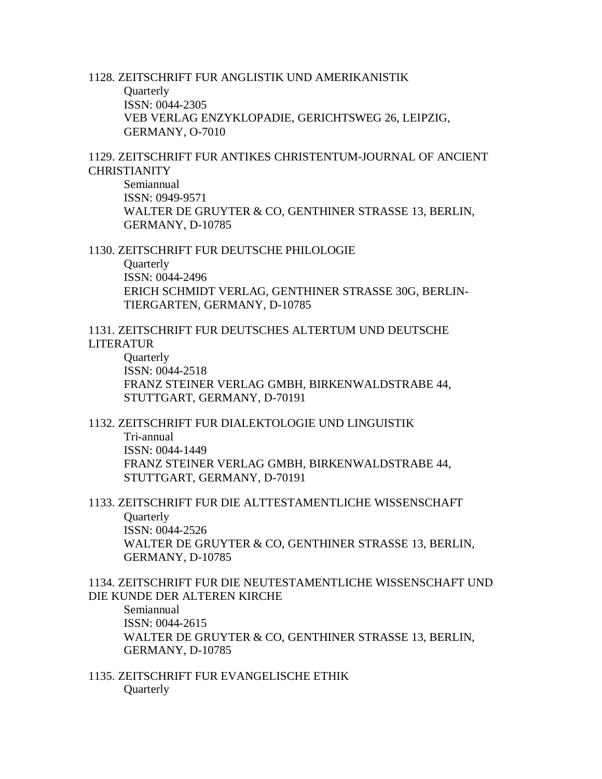1128. ZEITSCHRIFT FUR ANGLISTIK UND AMERIKANISTIK **Quarterly** ISSN: 0044-2305 VEB VERLAG ENZYKLOPADIE, GERICHTSWEG 26, LEIPZIG, GERMANY, O-7010

1129. ZEITSCHRIFT FUR ANTIKES CHRISTENTUM-JOURNAL OF ANCIENT **CHRISTIANITY** 

Semiannual ISSN: 0949-9571 WALTER DE GRUYTER & CO, GENTHINER STRASSE 13, BERLIN, GERMANY, D-10785

1130. ZEITSCHRIFT FUR DEUTSCHE PHILOLOGIE

**Quarterly** ISSN: 0044-2496 ERICH SCHMIDT VERLAG, GENTHINER STRASSE 30G, BERLIN-TIERGARTEN, GERMANY, D-10785

1131. ZEITSCHRIFT FUR DEUTSCHES ALTERTUM UND DEUTSCHE LITERATUR

**Quarterly** ISSN: 0044-2518 FRANZ STEINER VERLAG GMBH, BIRKENWALDSTRABE 44, STUTTGART, GERMANY, D-70191

1132. ZEITSCHRIFT FUR DIALEKTOLOGIE UND LINGUISTIK

Tri-annual ISSN: 0044-1449 FRANZ STEINER VERLAG GMBH, BIRKENWALDSTRABE 44, STUTTGART, GERMANY, D-70191

1133. ZEITSCHRIFT FUR DIE ALTTESTAMENTLICHE WISSENSCHAFT **Ouarterly** ISSN: 0044-2526 WALTER DE GRUYTER & CO, GENTHINER STRASSE 13, BERLIN, GERMANY, D-10785

1134. ZEITSCHRIFT FUR DIE NEUTESTAMENTLICHE WISSENSCHAFT UND DIE KUNDE DER ALTEREN KIRCHE

Semiannual ISSN: 0044-2615 WALTER DE GRUYTER & CO, GENTHINER STRASSE 13, BERLIN, GERMANY, D-10785

1135. ZEITSCHRIFT FUR EVANGELISCHE ETHIK **Quarterly**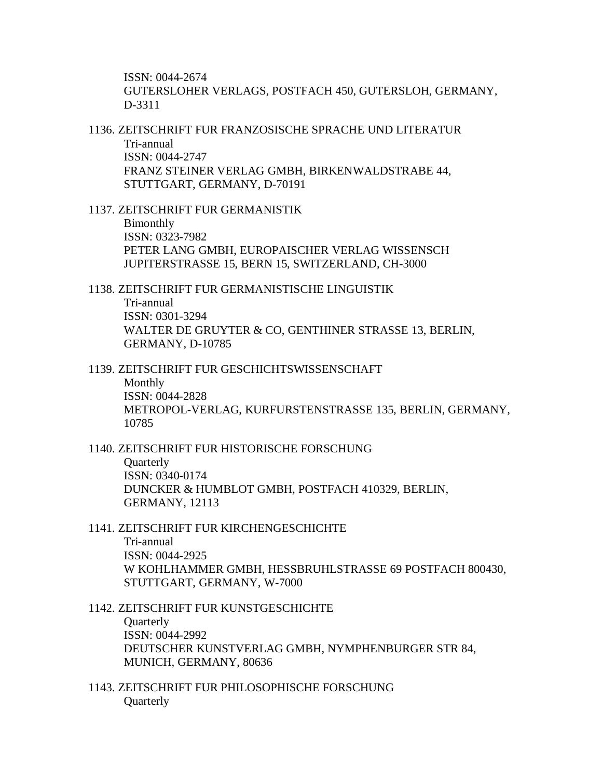ISSN: 0044-2674 GUTERSLOHER VERLAGS, POSTFACH 450, GUTERSLOH, GERMANY, D-3311

1136. ZEITSCHRIFT FUR FRANZOSISCHE SPRACHE UND LITERATUR Tri-annual

ISSN: 0044-2747 FRANZ STEINER VERLAG GMBH, BIRKENWALDSTRABE 44, STUTTGART, GERMANY, D-70191

1137. ZEITSCHRIFT FUR GERMANISTIK Bimonthly ISSN: 0323-7982 PETER LANG GMBH, EUROPAISCHER VERLAG WISSENSCH JUPITERSTRASSE 15, BERN 15, SWITZERLAND, CH-3000

1138. ZEITSCHRIFT FUR GERMANISTISCHE LINGUISTIK Tri-annual ISSN: 0301-3294 WALTER DE GRUYTER & CO, GENTHINER STRASSE 13, BERLIN, GERMANY, D-10785

1139. ZEITSCHRIFT FUR GESCHICHTSWISSENSCHAFT Monthly ISSN: 0044-2828 METROPOL-VERLAG, KURFURSTENSTRASSE 135, BERLIN, GERMANY, 10785

1140. ZEITSCHRIFT FUR HISTORISCHE FORSCHUNG

**Ouarterly** ISSN: 0340-0174 DUNCKER & HUMBLOT GMBH, POSTFACH 410329, BERLIN, GERMANY, 12113

1141. ZEITSCHRIFT FUR KIRCHENGESCHICHTE Tri-annual ISSN: 0044-2925 W KOHLHAMMER GMBH, HESSBRUHLSTRASSE 69 POSTFACH 800430, STUTTGART, GERMANY, W-7000

1142. ZEITSCHRIFT FUR KUNSTGESCHICHTE **Quarterly** ISSN: 0044-2992 DEUTSCHER KUNSTVERLAG GMBH, NYMPHENBURGER STR 84, MUNICH, GERMANY, 80636

1143. ZEITSCHRIFT FUR PHILOSOPHISCHE FORSCHUNG **Quarterly**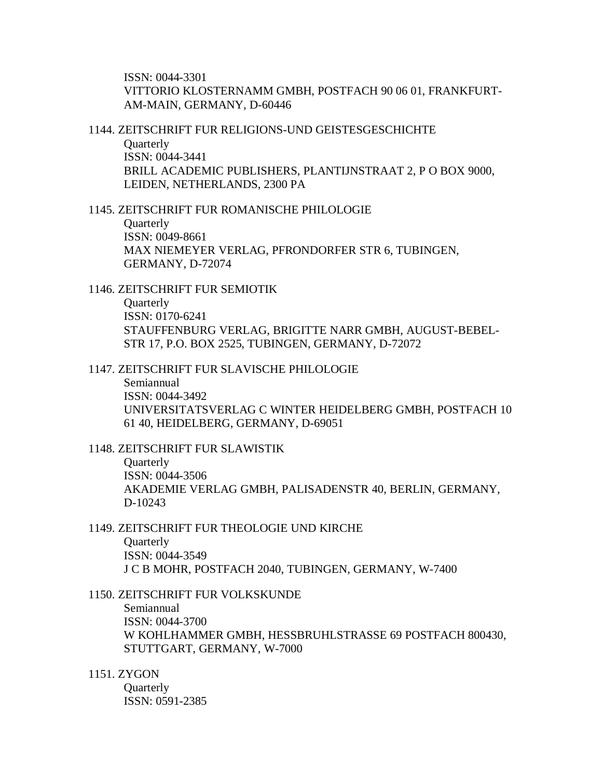ISSN: 0044-3301 VITTORIO KLOSTERNAMM GMBH, POSTFACH 90 06 01, FRANKFURT-AM-MAIN, GERMANY, D-60446

1144. ZEITSCHRIFT FUR RELIGIONS-UND GEISTESGESCHICHTE

**Quarterly** ISSN: 0044-3441 BRILL ACADEMIC PUBLISHERS, PLANTIJNSTRAAT 2, P O BOX 9000, LEIDEN, NETHERLANDS, 2300 PA

1145. ZEITSCHRIFT FUR ROMANISCHE PHILOLOGIE **Ouarterly** ISSN: 0049-8661 MAX NIEMEYER VERLAG, PFRONDORFER STR 6, TUBINGEN, GERMANY, D-72074

1146. ZEITSCHRIFT FUR SEMIOTIK **Quarterly** ISSN: 0170-6241 STAUFFENBURG VERLAG, BRIGITTE NARR GMBH, AUGUST-BEBEL-STR 17, P.O. BOX 2525, TUBINGEN, GERMANY, D-72072

#### 1147. ZEITSCHRIFT FUR SLAVISCHE PHILOLOGIE

Semiannual ISSN: 0044-3492 UNIVERSITATSVERLAG C WINTER HEIDELBERG GMBH, POSTFACH 10 61 40, HEIDELBERG, GERMANY, D-69051

## 1148. ZEITSCHRIFT FUR SLAWISTIK

**Ouarterly** ISSN: 0044-3506 AKADEMIE VERLAG GMBH, PALISADENSTR 40, BERLIN, GERMANY, D-10243

#### 1149. ZEITSCHRIFT FUR THEOLOGIE UND KIRCHE **Ouarterly**

ISSN: 0044-3549 J C B MOHR, POSTFACH 2040, TUBINGEN, GERMANY, W-7400

### 1150. ZEITSCHRIFT FUR VOLKSKUNDE

Semiannual ISSN: 0044-3700 W KOHLHAMMER GMBH, HESSBRUHLSTRASSE 69 POSTFACH 800430, STUTTGART, GERMANY, W-7000

1151. ZYGON

**Quarterly** ISSN: 0591-2385